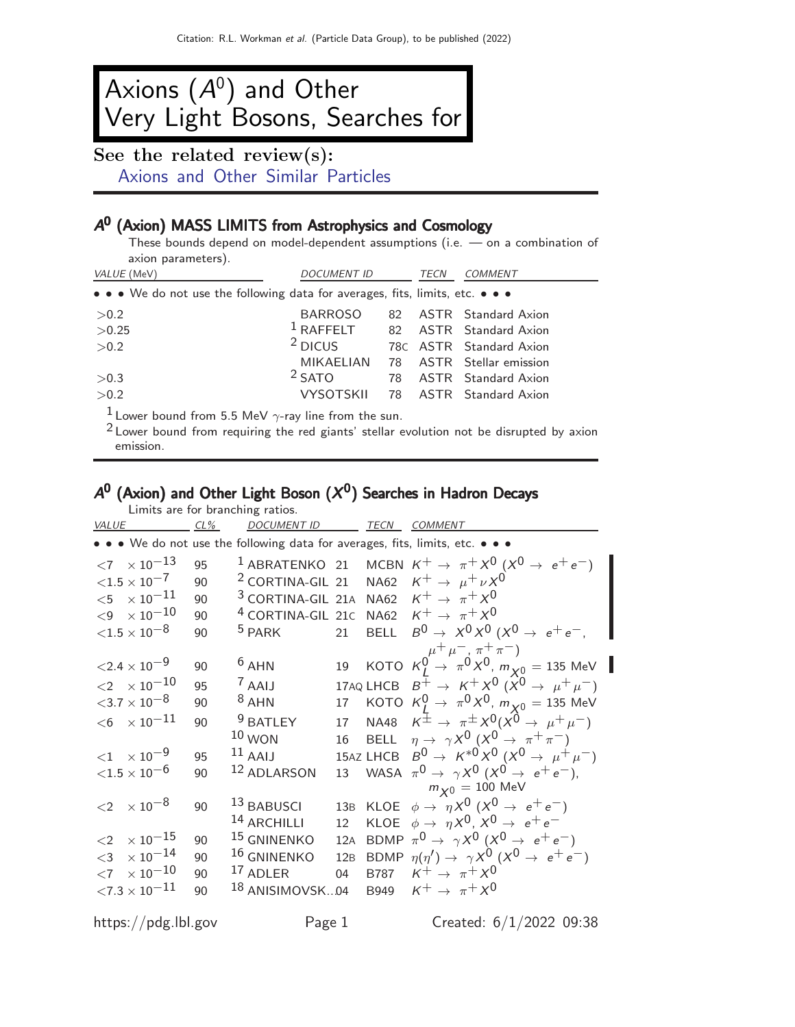# Axions  $(A^0)$  and Other Very Light Bosons, Searches for

See the related review(s): [Axions and Other Similar Particles](http://pdg.lbl.gov/2022/reviews/rpp2021-rev-axions.pdf)

# A<sup>0</sup> (Axion) MASS LIMITS from Astrophysics and Cosmology

These bounds depend on model-dependent assumptions (i.e. — on a combination of axion parameters).

| VALUE (MeV)                                                                   | <b>DOCUMENT ID</b> | TECN | <b>COMMENT</b> |                            |  |  |  |  |  |
|-------------------------------------------------------------------------------|--------------------|------|----------------|----------------------------|--|--|--|--|--|
| • • • We do not use the following data for averages, fits, limits, etc. • • • |                    |      |                |                            |  |  |  |  |  |
| >0.2                                                                          | <b>BARROSO</b>     | 82.  |                | <b>ASTR</b> Standard Axion |  |  |  |  |  |
| >0.25                                                                         | $1$ RAFFELT        |      |                | 82 ASTR Standard Axion     |  |  |  |  |  |
| >0.2                                                                          | $2$ DICUS          |      |                | 78C ASTR Standard Axion    |  |  |  |  |  |
|                                                                               | <b>MIKAELIAN</b>   |      |                | 78 ASTR Stellar emission   |  |  |  |  |  |
| >0.3                                                                          | $2$ SATO           | 78   |                | <b>ASTR</b> Standard Axion |  |  |  |  |  |
| >0.2                                                                          | <b>VYSOTSKII</b>   |      |                | 78 ASTR Standard Axion     |  |  |  |  |  |
| $11$ over bound from $5.5 M_0$ / scrowling from the sun                       |                    |      |                |                            |  |  |  |  |  |

Lower bound from 5.5 MeV  $\gamma$ -ray line from the sun.

<sup>2</sup> Lower bound from requiring the red giants' stellar evolution not be disrupted by axion emission.

#### $A^0$  (Axion) and Other Light Boson  $(X^0)$  Searches in Hadron Decays Limits are for branching ratios.

| <b>VALUE</b> | $CL\%$                            |    | Ellinto are for branching ratios.<br><b>DOCUMENT ID</b>       |     |             | TECN COMMENT                                                                                                                |
|--------------|-----------------------------------|----|---------------------------------------------------------------|-----|-------------|-----------------------------------------------------------------------------------------------------------------------------|
|              |                                   |    |                                                               |     |             | • • • We do not use the following data for averages, fits, limits, etc. • • •                                               |
|              | $<7$ $\times$ 10 <sup>-13</sup>   | 95 |                                                               |     |             | <sup>1</sup> ABRATENKO 21 MCBN $K^+ \rightarrow \pi^+ X^0 (X^0 \rightarrow e^+ e^-)$                                        |
|              | ${<}1.5\times10^{-7}$             | 90 |                                                               |     |             | <sup>2</sup> CORTINA-GIL 21 NA62 $K^+ \rightarrow \mu^+ \nu X^0$                                                            |
|              | ${<}5 \phantom{0}\times 10^{-11}$ | 90 | <sup>3</sup> CORTINA-GIL 21A NA62 $K^+ \rightarrow \pi^+ X^0$ |     |             |                                                                                                                             |
|              | $<\!9\phantom{0} \times 10^{-10}$ | 90 | <sup>4</sup> CORTINA-GIL 21C NA62 $K^+ \rightarrow \pi^+ X^0$ |     |             |                                                                                                                             |
|              | ${<}1.5 \times 10^{-8}$           | 90 | <sup>5</sup> PARK                                             | 21  |             | BELL $B^0 \rightarrow X^0 X^0 (X^0 \rightarrow e^+ e^-,$                                                                    |
|              | ${<}2.4 \times 10^{-9}$           | 90 | $6$ AHN                                                       |     |             | 19 KOTO $K_{L}^{\mu^{+}\mu^{-}, \pi^{+}\pi^{-}}$<br>19 KOTO $K_{L}^{\rho^{+}\mu^{-}, \pi^{0}}$ $X^{0}, m_{X^{0}} = 135$ MeV |
|              | $<\!2\phantom{.0}\times10^{-10}$  | 95 | $7$ AAIJ                                                      |     |             | 17AQ LHCB $B^+ \rightarrow K^+ X^0$ $(X^0 \rightarrow \mu^+ \mu^-)$                                                         |
|              | ${<}3.7\times10^{-8}$             | 90 | $8$ AHN                                                       | 17  |             | KOTO $K_I^0 \to \pi^0 X^0$ , $m_{\chi^0} = 135$ MeV                                                                         |
|              | $<$ 6 $~\times 10^{-11}$          | 90 | <sup>9</sup> BATLEY                                           | 17  |             | NA48 $K^{\pm} \rightarrow \pi^{\pm} X^{0} (X^{\theta} \rightarrow \mu^{+} \mu^{-})$                                         |
|              |                                   |    | $10$ WON                                                      | 16  |             | BELL $\eta \to \gamma X^0 (X^0 \to \pi^+ \pi^-)$                                                                            |
|              | $<$ 1 $\times$ 10 <sup>-9</sup>   | 95 | $11$ AAIJ                                                     |     |             | 15AZ LHCB $B^0 \to K^{*0} X^0 (X^0 \to \mu^+ \mu^-)$                                                                        |
|              | ${<}1.5\times10^{-6}$             | 90 | 12 ADLARSON                                                   | 13  |             | WASA $\pi^0 \rightarrow \gamma X^0 (X^0 \rightarrow e^+e^-)$ ,                                                              |
|              |                                   |    |                                                               |     |             | $m_{\boldsymbol{\mathsf{X}}0}=100\,\,$ MeV                                                                                  |
|              | $<$ 2 $\times$ 10 <sup>-8</sup>   | 90 | 13 BABUSCI                                                    |     |             | 13B KLOE $\phi \rightarrow \eta X^0 (X^0 \rightarrow e^+e^-)$                                                               |
|              |                                   |    | <sup>14</sup> ARCHILLI                                        | 12  |             | KLOE $\phi \rightarrow \eta X^0$ , $X^0 \rightarrow e^+e^-$                                                                 |
| $\leq$ 2     | $\times$ 10 $^{-15}$              | 90 | $^{15}$ GNINENKO                                              | 12A |             | BDMP $\pi^0 \rightarrow \gamma X^0 (X^0 \rightarrow e^+e^-)$                                                                |
| $<$ 3        | $\times$ $10^{-14}$               | 90 | 16 GNINENKO                                                   |     |             | 12B BDMP $\eta(\eta') \rightarrow \gamma X^0 (X^0 \rightarrow e^+e^-)$                                                      |
|              | $<$ 7 $\times$ 10 $^{-10}$        | 90 | 17 ADLER                                                      | 04  | <b>B787</b> | $K^+ \rightarrow \pi^+ X^0$                                                                                                 |
|              | ${<}7.3\times10^{-11}$            | 90 | $^{18}$ ANISIMOVSK04                                          |     | B949        | $K^+ \rightarrow \pi^+ X^0$                                                                                                 |

https://pdg.lbl.gov Page 1 Created:  $6/1/2022$  09:38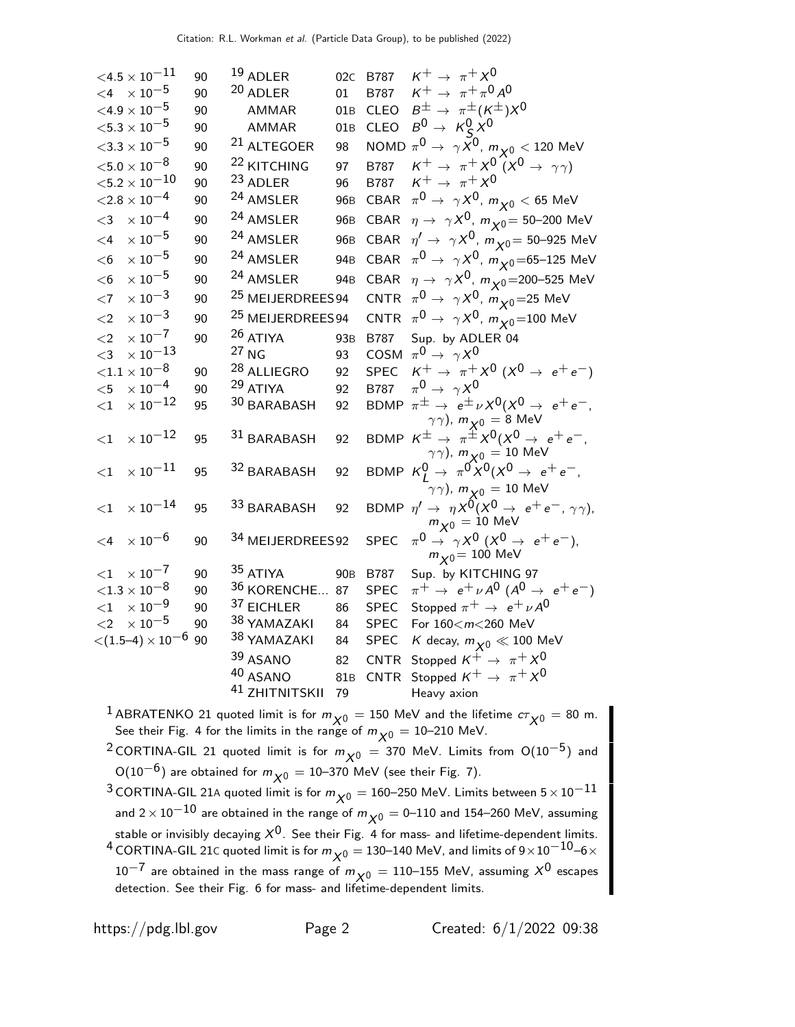$$
4.5 \times 10^{-11} \t 90 \t 19 A D LER\n
$$
4.8 \times 10^{-5} \t 90 \t AMMAR
$$
\n
$$
6.8 \times 10^{-5} \t 90 \t AMMAR
$$
\n
$$
6.8 \times 10^{-5} \t 90 \t AMMAR
$$
\n
$$
6.8 \times 10^{-5} \t 90 \t AMMAR
$$
\n
$$
6.8 \times 10^{-5} \t 90 \t AMMAR
$$
\n
$$
6.8 \times 10^{-5} \t 90 \t AMMAR
$$
\n
$$
6.8 \times 10^{-5} \t 90 \t 21 A LTEGOER
$$
\n
$$
98 \t NOMD \pi^0 + \gamma^2 \sqrt{9}, m_{\chi^0} < 120 \text{ MeV}
$$
\n
$$
6.8 \times 10^{-4} \t 90 \t 24 A M S LER
$$
\n
$$
960 \t GBAR \pi^0 \rightarrow \gamma^2 \sqrt{9}, m_{\chi^0} < 65 \text{ MeV}
$$
\n
$$
60 \times 10^{-5} \t 90 \t 24 A M S LER
$$
\n
$$
960 \t GBAR \pi^0 \rightarrow \gamma^2 \sqrt{9}, m_{\chi^0} < 65 \text{ MeV}
$$
\n
$$
60 \times 10^{-5} \t 90 \t 24 A M S LER
$$
\n
$$
960 \t GBAR \pi^0 \rightarrow \gamma^2 \sqrt{9}, m_{\chi^0} < 65 \text{ MeV}
$$
\n
$$
60 \times 10^{-5} \t 90 \t 24 A M S LER
$$
\n
$$
960 \t GBAR \pi^0 \rightarrow \gamma^2 \sqrt{9}, m_{\chi^0} < 65 \text{ MeV}
$$
\n
$$
60 \times 10^{-5} \t 90 \t 24 A M S LER
$$
\n
$$
960 \t GBAR \pi^0 \rightarrow \gamma^2 \sqrt{9}, m_{\chi^0} < 65 \text{ MeV}
$$
\n
$$
60 \times 10^{-5} \t 90 \t 24 A M S L
$$
$$

<sup>1</sup> ABRATENKO 21 quoted limit is for  $m_{\chi^0} = 150$  MeV and the lifetime  $c\tau_{\chi^0} = 80$  m. See their Fig. 4 for the limits in the range of  $m_{\boldsymbol{\chi}^0} = 10$ –210 MeV.

<sup>2</sup> CORTINA-GIL 21 quoted limit is for  $m_{\chi0} = 370$  MeV. Limits from O(10<sup>-5</sup>) and O(10<sup>-6</sup>) are obtained for  $m_{\chi^0} = 10$ –370 MeV (see their Fig. 7).

3 CORTINA-GIL 21A quoted limit is for  $m_{\chi0} = 160$ –250 MeV. Limits between  $5 \times 10^{-11}$ and  $2 \times 10^{-10}$  are obtained in the range of  $m_{\chi0} = 0$ –110 and 154–260 MeV, assuming stable or invisibly decaying  $X^0$ . See their Fig. 4 for mass- and lifetime-dependent limits. <sup>4</sup> CORTINA-GIL 21C quoted limit is for  $m_{\chi^0}$  = 130–140 MeV, and limits of 9×10<sup>-10</sup>–6×  $10^{-7}$  are obtained in the mass range of  $m_{\chi0} = 110$ –155 MeV, assuming  $X^0$  escapes detection. See their Fig. 6 for mass- and lifetime-dependent limits.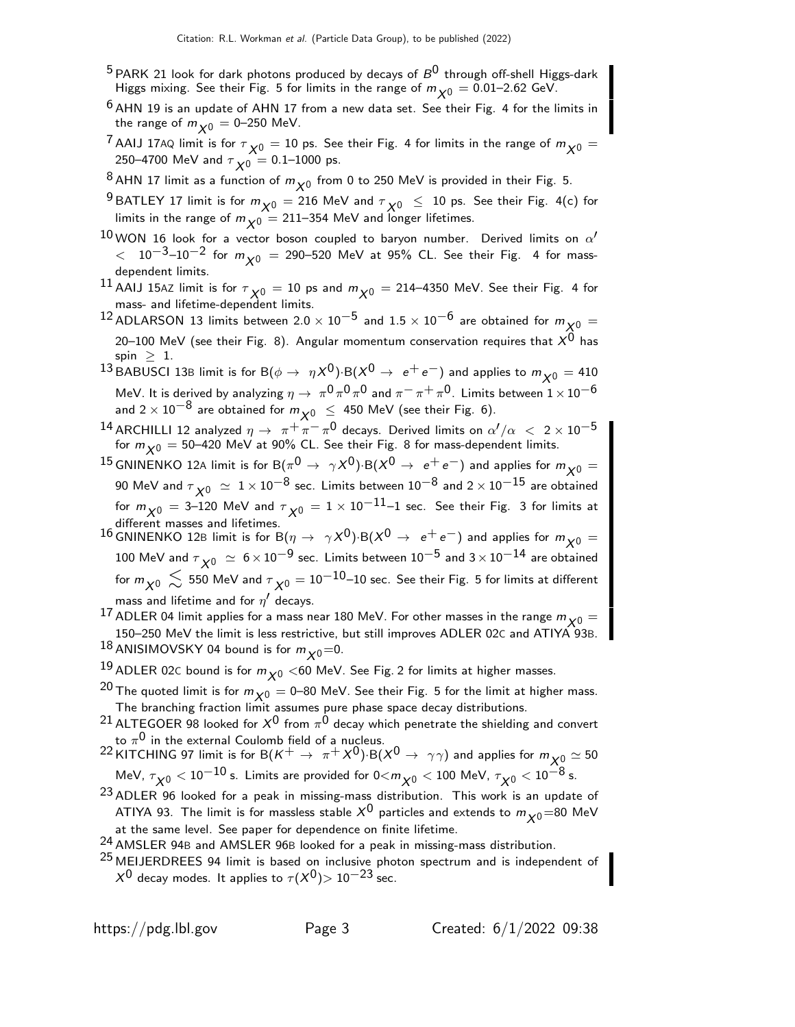- $^5$  PARK 21 look for dark photons produced by decays of  $B^0$  through off-shell Higgs-dark Higgs mixing. See their Fig. 5 for limits in the range of  $m_{\chi0} = 0.01$ –2.62 GeV.
- $6$  AHN 19 is an update of AHN 17 from a new data set. See their Fig. 4 for the limits in the range of  $m_{\chi0} = 0$ –250 MeV.
- <sup>7</sup> AAIJ 17AQ limit is for  $\tau_{\chi0} = 10$  ps. See their Fig. 4 for limits in the range of  $m_{\chi0} =$ 250–4700 MeV and  $\tau_{\boldsymbol{\chi}0} =$  0.1–1000 ps.
- $^8$ AHN 17 limit as a function of  $m_{\chi^0}$  from 0 to 250 MeV is provided in their Fig. 5.
- <sup>9</sup> BATLEY 17 limit is for  $m_{\chi^0} = 216$  MeV and  $\tau_{\chi^0} \leq 10$  ps. See their Fig. 4(c) for limits in the range of  $m_{\chi 0} = 211-354$  MeV and longer lifetimes.
- $^{10}$  WON 16 look for a vector boson coupled to baryon number. Derived limits on  $\alpha'$  $<$  10 $^{-3}$ –10 $^{-2}$  for  $m_{\chi0}$  = 290–520 MeV at 95% CL. See their Fig. 4 for massdependent limits.
- $^{11}$  AAIJ 15AZ limit is for  $\tau_{\chi0} =$  10 ps and  $m_{\chi0} =$  214–4350 MeV. See their Fig. 4 for mass- and lifetime-dependent limits.
- <sup>12</sup> ADLARSON 13 limits between 2.0 × 10<sup>-5</sup> and 1.5 × 10<sup>-6</sup> are obtained for  $m_{\sqrt{0}} =$ 20–100 MeV (see their Fig. 8). Angular momentum conservation requires that  $X^0$  has spin  $\geq 1$ .
- <sup>13</sup> BABUSCI 13B limit is for B( $\phi \to \eta X^0$ )·B( $X^0 \to e^+e^-$ ) and applies to  $m_{\chi_0} = 410$ MeV. It is derived by analyzing  $\eta \to \pi^0 \pi^0 \pi^0$  and  $\pi^- \pi^+ \pi^0$ . Limits between  $1 \times 10^{-6}$ and  $2 \times 10^{-8}$  are obtained for  $m_{\sqrt{0}} \leq 450$  MeV (see their Fig. 6).
- <sup>14</sup> ARCHILLI 12 analyzed  $\eta \to \pi^+ \pi^- \pi^0$  decays. Derived limits on  $\alpha'/\alpha < 2 \times 10^{-5}$ for  $m_{\chi^0} =$  50–420 MeV at 90% CL. See their Fig. 8 for mass-dependent limits.
- 15 GNINENKO 12A limit is for B $(\pi^0 \rightarrow \gamma X^0)$ ·B $(X^0 \rightarrow e^+e^-)$  and applies for  $m_{X^0}=$ 90 MeV and  $\tau_{\chi^0} \, \simeq \, 1 \times 10^{-8}$  sec. Limits between  $10^{-8}$  and  $2 \times 10^{-15}$  are obtained for  $m_{\chi^0_0} =$  3–120 MeV and  $\tau_{\chi^0} =$  1  $\times$  10 $^{-11}$ –1 sec. See their Fig. 3 for limits at different masses and lifetimes.
- 16 GNINENKO 12B limit is for B( $\eta \to \gamma X^0$ )·B( $X^0 \to e^+e^-$ ) and applies for  $m_{\chi}^0$  = 100 MeV and  $\tau_{\chi0}~\simeq~6\times10^{-9}$  sec. Limits between  $10^{-5}$  and  $3\times10^{-14}$  are obtained for  $m_{\displaystyle \chi 0} \, \lesssim \,$  550 MeV and  $\tau_{\displaystyle \chi 0} =$   $10^{-10}$ – $10$  sec. See their Fig. 5 for limits at different mass and lifetime and for  $\eta'$  decays.
- <sup>17</sup> ADLER 04 limit applies for a mass near 180 MeV. For other masses in the range  $m_{\chi0} =$ 150–250 MeV the limit is less restrictive, but still improves ADLER 02C and ATIYA 93B. 18 ANISIMOVSKY 04 bound is for  $m_{\chi0}$ =0.
- $^{19}$  ADLER 02C bound is for  $m_{\chi^0}$  <60 MeV. See Fig. 2 for limits at higher masses.
- <sup>20</sup> The quoted limit is for  $m_{\chi^0} = 0$ –80 MeV. See their Fig. 5 for the limit at higher mass. The branching fraction limit assumes pure phase space decay distributions.

 $^{21}$  ALTEGOER 98 looked for  $X^0$  from  $\pi^0$  decay which penetrate the shielding and convert to  $\pi^{\mathsf{0}}$  in the external Coulomb field of a nucleus.

- $^{22}$  KITCHING 97 limit is for B $(K^+ \to \pi^+ \chi^0)$  B $(X^0 \to \gamma \gamma)$  and applies for  $m_{X^0_\alpha} \simeq 50$ MeV,  $\tau_{\chi 0} <$  10 $^{-10}$  s. Limits are provided for 0 $<$ m $_{\chi 0}$   $<$  100 MeV,  $\tau_{\chi 0}$   $<$  10 $^{-8}$  s.
- 23 ADLER 96 looked for a peak in missing-mass distribution. This work is an update of ATIYA 93. The limit is for massless stable  $X^0$  particles and extends to  $m_{\chi0}=80$  MeV at the same level. See paper for dependence on finite lifetime.
- $^{24}$  AMSLER 94B and AMSLER 96B looked for a peak in missing-mass distribution.
- <sup>25</sup> MEIJERDREES 94 limit is based on inclusive photon spectrum and is independent of  $X^0$  decay modes. It applies to  $\tau(X^0)$  > 10<sup>-23</sup> sec.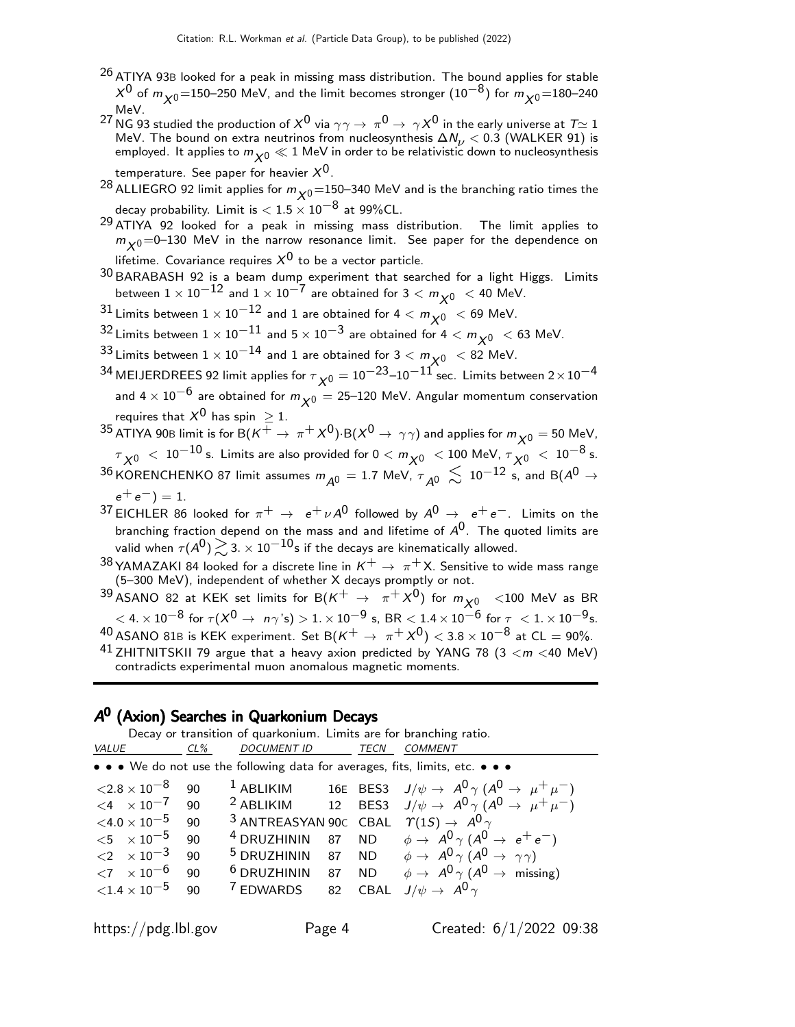- <sup>26</sup> ATIYA 93B looked for a peak in missing mass distribution. The bound applies for stable  $\chi^0$  of  $m_{\chi^0}$ =150−250 MeV, and the limit becomes stronger  $(10^{-8})$  for  $m_{\chi^0}$ =180−240 MeV.
- <sup>27</sup> NG 93 studied the production of  $X^0$  via  $\gamma\gamma\to\pi^0\to\gamma X^0$  in the early universe at  $T\simeq 1$ MeV. The bound on extra neutrinos from nucleosynthesis  $\Delta N_{\nu} < 0.3$  (WALKER 91) is employed. It applies to  $m_{\bigtimes0} \ll 1$  MeV in order to be relativistic down to nucleosynthesis
	- temperature. See paper for heavier  $X^{0}$ .
- $^{28}$  ALLIEGRO 92 limit applies for  $m_{\chi0}$ =150–340 MeV and is the branching ratio times the decay probability. Limit is  $< 1.5 \times 10^{-8}$  at 99%CL.
- 29 ATIYA 92 looked for a peak in missing mass distribution. The limit applies to  $m_{\chi0}$ =0–130 MeV in the narrow resonance limit. See paper for the dependence on lifetime. Covariance requires  $X^0$  to be a vector particle.
- $^{30}$ BARABASH 92 is a beam dump experiment that searched for a light Higgs. Limits between  $1 \times 10^{-12}$  and  $1 \times 10^{-7}$  are obtained for  $3 < m_{\chi^0} < 40$  MeV.
- $^{31}$  Limits between  $1 \times 10^{-12}$  and 1 are obtained for 4  $< m_{\chi^0}~ <$  69 MeV.
- 32 Limits between  $1 \times 10^{-11}$  and  $5 \times 10^{-3}$  are obtained for  $4 < m_{\chi}$ <sub>0</sub>  $< 63$  MeV.
- 33 Limits between  $1 \times 10^{-14}$  and 1 are obtained for  $3 < m_{\chi}$   $< 82$  MeV.
- $^{34}$  MEIJERDREES 92 limit applies for  $\tau_{\cal X^0} =$   $10^{-23}$ – $10^{-11}$  sec. <code>Limits</code> between  $2 \times 10^{-4}$ and 4  $\times$  10<sup>-6</sup> are obtained for  $m_{\chi0}$  = 25–120 MeV. Angular momentum conservation requires that  $X^0$  has spin  $\geq 1$ .
- $^{35}$  ATIYA 90B limit is for B $(\mathcal{K}^+ \to \pi^+ \chi^0)$ ·B $(\chi^0 \to \gamma \gamma)$  and applies for  $m_{\chi^0} =$  50 MeV,  $\tau_{\,\,\chi^0} \,\,<\, 10^{-10}$  s. Limits are also provided for  $0 < m_{\chi^0} \,\,<\, 100$  MeV,  $\tau_{\,\,\chi^0} \,\,<\, 10^{-8}$  s.  $^{36}$ KORENCHENKO 87 limit assumes  $m_{\cal \overline{A^0}}=1.7$  MeV,  $\tau_{\cal \overline{A^0}}\,\lesssim\,10^{-12}$  s, and B( $A^0\to$  $e^+ e^-$ ) = 1.
- 37 EICHLER 86 looked for  $\pi^+ \to e^+ \nu A^0$  followed by  $A^0 \to e^+ e^-$ . Limits on the branching fraction depend on the mass and and lifetime of  $A^0$ . The quoted limits are valid when  $\tau(A^0)\mathop{}_{\textstyle \sim}^{\textstyle >}$  3.  $\times$  10 $^{-10}$ s if the decays are kinematically allowed.
- <sup>38</sup> YAMAZAKI 84 looked for a discrete line in  $K^+ \rightarrow \pi^+ X$ . Sensitive to wide mass range<br>(5–300 MeV), independent of whether X decays promptly or not.

<sup>39</sup> ASANO 82 at KEK set limits for B $(K^+ \rightarrow \pi^+ \chi^0)$  for  $m_{\chi^0}$  <100 MeV as BR  $<$  4.  $\times$  10<sup>-8</sup> for  $\tau$ ( $X^{0}$  →  $n\gamma$ 's)  $>$  1.  $\times$  10<sup>-9</sup> s, BR  $<$  1.4  $\times$  10<sup>-6</sup> for  $\tau$   $<$  1.  $\times$  10<sup>-9</sup> s. 40 ASANO 81B is KEK experiment. Set B( $K^+ \rightarrow \pi^+ X^0$ )  $< 3.8 \times 10^{-8}$  at CL = 90%.

<sup>41</sup> ZHITNITSKII 79 argue that a heavy axion predicted by YANG 78 (3  $<$  m  $<$  40 MeV) contradicts experimental muon anomalous magnetic moments.

# A 0 (Axion) Searches in Quarkonium Decays

Decay or transition of quarkonium. Limits are for branching ratio.

| VALUE                                 | $CL\%$ | <b>DOCUMENT ID</b>                                                     | <b>TECN</b> | COMMENT                                                                                    |
|---------------------------------------|--------|------------------------------------------------------------------------|-------------|--------------------------------------------------------------------------------------------|
|                                       |        |                                                                        |             | • • • We do not use the following data for averages, fits, limits, etc. • • •              |
| $\langle 2.8 \times 10^{-8} \quad 90$ |        | $1$ ABLIKIM                                                            |             | 16E BES3 $J/\psi \to A^0 \gamma (A^0 \to \mu^+ \mu^-)$                                     |
| $\leq 4 \times 10^{-7}$ 90            |        |                                                                        |             | <sup>2</sup> ABLIKIM 12 BES3 $J/\psi \rightarrow A^0 \gamma (A^0 \rightarrow \mu^+ \mu^-)$ |
| ${<}4.0\times10^{-5}$                 | 90     | <sup>3</sup> ANTREASYAN 90C CBAL $\Upsilon(1S) \rightarrow A^0 \gamma$ |             |                                                                                            |
| $<$ 5 $\times$ 10 $^{-5}$             | 90     |                                                                        |             | <sup>4</sup> DRUZHININ 87 ND $\phi \rightarrow A^0 \gamma (A^0 \rightarrow e^+ e^-)$       |
| $\langle 2 \times 10^{-3} \rangle$    | 90     |                                                                        |             | <sup>5</sup> DRUZHININ 87 ND $\phi \rightarrow A^0 \gamma (A^0 \rightarrow \gamma \gamma)$ |
| $\langle 7 \rangle \times 10^{-6}$    | 90     | <sup>6</sup> DRUZHININ 87 ND                                           |             | $\phi \rightarrow A^0 \gamma (A^0 \rightarrow \text{missing})$                             |
| ${<}1.4 \times 10^{-5}$               | 90     | <sup>7</sup> EDWARDS 82 CBAL $J/\psi \rightarrow A^{0}\gamma$          |             |                                                                                            |
|                                       |        |                                                                        |             |                                                                                            |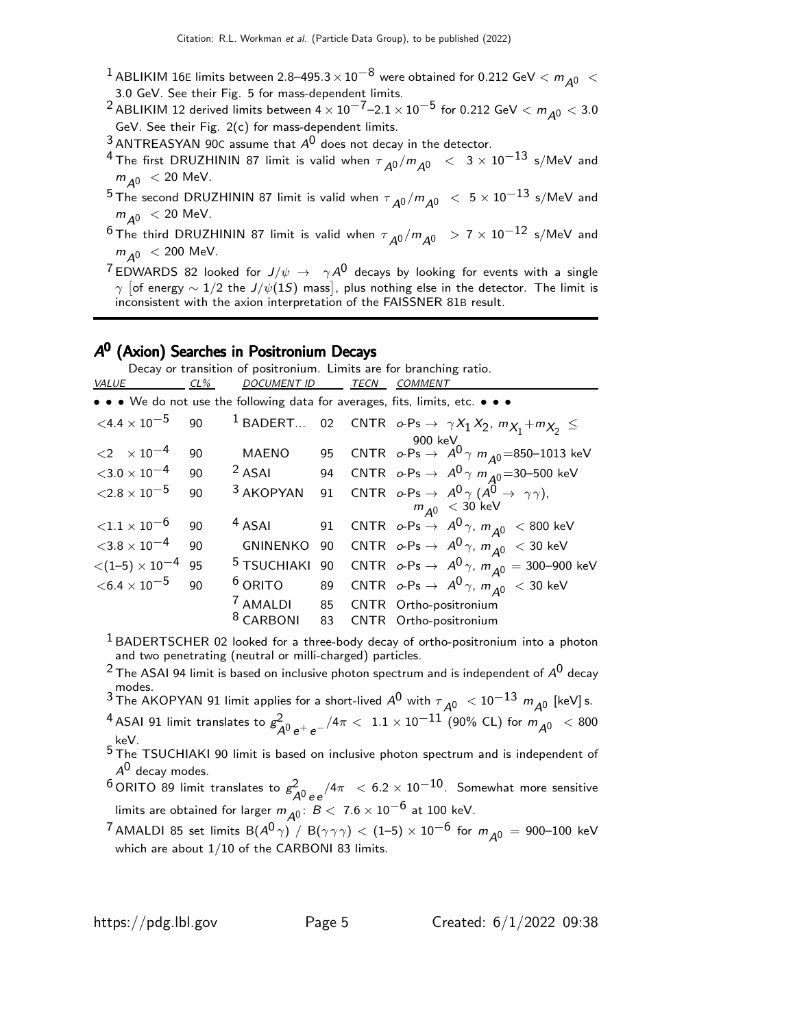- <sup>1</sup> ABLIKIM 16E limits between 2.8–495.3  $\times$  10<sup>-8</sup> were obtained for 0.212 GeV  $< m_{A0} <$ 3.0 GeV. See their Fig. 5 for mass-dependent limits.
- <sup>2</sup> ABLIKIM 12 derived limits between  $4 \times 10^{-7}$ –2.1  $\times$  10<sup>-5</sup> for 0.212 GeV  $< m_{A^0} < 3.0$ GeV. See their Fig. 2(c) for mass-dependent limits.
- $3$  ANTREASYAN 90C assume that  $A^{0}$  does not decay in the detector.
- $^4$  The first DRUZHININ 87 limit is valid when  $\tau_{\cal A0}/m_{\cal A0}~<~3\times 10^{-13}$  s/MeV and  $m_{\overline{A0}}$  < 20 MeV.
- $^5$ The second DRUZHININ 87 limit is valid when  $\tau_{\cal A}$ 0 /m $_{\cal A}$ 0  $\,<\,$  5  $\times\,$  10 $^{-13}$  s/MeV and  $m_{A0}$  < 20 MeV.
- $^6$  The third DRUZHININ 87 limit is valid when  $\tau_{\cal A^0}/m_{\cal A^0}$   $\;\; >$  7  $\times$   $10^{-12}$  s/MeV and  $m_{A0}$  < 200 MeV.
- <sup>7</sup> EDWARDS 82 looked for  $J/\psi \rightarrow \gamma A^0$  decays by looking for events with a single  $\gamma$  [of energy  $\sim 1/2$  the J/ $\psi(1S)$  mass], plus nothing else in the detector. The limit is inconsistent with the axion interpretation of the FAISSNER 81B result.

# A<sup>0</sup> (Axion) Searches in Positronium Decays

Decay or transition of positronium. Limits are for branching ratio. VALUE CL% DOCUMENT ID TECN COMMENT

|                                           |    |                      |    | • • • We do not use the following data for averages, fits, limits, etc. • • •                                                                       |
|-------------------------------------------|----|----------------------|----|-----------------------------------------------------------------------------------------------------------------------------------------------------|
| ${<}4.4\times10^{-5}$                     | 90 |                      |    | <sup>1</sup> BADERT 02 CNTR $o\text{-}Ps \rightarrow \gamma X_1 X_2$ , $m_{X_1} + m_{X_2} \leq$                                                     |
|                                           |    |                      |    | 900 keV                                                                                                                                             |
| $\langle 2 \times 10^{-4} \rangle$        | 90 | <b>MAENO</b>         |    | 95 CNTR $\sigma$ -Ps $\rightarrow$ A <sup>0</sup> $\gamma$ m <sub>A</sub> 0=850-1013 keV                                                            |
| ${<}3.0\times10^{-4}$                     | 90 | $2$ ASAI             |    | 94 CNTR $o\text{-}Ps \to A^0 \gamma m_{A^0} = 30-500 \text{ keV}$                                                                                   |
| ${<}2.8\times10^{-5}$                     | 90 |                      |    | <sup>3</sup> AKOPYAN 91 CNTR $o\text{-}Ps \rightarrow A^0 \gamma (\stackrel{\cdot}{A^0} \rightarrow \gamma \gamma)$ ,<br>$m_{A^0} < 30 \text{ keV}$ |
|                                           |    |                      |    |                                                                                                                                                     |
| ${<}1.1 \times 10^{-6}$                   | 90 | $4$ ASAI             |    | 91 CNTR $o\text{-}Ps \rightarrow A^0 \gamma$ , $m_{A^0} < 800$ keV                                                                                  |
| ${<}3.8\times10^{-4}$                     | 90 |                      |    | GNINENKO 90 CNTR $o\text{-Ps} \to A^0\gamma$ , $m_{A^0} <$ 30 keV                                                                                   |
| $\langle (1-5) \times 10^{-4} \rangle$ 95 |    |                      |    | <sup>5</sup> TSUCHIAKI 90 CNTR $o\text{-}Ps \rightarrow A^0 \gamma$ , $m_{A^0} = 300-900$ keV                                                       |
| $<$ 6.4 $\times$ 10 $^{-5}$               | 90 | $6$ ORITO            |    | 89 CNTR $o\text{-}Ps \rightarrow A^0 \gamma$ , $m_{A^0} < 30$ keV                                                                                   |
|                                           |    |                      |    | <sup>7</sup> AMALDI 85 CNTR Ortho-positronium                                                                                                       |
|                                           |    | <sup>8</sup> CARBONI | 83 | CNTR Ortho-positronium                                                                                                                              |
|                                           |    |                      |    |                                                                                                                                                     |

 $<sup>1</sup>$  BADERTSCHER 02 looked for a three-body decay of ortho-positronium into a photon</sup> and two penetrating (neutral or milli-charged) particles.

- <sup>2</sup> The ASAI 94 limit is based on inclusive photon spectrum and is independent of  $A^0$  decay modes.
- <sup>3</sup> The AKOPYAN 91 limit applies for a short-lived  $A^0$  with  $\tau_{\mathcal{A}^0} < 10^{-13}$   $m_{\mathcal{A}^0}$  [keV] s.  $^4$  ASAI 91 limit translates to  $g^2_{\cal A^0\,e^+e^-}/4\pi\,<\,1.1\times10^{-11}$  (90% CL) for  $m_{\cal A^0}~<$  800 keV.

5 The TSUCHIAKI 90 limit is based on inclusive photon spectrum and is independent of  $A^0$  decay modes.

<sup>6</sup> ORITO 89 limit translates to  $g^2$  $\frac{2}{A^0\,e\,e}/4\pi\ <\,6.2\times10^{-10}$  . Somewhat more sensitive limits are obtained for larger  $m_{\tilde{A}^0}$ :  $B < 7.6 \times 10^{-6}$  at 100 keV.

<sup>7</sup> AMALDI 85 set limits  $B(A^0 \gamma)$  /  $B(\gamma \gamma \gamma)$   $<$  (1–5)  $\times$  10<sup>-6</sup> for  $m_{A^0} =$  900–100 keV which are about 1/10 of the CARBONI 83 limits.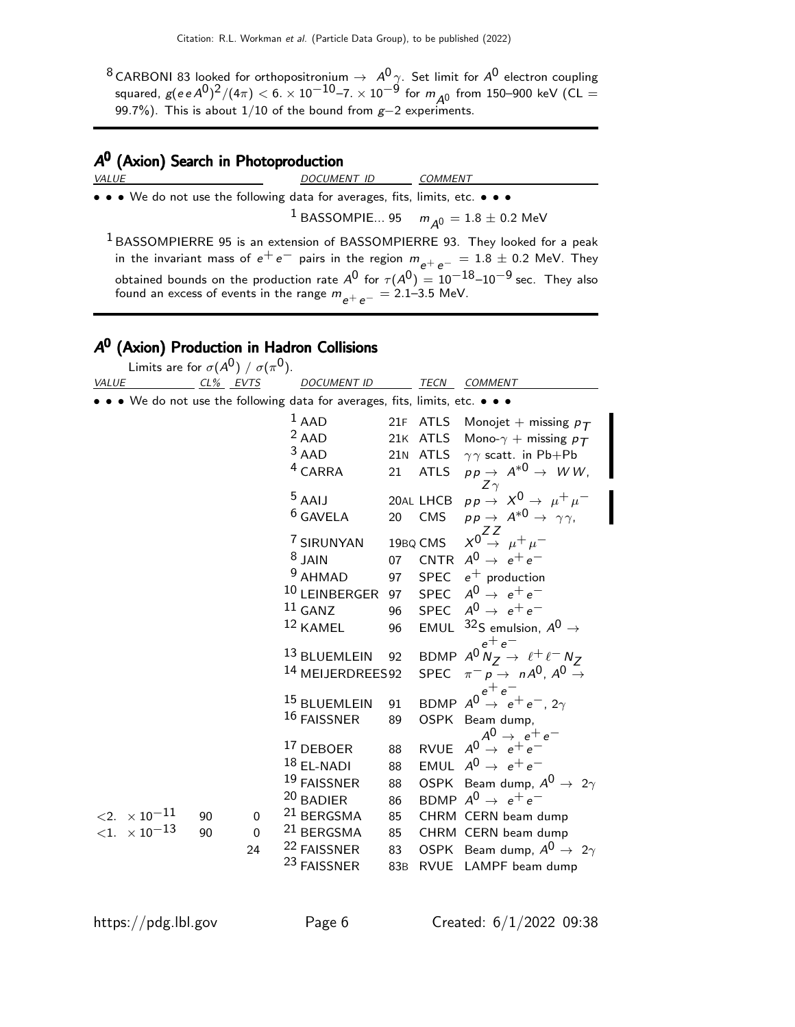$^8$ CARBONI 83 looked for orthopositronium  $\rightarrow$   $A^0\gamma$ . Set limit for  $A^0$  electron coupling squared,  $g(e e A^0)^2/(4\pi) < 6. \times 10^{-10}$ –7.  $\times$   $10^{-9}$  for  $m_{A^0}$  from 150–900 keV (CL = 99.7%). This is about 1/10 of the bound from g-2 experiments.

# A<sup>0</sup> (Axion) Search in Photoproduction

| VALUE                                                                         | DOCUMENT ID COMMENT |                                                                                                                                                                                                                                                                                                   |
|-------------------------------------------------------------------------------|---------------------|---------------------------------------------------------------------------------------------------------------------------------------------------------------------------------------------------------------------------------------------------------------------------------------------------|
| • • • We do not use the following data for averages, fits, limits, etc. • • • |                     |                                                                                                                                                                                                                                                                                                   |
|                                                                               |                     | <sup>1</sup> BASSOMPIE 95 $m_{\Delta 0} = 1.8 \pm 0.2$ MeV                                                                                                                                                                                                                                        |
| found an excess of events in the range $m_{e^+e^-} = 2.1 - 3.5$ MeV.          |                     | <sup>1</sup> BASSOMPIERRE 95 is an extension of BASSOMPIERRE 93. They looked for a peak<br>in the invariant mass of $e^+e^-$ pairs in the region $m_{e^+e^-} = 1.8 \pm 0.2$ MeV. They<br>obtained bounds on the production rate $A^0$ for $\tau(A^0) = 10^{-18}$ –10 <sup>-9</sup> sec. They also |

# ${\mathcal A}^0$  (Axion) Production in Hadron Collisions

Limits are for  $\sigma(A^{\text{O}})$  /  $\sigma(\pi^{\text{O}}).$ VALUE CL<sup>%</sup> EVTS DOCUMENT ID TECN COMMENT • • • We do not use the following data for averages, fits, limits, etc. • • •  $1$  AAD 21F ATLS Monoiet <sup>1</sup> AAD 21F ATLS Monojet + missing  $p_T$ <br><sup>2</sup> AAD 21K ATLS Mono- $\gamma$  + missing  $p_T$ <sup>2</sup> AAD 21K ATLS Mono- $\gamma$  + missing  $p_T$ <br><sup>3</sup> AAD 21N ATLS  $\gamma \gamma$  scatt. in Pb+Pb 21N ATLS  $\gamma \gamma$  scatt. in Pb+Pb  $\begin{array}{ccc} \texttt{4} \texttt{CARRA} & \texttt{21} & \texttt{ATLS} & \texttt{pp} \rightarrow & \texttt{A}^{*0} \rightarrow & \texttt{WW}, \ \texttt{Z} \gamma & \texttt{1} & \texttt{1} \end{array}$ 5 AAIJ 20AL LHCB  $p p \rightarrow X^0 \rightarrow \mu^+ \mu^-$ <br>
6 GAVELA 20 CMS  $p p \rightarrow A^{*0} \rightarrow \gamma \gamma$ .  $pp \rightarrow A^{*0} \rightarrow \gamma \gamma$ , 7 SIRUNYAN 19BQ CMS  $X_0^0 \rightarrow \mu^+ \mu^-$ 8 JAIN 07 CNTR  $A^0 \rightarrow e^+e^-$ <br><sup>9</sup> AHMAD 97 SPEC  $e^+$  production 97 SPEC  $e^+$  production <sup>10</sup> LEINBERGER 97 SPEC  $A^0 \rightarrow e^+e^-$ <br><sup>11</sup> GANZ 96 SPEC  $A^0 \rightarrow e^+e^ ^{11}$  GANZ 96 SPEC  $A^{0} \rightarrow e^{+}e^{-}$ <br> $^{12}$  KAMEL 96 EMUL  $^{32}$ S emulsion, 96 EMUL  $32$ S emulsion,  $A^0 \rightarrow$  $e^+e^-$ 13 BLUEMLEIN 92 BDMP  $A^0 N_Z \rightarrow \ell^+ \ell^- N_Z$ 14 MEIJERDREES92 SPEC  $\pi^- p \to n A^0$ ,  $A^0 \to$  $e^+e^ ^{15}$  BLUEMLEIN 91 BDMP  $A^{0} \rightarrow e^{+}e^{-}$ , 2 $\gamma$ 16 FAISSNER 89 OSPK Beam dump,  $A^0 \rightarrow e^+e^-$ 17 DEBOER 88 RVUE  $A^0 \rightarrow e^+e^ 18$  EL-NADI 88 EMUL  $A^{0} \rightarrow e^{+}e^{-}$ <br> $19$  FAISSNER 88 OSPK Beam dump, <sup>19</sup> FAISSNER 88 OSPK Beam dump,  $A^0 \rightarrow 2\gamma$ <br><sup>20</sup> BADIER 86 BDMP  $A^0 \rightarrow e^+e^ ^{20}$  BADIER 86 BDMP  $A^{0} \rightarrow e^{+}e^{-}$ <br> $^{21}$  BERGSMA 85 CHRM CERN beam c  $\langle 2. \times 10^{-11}$  90 0  $^{21}$  BERGSMA 85 CHRM CERN beam dump<br> $\langle 1. \times 10^{-13}$  90 0  $^{21}$  BERGSMA 85 CHRM CERN beam dump 0 <sup>21</sup> BERGSMA 85 CHRM CERN beam dump<br>24 <sup>22</sup> FAISSNER 83 OSPK Beam dump, A<sup>0</sup> → <sup>22</sup> FAISSNER 83 OSPK Beam dump,  $A^0 \rightarrow 2\gamma$ <br><sup>23</sup> FAISSNER 83B RVUE LAMPF beam dump 83B RVUE LAMPF beam dump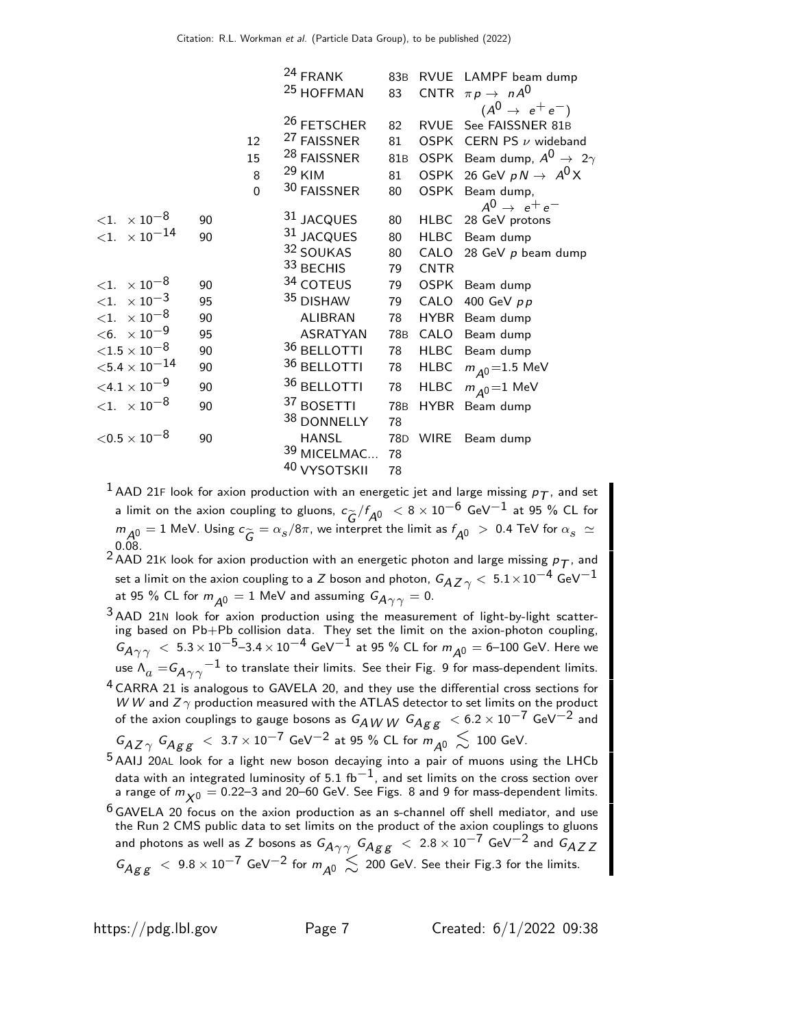|    |             |                 | 83B                                                                                                                                                                                                                                                                                              |             | RVUE LAMPF beam dump                      |
|----|-------------|-----------------|--------------------------------------------------------------------------------------------------------------------------------------------------------------------------------------------------------------------------------------------------------------------------------------------------|-------------|-------------------------------------------|
|    |             |                 | 83                                                                                                                                                                                                                                                                                               |             | CNTR $\pi p \rightarrow n A^0$            |
|    |             |                 |                                                                                                                                                                                                                                                                                                  |             | $(A^{0} \rightarrow e^{+}e^{-})$          |
|    |             |                 | 82                                                                                                                                                                                                                                                                                               |             | RVUE See FAISSNER 81B                     |
|    | 12          |                 | 81                                                                                                                                                                                                                                                                                               |             | OSPK CERN PS $\nu$ wideband               |
|    | 15          |                 | 81 <sub>B</sub>                                                                                                                                                                                                                                                                                  |             | OSPK Beam dump, $A^0 \rightarrow 2\gamma$ |
|    | 8           |                 | 81                                                                                                                                                                                                                                                                                               |             | OSPK 26 GeV $pN \rightarrow A^0X$         |
|    | $\mathbf 0$ |                 | 80                                                                                                                                                                                                                                                                                               |             | Beam dump,                                |
|    |             |                 |                                                                                                                                                                                                                                                                                                  |             | $A^0 \rightarrow e^+e^-$                  |
| 90 |             |                 | 80                                                                                                                                                                                                                                                                                               |             | HLBC 28 GeV protons                       |
| 90 |             |                 | 80                                                                                                                                                                                                                                                                                               |             | HLBC Beam dump                            |
|    |             |                 | 80                                                                                                                                                                                                                                                                                               |             | CALO 28 GeV $p$ beam dump                 |
|    |             |                 | 79                                                                                                                                                                                                                                                                                               | <b>CNTR</b> |                                           |
| 90 |             |                 | 79                                                                                                                                                                                                                                                                                               | <b>OSPK</b> | Beam dump                                 |
| 95 |             |                 | 79                                                                                                                                                                                                                                                                                               | CALO        | 400 GeV $pp$                              |
| 90 |             | <b>ALIBRAN</b>  | 78                                                                                                                                                                                                                                                                                               |             | HYBR Beam dump                            |
| 95 |             | <b>ASRATYAN</b> | 78 <sub>B</sub>                                                                                                                                                                                                                                                                                  |             | CALO Beam dump                            |
| 90 |             |                 | 78                                                                                                                                                                                                                                                                                               |             | HLBC Beam dump                            |
| 90 |             |                 | 78                                                                                                                                                                                                                                                                                               | HLBC        | $m_{A0} = 1.5 \text{ MeV}$                |
| 90 |             | 36 BELLOTTI     | 78                                                                                                                                                                                                                                                                                               | HLBC        | $m_{\Delta 0}$ = 1 MeV                    |
| 90 |             | 37 BOSETTI      | 78 <sub>B</sub>                                                                                                                                                                                                                                                                                  |             | HYBR Beam dump                            |
|    |             | 38 DONNELLY     | 78                                                                                                                                                                                                                                                                                               |             |                                           |
| 90 |             | <b>HANSL</b>    | 78 <sub>D</sub>                                                                                                                                                                                                                                                                                  | <b>WIRE</b> | Beam dump                                 |
|    |             |                 | 78                                                                                                                                                                                                                                                                                               |             |                                           |
|    |             |                 | 78                                                                                                                                                                                                                                                                                               |             |                                           |
|    |             |                 | <sup>24</sup> FRANK<br><sup>25</sup> HOFFMAN<br><sup>26</sup> FETSCHER<br><sup>27</sup> FAISSNER<br><sup>28</sup> FAISSNER<br>29 KIM<br>30 FAISSNER<br>31 JACQUES<br>31 JACQUES<br>32 SOUKAS<br>33 BECHIS<br>34 COTEUS<br>35 DISHAW<br>36 BELLOTTI<br>36 BELLOTTI<br>39 MICELMAC<br>40 VYSOTSKII |             | OSPK                                      |

 $^1$  AAD 21F look for axion production with an energetic jet and large missing  $p_{\mathcal{T}}$ , and set a limit on the axion coupling to gluons,  $c_{\widetilde{G}}/f_{A^0} < 8 \times 10^{-6}$  GeV $^{-1}$  at 95 % CL for  $m_{\tilde{A}^0} = 1$  MeV. Using  $c_{\widetilde{G}} = \alpha_s/8\pi$ , we interpret the limit as  $f_{\tilde{A}^0} > 0.4$  TeV for  $\alpha_s \simeq 0.28$ 0.08.

<sup>2</sup> AAD 21K look for axion production with an energetic photon and large missing  $p_T$ , and set a limit on the axion coupling to a Z boson and photon,  $G_{A Z \gamma} < 5.1 \times 10^{-4}$  GeV $^{-1}$ at 95 % CL for  $m_{A0} = 1$  MeV and assuming  $G_{A\gamma\gamma} = 0$ .

- $3$  AAD 21N look for axion production using the measurement of light-by-light scattering based on Pb+Pb collision data. They set the limit on the axion-photon coupling,  $G_{A\gamma\gamma}$   $< 5.3 \times 10^{-5}$ –3.4  $\times$   $10^{-4}$  GeV $^{-1}$  at 95 % CL for  $m_{A0} =$  6–100 GeV. Here we use  $\Lambda_a=$   $G_{\!A\gamma\gamma}^{-1}$  to translate their limits. See their Fig. 9 for mass-dependent limits.
- <sup>4</sup> CARRA 21 is analogous to GAVELA 20, and they use the differential cross sections for W W and  $Z\gamma$  production measured with the ATLAS detector to set limits on the product of the axion couplings to gauge bosons as  $G_{\hat{A}WW}$   $G_{\hat{A}gg}$   $< 6.2 \times 10^{-7}$  GeV $^{-2}$  and  $G_{A Z}$   $\sim G_{A \cancel{E} \cancel{E}}$  < 3.7  $\times$  10<sup>-7</sup> GeV<sup>-2</sup> at 95 % CL for  $m_{\cancel{A}}$   $\lesssim$  100 GeV.
- 5 AAIJ 20AL look for a light new boson decaying into a pair of muons using the LHCb data with an integrated luminosity of 5.1 fb<sup>-1</sup>, and set limits on the cross section over a range of  $m_{\chi0} = 0.22$ –3 and 20–60 GeV. See Figs. 8 and 9 for mass-dependent limits.
- $6$  GAVELA 20 focus on the axion production as an s-channel off shell mediator, and use the Run 2 CMS public data to set limits on the product of the axion couplings to gluons and photons as well as Z bosons as  $G_{A\gamma\gamma} G_{A g g} < 2.8 \times 10^{-7}$  GeV<sup>-2</sup> and  $G_{A Z Z}$  $G_{Agg}$   $\leq 9.8 \times 10^{-7}$  GeV<sup>-2</sup> for  $m_{A0} \leq 200$  GeV. See their Fig.3 for the limits.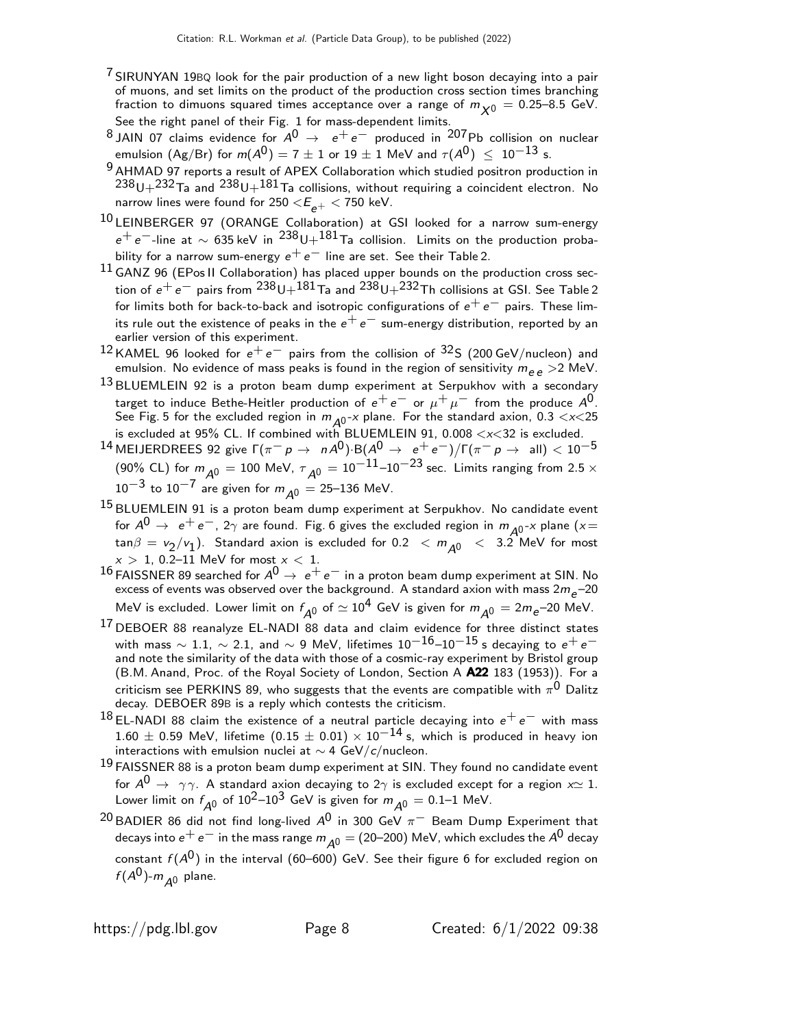- $7$  SIRUNYAN 19BQ look for the pair production of a new light boson decaying into a pair of muons, and set limits on the product of the production cross section times branching fraction to dimuons squared times acceptance over a range of  $m_{\chi0} = 0.25-8.5$  GeV. See the right panel of their Fig. 1 for mass-dependent limits.
- 8 JAIN 07 claims evidence for  $A^0 \rightarrow e^+e^-$  produced in 207Pb collision on nuclear emulsion (Ag/Br) for  $m(A^0) = 7 \pm 1$  or  $19 \pm 1$  MeV and  $\tau(A^0) \le 10^{-13}$  s.
- 9 AHMAD 97 reports a result of APEX Collaboration which studied positron production in  $238$ U $+232$ Ta and  $238$ U $+181$ Ta collisions, without requiring a coincident electron. No narrow lines were found for 250  $<\!\!E_{\!e^+}<$  750 keV.
- 10 LEINBERGER 97 (ORANGE Collaboration) at GSI looked for a narrow sum-energy  $e^+ e^-$ -line at  $\sim 635$  keV in  $^{238}$ U+ $^{181}$ Ta collision. Limits on the production probability for a narrow sum-energy  $e^+e^-$  line are set. See their Table 2.
- 11 GANZ 96 (EPos II Collaboration) has placed upper bounds on the production cross section of  $e^+e^-$  pairs from  $^{238}$ U $+^{181}$ Ta and  $^{238}$ U $+^{232}$ Th collisions at GSI. See Table 2 for limits both for back-to-back and isotropic configurations of  $e^+e^-$  pairs. These limits rule out the existence of peaks in the  $e^+e^-$  sum-energy distribution, reported by an earlier version of this experiment.
- $12$  KAMEL 96 looked for  $e^+e^-$  pairs from the collision of  $32$ S (200 GeV/nucleon) and emulsion. No evidence of mass peaks is found in the region of sensitivity  $m_{ee} > 2$  MeV.
- $13$  BLUEMLEIN 92 is a proton beam dump experiment at Serpukhov with a secondary target to induce Bethe-Heitler production of  $e^+ \, e^-$  or  $\mu^+ \, \mu^-$  from the produce  $A^0.$ See Fig. 5 for the excluded region in  $m_{A0}$ -x plane. For the standard axion, 0.3 < $\times$ 25 is excluded at 95% CL. If combined with BLUEMLEIN 91, 0.008  $\langle x \langle 32 \rangle$  is excluded.
- $^{14}$ MEIJERDREES 92 give  $\Gamma(\pi^- \rho \to \; \; nA^0) \cdot B(A^0 \to \; e^+ \, e^-)/\Gamma(\pi^- \rho \to \; \; \text{all}) < 10^{-5}$ (90% CL) for  $m_{\mathcal{A}^0} = 100$  MeV,  $\tau_{\mathcal{A}^0} = 10^{-11}$ – $10^{-23}$  sec. Limits ranging from 2.5  $\times$  $10^{-3}$  to  $10^{-7}$  are given for  $m_{\Delta 0} = 25-136$  MeV.
- 15 BLUEMLEIN 91 is a proton beam dump experiment at Serpukhov. No candidate event for  $A^0 \rightarrow e^+e^-, 2\gamma$  are found. Fig. 6 gives the excluded region in  $m_{A^0}$ -x plane (x =  $\tan\beta = v_2/v_1$ ). Standard axion is excluded for 0.2  $\langle m_{A0} \rangle \langle 3.2 \text{ MeV}$  for most  $x > 1$ , 0.2–11 MeV for most  $x < 1$ .
- $^{16}$  FAISSNER 89 searched for  $A^0 \rightarrow e^+e^-$  in a proton beam dump experiment at SIN. No excess of events was observed over the background. A standard axion with mass  $2m_e$ –20 MeV is excluded. Lower limit on  $f_{\mathcal{A}^0}$  of  $\simeq 10^4$  GeV is given for  $m_{\mathcal{A}^0} = 2 m_e$ –20 MeV.
- 17 DEBOER 88 reanalyze EL-NADI 88 data and claim evidence for three distinct states with mass  $\sim 1.1$ ,  $\sim 2.1$ , and  $\sim 9$  MeV, lifetimes  $10^{-16}$ – $10^{-15}$  s decaying to  $e^+e^$ and note the similarity of the data with those of a cosmic-ray experiment by Bristol group (B.M. Anand, Proc. of the Royal Society of London, Section A A22 183 (1953)). For a criticism see <code>PERKINS</code> 89, who suggests that the events are compatible with  $\pi^{\mathsf{0}}$  <code>Dalitz</code> decay. DEBOER 89B is a reply which contests the criticism.
- $18$  EL-NADI 88 claim the existence of a neutral particle decaying into  $e^+e^-$  with mass  $1.60 \pm 0.59$  MeV, lifetime  $(0.15 \pm 0.01) \times 10^{-14}$  s, which is produced in heavy ion interactions with emulsion nuclei at ∼ 4 GeV/c/nucleon.
- $19$  FAISSNER 88 is a proton beam dump experiment at SIN. They found no candidate event for  $A^0 \rightarrow \gamma \gamma$ . A standard axion decaying to 2 $\gamma$  is excluded except for a region  $x \simeq 1$ . Lower limit on  $f_{A^0}$  of  $10^2$ – $10^3$  GeV is given for  $m_{A^0} = 0.1$ –1 MeV.
- <sup>20</sup> BADIER 86 did not find long-lived  $A^0$  in 300 GeV  $\pi^-$  Beam Dump Experiment that decays into  $e^+ e^-$  in the mass range  $m_{A^0} = (20-200)$  MeV, which excludes the  $A^0$  decay constant  $f(A^0)$  in the interval (60–600) GeV. See their figure 6 for excluded region on  $f(A^0)$ - $m_{A^0}$  plane.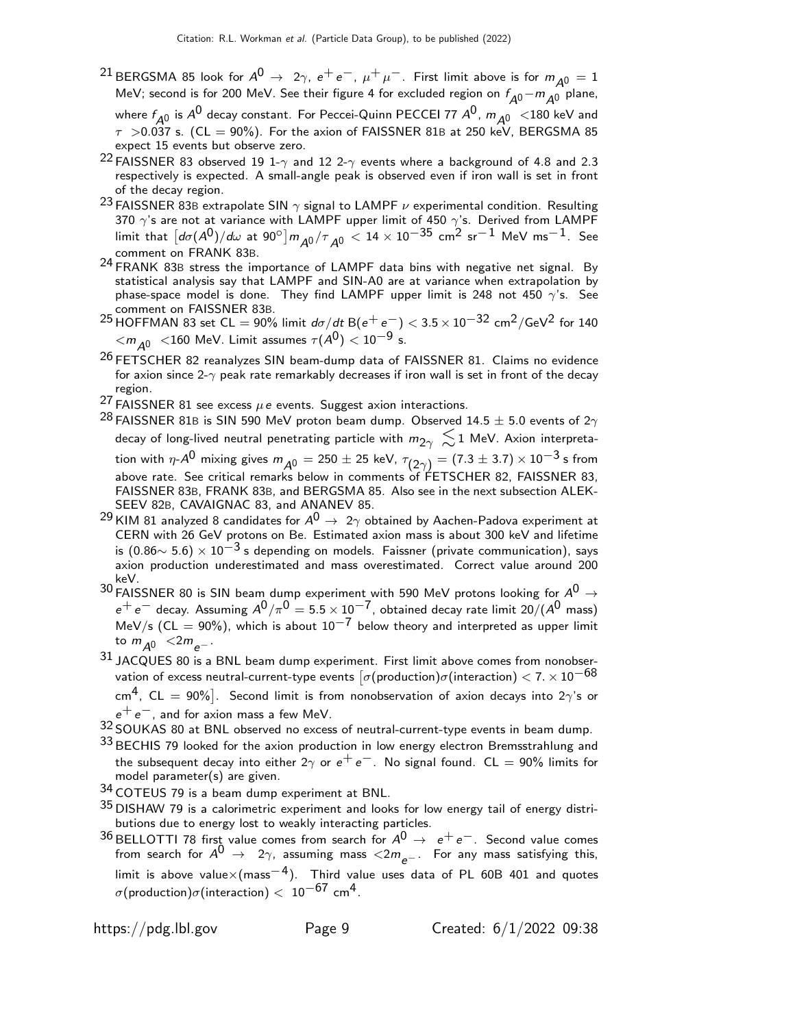- <sup>21</sup> BERGSMA 85 look for  $A^0 \rightarrow 2\gamma$ ,  $e^+e^-$ ,  $\mu^+\mu^-$ . First limit above is for  $m_{A^0} = 1$ MeV; second is for 200 MeV. See their figure 4 for excluded region on  $f_{A0} - m_{A0}$  plane, where  $f_{A0}$  is  $A^0$  decay constant. For Peccei-Quinn PECCEI 77  $A^0$ ,  $m_{A^0}$  <180 keV and  $\tau$  >0.037 s. (CL = 90%). For the axion of FAISSNER 81B at 250 keV, BERGSMA 85 expect 15 events but observe zero.
- 22 FAISSNER 83 observed 19 1- $\gamma$  and 12 2- $\gamma$  events where a background of 4.8 and 2.3 respectively is expected. A small-angle peak is observed even if iron wall is set in front of the decay region.
- <sup>23</sup> FAISSNER 83B extrapolate SIN  $\gamma$  signal to LAMPF  $\nu$  experimental condition. Resulting 370  $\gamma$ 's are not at variance with LAMPF upper limit of 450  $\gamma$ 's. Derived from LAMPF limit that  $\left[d\sigma(A^0)/d\omega\right]$  at  $90^{\circ}\right]m_{A^0}/\tau_{A^0} < 14\times10^{-35}$  cm<sup>2</sup> sr $^{-1}$  MeV ms $^{-1}$ . See comment on FRANK 83B.
- 24 FRANK 83B stress the importance of LAMPF data bins with negative net signal. By statistical analysis say that LAMPF and SIN-A0 are at variance when extrapolation by phase-space model is done. They find LAMPF upper limit is 248 not 450  $\gamma$ 's. See comment on FAISSNER 83B.
- 25 HOFFMAN 83 set CL = 90% limit  $d\sigma/dt$  B( $e^+e^-$ ) < 3.5 × 10<sup>-32</sup> cm<sup>2</sup>/GeV<sup>2</sup> for 140  $\langle m_{A0} \rangle$   $\langle 160$  MeV. Limit assumes  $\tau (A^0)$   $\langle 10^{-9}$  s.
- <sup>26</sup> FETSCHER 82 reanalyzes SIN beam-dump data of FAISSNER 81. Claims no evidence for axion since 2- $\gamma$  peak rate remarkably decreases if iron wall is set in front of the decay region.
- <sup>27</sup> FAISSNER 81 see excess  $\mu$ e events. Suggest axion interactions.
- <sup>28</sup> FAISSNER 81B is SIN 590 MeV proton beam dump. Observed 14.5  $\pm$  5.0 events of 2 $\gamma$ decay of long-lived neutral penetrating particle with  $m_{2\gamma} \lesssim 1$  MeV. Axion interpretation with  $\eta$ - $A^0$  mixing gives  $m_{\overline{A^0}}=250\pm25$  keV,  $\tau_{\left(2\gamma\right)}=(7.3\pm3.7)\times10^{-3}$  s from above rate. See critical remarks below in comments of FETSCHER 82, FAISSNER 83, FAISSNER 83B, FRANK 83B, and BERGSMA 85. Also see in the next subsection ALEK-SEEV 82B, CAVAIGNAC 83, and ANANEV 85.
- <sup>29</sup> KIM 81 analyzed 8 candidates for  $A^0 \rightarrow 2\gamma$  obtained by Aachen-Padova experiment at<br>CERN with 26 GeV protons on Be. Estimated axion mass is about 300 keV and lifetime is  $(0.86 \sim 5.6) \times 10^{-3}$  s depending on models. Faissner (private communication), says axion production underestimated and mass overestimated. Correct value around 200
- keV.<br><sup>30</sup> FAISSNER 80 is SIN beam dump experiment with 590 MeV protons looking for  $A^0 \rightarrow$  $e^+e^-$  decay. Assuming  $A^0/\pi^0 = 5.5 \times 10^{-7}$ , obtained decay rate limit 20/( $A^0$  mass) MeV/s (CL = 90%), which is about  $10^{-7}$  below theory and interpreted as upper limit to  $m_{\Delta 0}$  <2 $m_{\rho-}$ .
- $31$  JACQUES 80 is a BNL beam dump experiment. First limit above comes from nonobservation of excess neutral-current-type events  $[\sigma(\mathrm{production})\sigma(\mathrm{interaction}) < 7. \times 10^{-68}$ cm<sup>4</sup>, CL = 90%]. Second limit is from nonobservation of axion decays into 2 $\gamma$ 's or  $e^+e^-$ , and for axion mass a few MeV.
- 32 SOUKAS 80 at BNL observed no excess of neutral-current-type events in beam dump.
- 33 BECHIS 79 looked for the axion production in low energy electron Bremsstrahlung and the subsequent decay into either  $2\gamma$  or  $e^+e^-$ . No signal found. CL = 90% limits for model parameter(s) are given.
- 34 COTEUS 79 is a beam dump experiment at BNL.
- $35$  DISHAW 79 is a calorimetric experiment and looks for low energy tail of energy distributions due to energy lost to weakly interacting particles.
- $36$  BELLOTTI 78 first value comes from search for  $A^0 \rightarrow e^+e^-$ . Second value comes from search for  $A^0 \rightarrow 2\gamma$ , assuming mass  $\langle 2m_{e^-}$ . For any mass satisfying this, limit is above value×(mass<sup>-4</sup>). Third value uses data of PL 60B 401 and quotes σ(production)σ(interaction)  $< 10^{-67}$  cm<sup>4</sup>.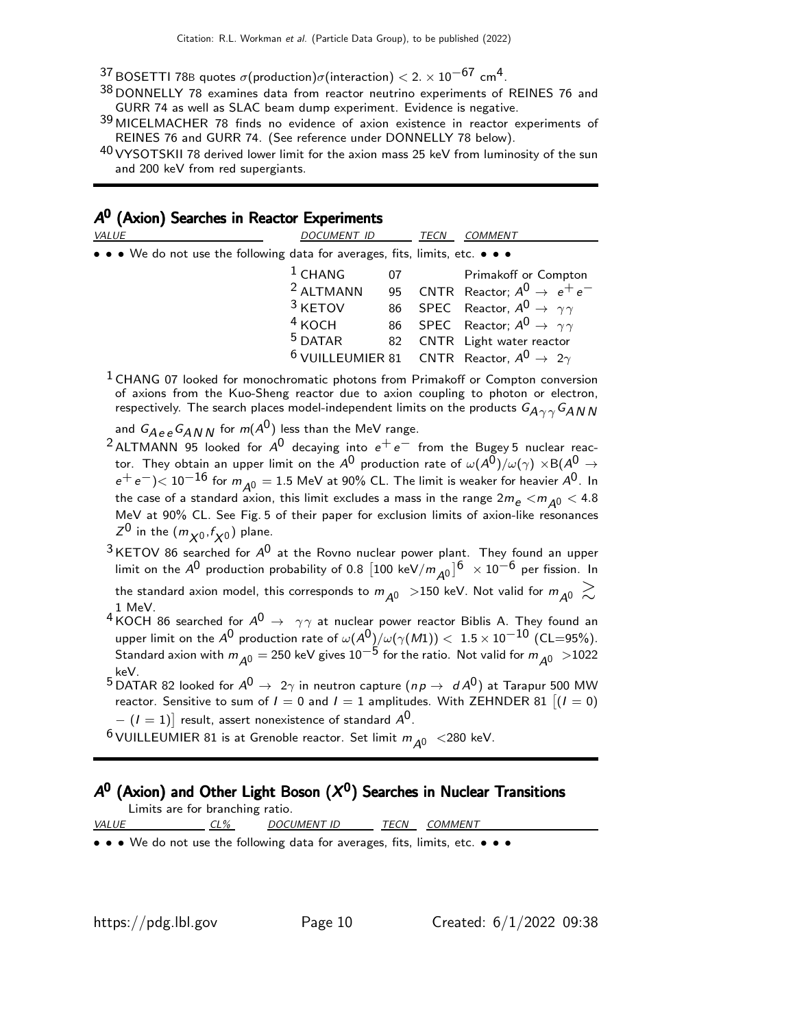- $^{37}$  BOSETTI 78B quotes  $\sigma$ (production) $\sigma$ (interaction)  $<$  2.  $\times$  10 $^{-67}$  cm<sup>4</sup>.
- 38 DONNELLY 78 examines data from reactor neutrino experiments of REINES 76 and GURR 74 as well as SLAC beam dump experiment. Evidence is negative.
- 39 MICELMACHER 78 finds no evidence of axion existence in reactor experiments of REINES 76 and GURR 74. (See reference under DONNELLY 78 below).
- $40$  VYSOTSKII 78 derived lower limit for the axion mass 25 keV from luminosity of the sun and 200 keV from red supergiants.

# $A^0$  (Axion) Searches in Reactor Experiments

| <b>VALUE</b>                                                                  | <i>DOCUMENT ID</i> | TECN                                                                | <i>COMMENT</i>                                                     |
|-------------------------------------------------------------------------------|--------------------|---------------------------------------------------------------------|--------------------------------------------------------------------|
| • • • We do not use the following data for averages, fits, limits, etc. • • • |                    |                                                                     |                                                                    |
|                                                                               | $1$ CHANG          | 07                                                                  | Primakoff or Compton                                               |
|                                                                               | $2$ ALTMANN        |                                                                     | 95 $\,$ CNTR Reactor; $A^{0} \rightarrow e^{+}e^{-}$               |
|                                                                               | $3$ KETOV          |                                                                     | 86 SPEC Reactor, $A^0 \rightarrow \gamma \gamma$                   |
|                                                                               |                    |                                                                     | <sup>4</sup> KOCH 86 SPEC Reactor; $A^0 \rightarrow \gamma \gamma$ |
|                                                                               | $5$ DATAR          |                                                                     | 82 CNTR Light water reactor                                        |
|                                                                               |                    | <sup>6</sup> VUILLEUMIER 81 CNTR Reactor, $A^0 \rightarrow 2\gamma$ |                                                                    |
| $\Gamma$ $\sim$ $\Gamma$ $\sim$ $\sim$ $\sim$ $\Gamma$ $\sim$ $\sim$          |                    |                                                                     |                                                                    |

<sup>1</sup> CHANG 07 looked for monochromatic photons from Primakoff or Compton conversion of axions from the Kuo-Sheng reactor due to axion coupling to photon or electron, respectively. The search places model-independent limits on the products  $G_{A\gamma\gamma}G_{AN\,N}$ 

and  $G_{Aee}G_{ANN}$  for  $m(A^0)$  less than the MeV range.

- <sup>2</sup> ALTMANN 95 looked for  $A^0$  decaying into  $e^+e^-$  from the Bugey 5 nuclear reactor. They obtain an upper limit on the  $A^0$  production rate of  $\omega(A^0)/\omega(\gamma) \times B(A^0 \to$  $e^+e^-$ ) $< 10^{-16}$  for  $m_{\rm A0} = 1.5$  MeV at 90% CL. The limit is weaker for heavier  $A^0$ . In the case of a standard axion, this limit excludes a mass in the range  $2m_e < m_{A0} < 4.8$ MeV at 90% CL. See Fig. 5 of their paper for exclusion limits of axion-like resonances  $Z^0$  in the  $(m_{\chi^0}, f_{\chi^0})$  plane.
- $3$  KETOV 86 searched for  $A^0$  at the Rovno nuclear power plant. They found an upper limit on the  $A^0$  production probability of 0.8  $[100 \text{ keV}/m_{A^0}]^6 \times 10^{-6}$  per fission. In the standard axion model, this corresponds to  $m_{A0} >$ 150 keV. Not valid for  $m_{A0} \gtrsim$ 1 MeV.
- 4 KOCH 86 searched for  $A^0 \rightarrow \gamma \gamma$  at nuclear power reactor Biblis A. They found an upper limit on the A<sup>0</sup> production rate of  $\omega(A^0)/\omega(\gamma(M1)) < 1.5 \times 10^{-10}$  (CL=95%). Standard axion with  $m_{A0} = 250$  keV gives  $10^{-5}$  for the ratio. Not valid for  $m_{A0} > 1022$ keV.
- $5$  DATAR 82 looked for  $A^0 \rightarrow 2\gamma$  in neutron capture ( $np \rightarrow d A^0$ ) at Tarapur 500 MW reactor. Sensitive to sum of  $I = 0$  and  $I = 1$  amplitudes. With ZEHNDER 81  $[(I = 0)]$  $(I = 1)]$  result, assert nonexistence of standard  $A^{0}.$
- <sup>6</sup> VUILLEUMIER 81 is at Grenoble reactor. Set limit  $m_{A0}$  <280 keV.

# $A^0$  (Axion) and Other Light Boson  $(X^0)$  Searches in Nuclear Transitions

| Limits are for branching ratio. |        |                                                                           |        |         |  |
|---------------------------------|--------|---------------------------------------------------------------------------|--------|---------|--|
| <i>VALUE</i>                    | $CL\%$ | DOCUMENT ID                                                               | TECN . | COMMENT |  |
|                                 |        | a a a We do not use the following data for overgone fits limits ato a a a |        |         |  |

 $\bullet\,\bullet\,$  We do not use the following data for averages, fits, limits, etc.  $\bullet\,\bullet\,$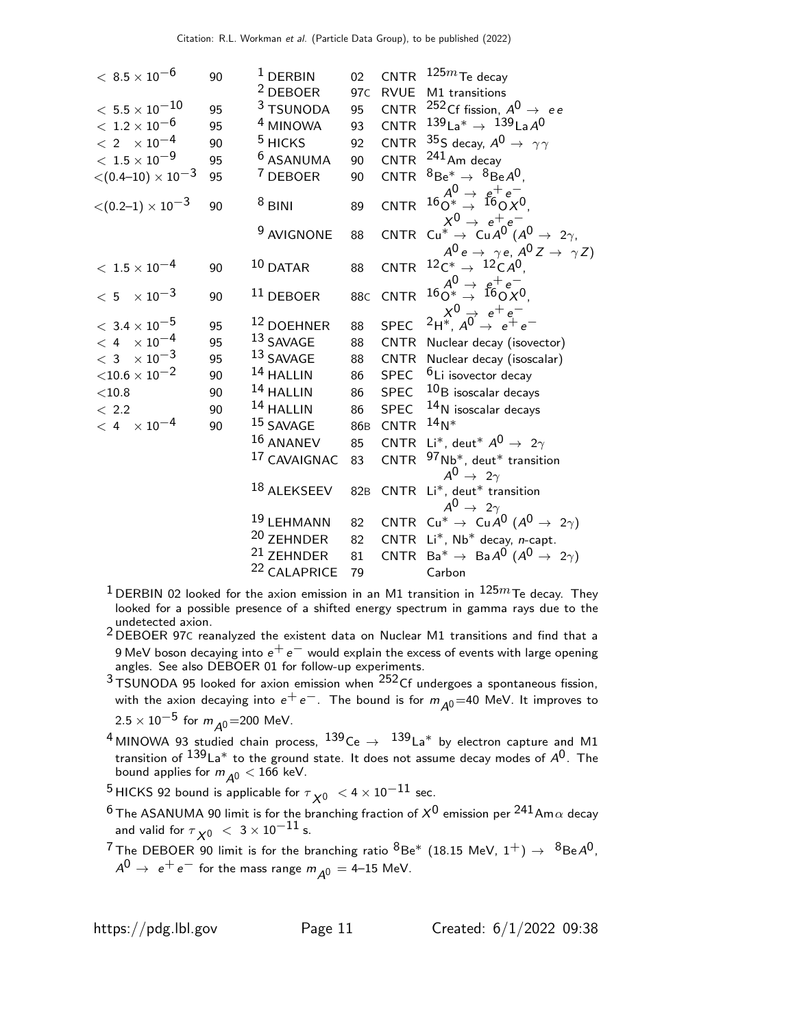| $<\,8.5\times10^{-6}$            | 90 | $1$ DERBIN              | 02 <sub>2</sub> |             | CNTR $125m$ Te decay                                                                           |
|----------------------------------|----|-------------------------|-----------------|-------------|------------------------------------------------------------------------------------------------|
|                                  |    | <sup>2</sup> DEBOER     | 97 <sub>C</sub> | RVUE        | M1 transitions                                                                                 |
| $<\,5.5\times10^{-10}$           | 95 | 3 TSUNODA               | 95              |             | CNTR <sup>252</sup> Cf fission, $A^0 \rightarrow ee$                                           |
| $<\;1.2\times10^{-6}$            | 95 | <sup>4</sup> MINOWA     | 93              | CNTR        | $139$ La <sup>*</sup> $\rightarrow$ $139$ LaA <sup>0</sup>                                     |
| $<\,2\phantom{a} \times 10^{-4}$ | 90 | $5$ HICKS               | 92              |             | CNTR $35S$ decay, $A^0 \rightarrow \gamma \gamma$                                              |
| $<\,1.5\times10^{-9}$            | 95 | <sup>6</sup> ASANUMA    | 90              |             | CNTR $^{241}$ Am decay                                                                         |
| $<$ (0.4–10) $\times$ 10 $^{-3}$ | 95 | <sup>7</sup> DEBOER     | 90              |             | CNTR ${}^{8}Be^* \rightarrow {}^{8}Be A^0$ .                                                   |
| $<$ (0.2–1) $\times$ 10 $^{-3}$  | 90 | $8$ BINI                | 89              |             | CNTR $160^4 \rightarrow 160^+e^-$<br>CNTR $160^* \rightarrow 160^+e^-$                         |
|                                  |    | <sup>9</sup> AVIGNONE   | 88              |             | CNTR $C u^* \rightarrow C u A^0 (A^0 \rightarrow 2\gamma,$                                     |
| $<\,1.5\times10^{-4}$            | 90 | $10$ DATAR              | 88              | CNTR        | $A^0 e \rightarrow \gamma e, A^0 Z \rightarrow \gamma Z$<br>$12C^* \rightarrow 12C A^0$ .      |
| $< 5 \times 10^{-3}$             | 90 | $11$ DEBOER             | 88 <sub>C</sub> | <b>CNTR</b> | $16 \frac{A^0}{O^*} \rightarrow \frac{e^+e^-}{160 \times 0}$                                   |
|                                  |    |                         |                 |             | SPEC $2H^*, A^0 \rightarrow e^+e^-$                                                            |
| $<\,$ 3.4 $\times$ $10^{-5}$     | 95 | <sup>12</sup> DOEHNER   | 88              |             |                                                                                                |
| $< 4 \times 10^{-4}$             | 95 | 13 SAVAGE               | 88              |             | CNTR Nuclear decay (isovector)                                                                 |
| $<$ 3 $\times$ 10 <sup>-3</sup>  | 95 | 13 SAVAGE               | 88              |             | CNTR Nuclear decay (isoscalar)                                                                 |
| ${<}10.6 \times 10^{-2}$         | 90 | 14 HALLIN               | 86              | SPEC        | <sup>6</sup> Li isovector decay                                                                |
| $<$ 10.8 $\,$                    | 90 | $14$ HALLIN             | 86              | <b>SPEC</b> | $10B$ isoscalar decays                                                                         |
| < 2.2                            | 90 | 14 HALLIN               | 86              | SPEC        | $14$ N isoscalar decays                                                                        |
| $< 4 \times 10^{-4}$             | 90 | 15 SAVAGE               | 86 <sub>B</sub> | CNTR        | $14N*$                                                                                         |
|                                  |    | 16 ANANEV               | 85              |             | CNTR Li <sup>*</sup> , deut <sup>*</sup> $A^0 \rightarrow 2\gamma$                             |
|                                  |    | 17 CAVAIGNAC            | 83              | <b>CNTR</b> | $97$ Nb <sup>*</sup> , deut <sup>*</sup> transition                                            |
|                                  |    | 18 ALEKSEEV             | 82 <sub>B</sub> |             | $A^0 \rightarrow 2\gamma$<br>CNTR Li*, deut* transition<br>$A^0 \rightarrow 2\gamma$           |
|                                  |    | 19 LEHMANN              | 82              |             | CNTR Cu <sup>*</sup> $\rightarrow$ Cu $A^0$ ( $A^0 \rightarrow 2\gamma$ )                      |
|                                  |    | <sup>20</sup> ZEHNDER   | 82              |             | CNTR $Li^*$ , Nb <sup>*</sup> decay, <i>n</i> -capt.                                           |
|                                  |    | <sup>21</sup> ZEHNDER   | 81              |             | CNTR Ba <sup>*</sup> $\rightarrow$ BaA <sup>0</sup> (A <sup>0</sup> $\rightarrow$ 2 $\gamma$ ) |
|                                  |    | <sup>22</sup> CALAPRICE | 79              |             | Carbon                                                                                         |

- $1$  DERBIN 02 looked for the axion emission in an M1 transition in  $125m$  Te decay. They looked for a possible presence of a shifted energy spectrum in gamma rays due to the undetected axion. 2 DEBOER 97<sup>C</sup> reanalyzed the existent data on Nuclear M1 transitions and find that a
- 9 MeV boson decaying into  $e^+e^-$  would explain the excess of events with large opening angles. See also DEBOER 01 for follow-up experiments.
- $3$ TSUNODA 95 looked for axion emission when  $252$ Cf undergoes a spontaneous fission, with the axion decaying into  $e^+e^-$ . The bound is for  $m_{A0} = 40$  MeV. It improves to  $2.5 \times 10^{-5}$  for  $m_{A0}$ =200 MeV.
- 4 MINOWA 93 studied chain process,  $139$ Ce  $\rightarrow$   $139$ La\* by electron capture and M1 transition of  $^{139}$ La $^*$  to the ground state. It does not assume decay modes of  $\mathcal{A}^{0}$ . The bound applies for  $m_{\tilde{\cal A}^0} < 166$  keV.
- <sup>5</sup> HICKS 92 bound is applicable for  $\tau_{\cal X^0}~<$  4  $\times$   $10^{-11}$  sec.
- <sup>6</sup> The ASANUMA 90 limit is for the branching fraction of  $X^0$  emission per  $^{241}$ Am $\alpha$  decay and valid for  $\tau_{\,{\sf X}^0} \, < \, 3 \times 10^{-11}$  s.
- <sup>7</sup> The DEBOER 90 limit is for the branching ratio  ${}^{8}$ Be<sup>\*</sup> (18.15 MeV, 1<sup>+</sup>)  $\rightarrow$   ${}^{8}$ Be $A^{0}$ ,  $A^0 \rightarrow e^+e^-$  for the mass range  $m_{A^0} = 4$ –15 MeV.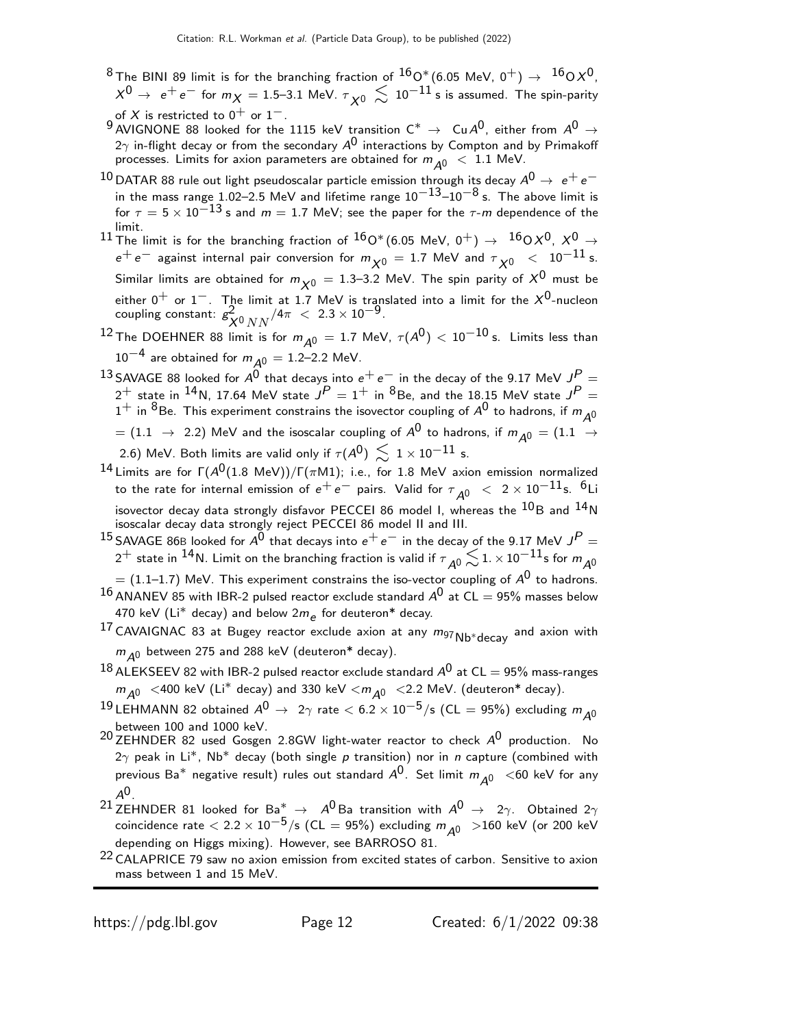- $^8$ The BINI 89 limit is for the branching fraction of  $^{16}$ O\* (6.05 MeV, 0<sup>+</sup>)  $\rightarrow$   $^{16}$ O $X^0$ ,  $\chi^0$   $\rightarrow$   $\,$   $\mathrm{e^+e^-}$  for  $m\chi =$  1.5–3.1 MeV.  $\tau_{\,\,\chi^0} \,\lesssim\,10^{-11}$  s is assumed. The spin-parity of  $X$  is restricted to  $0^{+}$  or  $1^{-}$  .
- $^{9}$  AVIGNONE 88 looked for the 1115 keV transition C\*  $\rightarrow$  Cu $A^{0}$ , either from  $A^{0} \rightarrow$  $2\gamma$  in-flight decay or from the secondary  $A^0$  interactions by Compton and by Primakoff processes. Limits for axion parameters are obtained for  $m_{A0} < 1.1$  MeV.
- $^{10}$  DATAR 88 rule out light pseudoscalar particle emission through its decay  $A^0\rightarrow~e^+e^$ in the mass range 1.02–2.5 MeV and lifetime range  $10^{-13}$ – $10^{-8}$  s. The above limit is for  $\tau = 5 \times 10^{-13}$  s and  $m = 1.7$  MeV; see the paper for the  $\tau$ -m dependence of the limit.
- 11 The limit is for the branching fraction of  ${}^{16}O^*(6.05 \text{ MeV}, 0^+) \rightarrow {}^{16}OX^0, X^0 \rightarrow$  $e^+ \, e^-$  against internal pair conversion for  $m_{\chi 0}^{}~=~1.7$  MeV and  $\tau_{\chi 0}^{}~<~10^{-11}$  s. Similar limits are obtained for  $m_{\chi^0}$  = 1.3–3.2 MeV. The spin parity of  $\chi^0$  must be either 0 $^+$  or  $1^-$ . The limit at 1.7 MeV is translated into a limit for the  $\mathsf{X}^0$ -nucleon coupling constant:  $g_1^2$  $\frac{2}{X^0 N N}$ /4 $\pi$  < 2.3 × 10<sup>-9</sup>.
- $^{12}$  The DOEHNER 88 limit is for  $m_{\cal \tilde{A}^0} = 1.7$  MeV,  $\tau(A^0) < 10^{-10}$  s. Limits less than  $10^{-4}$  are obtained for  $m_{A0} = 1.2$ –2.2 MeV.
- $^{13}$ SAVAGE 88 looked for  $A^0$  that decays into  $e^+ \, e^-$  in the decay of the 9.17 MeV  $J^P =$  $2^+$  state in  $^{14}$ N, 17.64 MeV state  $J^P=1^+$  in  $^8$ Be, and the 18.15 MeV state  $J^P=$  $1^+$  in  ${}^8$ Be. This experiment constrains the isovector coupling of  $A^0$  to hadrons, if  $m_{A^0}$  $\tau = (1.1 \rightarrow 2.2)$  MeV and the isoscalar coupling of  $A^0$  to hadrons, if  $m_{\tilde{A}^0} = (1.1 \rightarrow 0.2)$ 2.6) MeV. Both limits are valid only if  $\tau (A^0) \, \lesssim \, 1 \times 10^{-11}$  s.
- <sup>14</sup> Limits are for  $\Gamma(A^0(1.8 \text{ MeV}))/\Gamma(\pi \text{M1})$ ; i.e., for 1.8 MeV axion emission normalized to the rate for internal emission of  $e^+ \, e^-$  pairs. Valid for  $\tau_{\cal A^0}~<~2\times 10^{-11}$ s.  $^6$ Li isovector decay data strongly disfavor PECCEI 86 model I, whereas the  $^{10}$ B and  $^{14}$ N isoscalar decay data strongly reject PECCEI 86 model II and III.
- $^{15}$ SAVAGE 86B looked for  $A^{\bar{0}}$  that decays into  $e^+ \, e^-$  in the decay of the 9.17 MeV  $J^P$   $=$  $2^+$  state in  $^{14}$ N. Limit on the branching fraction is valid if  $\tau_{\cal A^0}^{} \mathop{}_{\textstyle \sim}^{\textstyle <} 1. \times 10^{-11}$ s for  $m_{\cal A^0}^{}$  $=(1.1\text{--}1.7)$  MeV. This experiment constrains the iso-vector coupling of  $\mathcal{A}^{\text{O}}$  to hadrons.
- $^{16}$  ANANEV 85 with IBR-2 pulsed reactor exclude standard  $A^{\rm O}$  at CL  $=$  95% masses below 470 keV (Li $^*$  decay) and below 2 $m_{\small \textrm{\textit{e}}}$  for deuteron $^*$  decay.
- 17 CAVAIGNAC 83 at Bugey reactor exclude axion at any  $m_{97}$ Nb<sup>\*</sup>decay and axion with  $m_{\Delta0}$  between 275 and 288 keV (deuteron\* decay).
- $^{18}$  ALEKSEEV 82 with IBR-2 pulsed reactor exclude standard  $A^0$  at CL  $=$  95% mass-ranges  $m_{A0}$  <400 keV (Li\* decay) and 330 keV  $< m_{A0}$  <2.2 MeV. (deuteron\* decay).
- 19 LEHMANN 82 obtained  $A^0 \rightarrow 2\gamma$  rate  $< 6.2 \times 10^{-5}$ /s (CL = 95%) excluding  $m_{A0}$ between 100 and 1000 keV.
- $^{20}$  ZEHNDER 82 used Gosgen 2.8GW light-water reactor to check  $A^{0}$  production. No  $2\gamma$  peak in Li<sup>\*</sup>, Nb<sup>\*</sup> decay (both single p transition) nor in n capture (combined with previous Ba $^*$  negative result) rules out standard  $A^0$ . Set limit  $m_{A0}$  <60 keV for any  $A^0$ .
- $^{21}$  ZEHNDER 81 looked for Ba $^*$   $\rightarrow$   $\,$   $A^0$  Ba transition with  $A^0$   $\rightarrow$   $\,$  2 $\gamma$ . Obtained 2 $\gamma$ coincidence rate  $< 2.2 \times 10^{-5}$ /s (CL = 95%) excluding  $m_{A0}$  >160 keV (or 200 keV depending on Higgs mixing). However, see BARROSO 81.
- <sup>22</sup> CALAPRICE 79 saw no axion emission from excited states of carbon. Sensitive to axion mass between 1 and 15 MeV.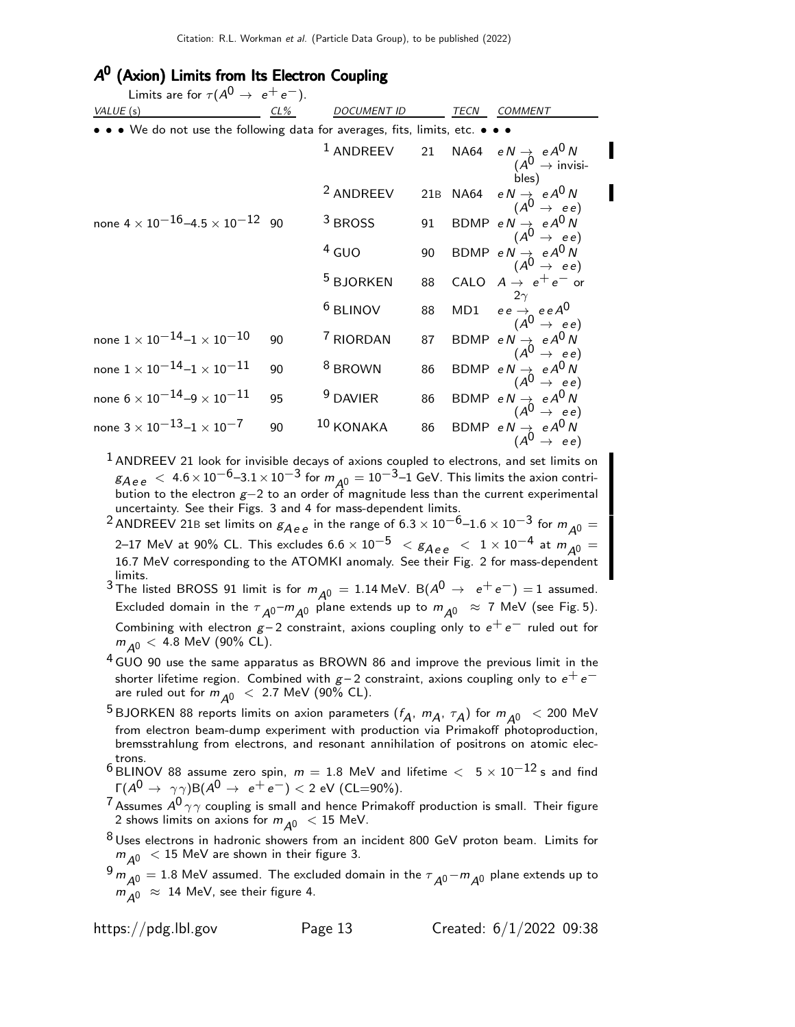# A<sup>0</sup> (Axion) Limits from Its Electron Coupling

| Limits are for $\tau(A^0 \rightarrow e^+e^-)$ .                           |        |                      |    |      |                                                                                                                                               |
|---------------------------------------------------------------------------|--------|----------------------|----|------|-----------------------------------------------------------------------------------------------------------------------------------------------|
| VALUE (s)                                                                 | $CL\%$ | <i>DOCUMENT ID</i>   |    | TECN | COMMENT                                                                                                                                       |
| • We do not use the following data for averages, fits, limits, etc. • • • |        |                      |    |      |                                                                                                                                               |
|                                                                           |        | $1$ ANDREEV          | 21 |      | NA64 $e N \rightarrow e A^0 N$<br>$(A^{\mathsf{U}} \rightarrow \text{invisible})$                                                             |
|                                                                           |        | <sup>2</sup> ANDREEV |    |      | 21B NA64 $eN \rightarrow eA^0N$<br>( $A^0 \rightarrow ee$ )                                                                                   |
| none $4 \times 10^{-16} - 4.5 \times 10^{-12}$ 90                         |        | <sup>3</sup> BROSS   | 91 |      | BDMP $e \stackrel{\rightharpoonup}{N} \rightarrow e \stackrel{\rightharpoonup}{A^0} \stackrel{\rightharpoonup}{N}$<br>$(A^0 \rightarrow e e)$ |
|                                                                           |        | $4$ GUO              | 90 |      | BDMP $e \stackrel{\rightharpoonup}{N \rightarrow} \begin{array}{c} e \stackrel{\rightharpoonup}{A^0} N \\ (A^0 \rightarrow e e) \end{array}$  |
|                                                                           |        | <sup>5</sup> BJORKEN | 88 |      | CALO $A \rightarrow e^+e^-$ or                                                                                                                |
|                                                                           |        | <sup>6</sup> BLINOV  | 88 |      | MD1 $ee \rightarrow ee A^0$<br>$(A^0 \rightarrow ee)$                                                                                         |
| none $1 \times 10^{-14} - 1 \times 10^{-10}$                              | 90     | 7 RIORDAN            | 87 |      | BDMP $eN \rightarrow eA^0N$<br>$(A^0 \rightarrow ee)$                                                                                         |
| none $1 \times 10^{-14} - 1 \times 10^{-11}$                              | 90     | <sup>8</sup> BROWN   | 86 |      | BDMP $eN \rightarrow eA^0N$<br>$(A^0 \rightarrow ee)$                                                                                         |
| none $6 \times 10^{-14} - 9 \times 10^{-11}$                              | 95     | <sup>9</sup> DAVIER  | 86 |      | BDMP $eN \rightarrow eA^0N$<br>$(A^0 \rightarrow ee)$                                                                                         |
| none $3 \times 10^{-13} - 1 \times 10^{-7}$                               | 90     | 10 KONAKA            | 86 |      | BDMP $eN \rightarrow eA^0N$<br>$(A^0 \rightarrow ee)$                                                                                         |

 $<sup>1</sup>$  ANDREEV 21 look for invisible decays of axions coupled to electrons, and set limits on</sup>  $g_{Aee}\,<\,4.6\!\times\!10^{-6}\!\!-\!\!3.1\!\times\!10^{-3}$  for  $m_{\tilde{A^0}}=10^{-3}\!\!-\!\!1$  GeV. This limits the axion contribution to the electron  $g-2$  to an order of magnitude less than the current experimental uncertainty. See their Figs. 3 and 4 for mass-dependent limits.

<sup>2</sup> ANDREEV 21B set limits on  $g_{Aee}$  in the range of 6.3 × 10<sup>-6</sup>–1.6 × 10<sup>-3</sup> for  $m_{A0}$  = 2−17 MeV at 90% CL. This excludes 6.6 × 10<sup>−5</sup>  $\   $\ < \ 1$  × 10<sup>−4</sup> at  $m_{A^0} =$  16.7 MeV corresponding to the ATOMKI anomaly. See their Fig. 2 for mass-dependent$ limits.

3 The listed BROSS 91 limit is for  $m_{A0} = 1.14$  MeV. B( $A^{0} \rightarrow e^{+}e^{-}$ ) = 1 assumed. Excluded domain in the  $\tau_{\cal A}$ 0<sup>-</sup> $m_{\cal A}$ 0 plane extends up to  $m_{\cal A}$ 0  $~\approx~$  7 MeV (see Fig. 5). Combining with electron  $g-2$  constraint, axions coupling only to  $e^+e^-$  ruled out for  $m_{A0}$  < 4.8 MeV (90% CL).

- <sup>4</sup> GUO 90 use the same apparatus as BROWN 86 and improve the previous limit in the shorter lifetime region. Combined with g – 2 constraint, axions coupling only to  $e^+e^$ are ruled out for  $m_{\tilde{A}0} < 2.7$  MeV (90% CL).
- <sup>5</sup> BJORKEN 88 reports limits on axion parameters  $(f_A, m_A, \tau_A)$  for  $m_{A^0}$  < 200 MeV from electron beam-dump experiment with production via Primakoff photoproduction, bremsstrahlung from electrons, and resonant annihilation of positrons on atomic electrons.
- 6 BLINOV 88 assume zero spin,  $m = 1.8$  MeV and lifetime  $\langle 5 \times 10^{-12}$  s and find  $\Gamma(A^0 \rightarrow \gamma \gamma) B(A^0 \rightarrow e^+e^-) < 2 \text{ eV (CL=90%).}$
- 7 Assumes  $A^0$   $\gamma\gamma$  coupling is small and hence Primakoff production is small. Their figure 2 shows limits on axions for  $m_{A0} < 15$  MeV.
- 8 Uses electrons in hadronic showers from an incident 800 GeV proton beam. Limits for  $m_{\tilde{A}0}$   $< 15$  MeV are shown in their figure 3.
- $^{9}m_{A^{0}}=1.8$  MeV assumed. The excluded domain in the  $\tau_{A^{0}}-m_{A^{0}}$  plane extends up to  $m_{\overline{A0}} \approx 14$  MeV, see their figure 4.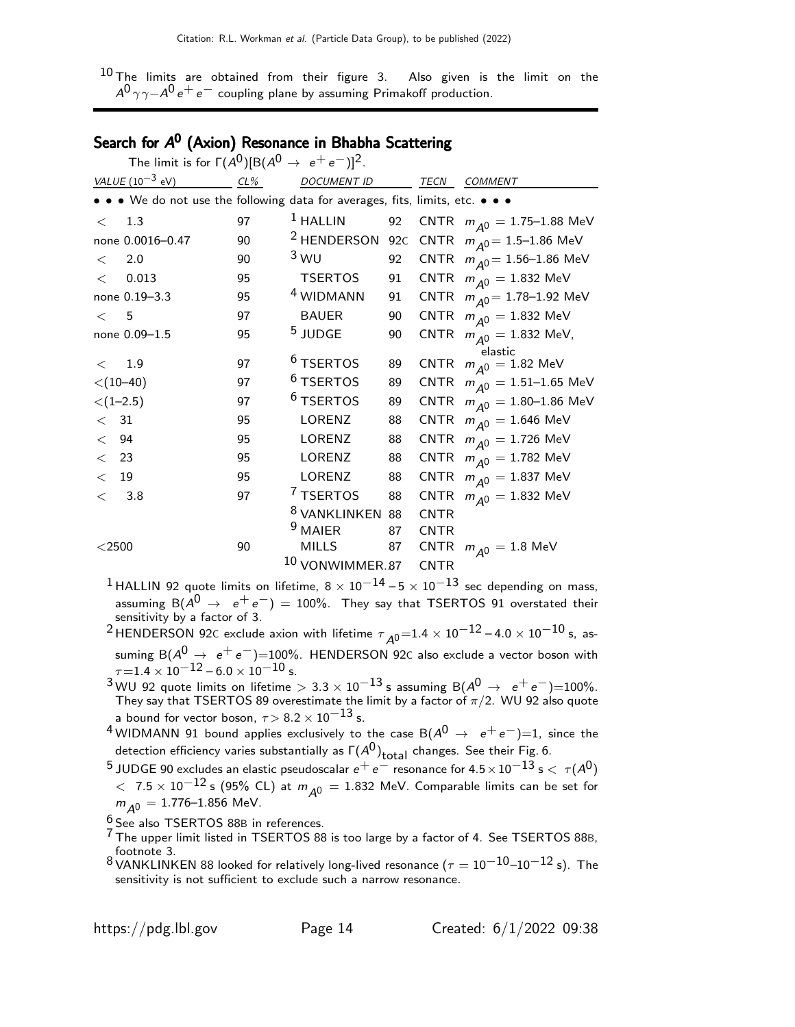$^{10}$  The limits are obtained from their figure 3. Also given is the limit on the  $A^0\gamma\gamma$ − $A^0\,e^+\,e^-$  coupling plane by assuming Primakoff production.

# Search for A<sup>0</sup> (Axion) Resonance in Bhabha Scattering

|              | The limit is for $\Gamma(A^0)[B(A^0 \rightarrow e^+e^-)]^2$ .                 |    |                                                  |     |                            |                                                      |
|--------------|-------------------------------------------------------------------------------|----|--------------------------------------------------|-----|----------------------------|------------------------------------------------------|
|              | <i>VALUE</i> $(10^{-3}$ eV)<br>CL%                                            |    | <b>DOCUMENT ID</b>                               |     |                            | TECN COMMENT                                         |
|              | • • • We do not use the following data for averages, fits, limits, etc. • • • |    |                                                  |     |                            |                                                      |
| $\lt$        | 1.3                                                                           | 97 | $1$ HALLIN                                       | 92  |                            | CNTR $m_{A0} = 1.75 - 1.88$ MeV                      |
|              | none 0.0016-0.47                                                              | 90 | <sup>2</sup> HENDERSON                           | 92C |                            | CNTR $m_{A0} = 1.5 - 1.86$ MeV                       |
| $\lt$        | 2.0                                                                           | 90 | 3 WU                                             | 92  |                            | CNTR $m_{A0} = 1.56 - 1.86$ MeV                      |
| $\lt$        | 0.013                                                                         | 95 | TSERTOS                                          | 91  |                            | CNTR $m_{\Delta 0} = 1.832 \text{ MeV}$              |
|              | none 0.19-3.3                                                                 | 95 | <sup>4</sup> WIDMANN                             | 91  |                            | CNTR $m_{A0} = 1.78 - 1.92$ MeV                      |
| $\lt$ 5      |                                                                               | 97 | <b>BAUER</b>                                     | 90  |                            | CNTR $m_{A0} = 1.832 \text{ MeV}$                    |
|              | none 0.09-1.5                                                                 | 95 | <sup>5</sup> JUDGE                               | 90  |                            | CNTR $m_{A0} = 1.832$ MeV,                           |
| $\,<\,$      | 1.9                                                                           | 97 | <sup>6</sup> TSERTOS                             | 89  |                            | elastic<br>CNTR $m_{\tilde{A}^0} = 1.82 \text{ MeV}$ |
|              | $<$ (10–40)                                                                   | 97 | $6$ TSERTOS                                      | 89  |                            | CNTR $m_{A0} = 1.51 - 1.65$ MeV                      |
|              | $<$ (1-2.5)                                                                   | 97 | $6$ TSERTOS                                      | 89  |                            | CNTR $m_{A0} = 1.80 - 1.86$ MeV                      |
| $\langle$ 31 |                                                                               | 95 | LORENZ                                           | 88  |                            | CNTR $m_{\overline{A}0} = 1.646$ MeV                 |
| $\lt$        | -94                                                                           | 95 | LORENZ                                           | 88  |                            | CNTR $m_{A0} = 1.726$ MeV                            |
| $\langle$ 23 |                                                                               | 95 | LORENZ                                           | 88  |                            | CNTR $m_{A0} = 1.782$ MeV                            |
| $\lt$        | - 19                                                                          | 95 | LORENZ                                           | 88  |                            | CNTR $m_{A0} = 1.837 \text{ MeV}$                    |
| $\lt$        | 3.8                                                                           | 97 | <sup>7</sup> TSERTOS                             | 88  |                            | CNTR $m_{A0} = 1.832$ MeV                            |
|              |                                                                               |    | <sup>8</sup> VANKLINKEN 88<br><sup>9</sup> MAIER | 87  | <b>CNTR</b><br><b>CNTR</b> |                                                      |
| $<$ 2500     |                                                                               | 90 | <b>MILLS</b>                                     |     |                            | 87 CNTR $m_{A0} = 1.8 \text{ MeV}$                   |
|              |                                                                               |    | 10 VONWIMMER.87                                  |     | <b>CNTR</b>                |                                                      |

<sup>1</sup> HALLIN 92 quote limits on lifetime,  $8 \times 10^{-14}$  –  $5 \times 10^{-13}$  sec depending on mass, assuming  $B(A^0 \rightarrow e^+e^-) = 100\%$ . They say that TSERTOS 91 overstated their sensitivity by a factor of 3.

 $^2$ HENDERSON 92C exclude axion with lifetime  $\tau_{\cal A}$ 0 $=$ 1.4  $\times$  10 $^{-12}$  – 4.0  $\times$  10 $^{-10}$  s, assuming  $B(A^0 \rightarrow e^+e^-)=100\%$ . HENDERSON 92C also exclude a vector boson with  $\tau = 1.4 \times 10^{-12} - 6.0 \times 10^{-10}$  s.

- $^3$ WU 92 quote limits on lifetime  $> 3.3 \times 10^{-13}$  s assuming B( $A^0 \rightarrow e^+e^-$ )=100%.<br>They say that TSERTOS 89 overestimate the limit by a factor of π/2. WU 92 also quote a bound for vector boson,  $\tau$  > 8.2 × 10<sup>-13</sup> s.
- 4 WIDMANN 91 bound applies exclusively to the case B( $A^0 \rightarrow e^+e^-$ )=1, since the detection efficiency varies substantially as  $\mathsf{\Gamma}(A^0)_{\sf total}$  changes. See their Fig. 6.
- $^5$  JUDGE 90 excludes an elastic pseudoscalar  $e^+ \, e^-$  resonance for 4.5  $\times$  10 $^{-13}$  s  $<\ \tau(A^0)$  $<$  7.5  $\times$  10 $^{-12}$  s (95% CL) at  $m_{\tilde{A}^0} = 1.832$  MeV. Comparable limits can be set for  $m_{A0} = 1.776 - 1.856$  MeV.

 $6$  See also TSERTOS 88B in references.

- $7$  The upper limit listed in TSERTOS 88 is too large by a factor of 4. See TSERTOS 88B, footnote 3.
- <sup>8</sup> VANKLINKEN 88 looked for relatively long-lived resonance ( $\tau = 10^{-10}$ – $10^{-12}$  s). The sensitivity is not sufficient to exclude such a narrow resonance.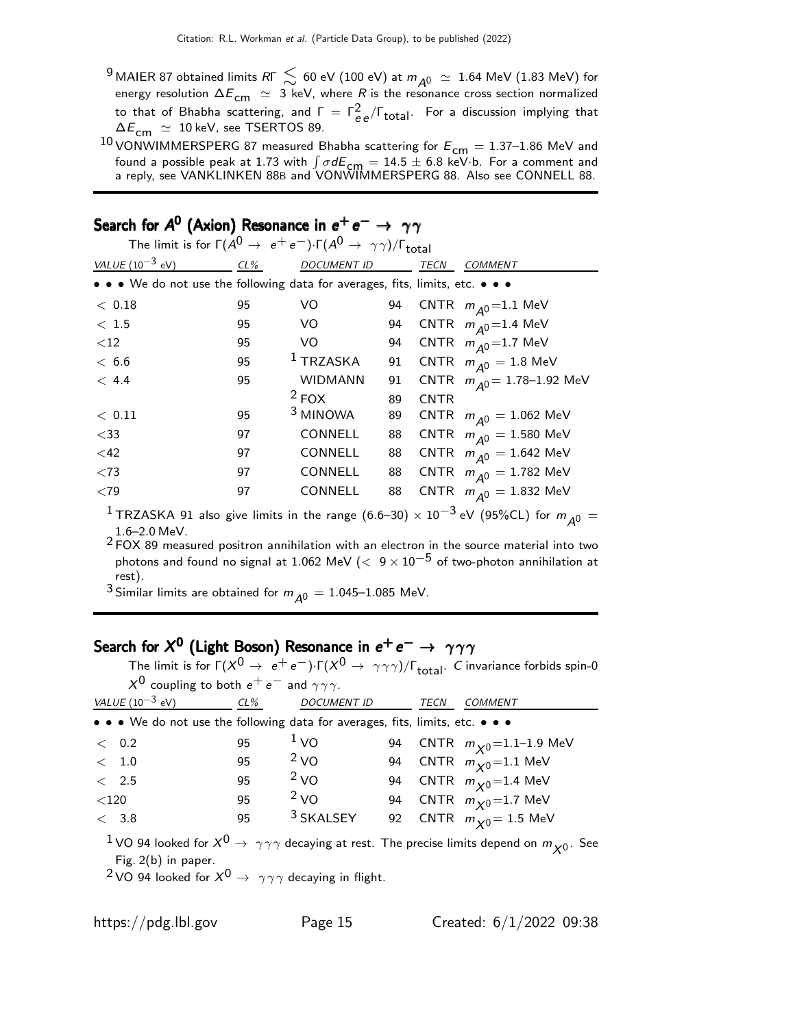<sup>9</sup> MAIER 87 obtained limits RГ  $\lesssim$  60 eV (100 eV) at  $m_{A^0} \simeq 1.64$  MeV (1.83 MeV) for energy resolution  $\Delta E_{\mathsf{cm}}\ \simeq\ 3$  keV, where  $R$  is the resonance cross section normalized to that of Bhabha scattering, and  $\Gamma = \Gamma_{ee}^2/\Gamma_{\text{total}}$ . For a discussion implying that  $\Delta E_{\text{cm}} \simeq 10 \text{ keV}$ , see TSERTOS 89.

10 VONWIMMERSPERG 87 measured Bhabha scattering for  $E_{cm} = 1.37 - 1.86$  MeV and found a possible peak at 1.73 with  $\int \sigma dE_{\rm cm} = 14.5 \pm 6.8$  keV·b. For a comment and<br>a reply, see VANKLINKEN 88B and VONWIMMERSPERG 88. Also see CONNELL 88.

|                                                                               |     | The limit is for $\Gamma(A^0 \to e^+e^-) \cdot \Gamma(A^0 \to \gamma\gamma)/\Gamma_{\text{total}}$ |    |             |                                           |
|-------------------------------------------------------------------------------|-----|----------------------------------------------------------------------------------------------------|----|-------------|-------------------------------------------|
| <i>VALUE</i> $(10^{-3}$ eV)                                                   | CL% | <b>DOCUMENT ID</b>                                                                                 |    | <b>TECN</b> | <b>COMMENT</b>                            |
| • • • We do not use the following data for averages, fits, limits, etc. • • • |     |                                                                                                    |    |             |                                           |
| < 0.18                                                                        | 95  | VO                                                                                                 | 94 |             | CNTR $m_{\overline{A}} = 1.1 \text{ MeV}$ |
| $<$ 1.5                                                                       | 95  | VO.                                                                                                | 94 |             | CNTR $m_{\overline{A}} = 1.4$ MeV         |
| ${<}12$                                                                       | 95  | VO.                                                                                                | 94 |             | CNTR $m_{\Delta 0}$ = 1.7 MeV             |
| < 6.6                                                                         | 95  | $1$ TRZASKA                                                                                        | 91 |             | CNTR $m_{\overline{A}0} = 1.8$ MeV        |
| < 4.4                                                                         | 95  | <b>WIDMANN</b>                                                                                     | 91 |             | CNTR $m_{\Delta 0} = 1.78 - 1.92$ MeV     |
|                                                                               |     | $2$ FOX                                                                                            | 89 | <b>CNTR</b> |                                           |
| $<$ 0.11                                                                      | 95  | <sup>3</sup> MINOWA                                                                                | 89 |             | CNTR $m_{A^0} = 1.062$ MeV                |
| $<$ 33                                                                        | 97  | <b>CONNELL</b>                                                                                     | 88 |             | CNTR $m_{\overline{A}0} = 1.580$ MeV      |
| $<$ 42                                                                        | 97  | CONNELL                                                                                            | 88 |             | CNTR $m_{A^0} = 1.642 \text{ MeV}$        |
| < 73                                                                          | 97  | CONNELL                                                                                            | 88 |             | CNTR $m_{A0} = 1.782$ MeV                 |
| ${<}79$                                                                       | 97  | CONNELL                                                                                            | 88 |             | CNTR $m_{A0} = 1.832 \text{ MeV}$         |
| $1 - 3$ $(6 - 3)(1 - 3)$                                                      |     |                                                                                                    |    |             |                                           |

# Search for  $\mathcal{A}^{\mathbf{0}}$  (Axion) Resonance in  $e^+ \, e^- \rightarrow \, \, \gamma \, \gamma$

<sup>1</sup> TRZASKA 91 also give limits in the range (6.6–30) × 10<sup>-3</sup> eV (95%CL) for  $m_{A0} =$ 1.6–2.0 MeV.

2 FOX 89 measured positron annihilation with an electron in the source material into two photons and found no signal at 1.062 MeV ( $< 9 \times 10^{-5}$  of two-photon annihilation at rest).

<sup>3</sup> Similar limits are obtained for  $m_{A^0} = 1.045$ –1.085 MeV.

# Search for  $\mathcal{X}^{\mathbf{0}}$  (Light Boson) Resonance in  $e^+ \, e^- \rightarrow \, \, \gamma \gamma \gamma$

The limit is for Γ $(X^0 \to \, e^+e^-)\!\cdot\!\Gamma(X^0 \to \, \gamma\gamma\gamma)/\Gamma_{\rm total}$ .  $C$  invariance forbids spin-0  $X^0$  coupling to both  $e^+e^-$  and  $\gamma\gamma\gamma$ .

| <i>VALUE</i> ( $10^{-3}$ eV)                                                  | $CL\%$ | <b>DOCUMENT ID</b>   | TECN | <b>COMMENT</b>                               |
|-------------------------------------------------------------------------------|--------|----------------------|------|----------------------------------------------|
| • • • We do not use the following data for averages, fits, limits, etc. • • • |        |                      |      |                                              |
| < 0.2                                                                         | 95     | $\frac{1}{1}$ VO     |      | 94 CNTR $m_{\chi}$ <sub>0</sub> =1.1-1.9 MeV |
| < 1.0                                                                         | 95     | 2 <sub>VO</sub>      |      | 94 CNTR $m_{\chi 0}$ =1.1 MeV                |
| $\rm <$ 2.5                                                                   | 95     | 2 <sub>VO</sub>      |      | 94 CNTR $m_{\chi 0}$ =1.4 MeV                |
| $<$ 120                                                                       | 95     | 2 <sub>VO</sub>      |      | 94 CNTR $m_{\chi 0}$ =1.7 MeV                |
| < 3.8                                                                         | 95     | <sup>3</sup> SKALSEY |      | 92 CNTR $m_{\chi 0} = 1.5$ MeV               |
|                                                                               |        |                      |      |                                              |

 $1$ VO 94 looked for  $X^0 \rightarrow \gamma \gamma \gamma$  decaying at rest. The precise limits depend on  $m_{\chi^0}$ . See Fig. 2(b) in paper.

<sup>2</sup> VO 94 looked for  $X^0 \rightarrow \gamma \gamma \gamma$  decaying in flight.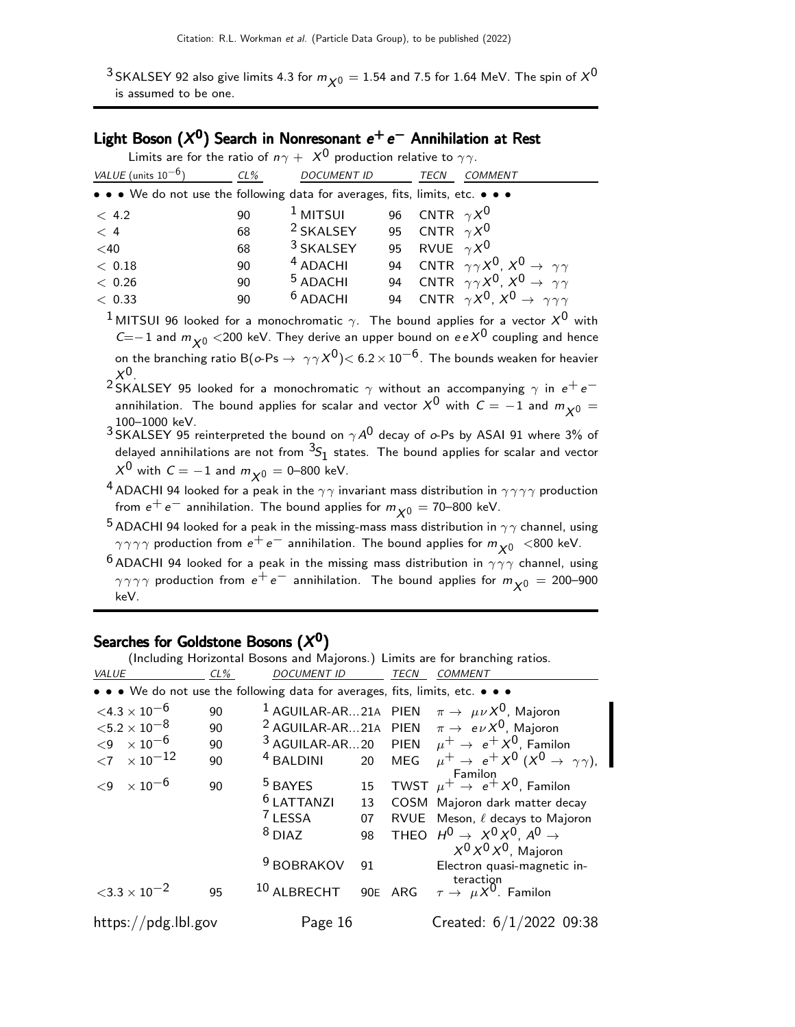$^3$ SKALSEY 92 also give limits 4.3 for  $m_{\chi^0} =$  1.54 and 7.5 for 1.64 MeV. The spin of  $\chi^0$ is assumed to be one.

# Light Boson  $(X^0)$  Search in Nonresonant  $e^+e^-$  Annihilation at Rest

|                                                                               |    | Limits are for the ratio of $n\gamma + X^0$ production relative to $\gamma\gamma$ . |                      |                                                                                                                       |
|-------------------------------------------------------------------------------|----|-------------------------------------------------------------------------------------|----------------------|-----------------------------------------------------------------------------------------------------------------------|
| VALUE (units $10^{-6}$ )                                                      |    | CL% DOCUMENT ID                                                                     | <b>TECN</b>          | <b>COMMENT</b>                                                                                                        |
| • • • We do not use the following data for averages, fits, limits, etc. • • • |    |                                                                                     |                      |                                                                                                                       |
| < 4.2                                                                         | 90 | $^1$ MITSUI                                                                         | 96 CNTR $\gamma X^0$ |                                                                                                                       |
| < 4                                                                           | 68 | <sup>2</sup> SKALSEY                                                                | 95 CNTR $\gamma X^0$ |                                                                                                                       |
| $<$ 40                                                                        | 68 | $3$ SKALSEY                                                                         | 95 RVUE $\gamma X^0$ |                                                                                                                       |
| < 0.18                                                                        | 90 | $4$ ADACHI                                                                          |                      | 94 CNTR $\gamma \gamma X^0$ , $X^0 \rightarrow \gamma \gamma$                                                         |
| < 0.26                                                                        | 90 | <sup>5</sup> ADACHI                                                                 |                      | 94 CNTR $\gamma \gamma X^0$ , $X^0 \rightarrow \gamma \gamma$                                                         |
| < 0.33                                                                        | 90 | $6$ ADACHI                                                                          |                      | 94 CNTR $\gamma X^0$ , $X^0 \rightarrow \gamma \gamma \gamma$                                                         |
|                                                                               |    |                                                                                     |                      | <sup>1</sup> MITSUI 96 looked for a monochromatic $\gamma$ . The bound applies for a vector $X^0$ with                |
|                                                                               |    |                                                                                     |                      | $C=-1$ and $m_{\chi0}$ <200 keV. They derive an upper bound on $eeX^0$ coupling and hence                             |
| $X^{0}$                                                                       |    |                                                                                     |                      | on the branching ratio B( $o\text{-Ps} \to \gamma\gamma X^0$ ) $< 6.2 \times 10^{-6}$ . The bounds weaken for heavier |

 $^2$ SKALSEY 95 looked for a monochromatic  $\gamma$  without an accompanying  $\gamma$  in  $e^+e^$ annihilation. The bound applies for scalar and vector  $X^0$  with  $C = -1$  and  $m_{X^0} =$ 

 $_3$ 100–1000 keV.<br> $^3$ SKALSEY 95 reinterpreted the bound on  $\gamma A^0$  decay of  $o$ -Ps by ASAI 91 where 3% of delayed annihilations are not from  ${}^{3\!}S_1$  states. The bound applies for scalar and vector  $X^0$  with  $C = -1$  and  $m_{\chi^0} = 0$ –800 keV.

<sup>4</sup> ADACHI 94 looked for a peak in the  $\gamma\gamma$  invariant mass distribution in  $\gamma\gamma\gamma\gamma$  production from  $e^+ e^-$  annihilation. The bound applies for  $m_{\chi^0} = 70$ –800 keV.

- $^{\textbf{5}}$  ADACHI 94 looked for a peak in the missing-mass mass distribution in  $\gamma\gamma$  channel, using  $\gamma\gamma\gamma\gamma$  production from  $e^+e^-$  annihilation. The bound applies for  $m_{\chi0}$  <800 keV.
- <sup>6</sup> ADACHI 94 looked for a peak in the missing mass distribution in  $\gamma\gamma\gamma$  channel, using  $\gamma\gamma\gamma\gamma$  production from  $e^+e^-$  annihilation. The bound applies for  $m_{\chi0} = 200$ –900 keV.

# Searches for Goldstone Bosons  $(X^{\mathbf{0}})$

(Including Horizontal Bosons and Majorons.) Limits are for branching ratios.

| VALUE                                                                         | $CL\%$ | <i>DOCUMENT ID</i>                                                                                     |                            | TECN       | <i>COMMENT</i>                                                                                                                                                                                                                                  |
|-------------------------------------------------------------------------------|--------|--------------------------------------------------------------------------------------------------------|----------------------------|------------|-------------------------------------------------------------------------------------------------------------------------------------------------------------------------------------------------------------------------------------------------|
| • • • We do not use the following data for averages, fits, limits, etc. • • • |        |                                                                                                        |                            |            |                                                                                                                                                                                                                                                 |
| $\leq 4.3 \times 10^{-6}$                                                     | 90     |                                                                                                        |                            |            | <sup>1</sup> AGUILAR-AR21A PIEN $\pi \rightarrow \mu \nu X^0$ , Majoron                                                                                                                                                                         |
| ${<}5.2\times10^{-8}$                                                         | 90     |                                                                                                        |                            |            | <sup>2</sup> AGUILAR-AR21A PIEN $\pi \rightarrow e \nu X^0$ , Majoron                                                                                                                                                                           |
| ${<}9 \times 10^{-6}$                                                         | 90     |                                                                                                        |                            |            | <sup>3</sup> AGUILAR-AR20 PIEN $\mu^+ \rightarrow e^+ X^0$ , Familon                                                                                                                                                                            |
| ${<}7 \times 10^{-12}$                                                        | 90     | <sup>4</sup> BALDINI                                                                                   | 20                         | <b>MEG</b> | $\mu^+ \rightarrow e^+ X^0 (X^0 \rightarrow \gamma \gamma)$ ,                                                                                                                                                                                   |
| $\times$ 10 <sup>-6</sup><br>$\langle 9$                                      | 90     | <sup>5</sup> BAYES<br><sup>6</sup> LATTANZI<br><sup>7</sup> LESSA<br>$8$ DIAZ<br><sup>9</sup> BOBRAKOV | 15<br>13<br>07<br>98<br>91 |            | Familon<br>TWST $\mu^+ \rightarrow e^+ X^0$ , Familon<br>COSM Majoron dark matter decay<br>RVUE Meson, $\ell$ decays to Majoron<br>THEO $H^0 \rightarrow X^0 X^0$ , $A^0 \rightarrow$<br>$X^0 X^0 X^0$ , Majoron<br>Electron quasi-magnetic in- |
| $<$ 3.3 $\times$ 10 <sup>-2</sup>                                             | 95     | <sup>10</sup> ALBRECHT                                                                                 | 90 <sub>E</sub>            | ARG        | teraction<br>$\tau \to \mu X^0$ . Familon                                                                                                                                                                                                       |
| https://pdg.lbl.gov                                                           |        | Page 16                                                                                                |                            |            | Created: $6/1/2022$ 09:38                                                                                                                                                                                                                       |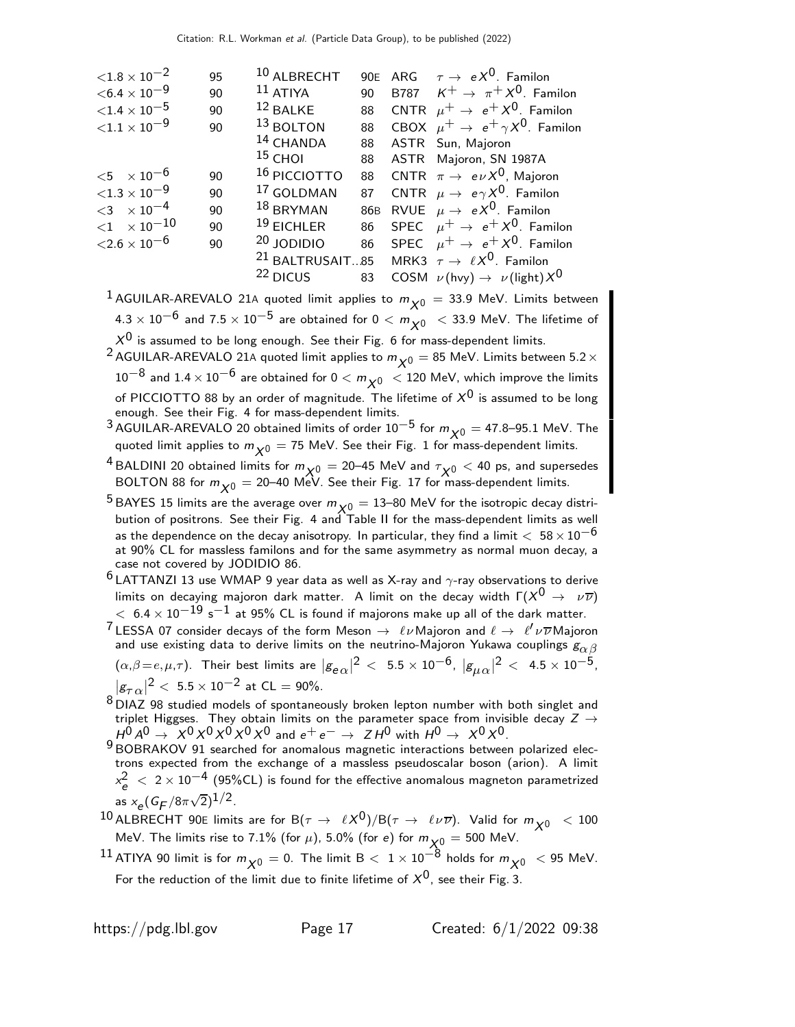| ${<}1.8\times10^{-2}$           | 95 | 10 ALBRECHT             | 90 <sub>E</sub> | ARG $\tau \rightarrow e X^0$ . Familon                                |
|---------------------------------|----|-------------------------|-----------------|-----------------------------------------------------------------------|
| $<$ 6.4 $\times$ 10 $^{-9}$     | 90 | $11$ ATIYA              | 90              | B787 $K^+ \rightarrow \pi^+ X^0$ . Familon                            |
| ${<}1.4 \times 10^{-5}$         | 90 | 12 BALKE                | 88              | CNTR $\mu^+ \rightarrow e^+ X^0$ . Familon                            |
| ${<}1.1\times10^{-9}$           | 90 | 13 BOLTON               | 88              | CBOX $\mu^+ \rightarrow e^+ \gamma X^0$ . Familon                     |
|                                 |    | <sup>14</sup> CHANDA    | 88              | ASTR Sun, Majoron                                                     |
|                                 |    | $15$ CHOI               | 88              | ASTR Majoron, SN 1987A                                                |
| ${<}5 \times 10^{-6}$           | 90 | <sup>16</sup> PICCIOTTO | 88              | CNTR $\pi \to e\nu X^0$ , Majoron                                     |
| ${<}1.3\times10^{-9}$           | 90 | 17 GOLDMAN              | 87              | CNTR $\mu \to e \gamma X^0$ . Familon                                 |
| $<$ 3 $\times$ 10 <sup>-4</sup> | 90 | $18$ BRYMAN             | 86 <sub>B</sub> | RVUE $\mu \to eX^0$ . Familon                                         |
| $<$ 1 $\times$ 10 $^{-10}$      | 90 | $19$ EICHLER            | 86              | SPEC $\mu^+ \rightarrow e^+ X^0$ . Familon                            |
| ${<}2.6\times10^{-6}$           | 90 | 20 JODIDIO              | 86              | SPEC $\mu^+ \rightarrow e^+ X^0$ . Familon                            |
|                                 |    |                         |                 | <sup>21</sup> BALTRUSAIT85 MRK3 $\tau \rightarrow \ell X^0$ . Familon |
|                                 |    | <sup>22</sup> DICUS     | 83              | COSM $\nu$ (hvy) $\rightarrow$ $\nu$ (light) $X^0$                    |
|                                 |    |                         |                 |                                                                       |

<sup>1</sup> AGUILAR-AREVALO 21A quoted limit applies to  $m_{\chi^0} = 33.9$  MeV. Limits between  $4.3 \times 10^{-6}$  and  $7.5 \times 10^{-5}$  are obtained for  $0 < m_{\chi}$   $< 33.9$  MeV. The lifetime of  $X^{0}$  is assumed to be long enough. See their Fig. 6 for mass-dependent limits.

- <sup>2</sup> AGUILAR-AREVALO 21A quoted limit applies to  $m_{\chi0} = 85$  MeV. Limits between 5.2  $\times$ 10<sup>-8</sup> and 1.4 × 10<sup>-6</sup> are obtained for 0 <  $m_{\chi^0}$  < 120 MeV, which improve the limits of PICCIOTTO 88 by an order of magnitude. The lifetime of  $\mathsf{X}^\mathsf{0}$  is assumed to be long enough. See their Fig. 4 for mass-dependent limits.
- <sup>3</sup> AGUILAR-AREVALO 20 obtained limits of order  $10^{-5}$  for  $m_{\chi0} = 47.8$ –95.1 MeV. The quoted limit applies to  $m_{\chi^0} = 75$  MeV. See their Fig. 1 for mass-dependent limits.
- <sup>4</sup> BALDINI 20 obtained limits for  $m_{\chi_0} = 20$ –45 MeV and  $\tau_{\chi_0} < 40$  ps, and supersedes BOLTON 88 for  $m_{\chi0} =$  20–40 MeV. See their Fig. 17 for mass-dependent limits.
- <sup>5</sup> BAYES 15 limits are the average over  $m_{\chi0} = 13$ –80 MeV for the isotropic decay distribution of positrons. See their Fig. 4 and Table II for the mass-dependent limits as well as the dependence on the decay anisotropy. In particular, they find a limit  $< 58 \times 10^{-6}$ at 90% CL for massless familons and for the same asymmetry as normal muon decay, a case not covered by JODIDIO 86.
- $^6$  LATTANZI 13 use WMAP 9 year data as well as X-ray and  $\gamma$ -ray observations to derive limits on decaying majoron dark matter. A limit on the decay width  $\Gamma(X^0\to\nu\overline{\nu})$  $< 6.4 \times 10^{-19}$  s<sup>-1</sup> at 95% CL is found if majorons make up all of the dark matter.
- <sup>7</sup> LESSA 07 consider decays of the form Meson  $\rightarrow \ell \nu$  Majoron and  $\ell \rightarrow \ell' \nu \overline{\nu}$  Majoron and use existing data to derive limits on the neutrino-Majoron Yukawa couplings  $g_{\alpha\beta}$
- $(\alpha,\beta \!=\! e,\mu,\tau).$  Their best limits are  $|g_{\bm e\,\alpha}|^2<~$  5.5  $\times$   $10^{-6}$ ,  $|g_{\mu\,\alpha}|^2<~$  4.5  $\times$   $10^{-5}$ ,  $|g_{\tau\,\alpha}|^2<\;$  5.5  $\times$  10 $^{-2}$  at CL = 90%.
- $8$  DIAZ 98 studied models of spontaneously broken lepton number with both singlet and triplet Higgses. They obtain limits on the parameter space from invisible decay  $Z \rightarrow$  $H^0 A^0 \rightarrow X^0 X^0 X^0 X^0 X^0$  and  $e^+ e^- \rightarrow Z H^0$  with  $H^0 \rightarrow X^0 X^0.$ <br><sup>9</sup> BOBRAKOV 91 searched for anomalous magnetic interactions between polarized elec-
- trons expected from the exchange of a massless pseudoscalar boson (arion). A limit  $\alpha_e^2~<~2\times10^{-4}~(95\%$ CL) is found for the effective anomalous magneton parametrized as  $x_e (G_F/8\pi\sqrt{2})^{1/2}$ .
- 10 ALBRECHT 90E limits are for  $B(\tau \to \ell X^0)/B(\tau \to \ell \nu \overline{\nu})$ . Valid for  $m_{\chi_0}$  < 100 MeV. The limits rise to 7.1% (for  $\mu$ ), 5.0% (for e) for  $m_{\chi0} = 500$  MeV.
- 11 ATIYA 90 limit is for  $m_{\chi0} = 0$ . The limit B  $< 1 \times 10^{-8}$  holds for  $m_{\chi0} < 95$  MeV. For the reduction of the limit due to finite lifetime of  $X^0$ , see their Fig. 3.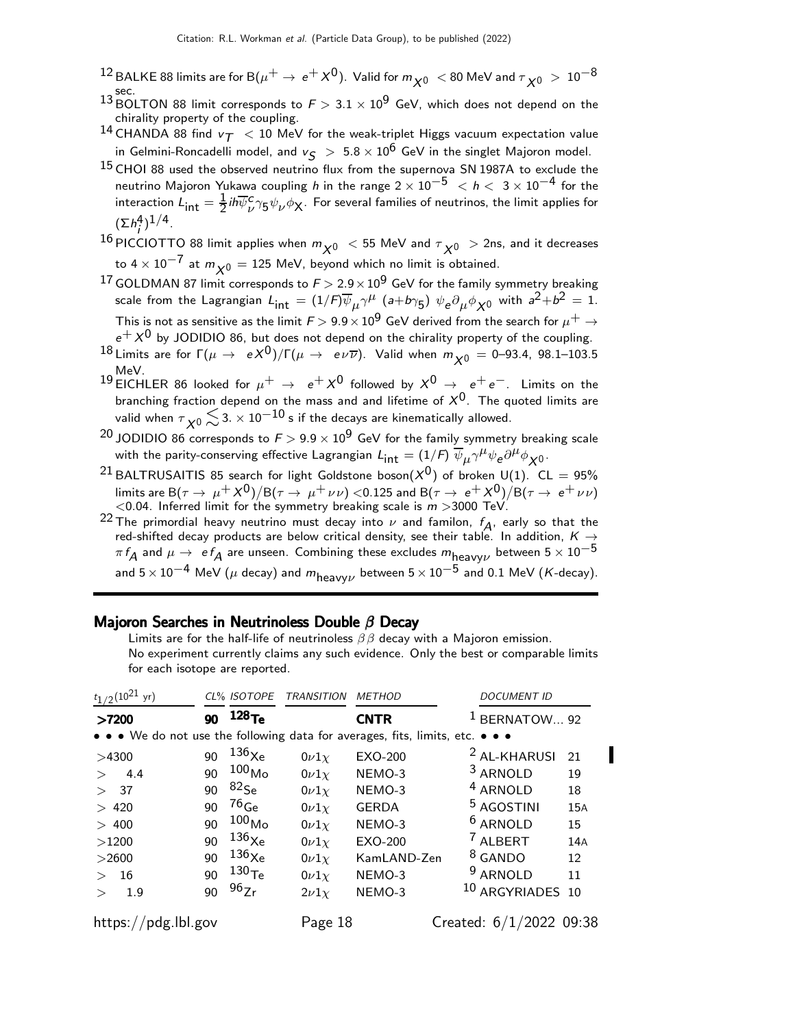$^{12}$  BALKE 88 limits are for B( $\mu^+ \to e^+ \chi^0$ ). Valid for  $m_{\chi^0} <$  80 MeV and  $\tau_{\chi^0} > 10^{-8}$ sec.

- 13 BOLTON 88 limit corresponds to  $F > 3.1 \times 10^9$  GeV, which does not depend on the chirality property of the coupling.
- 14 CHANDA 88 find  $v_T < 10$  MeV for the weak-triplet Higgs vacuum expectation value in Gelmini-Roncadelli model, and  $v<sub>S</sub> > 5.8 \times 10^6$  GeV in the singlet Majoron model.
- $15$  CHOI 88 used the observed neutrino flux from the supernova SN 1987A to exclude the neutrino Majoron Yukawa coupling h in the range  $2 \times 10^{-5}$   $< h < 3 \times 10^{-4}$  for the interaction  $L_{\mathsf{int}} = \frac{1}{2}$  $\frac{1}{2}$ ih $\overline{\psi}^{\texttt{c}}_{\nu}$  $_{\nu}^{c}$ 75 $\psi_{\nu}$  $\phi_{\sf X}$ . For several families of neutrinos, the limit applies for  $(\Sigma h_i^4)^{1/4}.$
- $^{16}$ PICCIOTTO 88 limit applies when  $m_{\chi^0}~<$  55 MeV and  $\tau_{\chi^0}~>$  2ns, and it decreases to  $4 \times 10^{-7}$  at  $m_{\chi0} = 125$  MeV, beyond which no limit is obtained.
- 17 GOLDMAN 87 limit corresponds to  $F > 2.9 \times 10^9$  GeV for the family symmetry breaking scale from the Lagrangian  $L_{\sf int} = (1/F) \overline{\psi}_{\mu} \gamma^{\mu}$   $(a+b\gamma_5)$   $\psi_{\sf e} \partial_{\mu} \phi_{\sf X0}$  with  $a^2+b^2=1.$ This is not as sensitive as the limit  $F$   $>$  9.9  $\times$   $10^9$  GeV derived from the search for  $\mu^+$   $\rightarrow$
- $e^+ X^0$  by JODIDIO 86, but does not depend on the chirality property of the coupling. 18 Limits are for  $\Gamma(\mu \to eX^0)/\Gamma(\mu \to e\nu\overline{\nu})$ . Valid when  $m_{\chi^0} = 0$ –93.4, 98.1–103.5 MeV.
- 19 EICHLER 86 looked for  $\mu^+ \rightarrow e^+ \chi^0$  followed by  $\chi^0 \rightarrow e^+ e^-$ . Limits on the branching fraction depend on the mass and and lifetime of  $X^0$ . The quoted limits are valid when  $\tau_{\chi 0}$   $\lesssim$  3.  $\times$  10 $^{-10}$  s if the decays are kinematically allowed.
- <sup>20</sup> JODIDIO 86 corresponds to  $F > 9.9 \times 10^9$  GeV for the family symmetry breaking scale with the parity-conserving effective Lagrangian  $L_{\sf int} = (1/F) \; \overline{\psi}_\mu \gamma^\mu \psi_e \partial^\mu \phi_{\sf X0}$ .
- <sup>21</sup> BALTRUSAITIS 85 search for light Goldstone boson( $X^0$ ) of broken U(1). CL = 95% limits are B $(\tau \to \mu^+ X^0)/B(\tau \to \mu^+ \nu \nu)$  <0.125 and B $(\tau \to e^+ X^0)/B(\tau \to e^+ \nu \nu)$ <br><0.04. Inferred limit for the symmetry breaking scale is  $m$  >3000 TeV.
- <sup>22</sup> The primordial heavy neutrino must decay into  $\nu$  and familon,  $f_A$ , early so that the red-shifted decay products are below critical density, see their table. In addition,  $K \rightarrow$  $\pi f_A$  and  $\mu \to~\texttt{e} f_A$  are unseen. Combining these excludes  $m_{\text{heavy}\nu}$  between  $5\times 10^{-5}$ and  $5\times10^{-4}$  MeV ( $\mu$  decay) and  $m_{\text{heavy}\nu}$  between  $5\times10^{-5}$  and 0.1 MeV (K-decay).

#### Majoron Searches in Neutrinoless Double  $\beta$  Decay

Limits are for the half-life of neutrinoless  $\beta\beta$  decay with a Majoron emission. No experiment currently claims any such evidence. Only the best or comparable limits for each isotope are reported.

| $t_{1/2}$ (10 <sup>21</sup> yr)                                               |    | CL% ISOTOPE       | <b>TRANSITION</b> | <b>METHOD</b>  | <b>DOCUMENT ID</b>          |            |
|-------------------------------------------------------------------------------|----|-------------------|-------------------|----------------|-----------------------------|------------|
| >7200                                                                         | 90 | 128 <sub>Te</sub> |                   | <b>CNTR</b>    | BERNATOW 92                 |            |
| • • • We do not use the following data for averages, fits, limits, etc. • • • |    |                   |                   |                |                             |            |
| >4300                                                                         | 90 | $136\chi$ e       | $0\nu1\chi$       | EXO-200        | <sup>2</sup> AL-KHARUSI     | 21         |
| 4.4                                                                           | 90 | $100_{\sf Mo}$    | $0\nu1\chi$       | NEMO-3         | <sup>3</sup> ARNOLD         | 19         |
| > 37                                                                          | 90 | $^{82}$ Se        | $0\nu1\nu$        | NEMO-3         | <sup>4</sup> ARNOLD         | 18         |
| > 420                                                                         | 90 | $^{76}$ Ge        | $0\nu1\nu$        | <b>GERDA</b>   | <sup>5</sup> AGOSTINI       | <b>15A</b> |
| > 400                                                                         | 90 | 100 <sub>Mo</sub> | $0\nu1\nu$        | NEMO-3         | <sup>6</sup> ARNOLD         | 15         |
| >1200                                                                         | 90 | $136\chi$ e       | $0\nu1\nu$        | <b>EXO-200</b> | <sup>7</sup> ALBERT         | 14A        |
| >2600                                                                         | 90 | $136\chi_{\rm e}$ | $0\nu1\nu$        | KamLAND-Zen    | <sup>8</sup> GANDO          | 12         |
| 16<br>$\geq$                                                                  | 90 | 130 <sub>Te</sub> | $0\nu1\chi$       | NEMO-3         | <sup>9</sup> ARNOLD         | 11         |
| 1.9                                                                           | 90 | 96Zr              | $2\nu 1\nu$       | NEMO-3         | <sup>10</sup> ARGYRIADES 10 |            |
| https://pdg.lbl.gov                                                           |    |                   | Page 18           |                | Created: 6/1/2022 09:38     |            |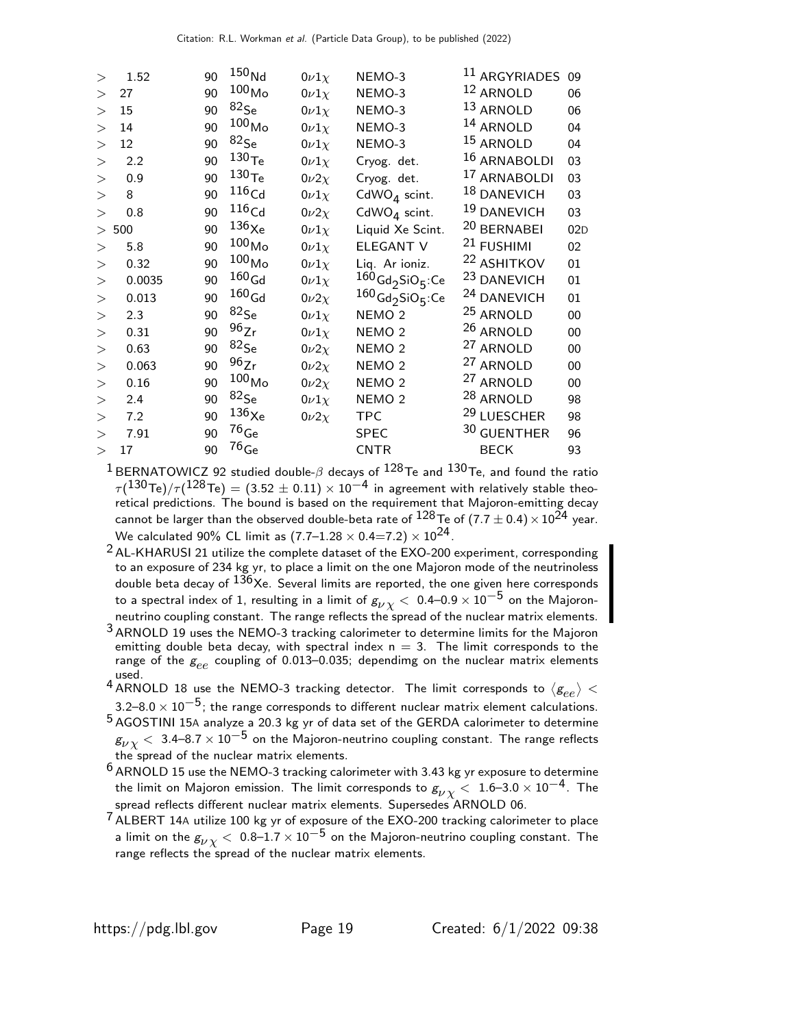| $\geq$   | 1.52   | 90 | 150 <sub>Nd</sub>    | $0\nu1\chi$  | NEMO-3                                     | <sup>11</sup> ARGYRIADES | 09     |
|----------|--------|----|----------------------|--------------|--------------------------------------------|--------------------------|--------|
| >        | 27     | 90 | $100_{\sf Mo}$       | $0\nu1\chi$  | NEMO-3                                     | <sup>12</sup> ARNOLD     | 06     |
| $\geq$   | 15     | 90 | $82$ Se              | $0\nu1\chi$  | NEMO-3                                     | 13 ARNOLD                | 06     |
| $\geq$   | 14     | 90 | $100_{\sf Mo}$       | $0\nu1\chi$  | NEMO-3                                     | 14 ARNOLD                | 04     |
| >        | 12     | 90 | $82$ Se              | $0\nu1\chi$  | NEMO-3                                     | 15 ARNOLD                | 04     |
| >        | 2.2    | 90 | $^{130}\mathrm{Te}$  | $0\nu1\chi$  | Cryog. det.                                | 16 ARNABOLDI             | 03     |
| >        | 0.9    | 90 | 130 <sub>Te</sub>    | $0\nu2\chi$  | Cryog. det.                                | 17 ARNABOLDI             | 03     |
| $\rm{>}$ | 8      | 90 | 116 <sub>Cd</sub>    | $0\nu1\chi$  | CdWO <sub>4</sub> scint.                   | 18 DANEVICH              | 03     |
| $\gt$    | 0.8    | 90 | 116 <sub>Cd</sub>    | $0\nu 2\chi$ | CdWO <sub>4</sub> scint.                   | 19 DANEVICH              | 03     |
| >        | 500    | 90 | $136\chi_\mathrm{e}$ | $0\nu1\chi$  | Liquid Xe Scint.                           | 20 BERNABEI              | 02D    |
| >        | 5.8    | 90 | $100_{\sf Mo}$       | $0\nu1\chi$  | ELEGANT V                                  | <sup>21</sup> FUSHIMI    | 02     |
| $\geq$   | 0.32   | 90 | $^{100}\rm{Mo}$      | $0\nu1\chi$  | Liq. Ar ioniz.                             | <sup>22</sup> ASHITKOV   | 01     |
| >        | 0.0035 | 90 | $160\,\mathrm{Gd}$   | $0\nu1\chi$  | $160$ Gd <sub>2</sub> SiO <sub>5</sub> :Ce | <sup>23</sup> DANEVICH   | 01     |
| $\rm{>}$ | 0.013  | 90 | $^{160}\mathrm{Gd}$  | $0\nu2\chi$  | $160$ Gd <sub>2</sub> SiO <sub>5</sub> :Ce | <sup>24</sup> DANEVICH   | 01     |
| >        | 2.3    | 90 | $82$ Se              | $0\nu1\chi$  | NEMO <sub>2</sub>                          | <sup>25</sup> ARNOLD     | $00\,$ |
| >        | 0.31   | 90 | 96Zr                 | $0\nu1\chi$  | NEMO <sub>2</sub>                          | $26$ ARNOLD              | $00\,$ |
| >        | 0.63   | 90 | $82$ Se              | $0\nu2\chi$  | NEMO <sub>2</sub>                          | <sup>27</sup> ARNOLD     | 00     |
| $\geq$   | 0.063  | 90 | 96Zr                 | $0\nu 2\chi$ | NEMO <sub>2</sub>                          | <sup>27</sup> ARNOLD     | 00     |
| >        | 0.16   | 90 | $100_{\sf Mo}$       | $0\nu 2\chi$ | NEMO <sub>2</sub>                          | <sup>27</sup> ARNOLD     | 00     |
| >        | 2.4    | 90 | $82$ Se              | $0\nu1\chi$  | NEMO <sub>2</sub>                          | $^{28}$ ARNOLD           | 98     |
| $\rm{>}$ | 7.2    | 90 | $136\chi_\mathrm{e}$ | $0\nu2\chi$  | <b>TPC</b>                                 | <sup>29</sup> LUESCHER   | 98     |
| $\geq$   | 7.91   | 90 | $76$ <sub>Ge</sub>   |              | <b>SPEC</b>                                | 30 GUENTHER              | 96     |
| >        | 17     | 90 | $^{76}\mathrm{Ge}$   |              | <b>CNTR</b>                                | <b>BECK</b>              | 93     |
|          |        |    |                      |              |                                            |                          |        |

 $^1$ BERNATOWICZ 92 studied double- $\beta$  decays of  $^{128}$ Te and  $^{130}$ Te, and found the ratio  $\tau (\rm{^{130}Te})/\tau (\rm{^{128}Te}) = (3.52 \pm 0.11) \times 10^{-4}$  in agreement with relatively stable theo-<br>retical predictions. The bound is based on the requirement that Majoron-emitting decay cannot be larger than the observed double-beta rate of  $128$ Te of  $(7.7 \pm 0.4) \times 10^{24}$  year. We calculated 90% CL limit as  $(7.7-1.28 \times 0.4=7.2) \times 10^{24}$ .

 $^2$  AL-KHARUSI 21 utilize the complete dataset of the EXO-200 experiment, corresponding to an exposure of 234 kg yr, to place a limit on the one Majoron mode of the neutrinoless double beta decay of <sup>136</sup>Xe. Several limits are reported, the one given here corresponds to a spectral index of 1, resulting in a limit of  $g_{\nu\chi} < 0.4-0.9 \times 10^{-5}$  on the Majoronneutrino coupling constant. The range reflects the spread of the nuclear matrix elements.

 $3$  ARNOLD 19 uses the NEMO-3 tracking calorimeter to determine limits for the Majoron emitting double beta decay, with spectral index  $n = 3$ . The limit corresponds to the range of the  $g_{ee}$  coupling of 0.013-0.035; dependimg on the nuclear matrix elements used.

 $\frac{4 \text{ new}}{4 \text{ ARNOLD}}$  18 use the NEMO-3 tracking detector. The limit corresponds to  $\langle g_{ee} \rangle$   $<$ 3.2–8.0  $\times$  10<sup>-5</sup>; the range corresponds to different nuclear matrix element calculations. 5 AGOSTINI 15<sup>A</sup> analyze a 20.3 kg yr of data set of the GERDA calorimeter to determine  $g_{\nu\,\chi} < 3.4$ –8.7  $\times\,10^{-5}$  on the Majoron-neutrino coupling constant. The range reflects the spread of the nuclear matrix elements.

 $6$  ARNOLD 15 use the NEMO-3 tracking calorimeter with 3.43 kg yr exposure to determine the limit on Majoron emission. The limit corresponds to  $g_{\nu\,\chi}^{} <~1.6$ –3.0  $\times\,10^{-4}$ . The spread reflects different nuclear matrix elements. Supersedes ARNOLD 06.

 $7$  ALBERT 14A utilize 100 kg yr of exposure of the EXO-200 tracking calorimeter to place a limit on the  $g_{\nu \chi} < 0.8$ –1.7  $\times 10^{-5}$  on the Majoron-neutrino coupling constant. The range reflects the spread of the nuclear matrix elements.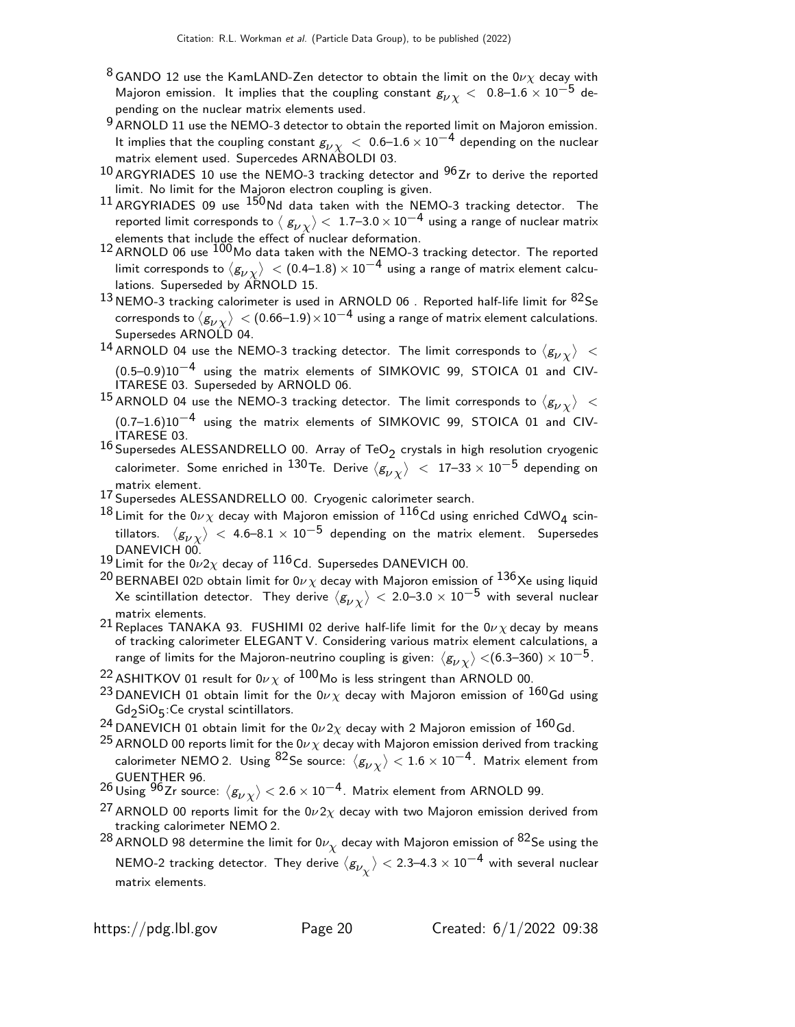- <sup>8</sup> GANDO 12 use the KamLAND-Zen detector to obtain the limit on the 0 $\nu\chi$  decay with Majoron emission. It implies that the coupling constant  $g_{\nu\nu}$  < 0.8–1.6 × 10<sup>-5</sup> depending on the nuclear matrix elements used.
- $9$  ARNOLD 11 use the NEMO-3 detector to obtain the reported limit on Majoron emission. It implies that the coupling constant  $g_{\nu \chi} \, < \, 0.6$ – $1.6 \times 10^{-4}$  depending on the nuclear matrix element used. Supercedes ARNABOLDI 03.
- $10$  ARGYRIADES 10 use the NEMO-3 tracking detector and  $96$  Zr to derive the reported limit. No limit for the Majoron electron coupling is given.
- 11 ARGYRIADES 09 use  $150$  Nd data taken with the NEMO-3 tracking detector. The reported limit corresponds to  $\langle|{\rm g}_{\nu \chi}\rangle <~$  1.7–3.0  $\times\,10^{-4}$  using a range of nuclear matrix
- elements that include the effect of nuclear deformation.<br><sup>12</sup> ARNOLD 06 use <sup>100</sup>Mo data taken with the NEMO-3 tracking detector. The reported limit corresponds to  $\langle g_{\nu \chi} \rangle~<$  (0.4–1.8)  $\times$  10 $^{-4}$  using a range of matrix element calculations. Superseded by ARNOLD 15.
- $13$  NEMO-3 tracking calorimeter is used in ARNOLD 06. Reported half-life limit for  $82$ Se corresponds to  $\langle g_{\nu\chi}\rangle\, <$  (0.66–1.9) $\times10^{-4}$  using a range of matrix element calculations. Supersedes ARNOLD 04.
- $^{14}$  ARNOLD 04 use the NEMO-3 tracking detector. The limit corresponds to  $\langle \textsf{g}_{\nu \chi} \rangle$   $\,<$ (0.5–0.9)10−4 using the matrix elements of SIMKOVIC 99, STOICA 01 and CIV-ITARESE 03. Superseded by ARNOLD 06.
- $^{15}$  ARNOLD 04 use the NEMO-3 tracking detector. The limit corresponds to  $\langle g_{\nu \chi} \rangle$   $<$ (0.7–1.6)10−4 using the matrix elements of SIMKOVIC 99, STOICA 01 and CIV-ITARESE 03.
- $^{16}$  Supersedes ALESSANDRELLO 00. Array of TeO<sub>2</sub> crystals in high resolution cryogenic calorimeter. Some enriched in  $^{130}$ Te. Derive  $\langle \bar{g_{\nu}}_{\chi} \rangle \ < \ 17$ –33  $\times\ 10^{-5}$  depending on matrix element.
- 17 Supersedes ALESSANDRELLO 00. Cryogenic calorimeter search.
- $^{18}$  Limit for the 0 $\nu\chi$  decay with Majoron emission of  $^{116}$ Cd using enriched CdWO<sub>4</sub> scintillators.  $\langle \rm g_{\rm \nu \chi}\rangle <$  4.6–8.1  $\times$  10 $^{-5}$  depending on the matrix element. Supersedes DANEVICH 00.
- $19$  Limit for the  $0\nu2\chi$  decay of  $116$  Cd. Supersedes DANEVICH 00.
- <sup>20</sup> BERNABEI 02D obtain limit for 0 $\nu\chi$  decay with Majoron emission of  $^{136}$ Xe using liquid Xe scintillation detector. They derive  $\langle g_{\nu\chi}\rangle < 2.0$ –3.0  $\times$   $10^{-5}$  with several nuclear matrix elements.
- 21 Replaces TANAKA 93. FUSHIMI 02 derive half-life limit for the  $0\nu\chi$  decay by means of tracking calorimeter ELEGANT V. Considering various matrix element calculations, a range of limits for the Majoron-neutrino coupling is given:  $\langle g_{\nu \chi}\rangle$  <(6.3–360)  $\times$   $10^{-5}$ .
- <sup>22</sup> ASHITKOV 01 result for 0 $\nu\chi$  of <sup>100</sup>Mo is less stringent than ARNOLD 00.
- <sup>23</sup> DANEVICH 01 obtain limit for the 0 $\nu \chi$  decay with Majoron emission of <sup>160</sup>Gd using Gd2 SiO5 :Ce crystal scintillators.
- <sup>24</sup> DANEVICH 01 obtain limit for the  $0\nu 2\chi$  decay with 2 Majoron emission of  $^{160}$ Gd.
- <sup>25</sup> ARNOLD 00 reports limit for the 0 $\nu \chi$  decay with Majoron emission derived from tracking calorimeter NEMO 2. Using <sup>82</sup>Se source:  $\langle g_{\nu \chi} \rangle < 1.6 \times 10^{-4}$ . Matrix element from
- GUENTHER 96. $^{26}$ Using  $^{96}$ Zr source:  $\langle g_{\nu\chi}\rangle$   $<$  2.6  $\times$  10 $^{-4}$ . Matrix element from ARNOLD 99.
- <sup>27</sup> ARNOLD 00 reports limit for the  $0\nu 2\chi$  decay with two Majoron emission derived from tracking calorimeter NEMO 2.
- $^{28}$ ARNOLD 98 determine the limit for 0 $\nu_{\chi}$  decay with Majoron emission of  $^{82}$ Se using the NEMO-2 tracking detector. They derive  $\langle g_{\nu_{\chi}} \rangle <$  2.3–4.3  $\times$   $10^{-4}$  with several nuclear matrix elements.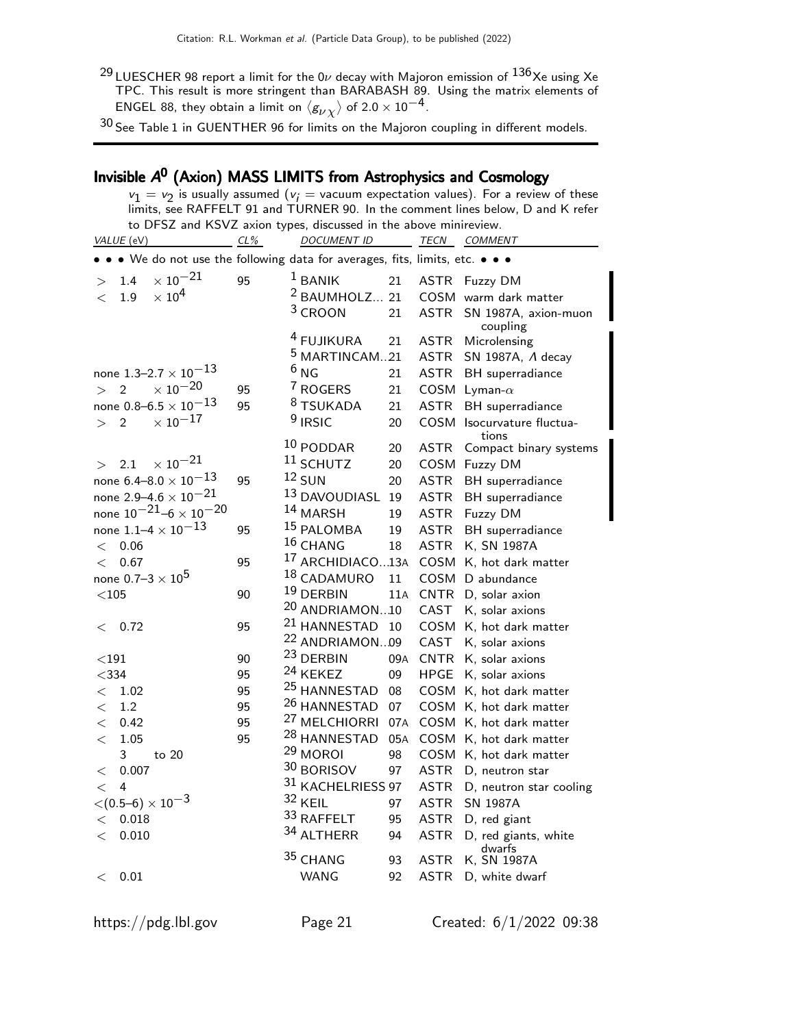$^{29}$ LUESCHER 98 report a limit for the 0 $\nu$  decay with Majoron emission of  $^{136}$ Xe using Xe TPC. This result is more stringent than BARABASH 89. Using the matrix elements of ENGEL 88, they obtain a limit on  $\langle g_{\nu \chi} \rangle$  of 2.0  $\times$  10 $^{-4}$ .

 $^{30}$  See Table 1 in GUENTHER 96 for limits on the Majoron coupling in different models.

# Invisible A<sup>0</sup> (Axion) MASS LIMITS from Astrophysics and Cosmology

| $v_1 = v_2$ is usually assumed ( $v_i =$ vacuum expectation values). For a review of these                                                          |     |                                    |     |             |                                  |  |
|-----------------------------------------------------------------------------------------------------------------------------------------------------|-----|------------------------------------|-----|-------------|----------------------------------|--|
| limits, see RAFFELT 91 and TURNER 90. In the comment lines below, D and K refer<br>to DFSZ and KSVZ axion types, discussed in the above minireview. |     |                                    |     |             |                                  |  |
| VALUE (eV)                                                                                                                                          | CL% | <b>DOCUMENT ID</b>                 |     | TECN        | COMMENT                          |  |
| • • • We do not use the following data for averages, fits, limits, etc. • • •                                                                       |     |                                    |     |             |                                  |  |
| $\times$ 10 <sup>-21</sup><br>1.4<br>$\geq$                                                                                                         | 95  | $1$ BANIK                          | 21  |             | ASTR Fuzzy DM                    |  |
| $\times$ 10 <sup>4</sup><br>1.9<br>$\lt$                                                                                                            |     | $2$ BAUMHOLZ 21                    |     |             | COSM warm dark matter            |  |
|                                                                                                                                                     |     | $3$ CROON                          | 21  | ASTR        | SN 1987A, axion-muon<br>coupling |  |
|                                                                                                                                                     |     | <sup>4</sup> FUJIKURA              | 21  | <b>ASTR</b> | Microlensing                     |  |
|                                                                                                                                                     |     | <sup>5</sup> MARTINCAM21           |     |             | ASTR SN 1987A, A decay           |  |
| none $1.3 - 2.7 \times 10^{-13}$                                                                                                                    |     | 6 <sub>NG</sub>                    | 21  |             | ASTR BH superradiance            |  |
| $\times$ 10 $^{-20}$<br>> 2                                                                                                                         | 95  | 7 ROGERS                           | 21  |             | COSM Lyman- $\alpha$             |  |
| none 0.8–6.5 $\times$ 10 <sup>–13</sup>                                                                                                             | 95  | 8 TSUKADA                          | 21  | <b>ASTR</b> | BH superradiance                 |  |
| $\times$ 10 $^{-17}$<br>$\overline{2}$<br>>                                                                                                         |     | $9$ IRSIC                          | 20  |             | COSM Isocurvature fluctua-       |  |
|                                                                                                                                                     |     | $10$ PODDAR                        | 20  | <b>ASTR</b> | tions<br>Compact binary systems  |  |
| $\times$ 10 $^{-21}$<br>2.1<br>$\geq$                                                                                                               |     | $11$ SCHUTZ                        | 20  |             | COSM Fuzzy DM                    |  |
| none 6.4–8.0 $\times$ 10 <sup>–13</sup>                                                                                                             | 95  | $12$ SUN                           | 20  | ASTR        | BH superradiance                 |  |
| none 2.9–4.6 $\times$ 10 <sup>–21</sup>                                                                                                             |     | <sup>13</sup> DAVOUDIASL           | 19  | <b>ASTR</b> | BH superradiance                 |  |
| none $10^{-21} - 6 \times 10^{-20}$                                                                                                                 |     | 14 MARSH                           | 19  |             | ASTR Fuzzy DM                    |  |
| none $1.1 - 4 \times 10^{-13}$                                                                                                                      | 95  | 15 PALOMBA                         | 19  |             | ASTR BH superradiance            |  |
| $<$ 0.06 $\,$                                                                                                                                       |     | 16 CHANG                           | 18  |             | ASTR K, SN 1987A                 |  |
| 0.67<br>$\lt$                                                                                                                                       | 95  | <sup>17</sup> ARCHIDIACO13A        |     |             | COSM K, hot dark matter          |  |
| none $0.7-3 \times 10^5$                                                                                                                            |     | 18 CADAMURO                        | 11  |             | COSM D abundance                 |  |
| $<$ 105 $\,$                                                                                                                                        | 90  | 19 DERBIN                          | 11A |             | CNTR D, solar axion              |  |
|                                                                                                                                                     |     | <sup>20</sup> ANDRIAMON10          |     | CAST        | K, solar axions                  |  |
| 0.72<br>$\lt$                                                                                                                                       | 95  | <sup>21</sup> HANNESTAD 10         |     |             | COSM K, hot dark matter          |  |
|                                                                                                                                                     |     | <sup>22</sup> ANDRIAMON09          |     | CAST        | K, solar axions                  |  |
| $<$ 191                                                                                                                                             | 90  | <sup>23</sup> DERBIN               | 09A |             | CNTR K, solar axions             |  |
| $<$ 334                                                                                                                                             | 95  | <sup>24</sup> KEKEZ                | 09  | <b>HPGE</b> | K, solar axions                  |  |
| 1.02<br>$\lt$                                                                                                                                       | 95  | <sup>25</sup> HANNESTAD            | 08  |             | COSM K, hot dark matter          |  |
| 1.2<br>$\lt$                                                                                                                                        | 95  | <sup>26</sup> HANNESTAD            | 07  |             | COSM K, hot dark matter          |  |
| 0.42<br>$\lt$                                                                                                                                       | 95  | <sup>27</sup> MELCHIORRI 07A       |     |             | COSM K, hot dark matter          |  |
| 1.05<br>$\lt$                                                                                                                                       | 95  | <sup>28</sup> HANNESTAD            | 05A |             | COSM K, hot dark matter          |  |
| $\overline{3}$<br>to 20                                                                                                                             |     | <sup>29</sup> MOROI                | 98  |             | COSM K, hot dark matter          |  |
| < 0.007                                                                                                                                             |     | 30 BORISOV 97 ASTR D, neutron star |     |             |                                  |  |
| $\lt$ 4                                                                                                                                             |     | 31 KACHELRIESS 97                  |     |             | ASTR D, neutron star cooling     |  |
| $\langle (0.5-6) \times 10^{-3} \rangle$                                                                                                            |     | 32 KEIL                            | 97  | ASTR        | <b>SN 1987A</b>                  |  |
| 0.018<br>$\,<\,$                                                                                                                                    |     | 33 RAFFELT                         | 95  | ASTR        | D, red giant                     |  |
| 0.010<br>$\lt$                                                                                                                                      |     | 34 ALTHERR                         | 94  | <b>ASTR</b> | D, red giants, white<br>dwarfs   |  |
|                                                                                                                                                     |     | 35 CHANG                           | 93  | <b>ASTR</b> | K, SN 1987A                      |  |
| 0.01<br>$\lt$                                                                                                                                       |     | <b>WANG</b>                        | 92  | ASTR        | D, white dwarf                   |  |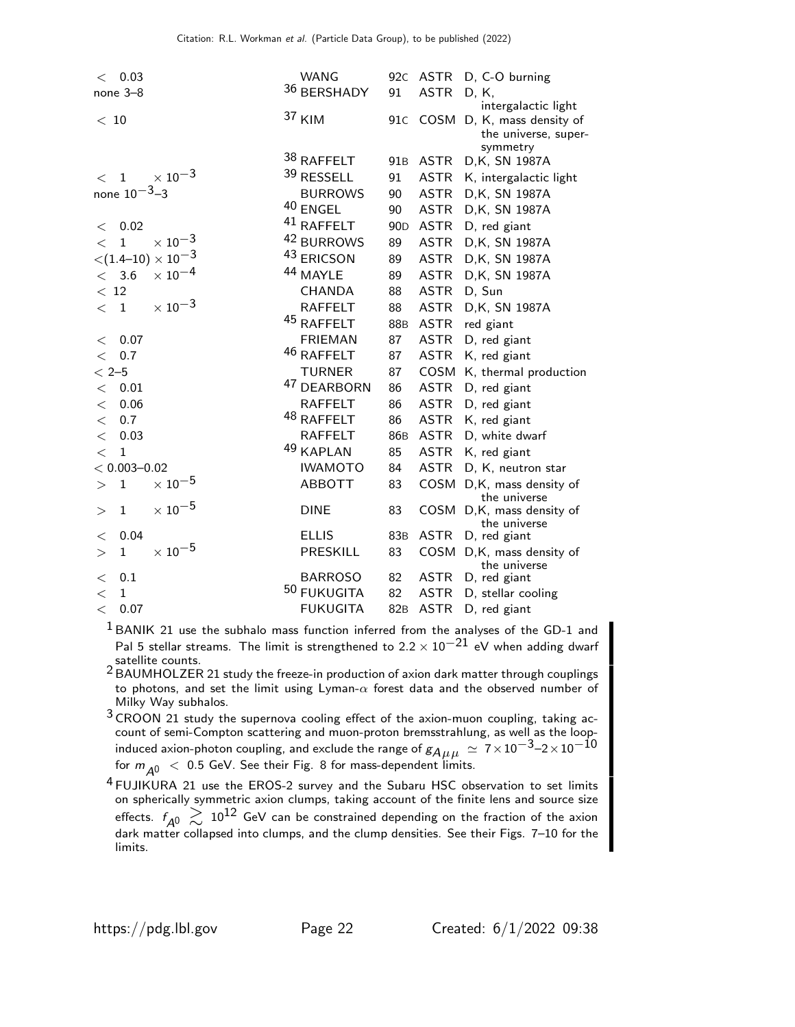| < 0.03                                               | <b>WANG</b>            |                 | 92c ASTR    | D, C-O burning                        |
|------------------------------------------------------|------------------------|-----------------|-------------|---------------------------------------|
| none 3-8                                             | 36 BERSHADY            | 91              | <b>ASTR</b> | D, K,                                 |
|                                                      |                        |                 |             | intergalactic light                   |
| < 10                                                 | 37 KIM                 | 91C             | COSM        | D, K, mass density of                 |
|                                                      |                        |                 |             | the universe, super-<br>symmetry      |
|                                                      | 38 RAFFELT             | 91 <sub>B</sub> | <b>ASTR</b> | D, K, SN 1987A                        |
| $\times$ 10 <sup>-3</sup><br>$\mathbf{1}$<br>$\lt$   | 39 RESSELL             | 91              | <b>ASTR</b> | K, intergalactic light                |
| none $10^{-3} - 3$                                   | <b>BURROWS</b>         | 90              | <b>ASTR</b> | D, K, SN 1987A                        |
|                                                      | $^{40}$ ENGEL          | 90              | ASTR        | D, K, SN 1987A                        |
| 0.02<br>$\lt$                                        | $41$ RAFFELT           | 90 <sub>D</sub> | ASTR        | D, red giant                          |
| $\times$ 10 <sup>-3</sup><br>$\mathbf{1}$<br>$\,<\,$ | 42 BURROWS             | 89              | ASTR        | D, K, SN 1987A                        |
| $<$ (1.4–10) $\times$ 10 $^{-3}$                     | 43 ERICSON             | 89              | ASTR        | D, K, SN 1987A                        |
| $\times$ $10^{-4}$<br>< 3.6                          | 44 MAYLE               | 89              | <b>ASTR</b> | D, K, SN 1987A                        |
| < 12                                                 | <b>CHANDA</b>          | 88              | <b>ASTR</b> | D, Sun                                |
| $\times$ $10^{-3}$<br>$\langle 1$                    | <b>RAFFELT</b>         | 88              | <b>ASTR</b> | D, K, SN 1987A                        |
|                                                      | 45 RAFFELT             | 88B             | ASTR        | red giant                             |
| 0.07<br>$\,<\,$                                      | <b>FRIEMAN</b>         | 87              | ASTR        | D, red giant                          |
| 0.7<br>$\lt$                                         | 46 RAFFELT             | 87              | ASTR        | K, red giant                          |
| $< 2 - 5$                                            | <b>TURNER</b>          | 87              | COSM        | K, thermal production                 |
| 0.01<br>$\lt$                                        | <sup>47</sup> DEARBORN | 86              | ASTR        | D, red giant                          |
| 0.06<br>$\lt$                                        | <b>RAFFELT</b>         | 86              | ASTR        | D, red giant                          |
| 0.7<br>$\lt$                                         | 48 RAFFELT             | 86              | ASTR        | K, red giant                          |
| 0.03<br>$\lt$                                        | <b>RAFFELT</b>         | 86B             | ASTR        | D, white dwarf                        |
| $\mathbf{1}$<br>$\lt$                                | 49 KAPLAN              | 85              | ASTR        | K, red giant                          |
| $< 0.003 - 0.02$                                     | <b>IWAMOTO</b>         | 84              | ASTR        | D, K, neutron star                    |
| $\times$ 10 $^{-5}$<br>$\mathbf{1}$<br>$\rm{>}$      | <b>ABBOTT</b>          | 83              |             | COSM D,K, mass density of             |
|                                                      |                        |                 |             | the universe                          |
| $\times$ $10^{-5}$<br>$\mathbf 1$<br>$\rm{>}$        | <b>DINE</b>            | 83              |             | COSM D,K, mass density of             |
|                                                      |                        |                 |             | the universe                          |
| 0.04<br>$\lt$                                        | <b>ELLIS</b>           | 83 <sub>B</sub> | ASTR        | D, red giant                          |
| $\times$ 10 <sup>-5</sup><br>$\mathbf{1}$<br>>       | PRESKILL               | 83              | COSM        | D, K, mass density of<br>the universe |
| 0.1<br>$\lt$                                         | <b>BARROSO</b>         | 82              | <b>ASTR</b> | D, red giant                          |
| $\mathbf{1}$<br>$\,<\,$                              | 50 FUKUGITA            | 82              | <b>ASTR</b> | D, stellar cooling                    |
| 0.07<br>$\lt$                                        | <b>FUKUGITA</b>        | 82 <sub>B</sub> | <b>ASTR</b> | D, red giant                          |

 $1$  BANIK 21 use the subhalo mass function inferred from the analyses of the GD-1 and Pal 5 stellar streams. The limit is strengthened to  $2.2 \times 10^{-21}$  eV when adding dwarf satellite counts.

2 BAUMHOLZER 21 study the freeze-in production of axion dark matter through couplings to photons, and set the limit using Lyman- $\alpha$  forest data and the observed number of Milky Way subhalos.

3 CROON 21 study the supernova cooling effect of the axion-muon coupling, taking account of semi-Compton scattering and muon-proton bremsstrahlung, as well as the loopinduced axion-photon coupling, and exclude the range of  $g_{A\mu\mu}\,\simeq\, 7\!\times\!10^{-3}$ –2 $\times 10^{-10}$ for  $m_{A0}$  < 0.5 GeV. See their Fig. 8 for mass-dependent limits.

4 FUJIKURA 21 use the EROS-2 survey and the Subaru HSC observation to set limits on spherically symmetric axion clumps, taking account of the finite lens and source size effects.  $f_{A^0}\gtrsim 10^{12}$  GeV can be constrained depending on the fraction of the axion<br>dark matter collapsed into clumps, and the clump densities. See their Figs. 7–10 for the limits.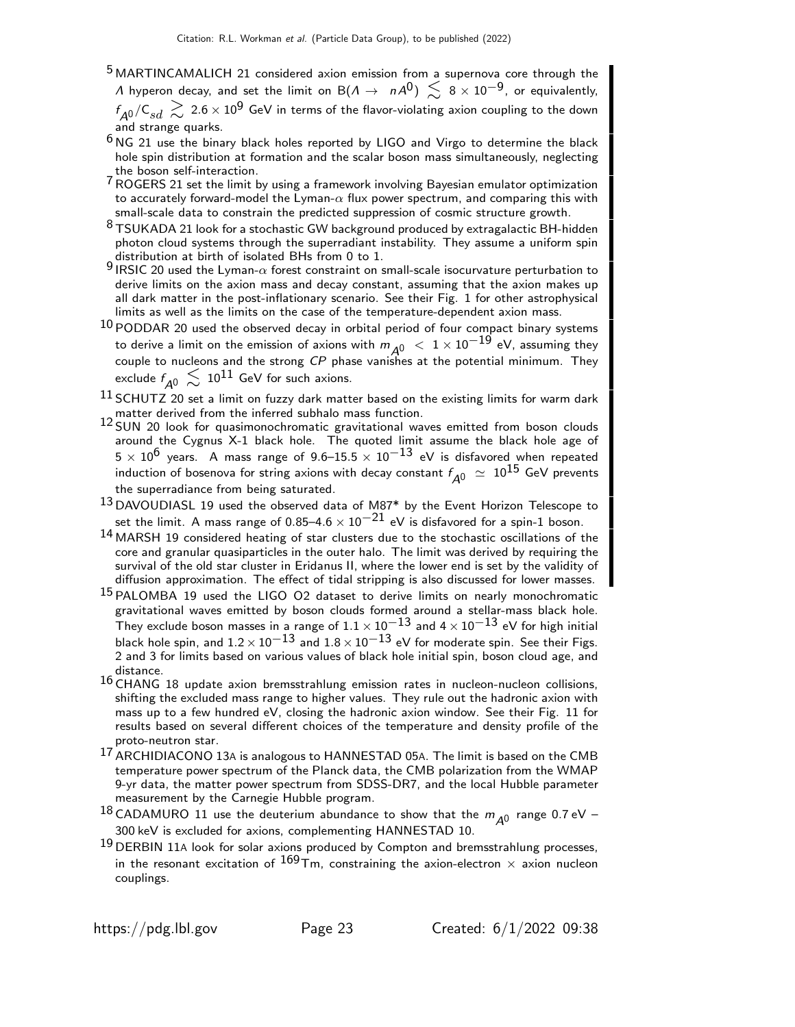- 5 MARTINCAMALICH 21 considered axion emission from a supernova core through the  $\varLambda$  hyperon decay, and set the limit on  $\mathsf{B}(\varLambda\to-n\varLambda^0)\,\lesssim\,8\times10^{-9}$ , or equivalently,  $f_\text{\small{A0}}/\textsf{C}_{sd} \, \gtrsim \, 2.6 \times 10^{9}$  GeV in terms of the flavor-violating axion coupling to the down and strange quarks.
- $6$  NG 21 use the binary black holes reported by LIGO and Virgo to determine the black hole spin distribution at formation and the scalar boson mass simultaneously, neglecting the boson self-interaction.
- The boson sen-interaction.<br><sup>7</sup> ROGERS 21 set the limit by using a framework involving Bayesian emulator optimization to accurately forward-model the Lyman- $\alpha$  flux power spectrum, and comparing this with small-scale data to constrain the predicted suppression of cosmic structure growth.
- $8$  TSUKADA 21 look for a stochastic GW background produced by extragalactic BH-hidden photon cloud systems through the superradiant instability. They assume a uniform spin distribution at birth of isolated BHs from 0 to 1.
- 9 IRSIC 20 used the Lyman- $\alpha$  forest constraint on small-scale isocurvature perturbation to derive limits on the axion mass and decay constant, assuming that the axion makes up all dark matter in the post-inflationary scenario. See their Fig. 1 for other astrophysical limits as well as the limits on the case of the temperature-dependent axion mass.
- $10$  PODDAR 20 used the observed decay in orbital period of four compact binary systems to derive a limit on the emission of axions with  $m_{\Delta 0}$   $\langle$  1  $\times$  10<sup>-19</sup> eV, assuming they couple to nucleons and the strong CP phase vanishes at the potential minimum. They exclude  $f_{\mathcal{A}^0}\,\lesssim\,10^{11}$  GeV for such axions.
- $^{11}$  SCHUTZ 20 set a limit on fuzzy dark matter based on the existing limits for warm dark matter derived from the inferred subhalo mass function.
- 12 SUN 20 look for quasimonochromatic gravitational waves emitted from boson clouds around the Cygnus X-1 black hole. The quoted limit assume the black hole age of  $5 \times 10^6$  years. A mass range of 9.6–15.5  $\times$   $10^{-13}$  eV is disfavored when repeated induction of bosenova for string axions with decay constant  $f_{\pmb{A}^0}\ \simeq\ 10^{15}$  GeV prevents the superradiance from being saturated.
- $^{13}$  DAVOUDIASL 19 used the observed data of M87 $^*$  by the Event Horizon Telescope to set the limit. A mass range of 0.85–4.6  $\times$  10<sup>-21</sup> eV is disfavored for a spin-1 boson.
- 14 MARSH 19 considered heating of star clusters due to the stochastic oscillations of the core and granular quasiparticles in the outer halo. The limit was derived by requiring the survival of the old star cluster in Eridanus II, where the lower end is set by the validity of diffusion approximation. The effect of tidal stripping is also discussed for lower masses.
- <sup>15</sup> PALOMBA 19 used the LIGO O2 dataset to derive limits on nearly monochromatic gravitational waves emitted by boson clouds formed around a stellar-mass black hole. They exclude boson masses in a range of  $1.1 \times 10^{-13}$  and  $4 \times 10^{-13}$  eV for high initial black hole spin, and  $1.2 \times 10^{-13}$  and  $1.8 \times 10^{-13}$  eV for moderate spin. See their Figs. 2 and 3 for limits based on various values of black hole initial spin, boson cloud age, and distance.
- $16$  CHANG 18 update axion bremsstrahlung emission rates in nucleon-nucleon collisions, shifting the excluded mass range to higher values. They rule out the hadronic axion with mass up to a few hundred eV, closing the hadronic axion window. See their Fig. 11 for results based on several different choices of the temperature and density profile of the proto-neutron star.
- 17 ARCHIDIACONO 13<sup>A</sup> is analogous to HANNESTAD 05A. The limit is based on the CMB temperature power spectrum of the Planck data, the CMB polarization from the WMAP 9-yr data, the matter power spectrum from SDSS-DR7, and the local Hubble parameter measurement by the Carnegie Hubble program.
- <sup>18</sup> CADAMURO 11 use the deuterium abundance to show that the  $m_{A0}$  range 0.7 eV 300 keV is excluded for axions, complementing HANNESTAD 10.
- $19$  DERBIN 11A look for solar axions produced by Compton and bremsstrahlung processes, in the resonant excitation of  $^{169}$ Tm, constraining the axion-electron  $\times$  axion nucleon couplings.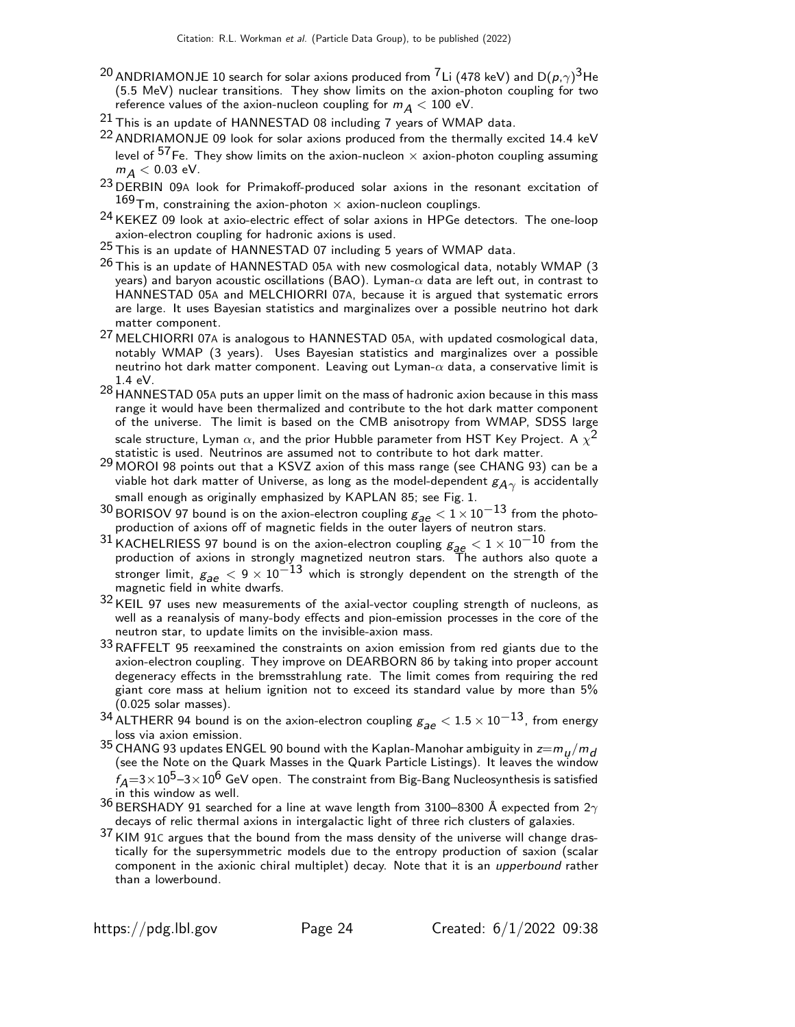- $^{20}$  ANDRIAMONJE 10 search for solar axions produced from  $^{7}$ Li (478 keV) and D $(\rho,\gamma)^{3}$ He (5.5 MeV) nuclear transitions. They show limits on the axion-photon coupling for two reference values of the axion-nucleon coupling for  $m_A < 100$  eV.
- $21$  This is an update of HANNESTAD 08 including 7 years of WMAP data.
- <sup>22</sup> ANDRIAMONJE 09 look for solar axions produced from the thermally excited 14.4 keV level of  $57$  Fe. They show limits on the axion-nucleon  $\times$  axion-photon coupling assuming  $m_A < 0.03$  eV.
- <sup>23</sup> DERBIN 09A look for Primakoff-produced solar axions in the resonant excitation of  $^{169}$ Tm, constraining the axion-photon  $\times$  axion-nucleon couplings.
- 24 KEKEZ 09 look at axio-electric effect of solar axions in HPGe detectors. The one-loop axion-electron coupling for hadronic axions is used.
- 25 This is an update of HANNESTAD 07 including 5 years of WMAP data.
- $26$  This is an update of HANNESTAD 05A with new cosmological data, notably WMAP (3) years) and baryon acoustic oscillations (BAO). Lyman- $\alpha$  data are left out, in contrast to HANNESTAD 05A and MELCHIORRI 07A, because it is argued that systematic errors are large. It uses Bayesian statistics and marginalizes over a possible neutrino hot dark matter component.
- 27 MELCHIORRI 07<sup>A</sup> is analogous to HANNESTAD 05A, with updated cosmological data, notably WMAP (3 years). Uses Bayesian statistics and marginalizes over a possible neutrino hot dark matter component. Leaving out Lyman- $\alpha$  data, a conservative limit is 1.4 eV.
- 28 HANNESTAD 05A puts an upper limit on the mass of hadronic axion because in this mass range it would have been thermalized and contribute to the hot dark matter component of the universe. The limit is based on the CMB anisotropy from WMAP, SDSS large scale structure, Lyman  $\alpha$ , and the prior Hubble parameter from HST Key Project. A  $\chi^2$ statistic is used. Neutrinos are assumed not to contribute to hot dark matter.
- $^{29}$  MOROI 98 points out that a KSVZ axion of this mass range (see CHANG 93) can be a viable hot dark matter of Universe, as long as the model-dependent  $\mathcal{g}_{\mathcal{A}\gamma}$  is accidentally small enough as originally emphasized by KAPLAN 85; see Fig. 1.
- <sup>30</sup> BORISOV 97 bound is on the axion-electron coupling  $g_{ae} < 1 \times 10^{-13}$  from the photo-production of axions off of magnetic fields in the outer layers of neutron stars.
- $^{31}$ KACHELRIESS 97 bound is on the axion-electron coupling  $g_{ae} < 1 \times 10^{-10}$  from the production of axions in strongly magnetized neutron stars. The authors also quote a stronger limit,  $g_{ae} < 9 \times 10^{-13}$  which is strongly dependent on the strength of the magnetic field in white dwarfs.
- 32 KEIL 97 uses new measurements of the axial-vector coupling strength of nucleons, as well as a reanalysis of many-body effects and pion-emission processes in the core of the neutron star, to update limits on the invisible-axion mass.
- $33$  RAFFELT 95 reexamined the constraints on axion emission from red giants due to the axion-electron coupling. They improve on DEARBORN 86 by taking into proper account degeneracy effects in the bremsstrahlung rate. The limit comes from requiring the red giant core mass at helium ignition not to exceed its standard value by more than 5% (0.025 solar masses).
- 34 ALTHERR 94 bound is on the axion-electron coupling  $g_{\text{max}} < 1.5 \times 10^{-13}$ , from energy loss via axion emission.
- <sup>35</sup> CHANG 93 updates ENGEL 90 bound with the Kaplan-Manohar ambiguity in  $z=m_\mu/m_d$ (see the Note on the Quark Masses in the Quark Particle Listings). It leaves the window  $f_A{=}3{\times}10^5{-}3{\times}10^6$  GeV open. The constraint from Big-Bang Nucleosynthesis is satisfied in this window as well.
- $36$  BERSHADY 91 searched for a line at wave length from 3100–8300 Å expected from  $2\gamma$ decays of relic thermal axions in intergalactic light of three rich clusters of galaxies.
- $37$  KIM 91C argues that the bound from the mass density of the universe will change drastically for the supersymmetric models due to the entropy production of saxion (scalar component in the axionic chiral multiplet) decay. Note that it is an upperbound rather than a lowerbound.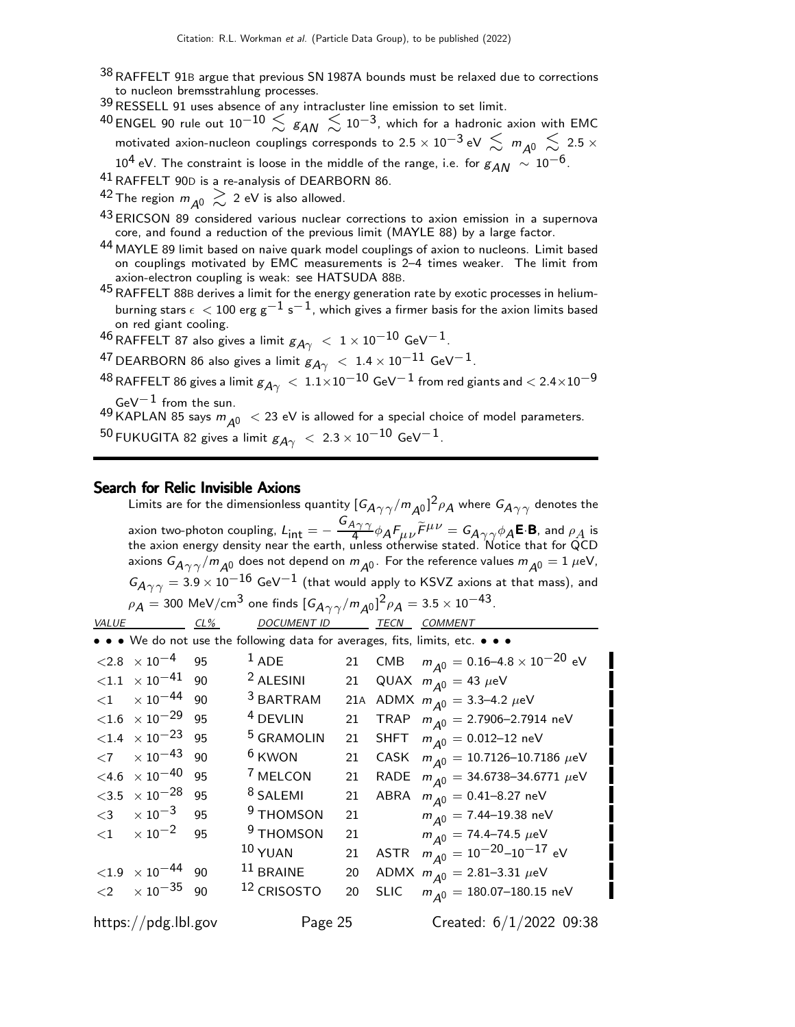38 RAFFELT 91B argue that previous SN 1987A bounds must be relaxed due to corrections to nucleon bremsstrahlung processes.

39RESSELL 91 uses absence of any intracluster line emission to set limit.

 $^{40}$ ENGEL 90 rule out  $10^{-10} \lesssim \, \rm g_{AN} \, \lesssim \, 10^{-3}$ , which for a hadronic axion with EMC motivated axion-nucleon couplings corresponds to 2.5  $\times$  10<sup>-3</sup> eV  $\lesssim m_{A0} \lesssim 2.5 \times$ 10<sup>4</sup> eV. The constraint is loose in the middle of the range, i.e. for  $g_{AN} \sim 10^{-6}$ .

41RAFFELT 90<sup>D</sup> is a re-analysis of DEARBORN 86.

<sup>42</sup> The region  $m_{A0} \gtrsim$  2 eV is also allowed.

- 43 ERICSON 89 considered various nuclear corrections to axion emission in a supernova core, and found a reduction of the previous limit (MAYLE 88) by a large factor.
- $^{44}$  MAYLE 89 limit based on naive quark model couplings of axion to nucleons. Limit based on couplings motivated by EMC measurements is 2–4 times weaker. The limit from axion-electron coupling is weak: see HATSUDA 88B.
- 45RAFFELT 88<sup>B</sup> derives a limit for the energy generation rate by exotic processes in heliumburning stars  $\epsilon < 100$  erg g<sup>-1</sup> s<sup>-1</sup>, which gives a firmer basis for the axion limits based on red giant cooling.

46 RAFFELT 87 also gives a limit  $g_{A\gamma}$  < 1 × 10<sup>-10</sup> GeV<sup>-1</sup>.

 $^{47}$  DEARBORN 86 also gives a limit  $g_{A\gamma}~<~1.4\times10^{-11}$  GeV $^{-1}$ .

 $^{48}$  RAFFELT 86 gives a limit  $g_{A\gamma}~<~1.1\times10^{-10}$  GeV $^{-1}$  from red giants and  $< 2.4\times10^{-9}$ GeV $^{-1}$  from the sun.

 $^{49}$  KAPLAN 85 says  $m_{\tilde{A}^0} < 23$  eV is allowed for a special choice of model parameters. 50 FUKUGITA 82 gives a limit  $g_{A\gamma}$  < 2.3 × 10<sup>-10</sup> GeV<sup>-1</sup>.

#### Search for Relic Invisible Axions

Limits are for the dimensionless quantity  ${[G_A}_{\gamma\gamma}/m_{A^0}]^2\rho_A$  where  $G_{\!A\gamma\gamma}$  denotes the axion two-photon coupling,  $L_{\mathsf{int}} = -\; \frac{G_{A\gamma\,\gamma}}{4}$  $\frac{4\gamma\gamma}{4}\phi_A F_{\mu\nu}\widetilde{F}^{\mu\nu} = G_{A\gamma\gamma}\phi_A$ E.B, and  $\rho_A$  is the axion energy density near the earth, unless otherwise stated. Notice that for QCD axions  $G_{A\gamma\gamma}/m_{A^0}$  does not depend on  $m_{A^0}$ . For the reference values  $m_{A^0}=1$   $\mu$ eV,  $G_{A\gamma\gamma} = 3.9 \times 10^{-16}$  GeV<sup>-1</sup> (that would apply to KSVZ axions at that mass), and  $\rho_{\cal A} =$  300 MeV/cm $^3$  one finds  $[ G_{{\cal A}\, \gamma \, \gamma}/m_{{\cal A}^0}]^2 \rho_{\cal A} =$  3.5  $\times$  10 $^{-43}$ . VALUE CL% DOCUMENT ID TECN COMMENT

|                                         |    | • • • We do not use the following data for averages, fits, limits, etc. • • • |    |                                                |
|-----------------------------------------|----|-------------------------------------------------------------------------------|----|------------------------------------------------|
| $<$ 2.8 $\times$ 10 $^{-4}$             | 95 | $1$ ADE                                                                       |    | 21 CMB $m_{A^0} = 0.16-4.8 \times 10^{-20}$ eV |
| ${<}1.1 \phantom{0}\times 10^{-41}$     | 90 | <sup>2</sup> ALESINI                                                          | 21 | QUAX $m_{\overline{A}0} = 43 \ \mu\text{eV}$   |
| $<$ 1 $\times$ 10 <sup>-44</sup> 90     |    | <sup>3</sup> BARTRAM                                                          |    | 21A ADMX $m_{A0} = 3.3 - 4.2 \mu\text{eV}$     |
| ${<}1.6$ $\times$ 10 <sup>-29</sup> 95  |    | <sup>4</sup> DEVLIN                                                           | 21 | TRAP $m_{\overline{A}0} = 2.7906 - 2.7914$ neV |
| $\langle 1.4 \times 10^{-23} \space 95$ |    | <sup>5</sup> GRAMOLIN                                                         | 21 | SHFT $m_{A0} = 0.012 - 12$ neV                 |
| $\langle 7 \rangle \times 10^{-43}$     | 90 | $6$ KWON                                                                      | 21 | CASK $m_{A0} = 10.7126 - 10.7186 \mu\text{eV}$ |
| $<$ 4.6 $\times$ 10 <sup>-40</sup>      | 95 | <sup>7</sup> MELCON                                                           | 21 | RADE $m_{A^0} = 34.6738 - 34.6771 \mu eV$      |
| $<$ 3.5 $\times$ 10 $^{-28}$            | 95 | <sup>8</sup> SALEMI                                                           | 21 | ABRA $m_{A^0} = 0.41 - 8.27$ neV               |
| $<$ 3 $\times10^{-3}$                   | 95 | <sup>9</sup> THOMSON                                                          | 21 | $m_{\varDelta0} =$ 7.44–19.38 neV              |
| $<$ 1 $\times$ 10 <sup>-2</sup>         | 95 | <sup>9</sup> THOMSON                                                          |    | 21 $m_{A0} = 74.4 - 74.5 \mu\text{eV}$         |
|                                         |    | $^{10}$ YUAN                                                                  | 21 | ASTR $m_{A0} = 10^{-20} - 10^{-17}$ eV         |
| $< 1.9 \times 10^{-44}$ 90              |    | $11$ BRAINE                                                                   | 20 | ADMX $m_{A0} = 2.81 - 3.31 \mu\text{eV}$       |
| $\langle 2 \times 10^{-35} \quad 90$    |    | <sup>12</sup> CRISOSTO                                                        | 20 | SLIC $m_{\overline{A}0} = 180.07 - 180.15$ neV |
| https://pdg.lbl.gov                     |    | Page 25                                                                       |    | Created: $6/1/2022$ 09:38                      |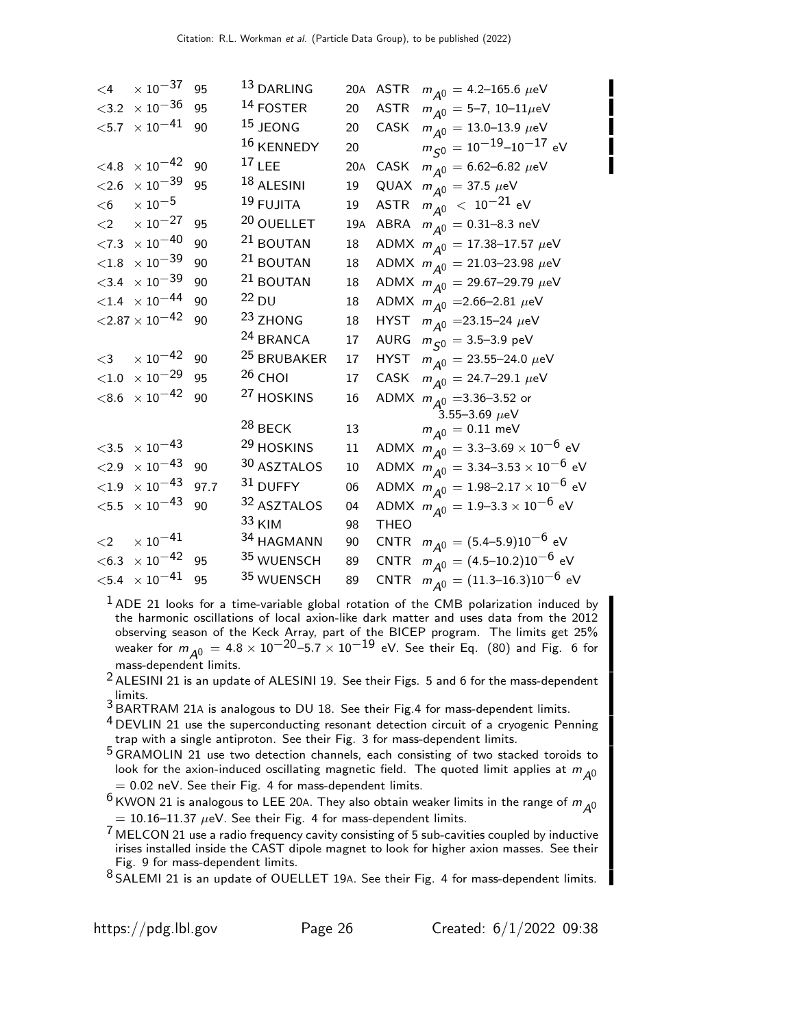| $\leq 4$ | $\times$ 10 $^{-37}$               | 95   | <sup>13</sup> DARLING  |     |             | 20A ASTR $m_{A0} = 4.2 - 165.6 \mu\text{eV}$              |
|----------|------------------------------------|------|------------------------|-----|-------------|-----------------------------------------------------------|
|          | $<$ 3.2 $\times$ 10 <sup>-36</sup> | 95   | $14$ FOSTER            | 20  |             | ASTR $m_{A^0} = 5-7$ , 10-11 $\mu$ eV                     |
|          | $<\!\!5.7\;\times10^{-41}$         | 90   | <sup>15</sup> JEONG    | 20  |             | CASK $m_{A^0} = 13.0 - 13.9 \ \mu\text{eV}$               |
|          |                                    |      | 16 KENNEDY             | 20  |             | $m_{\zeta 0}^{\prime\prime} = 10^{-19} - 10^{-17}$ eV     |
| $<$ 4.8  | $\times$ 10 <sup>-42</sup>         | 90   | $17$ LEE               | 20A |             | CASK $m_{A^0} = 6.62 - 6.82 \ \mu\text{eV}$               |
| ${<}2.6$ | $\times$ $10^{-39}$                | 95   | $18$ ALESINI           | 19  |             | QUAX $m_{A^0} = 37.5 \ \mu\text{eV}$                      |
| $<$ 6    | $\times$ 10 $^{-5}$                |      | $19$ FUJITA            | 19  |             | ASTR $m_{\tilde{A}^0}$ < 10 <sup>-21</sup> eV             |
| ${<}2$   | $\times$ 10 $^{-27}$               | 95   | 20 OUELLET             | 19A |             | ABRA $m_{A0} = 0.31 - 8.3$ neV                            |
|          | $<\!\!7.3\;\times10^{-40}$         | 90   | <sup>21</sup> BOUTAN   | 18  |             | ADMX $m_{A^0} = 17.38 - 17.57 \mu\text{eV}$               |
| ${<}1.8$ | $\times$ $10^{-39}$                | 90   | $21$ BOUTAN            | 18  |             | ADMX $m_{A^0} = 21.03 - 23.98 \mu eV$                     |
|          | $<$ 3.4 $\times$ 10 <sup>-39</sup> | 90   | <sup>21</sup> BOUTAN   | 18  |             | ADMX $m_{A^0} = 29.67-29.79 \mu eV$                       |
|          | $< 1.4 \times 10^{-44}$            | 90   | $^{22}$ DU             | 18  |             | ADMX $m_{\Delta 0}$ = 2.66–2.81 $\mu$ eV                  |
|          | $<$ 2.87 $\times$ 10 $^{-42}$      | 90   | <sup>23</sup> ZHONG    | 18  |             | HYST $m_{A^0}$ =23.15-24 $\mu$ eV                         |
|          |                                    |      | <sup>24</sup> BRANCA   | 17  |             | AURG $m_{\tilde{S}^0} = 3.5 - 3.9 \text{ peV}$            |
| $<$ 3    | $\times$ 10 <sup>-42</sup>         | 90   | <sup>25</sup> BRUBAKER | 17  |             | HYST $m_{A^0} = 23.55 - 24.0 \text{ }\mu\text{eV}$        |
| ${<}1.0$ | $\times\,10^{-29}$                 | 95   | $26$ CHOI              | 17  |             | CASK $m_{A^0} = 24.7-29.1 \mu\text{eV}$                   |
|          | $< 8.6 \times 10^{-42}$            | 90   | <sup>27</sup> HOSKINS  | 16  |             | ADMX $m_{A^0}$ =3.36–3.52 or                              |
|          |                                    |      |                        |     |             | 3.55-3.69 $\mu$ eV                                        |
|          |                                    |      | $28$ BECK              | 13  |             | $m_{A0} = 0.11$ meV                                       |
|          | $<$ 3.5 $\times$ 10 <sup>-43</sup> |      | <sup>29</sup> HOSKINS  | 11  |             | ADMX $m_{A^0} = 3.3 - 3.69 \times 10^{-6}$ eV             |
| ${<}2.9$ | $\times$ 10 $^{-43}$               | 90   | 30 ASZTALOS            | 10  |             | ADMX $m_{\overline{A}0} = 3.34 - 3.53 \times 10^{-6}$ eV  |
|          | $<$ 1.9 $\times$ 10 $^{-43}$       | 97.7 | $31$ DUFFY             | 06  |             | ADMX $m_{\tilde{A}^0} = 1.98 - 2.17 \times 10^{-6}$ eV    |
|          | $<\!\!5.5\;\times10^{-43}$         | 90   | 32 ASZTALOS            | 04  |             | ADMX $m_{A0} = 1.9 - 3.3 \times 10^{-6}$ eV               |
|          |                                    |      | 33 KIM                 | 98  | <b>THEO</b> |                                                           |
| $<$ 2    | $\times$ $10^{-41}$                |      | 34 HAGMANN             | 90  |             | CNTR $m_{\overline{A}0} = (5.4-5.9)10^{-6}$ eV            |
|          | $<$ 6.3 $\;\times10^{-42}$         | 95   | 35 WUENSCH             | 89  |             | CNTR $m_{A^0} = (4.5-10.2)10^{-6}$ eV                     |
|          | $<\!\!5.4\;\times10^{-41}$         | 95   | 35 WUENSCH             | 89  |             | CNTR $m_{A^0} = (11.3 \text{--} 16.3) 10^{-6} \text{ eV}$ |
|          |                                    |      |                        |     |             |                                                           |

 $<sup>1</sup>$  ADE 21 looks for a time-variable global rotation of the CMB polarization induced by</sup> the harmonic oscillations of local axion-like dark matter and uses data from the 2012 observing season of the Keck Array, part of the BICEP program. The limits get 25% weaker for  $m_{\cal A}^{}0^{}~=~4.8\times 10^{-20}$ —5.7  $\times$   $10^{-19}$  eV. See their Eq.  $\,$  (80) and Fig. 6 for mass-dependent limits.

 $2$  ALESINI 21 is an update of ALESINI 19. See their Figs. 5 and 6 for the mass-dependent limits.

3 BARTRAM 21A is analogous to DU 18. See their Fig.4 for mass-dependent limits.

<sup>4</sup> DEVLIN 21 use the superconducting resonant detection circuit of a cryogenic Penning trap with a single antiproton. See their Fig. 3 for mass-dependent limits.

<sup>5</sup> GRAMOLIN 21 use two detection channels, each consisting of two stacked toroids to look for the axion-induced oscillating magnetic field. The quoted limit applies at  $m_{A0}$  $= 0.02$  neV. See their Fig. 4 for mass-dependent limits.

 $6$  KWON 21 is analogous to LEE 20A. They also obtain weaker limits in the range of  $m_{\tilde{A}^0}$  $= 10.16 - 11.37 \mu\text{eV}$ . See their Fig. 4 for mass-dependent limits.

 $7$  MELCON 21 use a radio frequency cavity consisting of 5 sub-cavities coupled by inductive irises installed inside the CAST dipole magnet to look for higher axion masses. See their Fig. 9 for mass-dependent limits.

 $8$  SALEMI 21 is an update of OUELLET 19A. See their Fig. 4 for mass-dependent limits.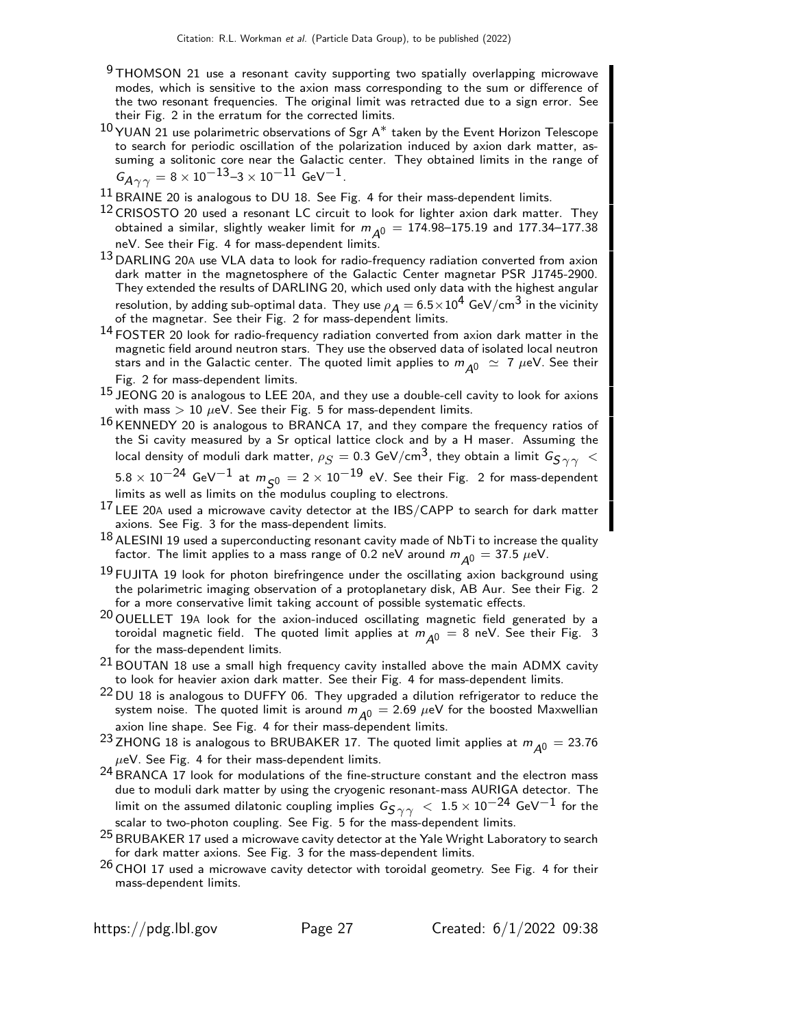- $9$  THOMSON 21 use a resonant cavity supporting two spatially overlapping microwave modes, which is sensitive to the axion mass corresponding to the sum or difference of the two resonant frequencies. The original limit was retracted due to a sign error. See their Fig. 2 in the erratum for the corrected limits.
- $^{10}$ YUAN 21 use polarimetric observations of Sgr A $^*$  taken by the Event Horizon Telescope to search for periodic oscillation of the polarization induced by axion dark matter, assuming a solitonic core near the Galactic center. They obtained limits in the range of  $G_{A\gamma\gamma} = 8 \times 10^{-13}$ –3 × 10<sup>-11</sup> GeV<sup>-1</sup>.
- $^{11}$  BRAINE 20 is analogous to DU 18. See Fig. 4 for their mass-dependent limits.
- $12$  CRISOSTO 20 used a resonant LC circuit to look for lighter axion dark matter. They obtained a similar, slightly weaker limit for  $m_{A0} = 174.98 - 175.19$  and 177.34-177.38 neV. See their Fig. 4 for mass-dependent limits.
- 13 DARLING 20A use VLA data to look for radio-frequency radiation converted from axion dark matter in the magnetosphere of the Galactic Center magnetar PSR J1745-2900. They extended the results of DARLING 20, which used only data with the highest angular resolution, by adding sub-optimal data. They use  $\rho_{\cal A}=$  6.5 $\times10^4$  GeV/cm $^3$  in the vicinity of the magnetar. See their Fig. 2 for mass-dependent limits.
- 14 FOSTER 20 look for radio-frequency radiation converted from axion dark matter in the magnetic field around neutron stars. They use the observed data of isolated local neutron stars and in the Galactic center. The quoted limit applies to  $m_{A0} \simeq 7 \mu eV$ . See their Fig. 2 for mass-dependent limits.
- $^{15}$  JEONG 20 is analogous to LEE 20A, and they use a double-cell cavity to look for axions with mass  $> 10 \mu eV$ . See their Fig. 5 for mass-dependent limits.
- $16$  KENNEDY 20 is analogous to BRANCA 17, and they compare the frequency ratios of the Si cavity measured by a Sr optical lattice clock and by a H maser. Assuming the local density of moduli dark matter,  $\rho_S =$  0.3 GeV/cm<sup>3</sup>, they obtain a limit  $G_{S\gamma\gamma}~<$  $5.8 \times 10^{-24}$  GeV $^{-1}$  at  $m_{\tilde{50}} = 2 \times 10^{-19}$  eV. See their Fig. 2 for mass-dependent
- limits as well as limits on the modulus coupling to electrons.  $17$  LEE 20A used a microwave cavity detector at the IBS/CAPP to search for dark matter axions. See Fig. 3 for the mass-dependent limits.
- $^{18}$  ALESINI 19 used a superconducting resonant cavity made of NbTi to increase the quality factor. The limit applies to a mass range of 0.2 neV around  $m_{\Delta 0} = 37.5 \ \mu eV$ .
- <sup>19</sup> FUJITA 19 look for photon birefringence under the oscillating axion background using the polarimetric imaging observation of a protoplanetary disk, AB Aur. See their Fig. 2 for a more conservative limit taking account of possible systematic effects.
- $20$  OUELLET 19A look for the axion-induced oscillating magnetic field generated by a toroidal magnetic field. The quoted limit applies at  $m_{A0} = 8$  neV. See their Fig. 3 for the mass-dependent limits.
- $21$  BOUTAN 18 use a small high frequency cavity installed above the main ADMX cavity to look for heavier axion dark matter. See their Fig. 4 for mass-dependent limits.
- 22 DU 18 is analogous to DUFFY 06. They upgraded a dilution refrigerator to reduce the system noise. The quoted limit is around  $m_{A0} = 2.69 \ \mu\text{eV}$  for the boosted Maxwellian axion line shape. See Fig. 4 for their mass-dependent limits.
- <sup>23</sup> ZHONG 18 is analogous to BRUBAKER 17. The quoted limit applies at  $m_{A^0} = 23.76$  $\mu$ eV. See Fig. 4 for their mass-dependent limits.
- $^{24}$  BRANCA 17 look for modulations of the fine-structure constant and the electron mass due to moduli dark matter by using the cryogenic resonant-mass AURIGA detector. The limit on the assumed dilatonic coupling implies  $G_{S\, \gamma \, \gamma} \ < \ 1.5 \times 10^{-24}$  GeV $^{-1}$  for the scalar to two-photon coupling. See Fig. 5 for the mass-dependent limits.
- $25$  BRUBAKER 17 used a microwave cavity detector at the Yale Wright Laboratory to search for dark matter axions. See Fig. 3 for the mass-dependent limits.
- $26$  CHOI 17 used a microwave cavity detector with toroidal geometry. See Fig. 4 for their mass-dependent limits.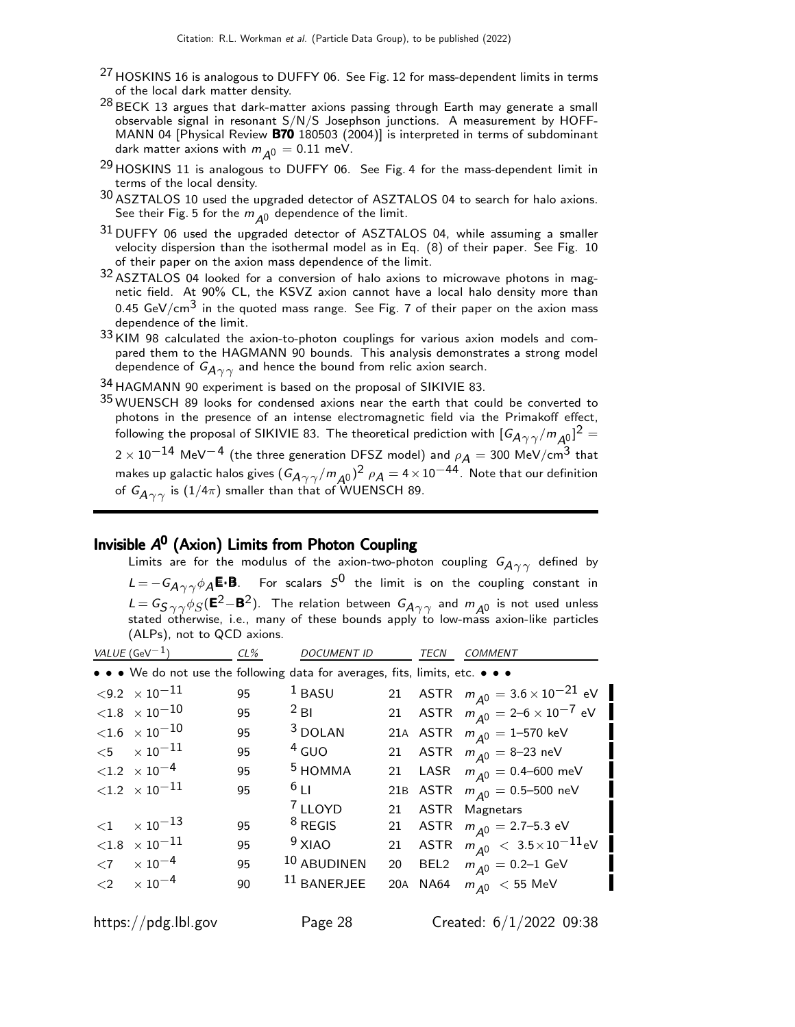- <sup>27</sup> HOSKINS 16 is analogous to DUFFY 06. See Fig. 12 for mass-dependent limits in terms of the local dark matter density.
- $^{28}$  BECK 13 argues that dark-matter axions passing through Earth may generate a small observable signal in resonant S/N/S Josephson junctions. A measurement by HOFF-MANN 04 [Physical Review **B70** 180503 (2004)] is interpreted in terms of subdominant dark matter axions with  $m_{A0} = 0.11$  meV.
- <sup>29</sup> HOSKINS 11 is analogous to DUFFY 06. See Fig. 4 for the mass-dependent limit in terms of the local density.
- 30 ASZTALOS 10 used the upgraded detector of ASZTALOS 04 to search for halo axions. See their Fig. 5 for the  $m_{A0}$  dependence of the limit.
- $31$  DUFFY 06 used the upgraded detector of ASZTALOS 04, while assuming a smaller velocity dispersion than the isothermal model as in Eq. (8) of their paper. See Fig. 10 of their paper on the axion mass dependence of the limit.
- 32 ASZTALOS 04 looked for a conversion of halo axions to microwave photons in magnetic field. At 90% CL, the KSVZ axion cannot have a local halo density more than 0.45 GeV/cm<sup>3</sup> in the quoted mass range. See Fig. 7 of their paper on the axion mass dependence of the limit.
- $33$  KIM 98 calculated the axion-to-photon couplings for various axion models and compared them to the HAGMANN 90 bounds. This analysis demonstrates a strong model dependence of  $G_{A\gamma\gamma}$  and hence the bound from relic axion search.
- 34 HAGMANN 90 experiment is based on the proposal of SIKIVIE 83.
- 35 WUENSCH 89 looks for condensed axions near the earth that could be converted to photons in the presence of an intense electromagnetic field via the Primakoff effect, following the proposal of SIKIVIE 83. The theoretical prediction with  $[G_{A\gamma\gamma}/m_{A^0_\mu}]^2=$  $2 \times 10^{-14}$  MeV<sup>-4</sup> (the three generation DFSZ model) and  $\rho_A = 300$  MeV/cm<sup>3</sup> that makes up galactic halos gives  $(G_{A\gamma\gamma}/m_{A^0})^2$   $\rho_A = 4 \times 10^{-44}$ . Note that our definition of  $G_{A\gamma\gamma}$  is (1/4 $\pi$ ) smaller than that of WUENSCH 89.

# Invisible A<sup>0</sup> (Axion) Limits from Photon Coupling

Limits are for the modulus of the axion-two-photon coupling  $G_{A\gamma\gamma}$  defined by  $\mathcal{L}=-\mathsf{G}_{\mathsf{A}\gamma\gamma}\phi_\mathsf{A}\mathsf{E}\text{-}\mathsf{B}.$  For scalars  $\mathsf{S}^\mathsf{0}$  the limit is on the coupling constant in  $L = G_{S\ \gamma\ \gamma}\phi_{S}(\textbf{E}^2-\textbf{B}^2)$ . The relation between  $G_{A\ \gamma\ \gamma}$  and  $m_{A^0}$  is not used unless stated otherwise, i.e., many of these bounds apply to low-mass axion-like particles (ALPs), not to QCD axions.

| VALUE (GeV <sup>-1</sup> )                                                    | $CL\%$ | <b>DOCUMENT ID</b> |     | TECN | <b>COMMENT</b>                              |
|-------------------------------------------------------------------------------|--------|--------------------|-----|------|---------------------------------------------|
| • • • We do not use the following data for averages, fits, limits, etc. • • • |        |                    |     |      |                                             |
| $\langle 9.2 \times 10^{-11} \rangle$                                         | 95     | $1$ BASU           |     |      | 21 ASTR $m_{A0} = 3.6 \times 10^{-21}$ eV   |
| ${<}1.8$ $\times$ $10^{-10}$                                                  | 95     | $2$ BI             |     |      | 21 ASTR $m_{A^0} = 2 - 6 \times 10^{-7}$ eV |
| $<$ 1.6 $\;\times\;10^{-10}$                                                  | 95     | <sup>3</sup> DOLAN |     |      | 21A ASTR $m_{\Delta 0} = 1 - 570$ keV       |
| $<$ 5 $\times$ 10 $^{-11}$                                                    | 95     | $4$ GUO            |     |      | 21 ASTR $m_{\Delta 0} = 8-23$ neV           |
| $< 1.2 \times 10^{-4}$                                                        | 95     | $5$ HOMMA          |     |      | 21 LASR $m_{A^0} = 0.4 - 600$ meV           |
| $<$ 1.2 $\;\times$ 10 $^{-11}$                                                | 95     | $6_{11}$           |     |      | 21B ASTR $m_{\Delta 0} = 0.5 - 500$ neV     |
|                                                                               |        | <sup>7</sup> LLOYD | 21  |      | <b>ASTR</b> Magnetars                       |
| $<$ 1 $\times$ 10 $^{-13}$                                                    | 95     | $8$ REGIS          | 21  |      | ASTR $m_{\overline{A}0} = 2.7 - 5.3$ eV     |
| $<$ 1.8 $\;\times\;$ 10 $^{-11}$                                              | 95     | $9$ XIAO           | 21  |      | ASTR $m_{A^0}$ $< 3.5 \times 10^{-11}$ eV   |
| $\langle 7 \rangle \times 10^{-4}$                                            | 95     | 10 ABUDINEN        | 20  |      | BEL2 $m_{A0} = 0.2 - 1$ GeV                 |
| $<$ 2 $\times 10^{-4}$                                                        | 90     | $11$ BANERJEE      | 20A |      | NA64 $m_{\overline{A}0}$ < 55 MeV           |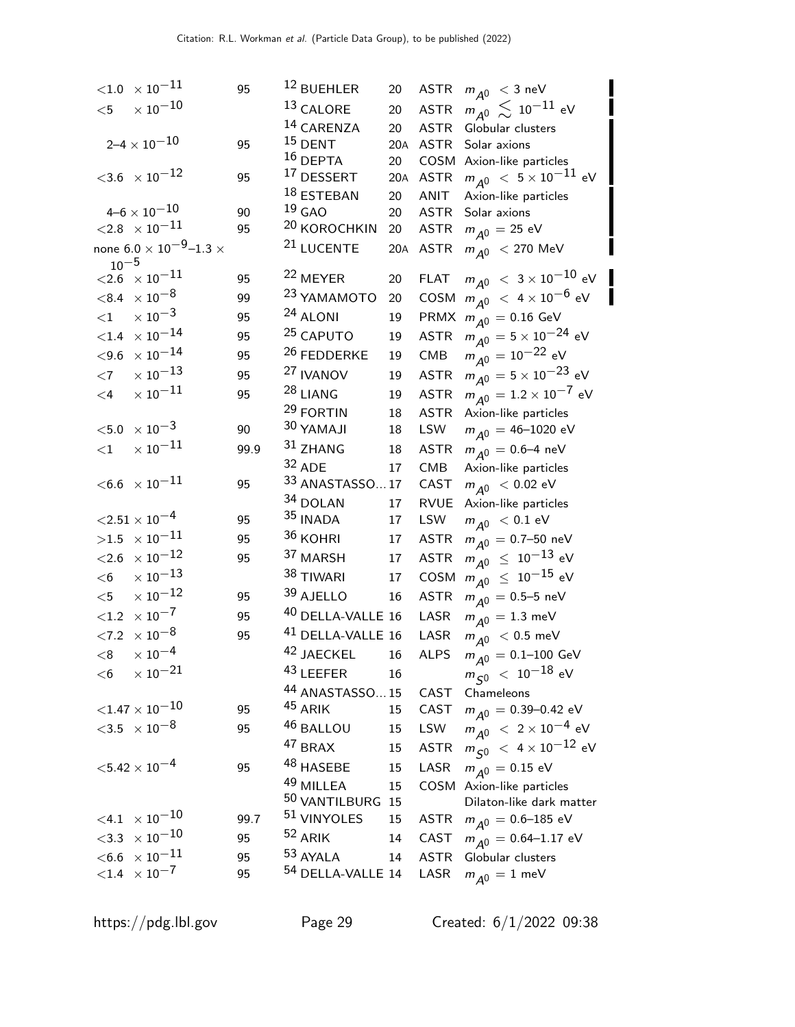| $<\!\!1.0\;\times10^{-11}$                 | 95   | 12 BUEHLER                   | 20  | <b>ASTR</b> | $m_{\tilde{A}^0}$ < 3 neV                                 |
|--------------------------------------------|------|------------------------------|-----|-------------|-----------------------------------------------------------|
| $\times$ $10^{-10}$<br>$<$ 5               |      | 13 CALORE                    | 20  | <b>ASTR</b> | $m_{A^0} \lesssim 10^{-11}$ eV                            |
|                                            |      | 14 CARENZA                   | 20  | <b>ASTR</b> | Globular clusters                                         |
| $2\text{--}4\times10^{\text{--}10}$        | 95   | $15$ DENT                    | 20A | ASTR        | Solar axions                                              |
|                                            |      | $16$ DEPTA                   | 20  |             | COSM Axion-like particles                                 |
| $<\!\!3.6\;\times10^{-12}$                 | 95   | <sup>17</sup> DESSERT        | 20A | <b>ASTR</b> | $m_{\tilde{ {\cal A}}^0}~<~5\times 10^{-11}$ eV           |
|                                            |      | 18 ESTEBAN                   | 20  | ANIT        | Axion-like particles                                      |
| $4\text{--}6\times10^{\text{--}10}$        | 90   | $19$ GAO                     | 20  | <b>ASTR</b> | Solar axions                                              |
| $<$ 2.8 $\;\times10^{-11}$                 | 95   | <sup>20</sup> KOROCHKIN      | 20  | ASTR        | $m_{\tilde{A}^0} = 25$ eV                                 |
| none 6.0 $\times$ 10 $^{-9}$ –1.3 $\times$ |      | <sup>21</sup> LUCENTE        | 20A | <b>ASTR</b> | $m_{\overline{A}0}$ < 270 MeV                             |
| $10^{-5}$<br>$<$ 2.6 $\times 10^{-11}$     | 95   | <sup>22</sup> MEYER          | 20  | <b>FLAT</b> | $m_{\tilde{ {\cal A}}^0}~<~3\times 10^{-10}$ eV           |
| $<$ 8.4 $\times$ 10 $^{-8}$                | 99   | <sup>23</sup> YAMAMOTO       | 20  | COSM        | $m_{\tilde{A}^0}$ $<$ 4 $\times$ 10 $^{-6}$ eV            |
| $\times$ 10 $^{-3}$                        |      | <sup>24</sup> ALONI          |     |             |                                                           |
| ${<}1$                                     | 95   |                              | 19  |             | PRMX $m_{A^0} = 0.16 \text{ GeV}$                         |
| $<\!\!1.4\;\times10^{-14}$                 | 95   | <sup>25</sup> CAPUTO         | 19  | <b>ASTR</b> | $m_{\tilde{A}^0} = 5 \times 10^{-24}$ eV                  |
| $<$ 9.6 $\times$ 10 $^{-14}$               | 95   | <sup>26</sup> FEDDERKE       | 19  | CMB         | $m_{\tilde{A}^0} = 10^{-22}$ eV                           |
| $\times$ $10^{-13}$<br>$<$ 7               | 95   | <sup>27</sup> IVANOV         | 19  | <b>ASTR</b> | $m_{\tilde{A}^0} = 5 \times 10^{-23}$ eV                  |
| $\times$ $10^{-11}$<br>$\leq$ 4            | 95   | 28 LIANG                     | 19  | <b>ASTR</b> | $m_{A^0} = 1.2 \times 10^{-7}$ eV                         |
|                                            |      | <sup>29</sup> FORTIN         | 18  | <b>ASTR</b> | Axion-like particles                                      |
| $<$ 5.0 $\,\times 10^{-3}$                 | 90   | 30 YAMAJI                    | 18  | LSW         | $m_{A^0} = 46 - 1020$ eV                                  |
| $\times$ $10^{-11}$<br>${<}1$              | 99.9 | 31 ZHANG                     | 18  | <b>ASTR</b> | $m_{A0} = 0.6 - 4$ neV                                    |
|                                            |      | 32 ADE                       | 17  | <b>CMB</b>  | Axion-like particles                                      |
| $<$ 6.6 $\;\times10^{-11}$                 | 95   | 33 ANASTASSO17               |     | CAST        | $m_{A0}$ < 0.02 eV                                        |
|                                            |      | 34 DOLAN                     | 17  | <b>RVUE</b> | Axion-like particles                                      |
| ${<}2.51 \times 10^{-4}$                   | 95   | $35$ INADA                   | 17  | LSW         | $m_{\tilde{A}^0}$ < 0.1 eV                                |
| $>1.5~\times 10^{-11}$                     | 95   | $36$ KOHRI                   | 17  | <b>ASTR</b> | $m_{A^0} = 0.7 - 50$ neV                                  |
| $<\!\!2.6\phantom{0} \times 10^{-12}$      | 95   | 37 MARSH                     | 17  | <b>ASTR</b> | $m_{\tilde{\cal A}^0}~\le~10^{-13}$ eV                    |
| $\times$ $10^{-13}$<br>$<$ 6               |      | 38 TIWARI                    | 17  | COSM        | $m_{\tilde{\mathcal{A}}^0}~\leq~10^{-15}$ eV              |
| $\times$ $10^{-12}$<br>$<$ 5               | 95   | 39 AJELLO                    | 16  | <b>ASTR</b> | $m_{\overline{A^0}} = 0.5 - 5$ neV                        |
| ${<}1.2 \times 10^{-7}$                    | 95   | 40 DELLA-VALLE 16            |     | LASR        | $m_{\overline{A^0}} = 1.3 \text{ meV}$                    |
| $<\!\!7.2\;\times10^{-8}$                  | 95   | <sup>41</sup> DELLA-VALLE 16 |     | LASR        | $m_{\overline{A}0}$ < 0.5 meV                             |
| $< 8$ $\times 10^{-4}$                     |      | <sup>42</sup> JAECKEL        | 16  |             | ALPS $m_{\overline{A}0} = 0.1 - 100 \text{ GeV}$          |
| $\times$ $10^{-21}$<br>$<$ 6               |      | 43 LEEFER                    | 16  |             | $m_{\tilde{S}^0}~<~10^{-18}$ eV                           |
|                                            |      | 44 ANASTASSO15               |     | CAST        | Chameleons                                                |
| ${<}1.47\times10^{-10}$                    | 95   | <sup>45</sup> ARIK           | 15  | CAST        | $m_{A0} = 0.39 - 0.42$ eV                                 |
| $<$ 3.5 $\times$ 10 $^{-8}$                | 95   | 46 BALLOU                    | 15  | LSW         | $m_{\tilde{A}^0}$ $< 2 \times 10^{-4}$ eV                 |
|                                            |      | 47 BRAX                      | 15  | <b>ASTR</b> | $m_{\, \zeta 0} \; < \; 4 \times 10^{-12} \; \mathrm{eV}$ |
| $<$ 5.42 $\times$ 10 $^{-4}$               | 95   | 48 HASEBE                    | 15  | LASR        | $m_{\overline{A}0} = 0.15 \text{ eV}$                     |
|                                            |      | 49 MILLEA                    | 15  | COSM        | Axion-like particles                                      |
|                                            |      | 50 VANTILBURG 15             |     |             | Dilaton-like dark matter                                  |
| $<$ 4.1 $\times$ 10 $^{-10}$               | 99.7 | 51 VINYOLES                  | 15  | ASTR        | $m_{\overline{A}0} = 0.6 - 185$ eV                        |
| $<$ 3.3 $\times$ 10 $^{-10}$               | 95   | <sup>52</sup> ARIK           | 14  | CAST        | $m_{A0} = 0.64 - 1.17$ eV                                 |
| $<$ 6.6 $\;\times10^{-11}$                 | 95   | 53 AYALA                     | 14  | <b>ASTR</b> | Globular clusters                                         |
| ${<}1.4 \times 10^{-7}$                    | 95   | <sup>54</sup> DELLA-VALLE 14 |     | LASR        | $m_{\overline{A}0} = 1$ meV                               |
|                                            |      |                              |     |             |                                                           |

https://pdg.lbl.gov Page 29 Created: 6/1/2022 09:38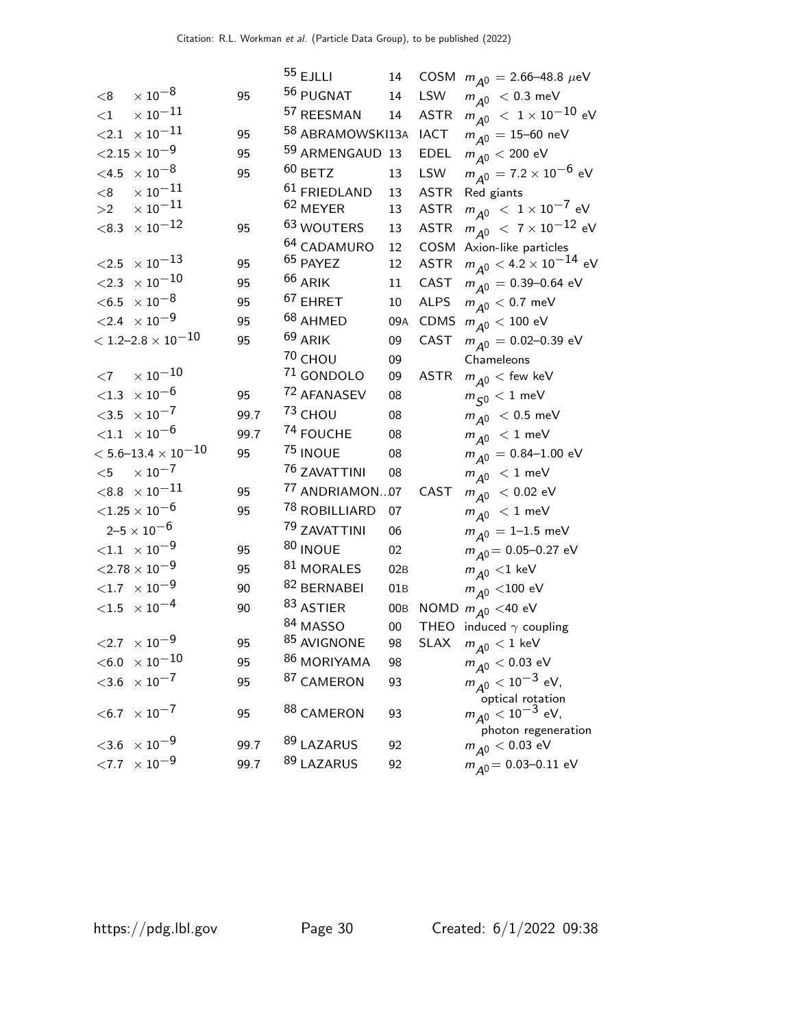|        |                                        |      | $55$ EJLLI                 | 14     | COSM        | $m_{A0} = 2.66 - 48.8 \ \mu\text{eV}$                |
|--------|----------------------------------------|------|----------------------------|--------|-------------|------------------------------------------------------|
| < 8    | $\times$ $10^{-8}$                     | 95   | 56 PUGNAT                  | 14     | LSW         | $m_{\overline{A}0}$ < 0.3 meV                        |
| ${<}1$ | $\times$ $10^{-11}$                    |      | 57 REESMAN                 | 14     | <b>ASTR</b> | $m_{\tilde{A}^0}~<~1\times10^{-10}$ eV               |
|        | $<$ 2.1 $\thinspace\times$ 10 $^{-11}$ | 95   | 58 ABRAMOWSKI13A           |        | <b>IACT</b> | $m_{\overline{\cal A}^0} = 15\hbox{--}60$ neV        |
|        | ${<}2.15\times10^{-9}$                 | 95   | <sup>59</sup> ARMENGAUD 13 |        | <b>EDEL</b> | $m_{\tilde{\cal A}^0} < 200$ eV                      |
|        | $<$ 4.5 $\times$ 10 $^{-8}$            | 95   | $60$ BETZ                  | 13     | LSW         | $m_{\overline{A}0} = 7.2 \times 10^{-6}$ eV          |
| < 8    | $\times$ $10^{-11}$                    |      | 61 FRIEDLAND               | 13     | <b>ASTR</b> | Red giants                                           |
| >2     | $\times$ 10 $^{-11}$                   |      | $62$ MEYER                 | 13     | <b>ASTR</b> | $m_{\tilde{A}^0}$ $<~1\times10^{-7}$ eV              |
|        | $<$ 8.3 $\times$ 10 $^{-12}$           | 95   | 63 WOUTERS                 | 13     | <b>ASTR</b> | $m_{\tilde{A}^0}$ $< 7 \times 10^{-12}$ eV           |
|        |                                        |      | <sup>64</sup> CADAMURO     | 12     | COSM        | Axion-like particles                                 |
|        | $<$ 2.5 $\times$ 10 <sup>-13</sup>     | 95   | <sup>65</sup> PAYEZ        | 12     | <b>ASTR</b> | $m_{\tilde{\cal A}^0} <$ 4.2 $\times$ 10 $^{-14}$ eV |
|        | $<\!\!2.3\;\times10^{-10}$             | 95   | $66$ ARIK                  | 11     | CAST        | $m_{\overline{A}0} = 0.39 - 0.64$ eV                 |
|        | $<$ 6.5 $\,\times 10^{-8}$             | 95   | $67$ EHRET                 | 10     | <b>ALPS</b> | $m_{\tilde{A}^0}$ < 0.7 meV                          |
|        | $<2.4~\times10^{-9}$                   | 95   | 68 AHMED                   | 09A    | CDMS        | $m_{\tilde{\cal A}^0} < 100 \, \, \text{eV}$         |
|        | $<$ 1.2–2.8 $\times$ 10 $^{-10}$       | 95   | $69$ ARIK                  | 09     | CAST        | $m_{\overline{A}0} = 0.02 - 0.39$ eV                 |
|        |                                        |      | 70 CHOU                    | 09     |             | Chameleons                                           |
| $<$ 7  | $\times$ $10^{-10}$                    |      | 71 GONDOLO                 | 09     | <b>ASTR</b> | $m_{\overline{A}0}$ < few keV                        |
|        | $<$ 1.3 $\times$ 10 $^{-6}$            | 95   | 72 AFANASEV                | 08     |             | $m_{\varsigma 0} < 1$ meV                            |
|        | $<\!\!3.5\;\times10^{-7}$              | 99.7 | $73$ CHOU                  | 08     |             | $m_{\overline{A}0}$ < 0.5 meV                        |
|        | $<$ 1.1 $\phantom{0} \times 10^{-6}$   | 99.7 | 74 FOUCHE                  | 08     |             | $m_{\overline{A}0}$ < 1 meV                          |
|        | $<$ 5.6–13.4 $\times$ 10 $^{-10}$      | 95   | 75 INOUE                   | 08     |             | $m_{\overline{A}0} = 0.84 - 1.00$ eV                 |
| $<$ 5  | $\times$ $10^{-7}$                     |      | <sup>76</sup> ZAVATTINI    | 08     |             | $m_{\overline{A}0}$ < 1 meV                          |
|        | $<$ 8.8 $~\times$ 10 $^{-11}$          | 95   | 77 ANDRIAMON07             |        | CAST        | $m_{A^0}$ < 0.02 eV                                  |
|        | ${<}1.25\times10^{-6}$                 | 95   | <sup>78</sup> ROBILLIARD   | 07     |             | $m_{\overline{A^0}} < 1$ meV                         |
|        | $2 - 5 \times 10^{-6}$                 |      | 79 ZAVATTINI               | 06     |             | $m_{A^0} = 1 - 1.5$ meV                              |
|        | ${<}1.1 \phantom{0}\times 10^{-9}$     | 95   | 80 INOUE                   | 02     |             | $m_{\overline{A}} = 0.05 - 0.27$ eV                  |
|        | $<\!\!2.78\times10^{-9}$               | 95   | 81 MORALES                 | 02B    |             | $m_{\overline{A}0}$ <1 keV                           |
|        | $<$ 1.7 $\;\times\;10^{-9}$            | 90   | 82 BERNABEI                | 01B    |             | $m_{\tilde{\cal A}^0}$ <100 eV                       |
|        | $<\!\!1.5\;\; \times 10^{-4}$          | 90   | 83 ASTIER                  | 00B    |             | NOMD $m_{\overline{A}0}$ <40 eV                      |
|        |                                        |      | 84 MASSO                   | $00\,$ |             | THEO induced $\gamma$ coupling                       |
|        | $<\!\!2.7\;\times10^{-9}$              | 95   | 85 AVIGNONE                | 98     | <b>SLAX</b> | $m_{\tilde{A}^0} < 1$ keV                            |
|        | $<$ 6.0 $~\times$ 10 $^{-10}$          | 95   | <sup>86</sup> MORIYAMA     | 98     |             | $m_{\tilde{A}^0} < 0.03 \text{ eV}$                  |
|        | $<$ 3.6 $\times$ 10 <sup>-7</sup>      | 95   | 87 CAMERON                 | 93     |             | $m_{A^0} < 10^{-3}$ eV,                              |
|        | $< 6.7 \times 10^{-7}$                 | 95   | <sup>88</sup> CAMERON      | 93     |             | optical rotation<br>$m_{\tilde{A}^0} < 10^{-3}$ eV,  |
|        |                                        |      |                            |        |             | photon regeneration                                  |
|        | $<$ 3.6 $\times$ 10 $^{-9}$            | 99.7 | 89 LAZARUS                 | 92     |             | $m_{\tilde{\cal A}^0} < 0.03$ eV                     |
|        | ${<}7.7 \times 10^{-9}$                | 99.7 | 89 LAZARUS                 | 92     |             | $m_{\overline{A}} = 0.03 - 0.11$ eV                  |
|        |                                        |      |                            |        |             |                                                      |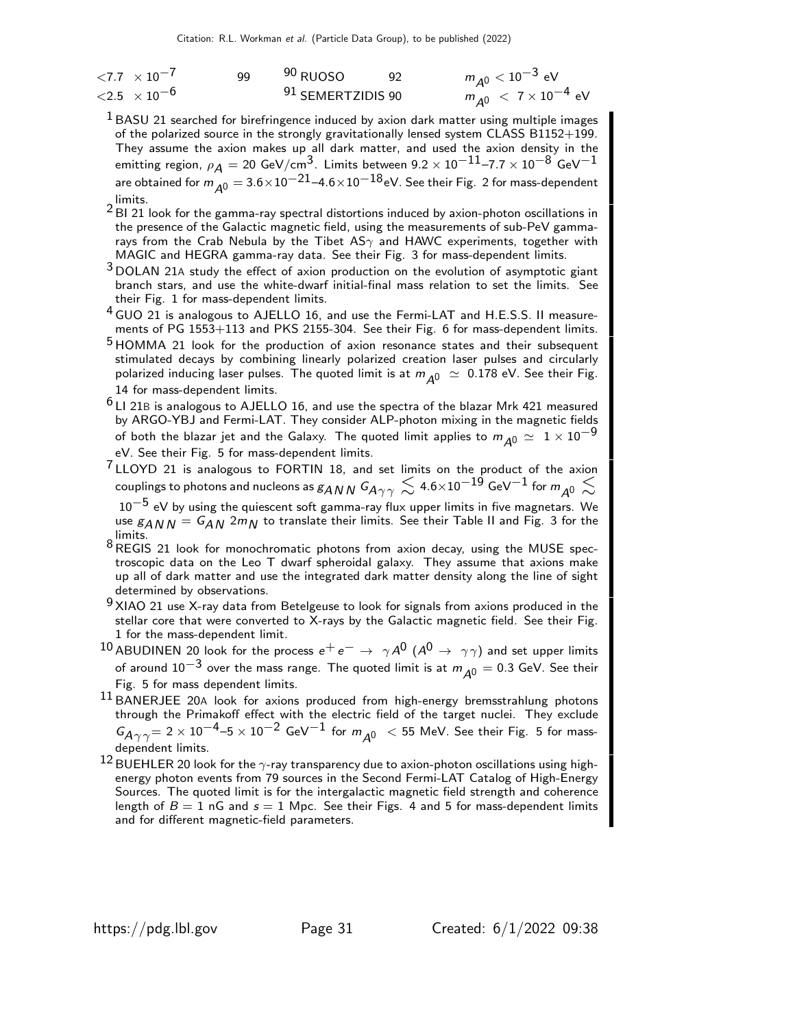| ${<}7.7 \times 10^{-7}$     | qq | <sup>90</sup> RUOSO | $m_{A0} < 10^{-3}$ eV              |
|-----------------------------|----|---------------------|------------------------------------|
| $<$ 2.5 $\times$ 10 $^{-6}$ |    | 91 SEMERTZIDIS 90   | $m_{A0}$ < 7 × 10 <sup>-4</sup> eV |

<sup>1</sup> BASU 21 searched for birefringence induced by axion dark matter using multiple images of the polarized source in the strongly gravitationally lensed system CLASS B1152+199. They assume the axion makes up all dark matter, and used the axion density in the emitting region,  $\rho_A = 20$  GeV/cm<sup>3</sup>. Limits between  $9.2 \times 10^{-11}$ –7.7  $\times$   $10^{-8}$  GeV $^{-1}$ are obtained for  $m_{A0} = 3.6 \times 10^{-21} - 4.6 \times 10^{-18}$ eV. See their Fig. 2 for mass-dependent limits.

2 BI 21 look for the gamma-ray spectral distortions induced by axion-photon oscillations in the presence of the Galactic magnetic field, using the measurements of sub-PeV gammarays from the Crab Nebula by the Tibet AS $\gamma$  and HAWC experiments, together with MAGIC and HEGRA gamma-ray data. See their Fig. 3 for mass-dependent limits.

<sup>3</sup> DOLAN 21A study the effect of axion production on the evolution of asymptotic giant branch stars, and use the white-dwarf initial-final mass relation to set the limits. See their Fig. 1 for mass-dependent limits.

<sup>4</sup> GUO 21 is analogous to AJELLO 16, and use the Fermi-LAT and H.E.S.S. II measurements of PG 1553+113 and PKS 2155-304. See their Fig. 6 for mass-dependent limits.

- <sup>5</sup> HOMMA 21 look for the production of axion resonance states and their subsequent stimulated decays by combining linearly polarized creation laser pulses and circularly polarized inducing laser pulses. The quoted limit is at  $m_{A0} \simeq 0.178$  eV. See their Fig. 14 for mass-dependent limits.
- $6$  LI 21B is analogous to AJELLO 16, and use the spectra of the blazar Mrk 421 measured by ARGO-YBJ and Fermi-LAT. They consider ALP-photon mixing in the magnetic fields of both the blazar jet and the Galaxy. The quoted limit applies to  $m_{A0} \simeq 1 \times 10^{-9}$ eV. See their Fig. 5 for mass-dependent limits.
- 7 LLOYD 21 is analogous to FORTIN 18, and set limits on the product of the axion couplings to photons and nucleons as  $_{\mathcal{B}ANN}$  G $_{A\gamma\gamma}\lesssim$  4.6 $\times$ 10 $^{-19}$  GeV $^{-1}$  for  $m_{_{\mathcal{A}^0}}\lesssim$  $10^{-5}$  eV by using the quiescent soft gamma-ray flux upper limits in five magnetars. We use  $g_{ANN} = G_{AN}$  2m<sub>N</sub> to translate their limits. See their Table II and Fig. 3 for the limits.
- $8$  REGIS 21 look for monochromatic photons from axion decay, using the MUSE spectroscopic data on the Leo T dwarf spheroidal galaxy. They assume that axions make up all of dark matter and use the integrated dark matter density along the line of sight determined by observations.

 $9$  XIAO 21 use X-ray data from Betelgeuse to look for signals from axions produced in the stellar core that were converted to X-rays by the Galactic magnetic field. See their Fig. 1 for the mass-dependent limit.

- 10 ABUDINEN 20 look for the process  $e^+e^- \rightarrow \gamma A^0$  ( $A^0 \rightarrow \gamma \gamma$ ) and set upper limits of around  $10^{-3}$  over the mass range. The quoted limit is at  $m_{\tilde{A}^0} = 0.3$  GeV. See their Fig. 5 for mass dependent limits.
- 11 BANERJEE 20A look for axions produced from high-energy bremsstrahlung photons through the Primakoff effect with the electric field of the target nuclei. They exclude  $G_{\overline{A}\gamma\gamma}=$  2  $\times$   $10^{-4}$ –5  $\times$   $10^{-2}$  GeV $^{-1}$  for  $m_{\overline{A}0}$   $\ <$  55 MeV. See their Fig. 5 for massdependent limits.
- 12 BUEHLER 20 look for the  $\gamma$ -ray transparency due to axion-photon oscillations using highenergy photon events from 79 sources in the Second Fermi-LAT Catalog of High-Energy Sources. The quoted limit is for the intergalactic magnetic field strength and coherence length of  $B = 1$  nG and  $s = 1$  Mpc. See their Figs. 4 and 5 for mass-dependent limits and for different magnetic-field parameters.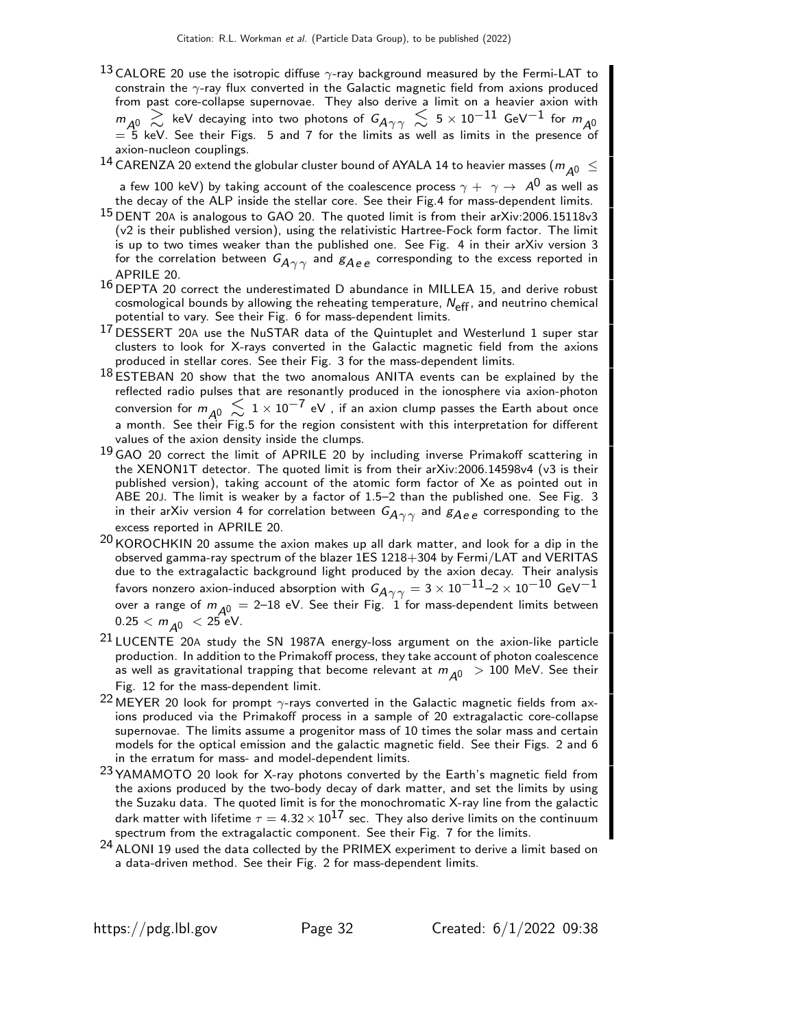- $^{13}$  CALORE 20 use the isotropic diffuse  $\gamma$ -ray background measured by the Fermi-LAT to constrain the  $\gamma$ -ray flux converted in the Galactic magnetic field from axions produced from past core-collapse supernovae. They also derive a limit on a heavier axion with  $m_{A^0}$   $\gtrsim$  keV decaying into two photons of  $G_{A\gamma\gamma}$   $\lesssim$  5 × 10 $^{-11}$  GeV $^{-1}$  for  $m_{A^0}$ <br>= 5 keV. See their Figs. 5 and 7 for the limits as well as limits in the presence of axion-nucleon couplings.
- $^{14}$  CARENZA 20 extend the globular cluster bound of AYALA 14 to heavier masses (  $m_{\tilde{A}^0}~\leq$

a few 100 keV) by taking account of the coalescence process  $\gamma + \gamma \rightarrow A^0$  as well as the decay of the ALP inside the stellar core. See their Fig.4 for mass-dependent limits.

- <sup>15</sup> DENT 20A is analogous to GAO 20. The quoted limit is from their arXiv:2006.15118v3 (v2 is their published version), using the relativistic Hartree-Fock form factor. The limit is up to two times weaker than the published one. See Fig. 4 in their arXiv version 3 for the correlation between  $G_{A\gamma\gamma}$  and  $g_{Aee}$  corresponding to the excess reported in APRILE 20.
- 16 DEPTA 20 correct the underestimated D abundance in MILLEA 15, and derive robust cosmological bounds by allowing the reheating temperature,  $N_{\text{eff}}$ , and neutrino chemical potential to vary. See their Fig. 6 for mass-dependent limits.
- 17 DESSERT 20A use the NuSTAR data of the Quintuplet and Westerlund 1 super star clusters to look for X-rays converted in the Galactic magnetic field from the axions produced in stellar cores. See their Fig. 3 for the mass-dependent limits.
- $18$  ESTEBAN 20 show that the two anomalous ANITA events can be explained by the reflected radio pulses that are resonantly produced in the ionosphere via axion-photon conversion for  $m_{A^0} \lesssim 1 \times 10^{-7}$  eV , if an axion clump passes the Earth about once a month. See their Fig.5 for the region consistent with this interpretation for different values of the axion density inside the clumps.
- <sup>19</sup> GAO 20 correct the limit of APRILE 20 by including inverse Primakoff scattering in the XENON1T detector. The quoted limit is from their arXiv:2006.14598v4 (v3 is their published version), taking account of the atomic form factor of Xe as pointed out in ABE 20J. The limit is weaker by a factor of 1.5–2 than the published one. See Fig. 3 in their arXiv version 4 for correlation between  $G_{A\gamma\gamma}$  and  $g_{A\,e\,e}$  corresponding to the excess reported in APRILE 20.
- $^{20}$  KOROCHKIN 20 assume the axion makes up all dark matter, and look for a dip in the observed gamma-ray spectrum of the blazer 1ES 1218+304 by Fermi/LAT and VERITAS due to the extragalactic background light produced by the axion decay. Their analysis favors nonzero axion-induced absorption with  $G_{A\gamma\gamma} = 3 \times 10^{-11} - 2 \times 10^{-10}$  GeV<sup>-1</sup> over a range of  $m_{A0} = 2-18$  eV. See their Fig. 1 for mass-dependent limits between  $0.25 < m_{A0} < 25$  eV.
- 21 LUCENTE 20A study the SN 1987A energy-loss argument on the axion-like particle production. In addition to the Primakoff process, they take account of photon coalescence as well as gravitational trapping that become relevant at  $m_{A0} > 100$  MeV. See their Fig. 12 for the mass-dependent limit.
- 22 MEYER 20 look for prompt  $\gamma$ -rays converted in the Galactic magnetic fields from axions produced via the Primakoff process in a sample of 20 extragalactic core-collapse supernovae. The limits assume a progenitor mass of 10 times the solar mass and certain models for the optical emission and the galactic magnetic field. See their Figs. 2 and 6 in the erratum for mass- and model-dependent limits.
- 23 YAMAMOTO 20 look for X-ray photons converted by the Earth's magnetic field from the axions produced by the two-body decay of dark matter, and set the limits by using the Suzaku data. The quoted limit is for the monochromatic X-ray line from the galactic dark matter with lifetime  $\tau = 4.32 \times 10^{17}$  sec. They also derive limits on the continuum spectrum from the extragalactic component. See their Fig. 7 for the limits.
- <sup>24</sup> ALONI 19 used the data collected by the PRIMEX experiment to derive a limit based on a data-driven method. See their Fig. 2 for mass-dependent limits.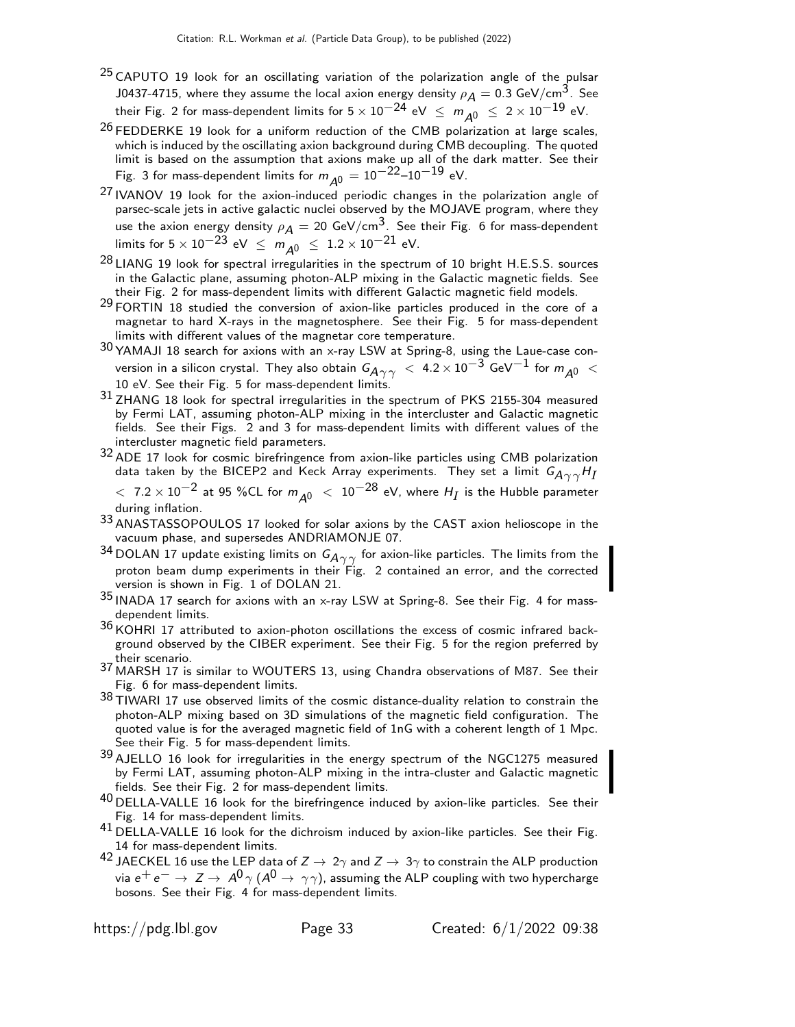- <sup>25</sup> CAPUTO 19 look for an oscillating variation of the polarization angle of the pulsar J0437-4715, where they assume the local axion energy density  $\rho_A = 0.3$  GeV/cm<sup>3</sup>. See their Fig. 2 for mass-dependent limits for  $5 \times 10^{-24}$  eV  $\leq m_{A0} \leq 2 \times 10^{-19}$  eV.
- $^{26}$  FEDDERKE 19 look for a uniform reduction of the CMB polarization at large scales, which is induced by the oscillating axion background during CMB decoupling. The quoted limit is based on the assumption that axions make up all of the dark matter. See their Fig. 3 for mass-dependent limits for  $m_{\tilde{\cal A}^0} = 10^{-22}$ – $10^{-19}$  eV.
- 27 IVANOV 19 look for the axion-induced periodic changes in the polarization angle of parsec-scale jets in active galactic nuclei observed by the MOJAVE program, where they use the axion energy density  $\rho_A = 20 \text{ GeV/cm}^3$ . See their Fig. 6 for mass-dependent limits for  $5 \times 10^{-23}$  eV  $\leq m_{A0} \leq 1.2 \times 10^{-21}$  eV.
- 28 LIANG 19 look for spectral irregularities in the spectrum of 10 bright H.E.S.S. sources in the Galactic plane, assuming photon-ALP mixing in the Galactic magnetic fields. See their Fig. 2 for mass-dependent limits with different Galactic magnetic field models.
- $29$  FORTIN 18 studied the conversion of axion-like particles produced in the core of a magnetar to hard X-rays in the magnetosphere. See their Fig. 5 for mass-dependent limits with different values of the magnetar core temperature.
- 30 YAMAJI 18 search for axions with an x-ray LSW at Spring-8, using the Laue-case conversion in a silicon crystal. They also obtain  $G_{A\gamma\gamma}~<~$  4.2  $\times\rm{10^{-3}~GeV^{-1}}$  for  $m_{A0}~<$ 10 eV. See their Fig. 5 for mass-dependent limits.
- 31 ZHANG 18 look for spectral irregularities in the spectrum of PKS 2155-304 measured by Fermi LAT, assuming photon-ALP mixing in the intercluster and Galactic magnetic fields. See their Figs. 2 and 3 for mass-dependent limits with different values of the intercluster magnetic field parameters.
- 32 ADE 17 look for cosmic birefringence from axion-like particles using CMB polarization data taken by the BICEP2 and Keck Array experiments. They set a limit  $\mathsf{G}_{\mathsf{A}\gamma\gamma}\mathsf{H}_{I}$ 
	- $<\,$  7.2  $\times\,10^{-2}$  at 95 %CL for  $m_{\cal A^0}~<\,10^{-28}$  eV, where  $H_I$  is the Hubble parameter during inflation.
- 33 ANASTASSOPOULOS 17 looked for solar axions by the CAST axion helioscope in the vacuum phase, and supersedes ANDRIAMONJE 07.
- 34 DOLAN 17 update existing limits on  $G_{\mathcal{A}\gamma\gamma}$  for axion-like particles. The limits from the proton beam dump experiments in their Fig. 2 contained an error, and the corrected version is shown in Fig. 1 of DOLAN 21.
- 35 INADA 17 search for axions with an x-ray LSW at Spring-8. See their Fig. 4 for massdependent limits.
- $36$  KOHRI 17 attributed to axion-photon oscillations the excess of cosmic infrared background observed by the CIBER experiment. See their Fig. 5 for the region preferred by their scenario.
- 37 MARSH 17 is similar to WOUTERS 13, using Chandra observations of M87. See their Fig. 6 for mass-dependent limits.
- $38$  TIWARI 17 use observed limits of the cosmic distance-duality relation to constrain the photon-ALP mixing based on 3D simulations of the magnetic field configuration. The quoted value is for the averaged magnetic field of 1nG with a coherent length of 1 Mpc. See their Fig. 5 for mass-dependent limits.
- 39 AJELLO 16 look for irregularities in the energy spectrum of the NGC1275 measured by Fermi LAT, assuming photon-ALP mixing in the intra-cluster and Galactic magnetic fields. See their Fig. 2 for mass-dependent limits.
- $^{40}$  DELLA-VALLE 16 look for the birefringence induced by axion-like particles. See their Fig. 14 for mass-dependent limits.
- $41$  DELLA-VALLE 16 look for the dichroism induced by axion-like particles. See their Fig. 14 for mass-dependent limits.
- $^{42}$  JAECKEL 16 use the LEP data of  $Z\rightarrow\,2\gamma$  and  $Z\rightarrow\,3\gamma$  to constrain the ALP production via  $e^+e^- \to Z \to A^0 \gamma (A^0 \to \gamma \gamma)$ , assuming the ALP coupling with two hypercharge bosons. See their Fig. 4 for mass-dependent limits.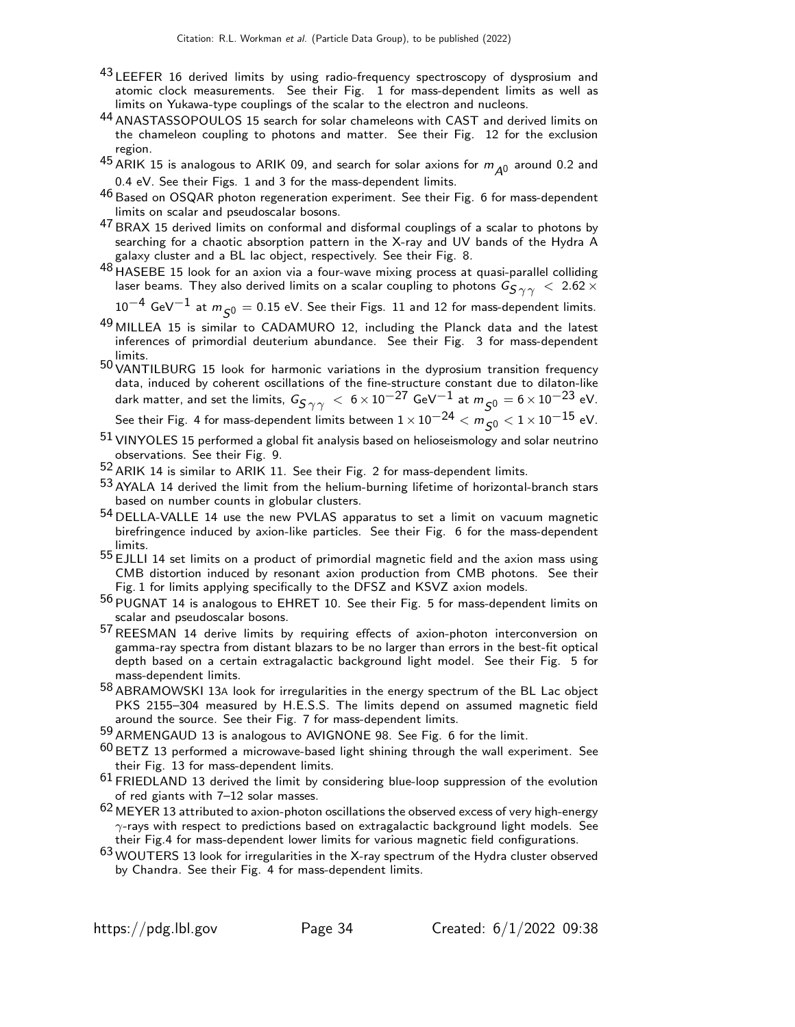- 43 LEEFER 16 derived limits by using radio-frequency spectroscopy of dysprosium and atomic clock measurements. See their Fig. 1 for mass-dependent limits as well as limits on Yukawa-type couplings of the scalar to the electron and nucleons.
- 44 ANASTASSOPOULOS 15 search for solar chameleons with CAST and derived limits on the chameleon coupling to photons and matter. See their Fig. 12 for the exclusion region.
- <sup>45</sup> ARIK 15 is analogous to ARIK 09, and search for solar axions for  $m_{A^0}$  around 0.2 and 0.4 eV. See their Figs. 1 and 3 for the mass-dependent limits.
- $46$  Based on OSQAR photon regeneration experiment. See their Fig. 6 for mass-dependent limits on scalar and pseudoscalar bosons.
- $47$  BRAX 15 derived limits on conformal and disformal couplings of a scalar to photons by searching for a chaotic absorption pattern in the X-ray and UV bands of the Hydra A galaxy cluster and a BL lac object, respectively. See their Fig. 8.
- 48 HASEBE 15 look for an axion via a four-wave mixing process at quasi-parallel colliding laser beams. They also derived limits on a scalar coupling to photons  $G_{\textbf{S}\gamma\gamma}$   $<$  2.62  $\times$

 $10^{-4}$  GeV $^{-1}$  at  $m_{\varsigma 0} = 0.15$  eV. See their Figs. 11 and 12 for mass-dependent limits.

- 49 MILLEA 15 is similar to CADAMURO 12, including the Planck data and the latest inferences of primordial deuterium abundance. See their Fig. 3 for mass-dependent limits.
- 50 VANTILBURG 15 look for harmonic variations in the dyprosium transition frequency data, induced by coherent oscillations of the fine-structure constant due to dilaton-like dark matter, and set the limits,  $G_{S\gamma\gamma}$   $< 6 \times 10^{-27}$  GeV $^{-1}$  at  $m_{S0} = 6 \times 10^{-23}$  eV. See their Fig. 4 for mass-dependent limits between  $1 \times 10^{-24} < m_{\tilde{S}0} < 1 \times 10^{-15}$  eV.
- $51$  VINYOLES 15 performed a global fit analysis based on helioseismology and solar neutrino observations. See their Fig. 9.
- 52 ARIK 14 is similar to ARIK 11. See their Fig. 2 for mass-dependent limits.
- $53$  AYALA 14 derived the limit from the helium-burning lifetime of horizontal-branch stars based on number counts in globular clusters.
- 54 DELLA-VALLE 14 use the new PVLAS apparatus to set a limit on vacuum magnetic birefringence induced by axion-like particles. See their Fig. 6 for the mass-dependent limits.
- 55 EJLLI 14 set limits on a product of primordial magnetic field and the axion mass using CMB distortion induced by resonant axion production from CMB photons. See their Fig. 1 for limits applying specifically to the DFSZ and KSVZ axion models.
- 56 PUGNAT 14 is analogous to EHRET 10. See their Fig. 5 for mass-dependent limits on scalar and pseudoscalar bosons.
- 57REESMAN 14 derive limits by requiring effects of axion-photon interconversion on gamma-ray spectra from distant blazars to be no larger than errors in the best-fit optical depth based on a certain extragalactic background light model. See their Fig. 5 for mass-dependent limits.
- 58 ABRAMOWSKI 13<sup>A</sup> look for irregularities in the energy spectrum of the BL Lac object PKS 2155–304 measured by H.E.S.S. The limits depend on assumed magnetic field around the source. See their Fig. 7 for mass-dependent limits.
- 59 ARMENGAUD 13 is analogous to AVIGNONE 98. See Fig. 6 for the limit.
- $60$  BETZ 13 performed a microwave-based light shining through the wall experiment. See their Fig. 13 for mass-dependent limits.
- $61$  FRIEDLAND 13 derived the limit by considering blue-loop suppression of the evolution of red giants with 7–12 solar masses.
- $62$  MEYER 13 attributed to axion-photon oscillations the observed excess of very high-energy  $\gamma$ -rays with respect to predictions based on extragalactic background light models. See their Fig.4 for mass-dependent lower limits for various magnetic field configurations.
- 63 WOUTERS 13 look for irregularities in the X-ray spectrum of the Hydra cluster observed by Chandra. See their Fig. 4 for mass-dependent limits.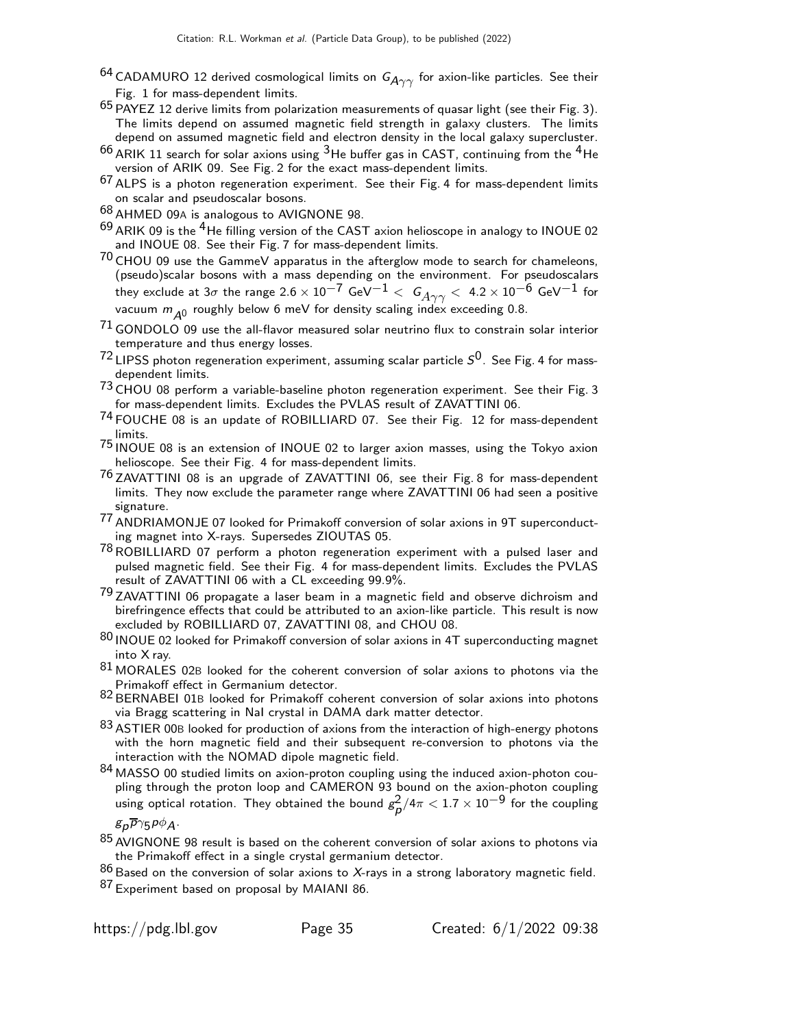- $^{64}$  CADAMURO 12 derived cosmological limits on  $G_{A\gamma\gamma}$  for axion-like particles. See their Fig. 1 for mass-dependent limits.
- $65$  PAYEZ 12 derive limits from polarization measurements of quasar light (see their Fig. 3). The limits depend on assumed magnetic field strength in galaxy clusters. The limits depend on assumed magnetic field and electron density in the local galaxy supercluster.
- $^{66}$  ARIK 11 search for solar axions using  $^3$  He buffer gas in CAST, continuing from the  $^4$  He version of ARIK 09. See Fig. 2 for the exact mass-dependent limits.
- $67$  ALPS is a photon regeneration experiment. See their Fig. 4 for mass-dependent limits on scalar and pseudoscalar bosons.
- 68 AHMED 09<sup>A</sup> is analogous to AVIGNONE 98.
- $69$  ARIK 09 is the <sup>4</sup>He filling version of the CAST axion helioscope in analogy to INOUE 02 and INOUE 08. See their Fig. 7 for mass-dependent limits.
- 70 CHOU 09 use the GammeV apparatus in the afterglow mode to search for chameleons, (pseudo)scalar bosons with a mass depending on the environment. For pseudoscalars they exclude at  $3\sigma$  the range  $2.6 \times 10^{-7}$  GeV<sup>-1</sup>  $<$   $G_{A\gamma\gamma}$   $<$  4.2  $\times$  10<sup>-6</sup> GeV<sup>-1</sup> for vacuum  $m_{\tilde{\cal A}^0}$  roughly below 6 meV for density scaling index exceeding 0.8.
- $71$  GONDOLO 09 use the all-flavor measured solar neutrino flux to constrain solar interior temperature and thus energy losses.
- $^{72}$  LIPSS photon regeneration experiment, assuming scalar particle  $\mathcal{S}^{0}$ . See Fig. 4 for massdependent limits.
- 73 CHOU 08 perform a variable-baseline photon regeneration experiment. See their Fig. 3 for mass-dependent limits. Excludes the PVLAS result of ZAVATTINI 06.
- <sup>74</sup> FOUCHE 08 is an update of ROBILLIARD 07. See their Fig. 12 for mass-dependent limits.
- 75 INOUE 08 is an extension of INOUE 02 to larger axion masses, using the Tokyo axion helioscope. See their Fig. 4 for mass-dependent limits.
- <sup>76</sup> ZAVATTINI 08 is an upgrade of ZAVATTINI 06, see their Fig. 8 for mass-dependent limits. They now exclude the parameter range where ZAVATTINI 06 had seen a positive signature.
- 77 ANDRIAMONJE 07 looked for Primakoff conversion of solar axions in 9T superconducting magnet into X-rays. Supersedes ZIOUTAS 05.
- 78ROBILLIARD 07 perform a photon regeneration experiment with a pulsed laser and pulsed magnetic field. See their Fig. 4 for mass-dependent limits. Excludes the PVLAS result of ZAVATTINI 06 with a CL exceeding 99.9%.
- 79 ZAVATTINI 06 propagate a laser beam in a magnetic field and observe dichroism and birefringence effects that could be attributed to an axion-like particle. This result is now excluded by ROBILLIARD 07, ZAVATTINI 08, and CHOU 08.
- 80 INOUE 02 looked for Primakoff conversion of solar axions in 4T superconducting magnet into X ray.
- $81$  MORALES 02B looked for the coherent conversion of solar axions to photons via the Primakoff effect in Germanium detector.
- 82 BERNABEI 01B looked for Primakoff coherent conversion of solar axions into photons via Bragg scattering in NaI crystal in DAMA dark matter detector.
- 83 ASTIER 00B looked for production of axions from the interaction of high-energy photons with the horn magnetic field and their subsequent re-conversion to photons via the interaction with the NOMAD dipole magnetic field.
- 84 MASSO 00 studied limits on axion-proton coupling using the induced axion-photon coupling through the proton loop and CAMERON 93 bound on the axion-photon coupling using optical rotation. They obtained the bound  $g_\rho^2/4\pi < 1.7\times 10^{-9}$  for the coupling

 $g_{\bm p}\overline{p}\gamma_5 p\phi_{\bm A}.$ 

- $85$  AVIGNONE 98 result is based on the coherent conversion of solar axions to photons via the Primakoff effect in a single crystal germanium detector.
- $^{86}$  Based on the conversion of solar axions to X-rays in a strong laboratory magnetic field. 87 Experiment based on proposal by MAIANI 86.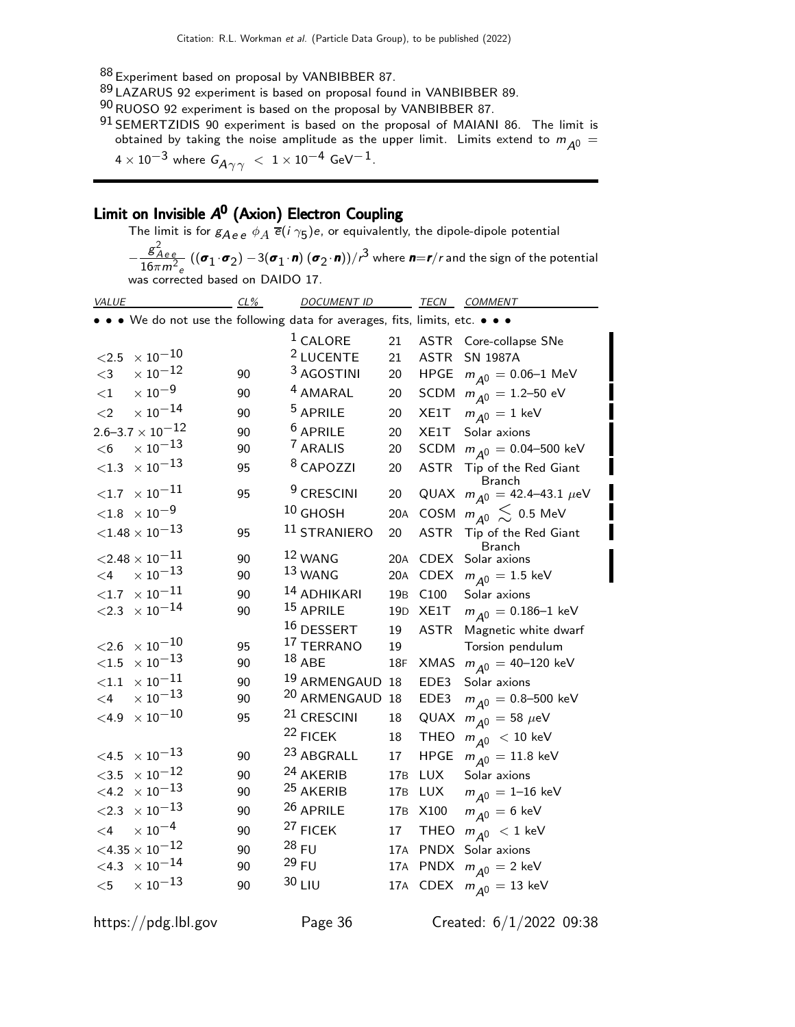- 88 Experiment based on proposal by VANBIBBER 87.
- <sup>89</sup> LAZARUS 92 experiment is based on proposal found in VANBIBBER 89.
- $^{90}$ RUOSO 92 experiment is based on the proposal by VANBIBBER 87.
- $91$  SEMERTZIDIS 90 experiment is based on the proposal of MAIANI 86. The limit is obtained by taking the noise amplitude as the upper limit. Limits extend to  $m_{\tilde{A}^0} =$  $4 \times 10^{-3}$  where  $G_{A\gamma\gamma}$   $< 1 \times 10^{-4}$  GeV<sup>-1</sup>.

# Limit on Invisible A 0 (Axion) Electron Coupling

The limit is for  $g_{A\,e\,e}\,\,\phi_A$   $\overline{e}(\overline{\imath}\,\gamma_5)e$ , or equivalently, the dipole-dipole potential −  $rac{g^2_{Aee}}{16\pi m^2_e}$  (( $\sigma_1 \cdot \sigma_2$ )  $-3(\sigma_1 \cdot \mathbf{n}) (\sigma_2 \cdot \mathbf{n})$ )/ $r^3$  where  $\mathbf{n} = \mathbf{r}/r$  and the sign of the potential was corrected based on DAIDO 17.

| <b>VALUE</b>                  | $CL\%$                                                                                                                                                                                                                                                                                                                                                                                                                                                                                                                          | <b>DOCUMENT ID</b> |                                                                                                                                                                                                                                                                                                                                                                                                                                                                                                                                                |                         | <b>TECN COMMENT</b>                                                                 |
|-------------------------------|---------------------------------------------------------------------------------------------------------------------------------------------------------------------------------------------------------------------------------------------------------------------------------------------------------------------------------------------------------------------------------------------------------------------------------------------------------------------------------------------------------------------------------|--------------------|------------------------------------------------------------------------------------------------------------------------------------------------------------------------------------------------------------------------------------------------------------------------------------------------------------------------------------------------------------------------------------------------------------------------------------------------------------------------------------------------------------------------------------------------|-------------------------|-------------------------------------------------------------------------------------|
|                               |                                                                                                                                                                                                                                                                                                                                                                                                                                                                                                                                 |                    |                                                                                                                                                                                                                                                                                                                                                                                                                                                                                                                                                |                         |                                                                                     |
|                               |                                                                                                                                                                                                                                                                                                                                                                                                                                                                                                                                 |                    | 21                                                                                                                                                                                                                                                                                                                                                                                                                                                                                                                                             | <b>ASTR</b>             | Core-collapse SNe                                                                   |
|                               |                                                                                                                                                                                                                                                                                                                                                                                                                                                                                                                                 |                    | 21                                                                                                                                                                                                                                                                                                                                                                                                                                                                                                                                             | <b>ASTR</b>             | <b>SN 1987A</b>                                                                     |
|                               | 90                                                                                                                                                                                                                                                                                                                                                                                                                                                                                                                              |                    | 20                                                                                                                                                                                                                                                                                                                                                                                                                                                                                                                                             | <b>HPGE</b>             | $m_{A0} = 0.06 - 1$ MeV                                                             |
|                               | 90                                                                                                                                                                                                                                                                                                                                                                                                                                                                                                                              |                    | 20                                                                                                                                                                                                                                                                                                                                                                                                                                                                                                                                             |                         | SCDM $m_{\overline{A}0} = 1.2 - 50$ eV                                              |
|                               | 90                                                                                                                                                                                                                                                                                                                                                                                                                                                                                                                              |                    | 20                                                                                                                                                                                                                                                                                                                                                                                                                                                                                                                                             | XE1T                    | $m_{\overline{A}0} = 1$ keV                                                         |
|                               | 90                                                                                                                                                                                                                                                                                                                                                                                                                                                                                                                              |                    | 20                                                                                                                                                                                                                                                                                                                                                                                                                                                                                                                                             | XE1T                    | Solar axions                                                                        |
|                               | 90                                                                                                                                                                                                                                                                                                                                                                                                                                                                                                                              |                    | 20                                                                                                                                                                                                                                                                                                                                                                                                                                                                                                                                             |                         | SCDM $m_{\Delta 0} = 0.04 - 500$ keV                                                |
| ${<}1.3$                      | 95                                                                                                                                                                                                                                                                                                                                                                                                                                                                                                                              |                    | 20                                                                                                                                                                                                                                                                                                                                                                                                                                                                                                                                             | <b>ASTR</b>             | Tip of the Red Giant<br>Branch                                                      |
| $<$ 1.7 $\times$ 10 $^{-11}$  | 95                                                                                                                                                                                                                                                                                                                                                                                                                                                                                                                              |                    | 20                                                                                                                                                                                                                                                                                                                                                                                                                                                                                                                                             |                         | QUAX $m_{A^0} = 42.4 - 43.1 \mu eV$                                                 |
|                               |                                                                                                                                                                                                                                                                                                                                                                                                                                                                                                                                 |                    | 20A                                                                                                                                                                                                                                                                                                                                                                                                                                                                                                                                            |                         | $m_{A0} \lesssim 0.5$ MeV                                                           |
| ${<}1.48\times10^{-13}$       | 95                                                                                                                                                                                                                                                                                                                                                                                                                                                                                                                              |                    | 20                                                                                                                                                                                                                                                                                                                                                                                                                                                                                                                                             | <b>ASTR</b>             | Tip of the Red Giant<br><b>Branch</b>                                               |
|                               | 90                                                                                                                                                                                                                                                                                                                                                                                                                                                                                                                              |                    | 20A                                                                                                                                                                                                                                                                                                                                                                                                                                                                                                                                            | <b>CDEX</b>             | Solar axions                                                                        |
|                               | 90                                                                                                                                                                                                                                                                                                                                                                                                                                                                                                                              |                    | 20A                                                                                                                                                                                                                                                                                                                                                                                                                                                                                                                                            | <b>CDEX</b>             | $m_{\overline{A}0} = 1.5 \text{ keV}$                                               |
| ${<}1.7$                      | 90                                                                                                                                                                                                                                                                                                                                                                                                                                                                                                                              |                    | 19 <sub>B</sub>                                                                                                                                                                                                                                                                                                                                                                                                                                                                                                                                | C100                    | Solar axions                                                                        |
|                               | 90                                                                                                                                                                                                                                                                                                                                                                                                                                                                                                                              |                    | 19 <sub>D</sub>                                                                                                                                                                                                                                                                                                                                                                                                                                                                                                                                | XE1T                    | $m_{\Delta 0} = 0.186 - 1$ keV                                                      |
|                               |                                                                                                                                                                                                                                                                                                                                                                                                                                                                                                                                 |                    | 19                                                                                                                                                                                                                                                                                                                                                                                                                                                                                                                                             | <b>ASTR</b>             | Magnetic white dwarf                                                                |
|                               | 95                                                                                                                                                                                                                                                                                                                                                                                                                                                                                                                              |                    | 19                                                                                                                                                                                                                                                                                                                                                                                                                                                                                                                                             |                         | Torsion pendulum                                                                    |
|                               | 90                                                                                                                                                                                                                                                                                                                                                                                                                                                                                                                              |                    | 18F                                                                                                                                                                                                                                                                                                                                                                                                                                                                                                                                            | <b>XMAS</b>             | $m_{A0} = 40 - 120$ keV                                                             |
|                               | 90                                                                                                                                                                                                                                                                                                                                                                                                                                                                                                                              |                    | 18                                                                                                                                                                                                                                                                                                                                                                                                                                                                                                                                             | EDE3                    | Solar axions                                                                        |
|                               | 90                                                                                                                                                                                                                                                                                                                                                                                                                                                                                                                              |                    | 18                                                                                                                                                                                                                                                                                                                                                                                                                                                                                                                                             | EDE3                    | $m_{A0} = 0.8 - 500$ keV                                                            |
|                               | 95                                                                                                                                                                                                                                                                                                                                                                                                                                                                                                                              |                    | 18                                                                                                                                                                                                                                                                                                                                                                                                                                                                                                                                             | QUAX                    | $m_{A^0} = 58 \ \mu eV$                                                             |
|                               |                                                                                                                                                                                                                                                                                                                                                                                                                                                                                                                                 |                    | 18                                                                                                                                                                                                                                                                                                                                                                                                                                                                                                                                             | <b>THEO</b>             | $m_{\tilde{A}^0}$ < 10 keV                                                          |
| $\times$ 10 $^{-13}$          | 90                                                                                                                                                                                                                                                                                                                                                                                                                                                                                                                              |                    | 17                                                                                                                                                                                                                                                                                                                                                                                                                                                                                                                                             | <b>HPGE</b>             | $m_{A0} = 11.8 \text{ keV}$                                                         |
|                               | 90                                                                                                                                                                                                                                                                                                                                                                                                                                                                                                                              |                    | 17 <sub>B</sub>                                                                                                                                                                                                                                                                                                                                                                                                                                                                                                                                | <b>LUX</b>              | Solar axions                                                                        |
|                               | 90                                                                                                                                                                                                                                                                                                                                                                                                                                                                                                                              |                    | 17 <sub>B</sub>                                                                                                                                                                                                                                                                                                                                                                                                                                                                                                                                | <b>LUX</b>              | $m_{A^0} = 1 - 16$ keV                                                              |
|                               | 90                                                                                                                                                                                                                                                                                                                                                                                                                                                                                                                              |                    | 17 <sub>B</sub>                                                                                                                                                                                                                                                                                                                                                                                                                                                                                                                                | X100                    | $m_{\overline{A}0} = 6 \text{ keV}$                                                 |
| $\times$ 10 <sup>-4</sup>     | 90                                                                                                                                                                                                                                                                                                                                                                                                                                                                                                                              |                    | 17                                                                                                                                                                                                                                                                                                                                                                                                                                                                                                                                             | <b>THEO</b>             | $m_{\tilde{A}^0}$ < 1 keV                                                           |
| $<$ 4.35 $\times$ 10 $^{-12}$ | 90                                                                                                                                                                                                                                                                                                                                                                                                                                                                                                                              |                    | 17A                                                                                                                                                                                                                                                                                                                                                                                                                                                                                                                                            |                         | PNDX Solar axions                                                                   |
|                               | 90                                                                                                                                                                                                                                                                                                                                                                                                                                                                                                                              |                    | 17A                                                                                                                                                                                                                                                                                                                                                                                                                                                                                                                                            | <b>PNDX</b>             | $m_{\overline{A}0} = 2 \text{ keV}$                                                 |
| $\times$ $10^{-13}$           | 90                                                                                                                                                                                                                                                                                                                                                                                                                                                                                                                              |                    |                                                                                                                                                                                                                                                                                                                                                                                                                                                                                                                                                |                         | 17A CDEX $m_{\overline{A}0} = 13 \text{ keV}$                                       |
|                               | $\times$ 10 $^{-10}$<br>$\times$ $10^{-12}$<br>$\times$ $10^{-9}$<br>$\times$ $10^{-14}$<br>$2.6 - 3.7 \times 10^{-12}$<br>$\times$ $10^{-13}$<br>$\times$ 10 $^{-13}$<br>$<\!\!1.8\;\times10^{-9}$<br>${<}2.48\times10^{-11}$<br>$\times$ $10^{-13}$<br>$\times$ $10^{-11}$<br>$<$ 2.3 $\times 10^{-14}$<br>$\times$ $10^{-10}$<br>$\times$ $10^{-13}$<br>$\times$ $10^{-11}$<br>$\times$ $10^{-13}$<br>$\times$ 10 $^{-10}$<br>$\times$ $10^{-12}$<br>$\times$ $10^{-13}$<br>$\times$ $10^{-13}$<br>$<$ 4.3 $\times 10^{-14}$ |                    | <sup>1</sup> CALORE<br><sup>2</sup> LUCENTE<br><sup>3</sup> AGOSTINI<br><sup>4</sup> AMARAL<br><sup>5</sup> APRILE<br><sup>6</sup> APRILE<br>7 ARALIS<br><sup>8</sup> CAPOZZI<br><sup>9</sup> CRESCINI<br>$10$ GHOSH<br><sup>11</sup> STRANIERO<br>12 WANG<br>13 WANG<br><sup>14</sup> ADHIKARI<br><sup>15</sup> APRILE<br>16 DESSERT<br>17 TERRANO<br>$18$ ABE<br>20 ARMENGAUD<br><sup>21</sup> CRESCINI<br>22 FICEK<br>23 ABGRALL<br>24 AKERIB<br><sup>25</sup> AKERIB<br>26 APRILE<br><sup>27</sup> FICEK<br>$28$ FU<br>$29$ FU<br>$30$ LIU | <sup>19</sup> ARMENGAUD | • • We do not use the following data for averages, fits, limits, etc. • • •<br>COSM |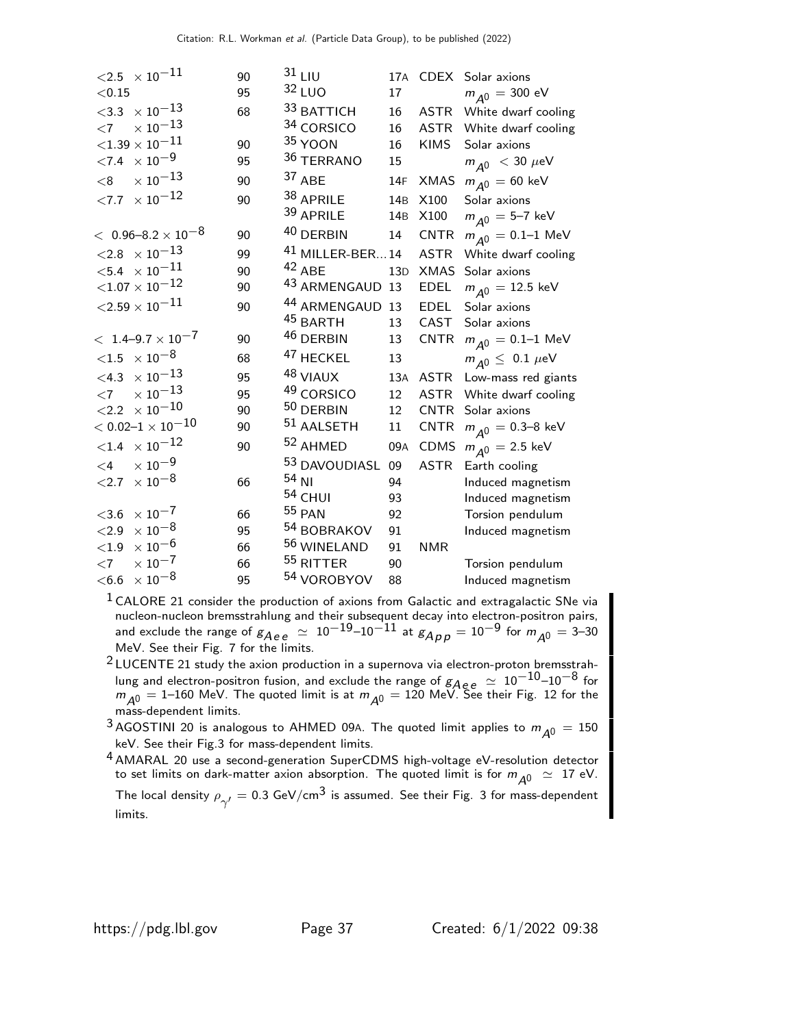| $<$ 2.5 $\times$ 10 $^{-11}$     | 90 | $31$ LIU                   |                 |             | 17A CDEX Solar axions                  |
|----------------------------------|----|----------------------------|-----------------|-------------|----------------------------------------|
| < 0.15                           | 95 | 32 LUO                     | 17              |             | $m_{A0} = 300$ eV                      |
| $<$ 3.3 $\times$ 10 $^{-13}$     | 68 | 33 BATTICH                 | 16              |             | ASTR White dwarf cooling               |
| $\times$ $10^{-13}$<br>$<$ 7     |    | 34 CORSICO                 | 16              |             | ASTR White dwarf cooling               |
| ${<}1.39\times10^{-11}$          | 90 | $35$ YOON                  | 16              | <b>KIMS</b> | Solar axions                           |
| ${<}7.4 \times 10^{-9}$          | 95 | 36 TERRANO                 | 15 <sub>1</sub> |             | $m_{A^0}$ < 30 $\mu$ eV                |
| $\times$ $10^{-13}$<br>$<$ 8     | 90 | 37 ABE                     | 14F             | XMAS        | $m_{A0} = 60 \text{ keV}$              |
| $<\!\!7.7\;\times10^{-12}$       | 90 | 38 APRILE                  | 14 <sub>B</sub> | X100        | Solar axions                           |
|                                  |    | 39 APRILE                  | 14B             | X100        | $m_{A0} = 5 - 7$ keV                   |
| $<$ 0.96–8.2 $\times$ 10 $^{-8}$ | 90 | 40 DERBIN                  | 14              | <b>CNTR</b> | $m_{A0} = 0.1 - 1$ MeV                 |
| $<$ 2.8 $\times$ 10 $^{-13}$     | 99 | $41$ MILLER-BER 14         |                 | <b>ASTR</b> | White dwarf cooling                    |
| $<$ 5.4 $\times$ 10 $^{-11}$     | 90 | $42$ ABE                   | 13D             | <b>XMAS</b> | Solar axions                           |
| ${<}1.07\times10^{-12}$          | 90 | <sup>43</sup> ARMENGAUD 13 |                 | <b>EDEL</b> | $m_{\overline{A}0} = 12.5 \text{ keV}$ |
| ${<}2.59\times10^{-11}$          | 90 | 44 ARMENGAUD 13            |                 | <b>EDEL</b> | Solar axions                           |
|                                  |    | <sup>45</sup> BARTH        | 13              | CAST        | Solar axions                           |
| $< 1.4 - 9.7 \times 10^{-7}$     | 90 | 46 DERBIN                  | 13              | CNTR        | $m_{A0} = 0.1 - 1$ MeV                 |
| $<\!\!1.5\;\; \times 10^{-8}$    | 68 | <sup>47</sup> HECKEL       | 13              |             | $m_{A0} \leq 0.1 \ \mu\text{eV}$       |
| $<\!\!4.3\;\times10^{-13}$       | 95 | 48 VIAUX                   | 13A             | ASTR        | Low-mass red giants                    |
| $\times$ $10^{-13}$<br>$<$ 7     | 95 | <sup>49</sup> CORSICO      | 12              |             | ASTR White dwarf cooling               |
| $<$ 2.2 $\times$ 10 $^{-10}$     | 90 | 50 DERBIN                  | 12              | CNTR        | Solar axions                           |
| $<$ 0.02–1 $\times$ 10 $^{-10}$  | 90 | $51$ AALSETH               | 11              | <b>CNTR</b> | $m_{A^0} = 0.3 - 8$ keV                |
| $<\!\!1.4\;\times10^{-12}$       | 90 | <sup>52</sup> AHMED        | 09A             | CDMS        | $m_{\overline{A}0} = 2.5 \text{ keV}$  |
| $\times$ $10^{-9}$<br>$<$ 4      |    | 53 DAVOUDIASL 09           |                 | <b>ASTR</b> | Earth cooling                          |
| ${<}2.7 \times 10^{-8}$          | 66 | $54$ NI                    | 94              |             | Induced magnetism                      |
|                                  |    | 54 CHUI                    | 93              |             | Induced magnetism                      |
| $\times$ $10^{-7}$<br>$<$ 3.6    | 66 | <b>55 PAN</b>              | 92              |             | Torsion pendulum                       |
| $\times\,10^{-8}$<br>$<$ 2.9     | 95 | 54 BOBRAKOV                | 91              |             | Induced magnetism                      |
| $\times$ 10 $^{-6}$<br>${<}1.9$  | 66 | 56 WINELAND                | 91              | <b>NMR</b>  |                                        |
| $\times$ $10^{-7}$<br>$<$ 7      | 66 | 55 RITTER                  | 90              |             | Torsion pendulum                       |
| $\times$ $10^{-8}$<br>$<$ 6.6    | 95 | 54 VOROBYOV                | 88              |             | Induced magnetism                      |
|                                  |    |                            |                 |             |                                        |

 $1$  CALORE 21 consider the production of axions from Galactic and extragalactic SNe via nucleon-nucleon bremsstrahlung and their subsequent decay into electron-positron pairs, and exclude the range of  $g_{Aee} \simeq 10^{-19}$ – $10^{-11}$  at  $g_{A\rho\rho} = 10^{-9}$  for  $m_{A^0} = 3$ –30 MeV. See their Fig. 7 for the limits.

 $2$  LUCENTE 21 study the axion production in a supernova via electron-proton bremsstrahlung and electron-positron fusion, and exclude the range of  $g_{Aee} \simeq 10^{-10}$ –10 $^{-8}$  for  $m_{\overline{A^0}} = 1$ –160 MeV. The quoted limit is at  $m_{\overline{A^0}} = 120$  MeV. See their Fig. 12 for the mass-dependent limits.

<sup>3</sup> AGOSTINI 20 is analogous to AHMED 09A. The quoted limit applies to  $m_{A0} = 150$ keV. See their Fig.3 for mass-dependent limits.

<sup>4</sup> AMARAL 20 use a second-generation SuperCDMS high-voltage eV-resolution detector to set limits on dark-matter axion absorption. The quoted limit is for  $m_{\tilde{A}^0} \simeq 17$  eV. The local density  $\rho_{\gamma'}^{}=0.3$  GeV/cm $^3$  is assumed. See their Fig. 3 for mass-dependent limits.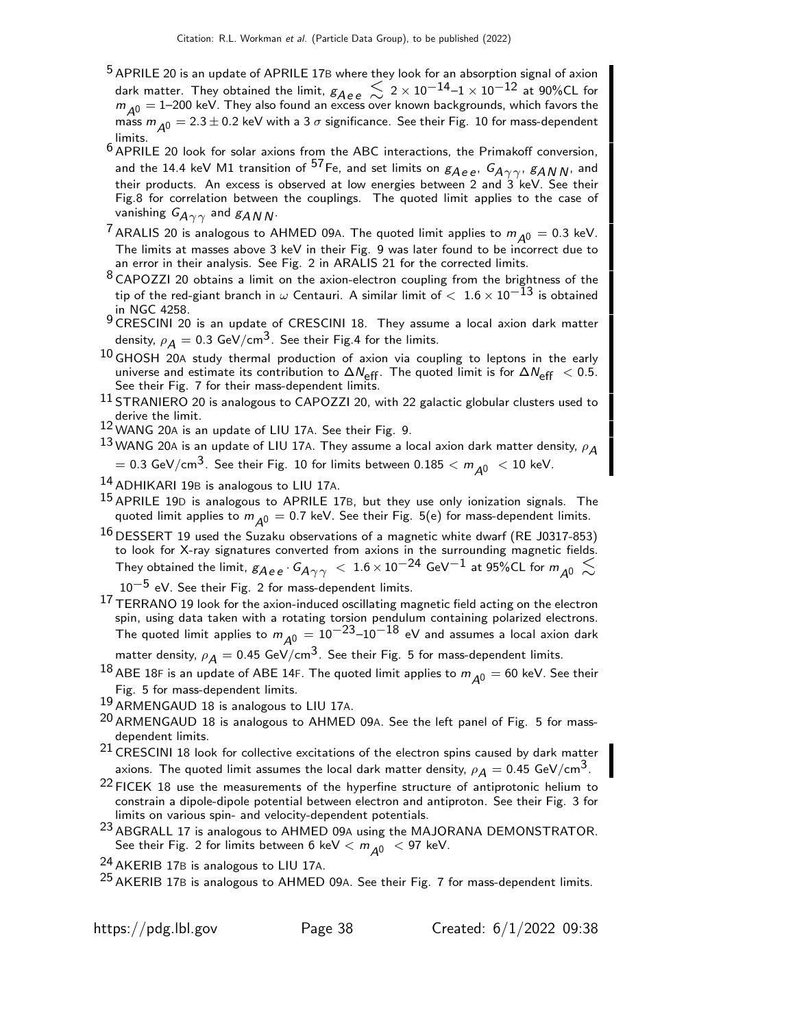- <sup>5</sup> APRILE 20 is an update of APRILE 17B where they look for an absorption signal of axion dark matter. They obtained the limit,  $g_{Aee}\lesssim\,2\times10^{-14}$ – $1\times10^{-12}$  at 90%CL for  $m_{\tilde{A}^0} = 1$ –200 keV. They also found an excess over known backgrounds, which favors the mass  $m_{A0} = 2.3 \pm 0.2$  keV with a 3  $\sigma$  significance. See their Fig. 10 for mass-dependent limits.
- 6 APRILE 20 look for solar axions from the ABC interactions, the Primakoff conversion, and the 14.4 keV M1 transition of <sup>57</sup>Fe, and set limits on  $g_{Aee}$ ,  $G_{A\gamma\gamma}$ ,  $g_{AN}$ <sub>N</sub>, and their products. An excess is observed at low energies between 2 and  $3$  keV. See their Fig.8 for correlation between the couplings. The quoted limit applies to the case of vanishing  $G_{A\gamma\gamma}$  and  $g_{A\,N\,N}$ .
- <sup>7</sup> ARALIS 20 is analogous to AHMED 09A. The quoted limit applies to  $m_{\tilde{A}^0} = 0.3$  keV. The limits at masses above 3 keV in their Fig. 9 was later found to be incorrect due to an error in their analysis. See Fig. 2 in ARALIS 21 for the corrected limits.
- $8$  CAPOZZI 20 obtains a limit on the axion-electron coupling from the brightness of the tip of the red-giant branch in  $\omega$  Centauri. A similar limit of  $< 1.6 \times 10^{-\bar{1}3}$  is obtained in NGC 4258.
- 9 CRESCINI 20 is an update of CRESCINI 18. They assume a local axion dark matter density,  $\rho_A = 0.3$  GeV/cm<sup>3</sup>. See their Fig.4 for the limits.
- $^{10}$  GHOSH 20A study thermal production of axion via coupling to leptons in the early universe and estimate its contribution to  $\Delta N_{\rm eff}$ . The quoted limit is for  $\Delta N_{\rm eff}$  < 0.5. See their Fig. 7 for their mass-dependent limits.
- 11 STRANIERO 20 is analogous to CAPOZZI 20, with 22 galactic globular clusters used to derive the limit.
- 12 WANG 20<sup>A</sup> is an update of LIU 17A. See their Fig. 9.

 $^{13}$ WANG 20A is an update of LIU 17A. They assume a local axion dark matter density,  $\rho_{\bm A}$ 

 $=$  0.3 GeV/cm<sup>3</sup>. See their Fig. 10 for limits between 0.185  $< m_{A0} <$  10 keV.

- 14 ADHIKARI 19B is analogous to LIU 17A.
- <sup>15</sup> APRILE 19D is analogous to APRILE 17B, but they use only ionization signals. The quoted limit applies to  $m_{A0} = 0.7$  keV. See their Fig. 5(e) for mass-dependent limits.
- $^{16}$  DESSERT 19 used the Suzaku observations of a magnetic white dwarf (RE J0317-853) to look for X-ray signatures converted from axions in the surrounding magnetic fields. They obtained the limit,  $g_{Aee} \cdot G_{A\gamma\gamma}$   $\langle 1.6 \times 10^{-24}$  GeV $^{-1}$  at 95%CL for  $m_{A0}$   $\lesssim$  $10^{-5}$  eV. See their Fig. 2 for mass-dependent limits.
- <sup>17</sup> TERRANO 19 look for the axion-induced oscillating magnetic field acting on the electron spin, using data taken with a rotating torsion pendulum containing polarized electrons. The quoted limit applies to  $m_{\cal \hat{A}}^0 = 10^{-23}$ – $10^{-18}$  eV and assumes a local axion dark
- matter density,  $\rho_{\cal A}=$  0.45 GeV/cm $^3$ . See their Fig. 5 for mass-dependent limits.
- $^{18}$  ABE 18F is an update of ABE 14F. The quoted limit applies to  $m_{A0} = 60$  keV. See their Fig. 5 for mass-dependent limits.
- 19 ARMENGAUD 18 is analogous to LIU 17A.
- $^{20}$  ARMENGAUD 18 is analogous to AHMED 09A. See the left panel of Fig. 5 for massdependent limits.
- <sup>21</sup> CRESCINI 18 look for collective excitations of the electron spins caused by dark matter axions. The quoted limit assumes the local dark matter density,  $\rho_{\cal A}=$  0.45 GeV/cm $^3$ .
- <sup>22</sup> FICEK 18 use the measurements of the hyperfine structure of antiprotonic helium to constrain a dipole-dipole potential between electron and antiproton. See their Fig. 3 for limits on various spin- and velocity-dependent potentials.
- <sup>23</sup> ABGRALL 17 is analogous to AHMED 09A using the MAJORANA DEMONSTRATOR. See their Fig. 2 for limits between 6 keV  $< m_{A0} < 97$  keV.
- 24 AKERIB 17<sup>B</sup> is analogous to LIU 17A.
- <sup>25</sup> AKERIB 17B is analogous to AHMED 09A. See their Fig. 7 for mass-dependent limits.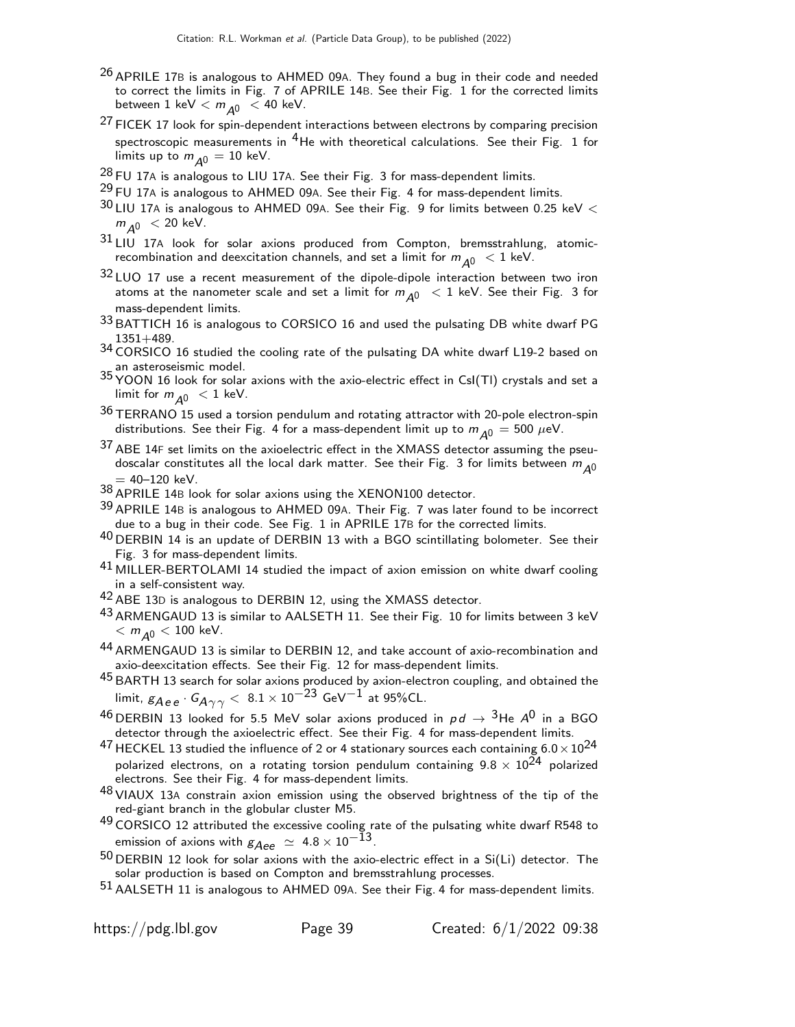- $26$  APRILE 17B is analogous to AHMED 09A. They found a bug in their code and needed to correct the limits in Fig. 7 of APRILE 14B. See their Fig. 1 for the corrected limits between  $1 \text{ keV} < m_{\overline{A^0}} < 40 \text{ keV}.$
- $27$  FICEK 17 look for spin-dependent interactions between electrons by comparing precision spectroscopic measurements in  $4$ He with theoretical calculations. See their Fig. 1 for limits up to  $m_{A0} = 10$  keV.
- $^{28}$  FU 17A is analogous to LIU 17A. See their Fig. 3 for mass-dependent limits.
- $^{29}$  FU 17A is analogous to AHMED 09A. See their Fig. 4 for mass-dependent limits.
- $30$  LIU 17A is analogous to AHMED 09A. See their Fig. 9 for limits between 0.25 keV  $<$  $m_{A0}$  < 20 keV.
- 31 LIU 17A look for solar axions produced from Compton, bremsstrahlung, atomicrecombination and deexcitation channels, and set a limit for  $m_{\Delta 0} < 1$  keV.
- 32 LUO 17 use a recent measurement of the dipole-dipole interaction between two iron atoms at the nanometer scale and set a limit for  $m_{A0} < 1$  keV. See their Fig. 3 for mass-dependent limits.
- 33 BATTICH 16 is analogous to CORSICO 16 and used the pulsating DB white dwarf PG 1351+489.
- 34 CORSICO 16 studied the cooling rate of the pulsating DA white dwarf L19-2 based on an asteroseismic model.
- 35 YOON 16 look for solar axions with the axio-electric effect in CsI(Tl) crystals and set a limit for  $m_{\overline{A0}} < 1$  keV.
- 36 TERRANO 15 used a torsion pendulum and rotating attractor with 20-pole electron-spin distributions. See their Fig. 4 for a mass-dependent limit up to  $m_{A0} = 500 \ \mu\text{eV}$ .
- 37 ABE 14F set limits on the axioelectric effect in the XMASS detector assuming the pseudoscalar constitutes all the local dark matter. See their Fig. 3 for limits between  $m_{A0}$  $= 40 - 120$  keV.
- 38 APRILE 14<sup>B</sup> look for solar axions using the XENON100 detector.
- 39 APRILE 14<sup>B</sup> is analogous to AHMED 09A. Their Fig. 7 was later found to be incorrect due to a bug in their code. See Fig. 1 in APRILE 17B for the corrected limits.
- 40 DERBIN 14 is an update of DERBIN 13 with a BGO scintillating bolometer. See their Fig. 3 for mass-dependent limits.
- $^{41}$  MILLER-BERTOLAMI 14 studied the impact of axion emission on white dwarf cooling in a self-consistent way.
- 42 ABE 13<sup>D</sup> is analogous to DERBIN 12, using the XMASS detector.
- $^{43}$  ARMENGAUD 13 is similar to AALSETH 11. See their Fig. 10 for limits between 3 keV  $< m$ <sub> $\Delta$ 0</sub>  $<$  100 keV.
- 44 ARMENGAUD 13 is similar to DERBIN 12, and take account of axio-recombination and axio-deexcitation effects. See their Fig. 12 for mass-dependent limits.
- 45 BARTH 13 search for solar axions produced by axion-electron coupling, and obtained the limit,  $g_{Aee}$  ·  $G_{A\gamma\gamma}$  < 8.1 × 10<sup>-23</sup> GeV<sup>-1</sup> at 95%CL.
- $^{46}$  DERBIN 13 looked for 5.5 MeV solar axions produced in  $pd \rightarrow {^3}$ He  $A^0$  in a BGO detector through the axioelectric effect. See their Fig. 4 for mass-dependent limits.
- $^{47}$  HECKEL 13 studied the influence of 2 or 4 stationary sources each containing  $6.0 \times 10^{24}$ polarized electrons, on a rotating torsion pendulum containing  $9.8 \times 10^{24}$  polarized electrons. See their Fig. 4 for mass-dependent limits.
- 48 VIAUX 13<sup>A</sup> constrain axion emission using the observed brightness of the tip of the red-giant branch in the globular cluster M5.
- $49$  CORSICO 12 attributed the excessive cooling rate of the pulsating white dwarf R548 to emission of axions with  $g_{Aee} \simeq 4.8 \times 10^{-13}$ .
- $50$  DERBIN 12 look for solar axions with the axio-electric effect in a Si(Li) detector. The solar production is based on Compton and bremsstrahlung processes.
- <sup>51</sup> AALSETH 11 is analogous to AHMED 09A. See their Fig. 4 for mass-dependent limits.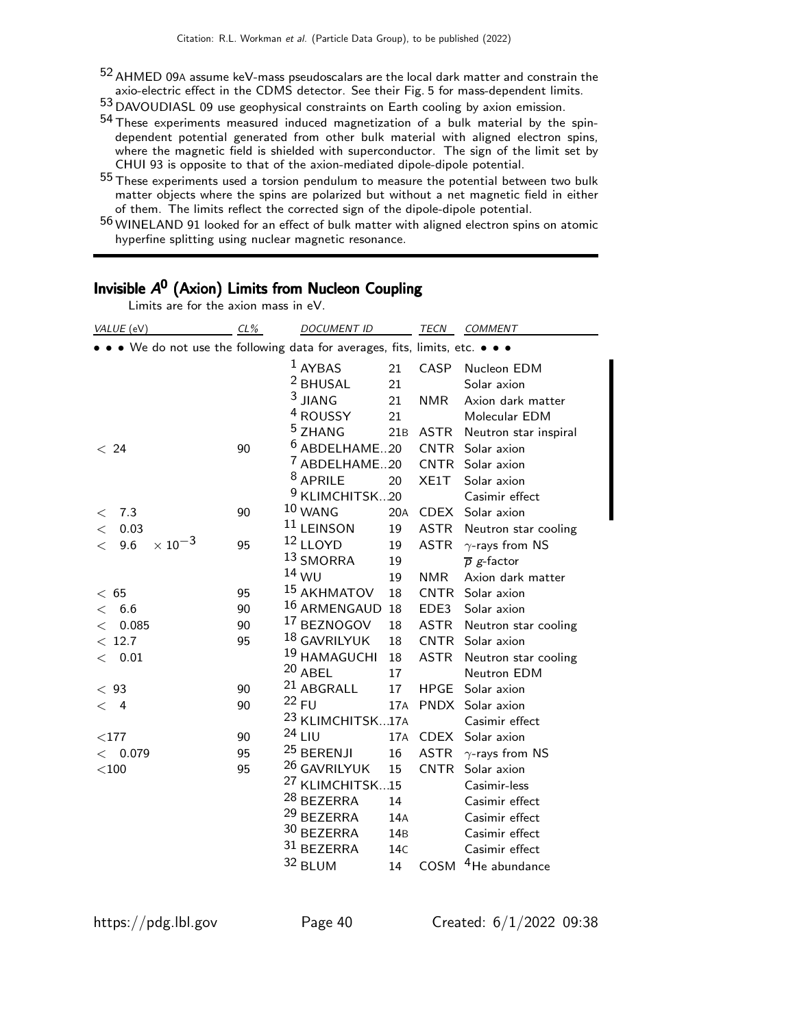52 AHMED 09<sup>A</sup> assume keV-mass pseudoscalars are the local dark matter and constrain the axio-electric effect in the CDMS detector. See their Fig. 5 for mass-dependent limits.

53 DAVOUDIASL 09 use geophysical constraints on Earth cooling by axion emission.

- 54 These experiments measured induced magnetization of a bulk material by the spindependent potential generated from other bulk material with aligned electron spins, where the magnetic field is shielded with superconductor. The sign of the limit set by CHUI 93 is opposite to that of the axion-mediated dipole-dipole potential.
- 55 These experiments used a torsion pendulum to measure the potential between two bulk matter objects where the spins are polarized but without a net magnetic field in either of them. The limits reflect the corrected sign of the dipole-dipole potential.
- 56 WINELAND 91 looked for an effect of bulk matter with aligned electron spins on atomic hyperfine splitting using nuclear magnetic resonance.

| Limits are for the axion mass in eV.                                          |    |                             |                 |             |                             |
|-------------------------------------------------------------------------------|----|-----------------------------|-----------------|-------------|-----------------------------|
| $CL\%$<br>VALUE (eV)                                                          |    | <b>DOCUMENT ID</b>          |                 | TECN        | COMMENT                     |
| • • • We do not use the following data for averages, fits, limits, etc. • • • |    |                             |                 |             |                             |
|                                                                               |    | $1$ AYBAS                   | 21              |             | CASP Nucleon EDM            |
|                                                                               |    | <sup>2</sup> BHUSAL         | 21              |             | Solar axion                 |
|                                                                               |    | $3$ JIANG                   | 21              | <b>NMR</b>  | Axion dark matter           |
|                                                                               |    | <sup>4</sup> ROUSSY         | 21              |             | Molecular EDM               |
|                                                                               |    | <sup>5</sup> ZHANG          | 21B             | <b>ASTR</b> | Neutron star inspiral       |
| < 24                                                                          | 90 | <sup>6</sup> ABDELHAME20    |                 |             | CNTR Solar axion            |
|                                                                               |    | <sup>7</sup> ABDELHAME20    |                 |             | CNTR Solar axion            |
|                                                                               |    | <sup>8</sup> APRILE         | 20              | XE1T        | Solar axion                 |
|                                                                               |    | <sup>9</sup> KLIMCHITSK20   |                 |             | Casimir effect              |
| 7.3<br>$\,<\,$                                                                | 90 | 10 WANG                     | 20A             |             | CDEX Solar axion            |
| 0.03<br>$\lt$                                                                 |    | <sup>11</sup> LEINSON       | 19              | ASTR        | Neutron star cooling        |
| $\times$ 10 <sup>-3</sup><br>9.6<br>$\lt$                                     | 95 | 12 LLOYD                    | 19              | <b>ASTR</b> | $\gamma$ -rays from NS      |
|                                                                               |    | 13 SMORRA                   | 19              |             | $\overline{p}$ g-factor     |
|                                                                               |    | $14$ WU                     | 19              | <b>NMR</b>  | Axion dark matter           |
| < 65                                                                          | 95 | <sup>15</sup> AKHMATOV      | 18              |             | CNTR Solar axion            |
| 6.6<br>$\lt$                                                                  | 90 | 16 ARMENGAUD                | 18              | EDE3        | Solar axion                 |
| 0.085<br>$\lt$                                                                | 90 | <sup>17</sup> BEZNOGOV      | 18              | ASTR        | Neutron star cooling        |
| < 12.7                                                                        | 95 | 18 GAVRILYUK                | 18              | CNTR        | Solar axion                 |
| 0.01<br>$\lt$                                                                 |    | 19 HAMAGUCHI                | 18              | ASTR        | Neutron star cooling        |
|                                                                               |    | 20 ABEL                     | 17              |             | Neutron EDM                 |
| < 93                                                                          | 90 | <sup>21</sup> ABGRALL       | 17              | HPGE        | Solar axion                 |
| $\lt$ 4                                                                       | 90 | $22$ FU                     | 17A             |             | PNDX Solar axion            |
|                                                                               |    | <sup>23</sup> KLIMCHITSK17A |                 |             | Casimir effect              |
| $<$ 177                                                                       | 90 | $24$ LIU                    | 17A             |             | CDEX Solar axion            |
| < 0.079                                                                       | 95 | <sup>25</sup> BERENJI       | 16              |             | ASTR $\gamma$ -rays from NS |
| $<$ 100                                                                       | 95 | <sup>26</sup> GAVRILYUK     | 15              |             | CNTR Solar axion            |
|                                                                               |    | <sup>27</sup> KLIMCHITSK15  |                 |             | Casimir-less                |
|                                                                               |    | <sup>28</sup> BEZERRA       | 14              |             | Casimir effect              |
|                                                                               |    | <sup>29</sup> BEZERRA       | 14A             |             | Casimir effect              |
|                                                                               |    | 30 BEZERRA                  | 14 <sub>B</sub> |             | Casimir effect              |
|                                                                               |    | $31$ BEZERRA                | 14C             |             | Casimir effect              |
|                                                                               |    | 32 BLUM                     | 14              | COSM        | <sup>4</sup> He abundance   |
|                                                                               |    |                             |                 |             |                             |

# Invisible A<sup>0</sup> (Axion) Limits from Nucleon Coupling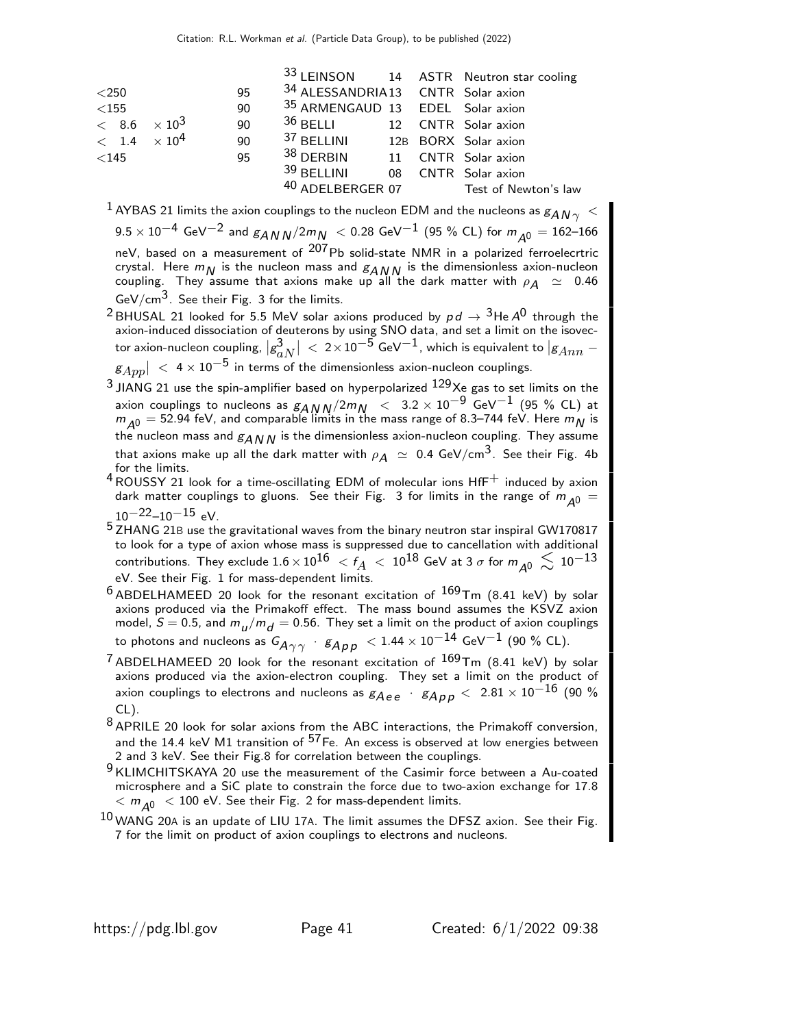|                       |      |                                          |  | 33 LEINSON 14 ASTR Neutron star cooling |
|-----------------------|------|------------------------------------------|--|-----------------------------------------|
| $<$ 250               | 95   | 34 ALESSANDRIA13 CNTR Solar axion        |  |                                         |
| $<$ 155 $\,$          | 90   | 35 ARMENGAUD 13 EDEL Solar axion         |  |                                         |
| $< 8.6 \times 10^3$   | 90   | <sup>36</sup> BELLI 12 CNTR Solar axion  |  |                                         |
| $< 1.4 \times 10^{4}$ | - 90 | 37 BELLINI 12B BORX Solar axion          |  |                                         |
| $<$ 145               | 95   | <sup>38</sup> DERBIN 11 CNTR Solar axion |  |                                         |
|                       |      | $39$ BELLINI                             |  | 08 CNTR Solar axion                     |
|                       |      |                                          |  | 40 ADELBERGER 07 Test of Newton's law   |

 $^{-1}$  AYBAS 21 limits the axion couplings to the nucleon EDM and the nucleons as  $g_{AN\gamma}~<$  $9.5 \times 10^{-4}$  GeV<sup>-2</sup> and  $g_{ANN}/2m_N < 0.28$  GeV<sup>-1</sup> (95 % CL) for  $m_{A0} = 162-166$ neV, based on a measurement of  $^{207}$ Pb solid-state NMR in a polarized ferroelecrtric crystal. Here  $m_N$  is the nucleon mass and  $g_{ANN}$  is the dimensionless axion-nucleon coupling. They assume that axions make up all the dark matter with  $\rho_A \simeq 0.46$ GeV/cm<sup>3</sup>. See their Fig. 3 for the limits.

<sup>2</sup> BHUSAL 21 looked for 5.5 MeV solar axions produced by  $pd \rightarrow {^{3}He}$  A<sup>0</sup> through the axion-induced dissociation of deuterons by using SNO data, and set a limit on the isovector axion-nucleon coupling,  $|g^3_{\alpha}|$ aN  $\big| \, < \, 2 \times 10^{-5}$  GeV $^{-1}$ , which is equivalent to  $\vert g_{Ann} \, - \,$  $\vert g_{App} \vert ~ < ~ 4 \times 10^{-5}$  in terms of the dimensionless axion-nucleon couplings.

- $3$  JIANG 21 use the spin-amplifier based on hyperpolarized  $129Xe$  gas to set limits on the axion couplings to nucleons as  $g_{AN}N/2m_N$  < 3.2 × 10<sup>-9</sup> GeV<sup>-1</sup> (95 % CL) at  $m_{\tilde{A}^0} = 52.94$  feV, and comparable limits in the mass range of 8.3–744 feV. Here  $m_N$  is the nucleon mass and  $g_{AN,N}$  is the dimensionless axion-nucleon coupling. They assume that axions make up all the dark matter with  $\rho_A~\simeq~0.4$  GeV/cm<sup>3</sup>. See their Fig. 4b for the limits.
- $4$  ROUSSY 21 look for a time-oscillating EDM of molecular ions  $HfF^+$  induced by axion dark matter couplings to gluons. See their Fig. 3 for limits in the range of  $m_{A0}$  =  $10^{-22}$ – $10^{-15}$  eV.
- 5 IO --IO --IO<br>5 ZHANG 21B use the gravitational waves from the binary neutron star inspiral GW170817 to look for a type of axion whose mass is suppressed due to cancellation with additional contributions. They exclude  $1.6 \times 10^{16} < f_A < 10^{18}$  GeV at 3  $\sigma$  for  $m_{A0} \lesssim 10^{-13}$ eV. See their Fig. 1 for mass-dependent limits.
- $^6$  ABDELHAMEED 20 look for the resonant excitation of  $^{169}$ Tm (8.41 keV) by solar axions produced via the Primakoff effect. The mass bound assumes the KSVZ axion model,  $S = 0.5$ , and  $m_{\mu}/m_{\textit{d}} = 0.56$ . They set a limit on the product of axion couplings to photons and nucleons as  $G_{\!A\gamma\gamma}$  ·  $g_{A\,pp}$   $< 1.44 \times 10^{-14}$  GeV $^{-1}$  (90 % CL).
- <sup>7</sup> ABDELHAMEED 20 look for the resonant excitation of  $^{169}$ Tm (8.41 keV) by solar axions produced via the axion-electron coupling. They set a limit on the product of axion couplings to electrons and nucleons as  $g_{Aee}$  ·  $g_{A\,e\,p}$  < 2.81  $\times$  10 $^{-16}$  (90 % CL).
- $8$  APRILE 20 look for solar axions from the ABC interactions, the Primakoff conversion, and the 14.4 keV M1 transition of  $57$  Fe. An excess is observed at low energies between 2 and 3 keV. See their Fig.8 for correlation between the couplings.
- 9 KLIMCHITSKAYA 20 use the measurement of the Casimir force between a Au-coated microsphere and a SiC plate to constrain the force due to two-axion exchange for 17.8  $< m_{\overline{A}}$ <sup>0</sup>  $< 100$  eV. See their Fig. 2 for mass-dependent limits.
- $^{10}$  WANG 20A is an update of LIU 17A. The limit assumes the DFSZ axion. See their Fig. 7 for the limit on product of axion couplings to electrons and nucleons.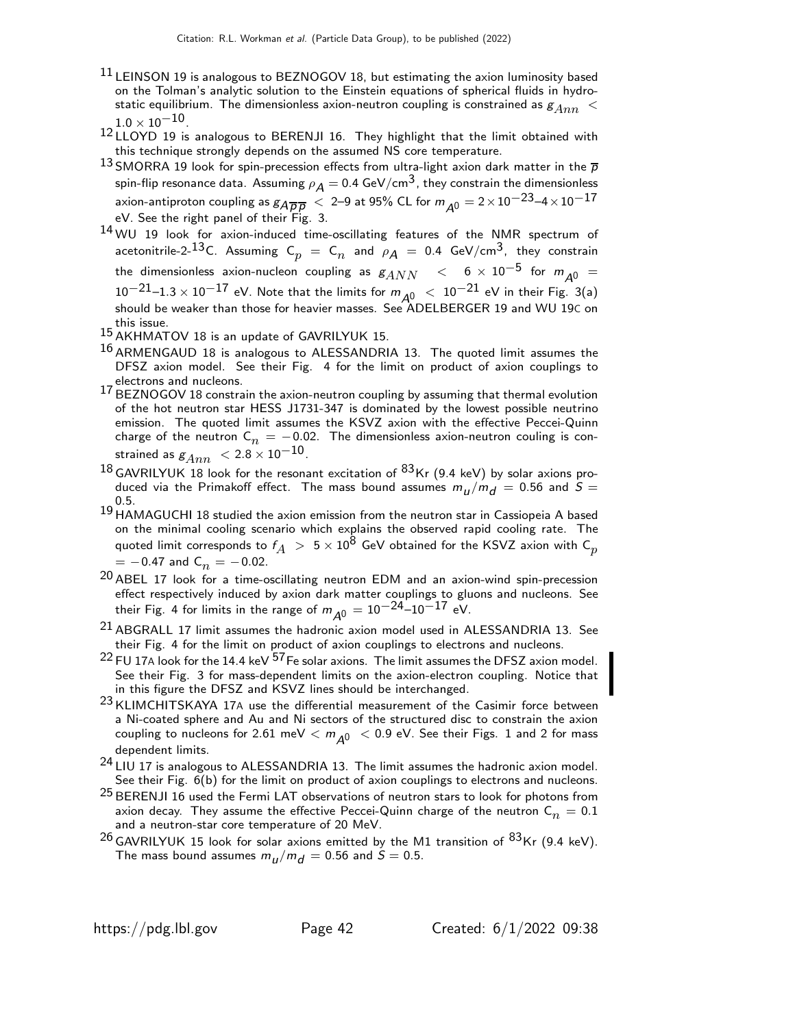- $^{11}$  LEINSON 19 is analogous to BEZNOGOV 18, but estimating the axion luminosity based on the Tolman's analytic solution to the Einstein equations of spherical fluids in hydrostatic equilibrium. The dimensionless axion-neutron coupling is constrained as  $g_{Ann} <$  $1.0\times10^{-10}$  .
- 12 LLOYD 19 is analogous to BERENJI 16. They highlight that the limit obtained with this technique strongly depends on the assumed NS core temperature.
- 13 SMORRA 19 look for spin-precession effects from ultra-light axion dark matter in the  $\overline{p}$ spin-flip resonance data. Assuming  $\rho_A = 0.4$  GeV/cm<sup>3</sup>, they constrain the dimensionless axion-antiproton coupling as  $g_{\overline{A} \overline{p} \overline{D}} < 2$ –9 at 95% CL for  $m_{A0} = 2 \times 10^{-23}$ –4 $\times 10^{-17}$ eV. See the right panel of their Fig. 3.
- <sup>14</sup> WU 19 look for axion-induced time-oscillating features of the NMR spectrum of acetonitrile-2- $^{13}$ C. Assuming  $\textsf{C}_p$   $\,=\, \textsf{C}_n \,$  and  $\, \rho_{\cal{A}} \, = \, 0.4\,$  GeV/cm $^3$ , they constrain the dimensionless axion-nucleon coupling as  $g_{ANN}$  < 6  $\times$  10<sup>-5</sup> for  $m_{A0}$  =  $10^{-21}$ –1.3  $\times$   $10^{-17}$  eV. Note that the limits for  $m_{\cal A^0}~<~10^{-21}$  eV in their Fig. 3(a)<br>should be weaker than those for heavier masses. See ADELBERGER 19 and WU 19C on this issue.
- 15 AKHMATOV 18 is an update of GAVRILYUK 15.
- 16 ARMENGAUD 18 is analogous to ALESSANDRIA 13. The quoted limit assumes the DFSZ axion model. See their Fig. 4 for the limit on product of axion couplings to electrons and nucleons.
- 17 BEZNOGOV 18 constrain the axion-neutron coupling by assuming that thermal evolution of the hot neutron star HESS J1731-347 is dominated by the lowest possible neutrino emission. The quoted limit assumes the KSVZ axion with the effective Peccei-Quinn charge of the neutron  $C_n = -0.02$ . The dimensionless axion-neutron couling is constrained as  $g_{Ann}$  <  $2.8 \times 10^{-10}$ .
- $^{18}$  GAVRILYUK 18 look for the resonant excitation of  $^{83}$ Kr (9.4 keV) by solar axions produced via the Primakoff effect. The mass bound assumes  $m_{\mu}/m_{\tilde{d}}\,=\,0.56$  and  $S=$ 0.5.
- 19 HAMAGUCHI 18 studied the axion emission from the neutron star in Cassiopeia A based on the minimal cooling scenario which explains the observed rapid cooling rate. The quoted limit corresponds to  $f_A > 5 \times 10^8$  GeV obtained for the KSVZ axion with  $\textsf{C}_p$  $= -0.47$  and  $C_n = -0.02$ .
- 20 ABEL 17 look for a time-oscillating neutron EDM and an axion-wind spin-precession effect respectively induced by axion dark matter couplings to gluons and nucleons. See their Fig. 4 for limits in the range of  $m_{\tilde{\cal A}^0} = 10^{-24}$ – $10^{-17}$  eV.
- <sup>21</sup> ABGRALL 17 limit assumes the hadronic axion model used in ALESSANDRIA 13. See their Fig. 4 for the limit on product of axion couplings to electrons and nucleons.
- $22$  FU 17A look for the 14.4 keV  $57$  Fe solar axions. The limit assumes the DFSZ axion model. See their Fig. 3 for mass-dependent limits on the axion-electron coupling. Notice that in this figure the DFSZ and KSVZ lines should be interchanged.
- 23 KLIMCHITSKAYA 17A use the differential measurement of the Casimir force between a Ni-coated sphere and Au and Ni sectors of the structured disc to constrain the axion coupling to nucleons for 2.61 meV  $< m_{A0} < 0.9$  eV. See their Figs. 1 and 2 for mass dependent limits.
- 24 LIU 17 is analogous to ALESSANDRIA 13. The limit assumes the hadronic axion model. See their Fig. 6(b) for the limit on product of axion couplings to electrons and nucleons.
- $25$  BERENJI 16 used the Fermi LAT observations of neutron stars to look for photons from axion decay. They assume the effective Peccei-Quinn charge of the neutron  $\mathsf{C}_n^{\phantom i}=0.1$ and a neutron-star core temperature of 20 MeV.
- $^{26}$  GAVRILYUK 15 look for solar axions emitted by the M1 transition of  $^{83}$ Kr (9.4 keV). The mass bound assumes  $m_{\mu}/m_{\tilde{d}} = 0.56$  and  $S = 0.5$ .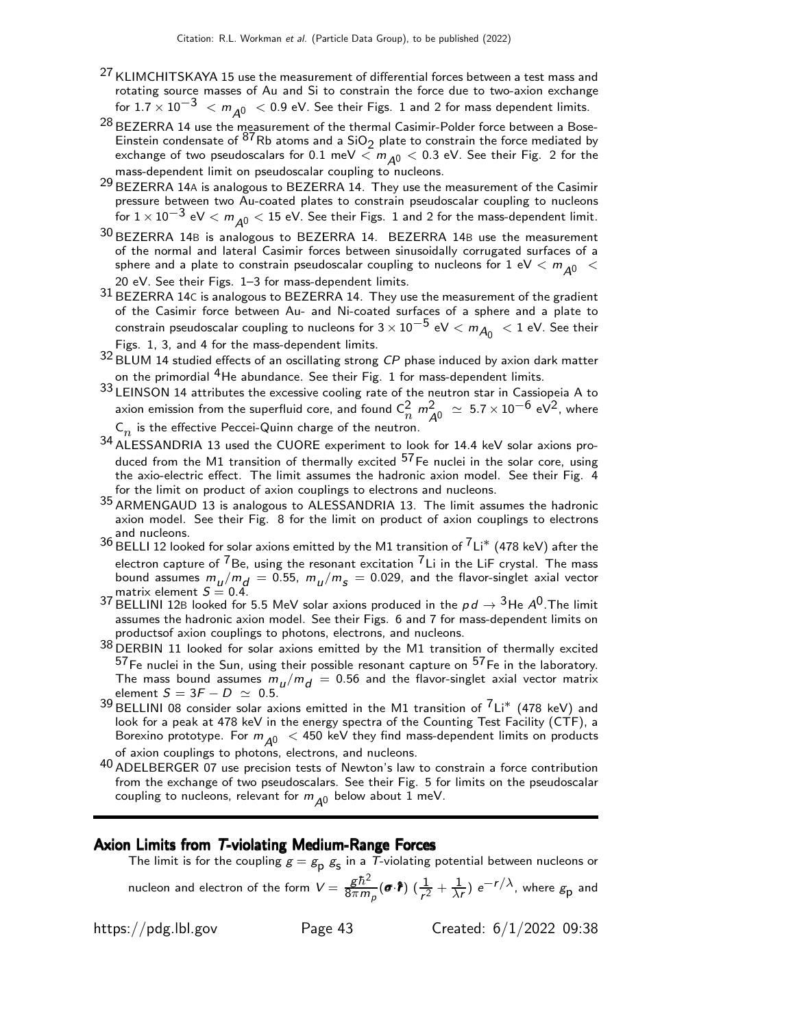- <sup>27</sup> KLIMCHITSKAYA 15 use the measurement of differential forces between a test mass and rotating source masses of Au and Si to constrain the force due to two-axion exchange for  $1.7 \times 10^{-3}$  <  $m_{A0}$  < 0.9 eV. See their Figs. 1 and 2 for mass dependent limits.
- $^{28}$  BEZERRA 14 use the measurement of the thermal Casimir-Polder force between a Bose-Einstein condensate of <sup>87</sup>Rb atoms and a  $SiO<sub>2</sub>$  plate to constrain the force mediated by exchange of two pseudoscalars for 0.1 meV  $\langle m_{A0}$   $<$  0.3 eV. See their Fig. 2 for the mass-dependent limit on pseudoscalar coupling to nucleons.
- $29$  BEZERRA 14A is analogous to BEZERRA 14. They use the measurement of the Casimir pressure between two Au-coated plates to constrain pseudoscalar coupling to nucleons for  $1 \times 10^{-3}$  eV  $< m_{A0} < 15$  eV. See their Figs. 1 and 2 for the mass-dependent limit.
- 30 BEZERRA 14<sup>B</sup> is analogous to BEZERRA 14. BEZERRA 14<sup>B</sup> use the measurement of the normal and lateral Casimir forces between sinusoidally corrugated surfaces of a sphere and a plate to constrain pseudoscalar coupling to nucleons for 1 eV  $< m_{A0} <$ 20 eV. See their Figs. 1–3 for mass-dependent limits.
- $31$  BEZERRA 14C is analogous to BEZERRA 14. They use the measurement of the gradient of the Casimir force between Au- and Ni-coated surfaces of a sphere and a plate to constrain pseudoscalar coupling to nucleons for  $3 \times 10^{-5}$  eV  $< m_{A_0} < 1$  eV. See their Figs. 1, 3, and 4 for the mass-dependent limits.
- 32 BLUM 14 studied effects of an oscillating strong CP phase induced by axion dark matter on the primordial  $4H$ e abundance. See their Fig. 1 for mass-dependent limits.
- $33$  LEINSON 14 attributes the excessive cooling rate of the neutron star in Cassiopeia A to axion emission from the superfluid core, and found  $C_n^2$   $m_{\tilde{A}^0}^2 \simeq 5.7 \times 10^{-6}$  eV<sup>2</sup>, where  $\mathsf{C}_n$  is the effective Peccei-Quinn charge of the neutron.
- $34$  ALESSANDRIA 13 used the CUORE experiment to look for 14.4 keV solar axions produced from the M1 transition of thermally excited  $57$  Fe nuclei in the solar core, using the axio-electric effect. The limit assumes the hadronic axion model. See their Fig. 4 for the limit on product of axion couplings to electrons and nucleons.
- 35 ARMENGAUD 13 is analogous to ALESSANDRIA 13. The limit assumes the hadronic axion model. See their Fig. 8 for the limit on product of axion couplings to electrons and nucleons.
- 36 BELLI 12 looked for solar axions emitted by the M1 transition of 7Li∗ (478 keV) after the electron capture of  $^{7}$ Be, using the resonant excitation  $^{7}$ Li in the LiF crystal. The mass bound assumes  $m_{\mu}/m_{\text{d}} = 0.55$ ,  $m_{\mu}/m_{\text{s}} = 0.029$ , and the flavor-singlet axial vector matrix element  $S = 0.4$ .
- 37 BELLINI 12B looked for 5.5 MeV solar axions produced in the  $pd \rightarrow 3$ He  $A^0$ . The limit assumes the hadronic axion model. See their Figs. 6 and 7 for mass-dependent limits on productsof axion couplings to photons, electrons, and nucleons.
- 38 DERBIN 11 looked for solar axions emitted by the M1 transition of thermally excited  $^{57}$ Fe nuclei in the Sun, using their possible resonant capture on  $^{57}$ Fe in the laboratory. The mass bound assumes  $m_u/m_d = 0.56$  and the flavor-singlet axial vector matrix element  $S = 3F - D \simeq 0.5$ .
- $39$  BELLINI 08 consider solar axions emitted in the M1 transition of  $7$ Li\* (478 keV) and look for a peak at 478 keV in the energy spectra of the Counting Test Facility (CTF), a Borexino prototype. For  $m_{A0}$  < 450 keV they find mass-dependent limits on products of axion couplings to photons, electrons, and nucleons.
- 40 ADELBERGER 07 use precision tests of Newton's law to constrain a force contribution from the exchange of two pseudoscalars. See their Fig. 5 for limits on the pseudoscalar coupling to nucleons, relevant for  $m_{A0}$  below about 1 meV.

#### Axion Limits from T-violating Medium-Range Forces

The limit is for the coupling  $g=g_{\mathsf{p}}\;g_{\mathsf{S}}$  in a  $\mathcal T$ -violating potential between nucleons or nucleon and electron of the form  $V = \frac{gh^2}{8\pi m}$  $\frac{g\hbar^{2}}{8\pi m_{p}}(\bm{\sigma}\!\cdot\!\bm{\hat{r}})\,\,(\frac{1}{r^{2}}+\frac{1}{\lambda\mu}% )^{2}$  $\frac{1}{\lambda r}$ )  $e^{-r/\lambda}$ , where  $g_{\sf p}$  and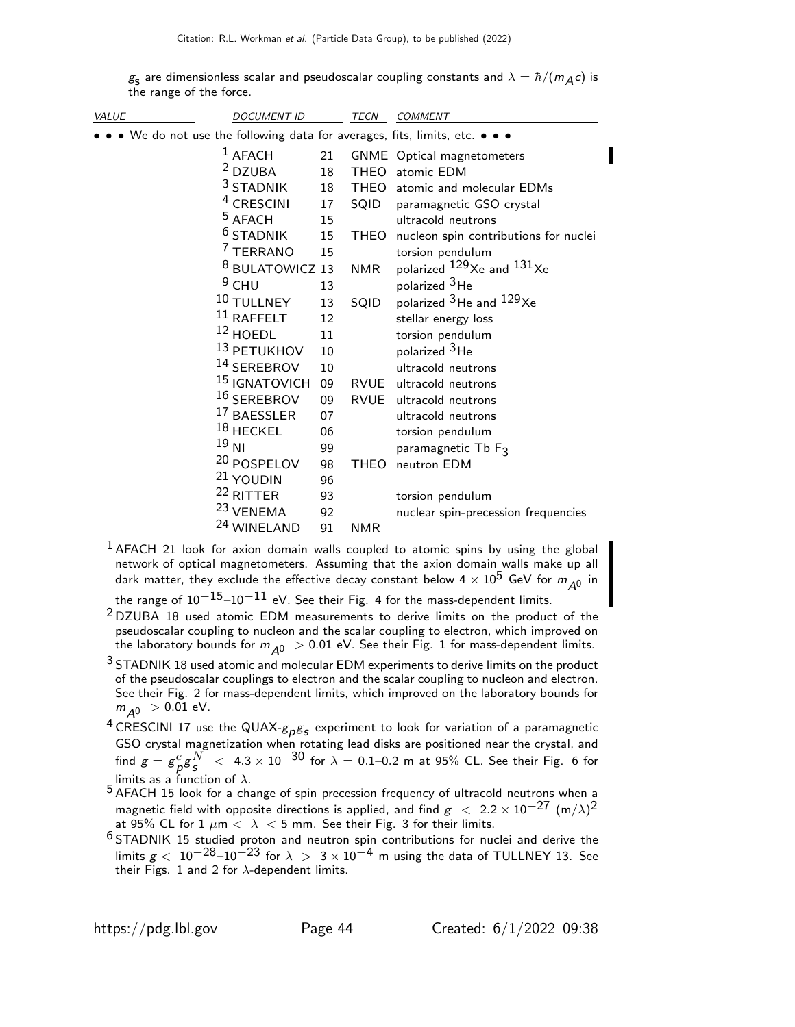$\rm g_{s}$  are dimensionless scalar and pseudoscalar coupling constants and  $\lambda=\hbar/(m_{\cal A} c)$  is the range of the force.

| <b>VALUE</b> | <b>DOCUMENT ID</b>                                                          |    | TECN        | COMMENT                                         |
|--------------|-----------------------------------------------------------------------------|----|-------------|-------------------------------------------------|
|              | • • We do not use the following data for averages, fits, limits, etc. • • • |    |             |                                                 |
|              | $1$ AFACH                                                                   | 21 |             | GNME Optical magnetometers                      |
|              | <sup>2</sup> DZUBA                                                          | 18 |             | THEO atomic EDM                                 |
|              | <sup>3</sup> STADNIK                                                        | 18 |             | THEO atomic and molecular EDMs                  |
|              | <sup>4</sup> CRESCINI                                                       | 17 | SQID        | paramagnetic GSO crystal                        |
|              | <sup>5</sup> AFACH                                                          | 15 |             | ultracold neutrons                              |
|              | $6$ STADNIK                                                                 | 15 | THEO        | nucleon spin contributions for nuclei           |
|              | <sup>7</sup> TERRANO                                                        | 15 |             | torsion pendulum                                |
|              | <sup>8</sup> BULATOWICZ 13                                                  |    | <b>NMR</b>  | polarized $^{129}$ Xe and $^{131}$ Xe           |
|              | $9$ CHU                                                                     | 13 |             | polarized <sup>3</sup> He                       |
|              | 10 TULLNEY                                                                  | 13 | SQID        | polarized <sup>3</sup> He and <sup>129</sup> Xe |
|              | $11$ RAFFELT                                                                | 12 |             | stellar energy loss                             |
|              | $12$ HOEDL                                                                  | 11 |             | torsion pendulum                                |
|              | 13 PETUKHOV                                                                 | 10 |             | polarized <sup>3</sup> He                       |
|              | 14 SEREBROV                                                                 | 10 |             | ultracold neutrons                              |
|              | 15 IGNATOVICH                                                               | 09 |             | RVUE ultracold neutrons                         |
|              | <sup>16</sup> SEREBROV                                                      | 09 |             | RVUE ultracold neutrons                         |
|              | <sup>17</sup> BAESSLER                                                      | 07 |             | ultracold neutrons                              |
|              | $18$ HECKEL                                                                 | 06 |             | torsion pendulum                                |
|              | $19$ NI                                                                     | 99 |             | paramagnetic Tb F3                              |
|              | 20 POSPELOV                                                                 | 98 | <b>THEO</b> | neutron EDM                                     |
|              | <sup>21</sup> YOUDIN                                                        | 96 |             |                                                 |
|              | <sup>22</sup> RITTER                                                        | 93 |             | torsion pendulum                                |
|              | <sup>23</sup> VENEMA                                                        | 92 |             | nuclear spin-precession frequencies             |
|              | 24 WINELAND                                                                 | 91 | <b>NMR</b>  |                                                 |

<sup>1</sup> AFACH 21 look for axion domain walls coupled to atomic spins by using the global network of optical magnetometers. Assuming that the axion domain walls make up all dark matter, they exclude the effective decay constant below 4  $\times$   $10^5$  GeV for  $m_{\tilde{\cal A}^0}$  in

the range of  $10^{-15}$ – $10^{-11}$  eV. See their Fig. 4 for the mass-dependent limits.

- 2 DZUBA 18 used atomic EDM measurements to derive limits on the product of the pseudoscalar coupling to nucleon and the scalar coupling to electron, which improved on the laboratory bounds for  $m_{A0} > 0.01$  eV. See their Fig. 1 for mass-dependent limits.
- <sup>3</sup> STADNIK 18 used atomic and molecular EDM experiments to derive limits on the product of the pseudoscalar couplings to electron and the scalar coupling to nucleon and electron. See their Fig. 2 for mass-dependent limits, which improved on the laboratory bounds for  $m_{A0} > 0.01$  eV.
- $^4$  CRESCINI 17 use the QUAX- $g_p g_s$  experiment to look for variation of a paramagnetic GSO crystal magnetization when rotating lead disks are positioned near the crystal, and find  $g = g_{\ \beta}^e g_S^{N} \ <\ 4.3 \times 10^{-30}$  for  $\lambda =$  0.1–0.2 m at 95% CL. See their Fig. 6 for limits as a function of  $\lambda$ .
- 5 AFACH 15 look for a change of spin precession frequency of ultracold neutrons when a magnetic field with opposite directions is applied, and find  $g < 2.2 \times 10^{-27}$  (m/ $\lambda$ )<sup>2</sup> at 95% CL for 1  $\mu$ m <  $\lambda$  < 5 mm. See their Fig. 3 for their limits.
- $6$  STADNIK 15 studied proton and neutron spin contributions for nuclei and derive the limits  $g < 10^{-28}$ – $10^{-23}$  for  $\lambda$   $> 3 \times 10^{-4}$  m using the data of TULLNEY 13. See their Figs. 1 and 2 for  $\lambda$ -dependent limits.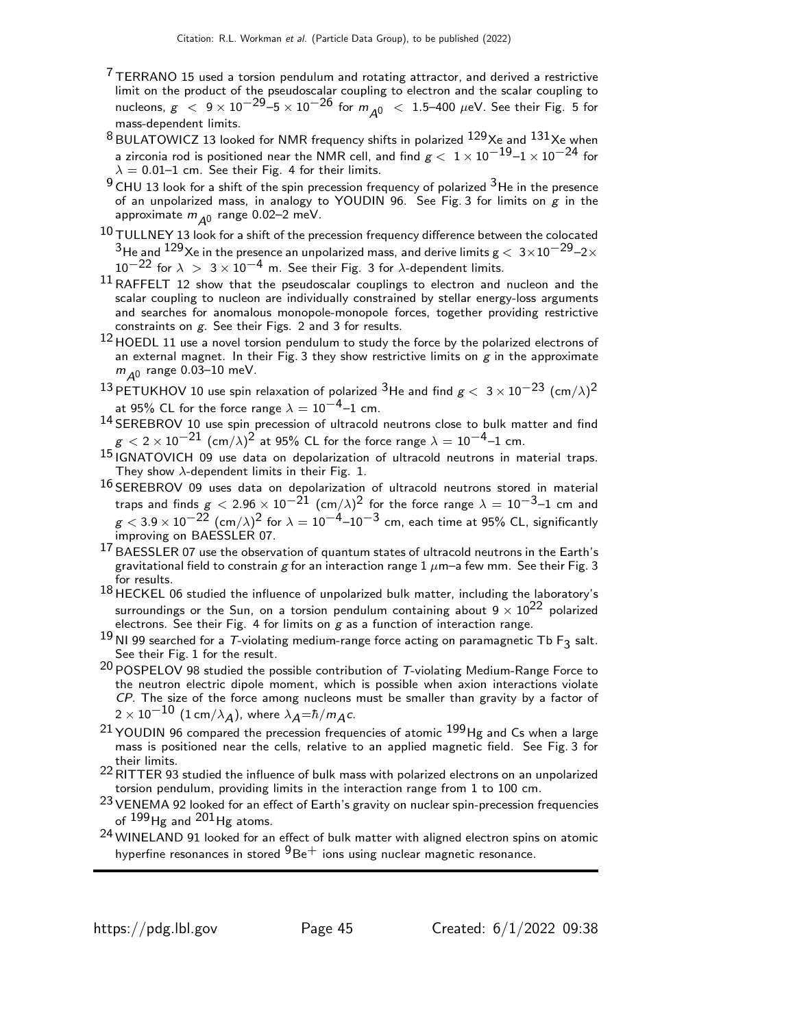- $7$  TERRANO 15 used a torsion pendulum and rotating attractor, and derived a restrictive limit on the product of the pseudoscalar coupling to electron and the scalar coupling to nucleons,  $g < 9 \times 10^{-29} - 5 \times 10^{-26}$  for  $m_{A0} < 1.5$ –400  $\mu$ eV. See their Fig. 5 for mass-dependent limits.
- $8$  BULATOWICZ 13 looked for NMR frequency shifts in polarized  $129$ Xe and  $131$ Xe when a zirconia rod is positioned near the NMR cell, and find  $\rm g <\rm~1\,{\times}\,10^{-19}$ – $\rm 1\,{\times}\,10^{-24}$  for  $\lambda = 0.01$ –1 cm. See their Fig. 4 for their limits.
- <sup>9</sup> CHU 13 look for a shift of the spin precession frequency of polarized <sup>3</sup>He in the presence of an unpolarized mass, in analogy to YOUDIN 96. See Fig. 3 for limits on  $g$  in the approximate  $m_{\tilde{\mathcal{A}}^0}$  range 0.02–2 meV.
- $10$  TULLNEY 13 look for a shift of the precession frequency difference between the colocated  $^3$ He and  $^{129}$ Xe in the presence an unpolarized mass, and derive limits  $\rm g <\,3\times10^{-29}$ –2 $\times$  $10^{-22}$  for  $\lambda > 3 \times 10^{-4}$  m. See their Fig. 3 for  $\lambda$ -dependent limits.
- $11$  RAFFELT 12 show that the pseudoscalar couplings to electron and nucleon and the scalar coupling to nucleon are individually constrained by stellar energy-loss arguments and searches for anomalous monopole-monopole forces, together providing restrictive constraints on g. See their Figs. 2 and 3 for results.
- $12$  HOEDL 11 use a novel torsion pendulum to study the force by the polarized electrons of an external magnet. In their Fig. 3 they show restrictive limits on  $g$  in the approximate  $m_{\tilde{\cal A}^0}$  range 0.03–10 meV.
- $^{13}$ PETUKHOV 10 use spin relaxation of polarized  $^3$ He and find  $g<~3\times10^{-23}~(\textsf{cm}/\lambda)^2$ at 95% CL for the force range  $\lambda = 10^{-4}$ –1 cm.
- 14 SEREBROV 10 use spin precession of ultracold neutrons close to bulk matter and find  $g < 2 \times 10^{-21}$  (cm/ $\lambda$ ) $^2$  at 95% CL for the force range  $\lambda = 10^{-4}$ –1 cm.
- 15 IGNATOVICH 09 use data on depolarization of ultracold neutrons in material traps. They show  $\lambda$ -dependent limits in their Fig. 1.
- 16 SEREBROV 09 uses data on depolarization of ultracold neutrons stored in material traps and finds  $g < 2.96 \times 10^{-21}$  (cm/ $\lambda$ ) $^2$  for the force range  $\lambda = 10^{-3}$ –1 cm and  $g < 3.9 \times 10^{-22}$  (cm/ $\lambda$ ) $^2$  for  $\lambda = 10^{-4}$ – $10^{-3}$  cm, each time at 95% CL, significantly improving on BAESSLER 07.
- $^{17}$  BAESSLER 07 use the observation of quantum states of ultracold neutrons in the Earth's gravitational field to constrain g for an interaction range  $1 \mu$ m–a few mm. See their Fig. 3 for results.
- 18 HECKEL 06 studied the influence of unpolarized bulk matter, including the laboratory's surroundings or the Sun, on a torsion pendulum containing about  $9 \times 10^{22}$  polarized electrons. See their Fig. 4 for limits on  $g$  as a function of interaction range.
- $^{19}$  NI 99 searched for a T-violating medium-range force acting on paramagnetic Tb F<sub>3</sub> salt. See their Fig. 1 for the result.
- $20$  POSPELOV 98 studied the possible contribution of T-violating Medium-Range Force to the neutron electric dipole moment, which is possible when axion interactions violate CP. The size of the force among nucleons must be smaller than gravity by a factor of  $2 \times 10^{-10}$  (1 cm/ $\lambda_A$ ), where  $\lambda_A = \hbar/m_A c$ .
- $21$  YOUDIN 96 compared the precession frequencies of atomic  $199$  Hg and Cs when a large mass is positioned near the cells, relative to an applied magnetic field. See Fig. 3 for their limits.
- 22RITTER 93 studied the influence of bulk mass with polarized electrons on an unpolarized torsion pendulum, providing limits in the interaction range from 1 to 100 cm.
- <sup>23</sup> VENEMA 92 looked for an effect of Earth's gravity on nuclear spin-precession frequencies of  $199$  Hg and  $201$  Hg atoms.
- 24 WINELAND 91 looked for an effect of bulk matter with aligned electron spins on atomic hyperfine resonances in stored  $9Be<sup>+</sup>$  ions using nuclear magnetic resonance.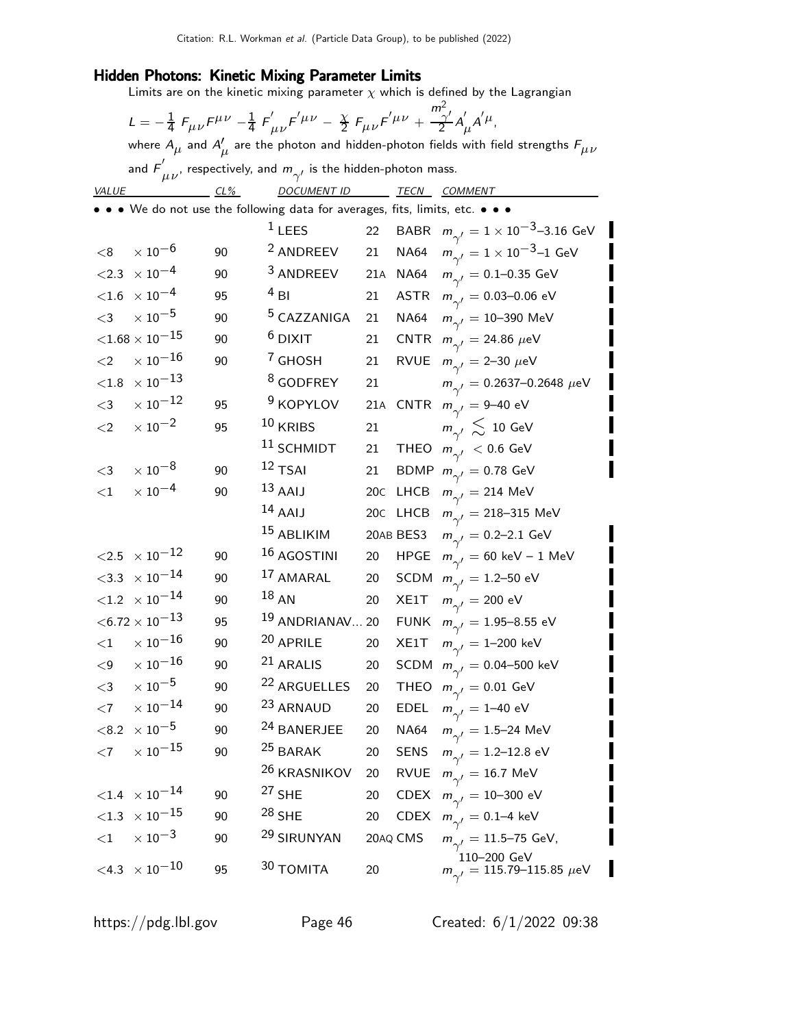#### Hidden Photons: Kinetic Mixing Parameter Limits

Limits are on the kinetic mixing parameter  $\chi$  which is defined by the Lagrangian

|                                                                                   | ${\cal L} = - \frac{1}{4} \; F_{\mu \nu} F^{\mu \nu} - \frac{1}{4} \; F^{\prime}_{\mu \nu} F^{\prime \mu \nu} - \frac{\chi}{2} \; F_{\mu \nu} F^{\prime \mu \nu} + \frac{m_{\gamma}^2}{2} A^{\prime}_{\mu} A^{\prime \mu},$ |        |                                                                                                                      |     |             |                                                             |  |  |
|-----------------------------------------------------------------------------------|-----------------------------------------------------------------------------------------------------------------------------------------------------------------------------------------------------------------------------|--------|----------------------------------------------------------------------------------------------------------------------|-----|-------------|-------------------------------------------------------------|--|--|
|                                                                                   | where $A_\mu$ and $A'_\mu$ are the photon and hidden-photon fields with field strengths $F_{\mu\nu}$                                                                                                                        |        |                                                                                                                      |     |             |                                                             |  |  |
| and $F^{'}_{\mu\nu}$ , respectively, and $m_{\gamma'}$ is the hidden-photon mass. |                                                                                                                                                                                                                             |        |                                                                                                                      |     |             |                                                             |  |  |
| <b>VALUE</b>                                                                      |                                                                                                                                                                                                                             | $CL\%$ | DOCUMENT ID TECN COMMENT                                                                                             |     |             |                                                             |  |  |
|                                                                                   |                                                                                                                                                                                                                             |        | $\bullet\,\bullet\,\bullet\,$ We do not use the following data for averages, fits, limits, etc. $\bullet\,\bullet\,$ |     |             |                                                             |  |  |
|                                                                                   |                                                                                                                                                                                                                             |        | $1$ LEES                                                                                                             | 22  | BABR        | $m_{\gamma^{\prime}}=1\times10^{-3}$ –3.16 GeV              |  |  |
| < 8                                                                               | $\times$ 10 $^{-6}$                                                                                                                                                                                                         | 90     | <sup>2</sup> ANDREEV                                                                                                 | 21  | <b>NA64</b> | $m_{\gamma'} = 1 \times 10^{-3}$ –1 GeV                     |  |  |
| < 2.3                                                                             | $\times$ 10 $^{-4}$                                                                                                                                                                                                         | 90     | <sup>3</sup> ANDREEV                                                                                                 | 21A | <b>NA64</b> | $m_{\gamma'}^{}=0.1\text{--}0.35~\text{GeV}$                |  |  |
|                                                                                   | ${<}1.6$ $\times$ $10^{-4}$                                                                                                                                                                                                 | 95     | $4$ BI                                                                                                               | 21  |             | ASTR $m_{\gamma'} = 0.03{\text -}0.06 \text{ eV}$           |  |  |
| $<$ 3                                                                             | $\times$ 10 $^{-5}$                                                                                                                                                                                                         | 90     | <sup>5</sup> CAZZANIGA                                                                                               | 21  | <b>NA64</b> | $m_{\gamma'} = 10 - 390 \text{ MeV}$                        |  |  |
|                                                                                   | ${<}1.68\times10^{-15}$                                                                                                                                                                                                     | 90     | $6$ DIXIT                                                                                                            | 21  |             | CNTR $m_{\gamma'} = 24.86 \ \mu\text{eV}$                   |  |  |
| ${<}2$                                                                            | $\times$ 10 $^{-16}$                                                                                                                                                                                                        | 90     | <sup>7</sup> GHOSH                                                                                                   | 21  |             | RVUE $m_{\gamma'} = 2-30 \ \mu\text{eV}$                    |  |  |
| $<\!\!1.8$                                                                        | $\times$ $10^{-13}$                                                                                                                                                                                                         |        | <sup>8</sup> GODFREY                                                                                                 | 21  |             | $m_{\gamma'} = 0.2637 - 0.2648 \ \mu\text{eV}$              |  |  |
| $<$ 3                                                                             | $\times$ $10^{-12}$                                                                                                                                                                                                         | 95     | <sup>9</sup> KOPYLOV                                                                                                 | 21A |             | CNTR $m_{\gamma'} = 9 - 40$ eV                              |  |  |
| $\leq$ 2                                                                          | $\times$ $10^{-2}$                                                                                                                                                                                                          | 95     | $10$ KRIBS                                                                                                           | 21  |             | $m_{\gamma'} \lesssim 10 \text{ GeV}$                       |  |  |
|                                                                                   |                                                                                                                                                                                                                             |        | <sup>11</sup> SCHMIDT                                                                                                | 21  |             | THEO $m_{\gamma'}$ < 0.6 GeV                                |  |  |
| $\leq$ 3                                                                          | $\times$ $10^{-8}$                                                                                                                                                                                                          | 90     | $12$ TSAI                                                                                                            | 21  |             | BDMP $m_{\gamma'} = 0.78$ GeV                               |  |  |
| ${<}1$                                                                            | $\times$ $10^{-4}$                                                                                                                                                                                                          | 90     | $13$ AAIJ                                                                                                            | 20C |             | LHCB $m_{\gamma'} = 214 \text{ MeV}$                        |  |  |
|                                                                                   |                                                                                                                                                                                                                             |        | $14$ AAIJ                                                                                                            |     |             | 20c LHCB $m_{\gamma'} = 218 - 315 \text{ MeV}$              |  |  |
|                                                                                   |                                                                                                                                                                                                                             |        | 15 ABLIKIM                                                                                                           |     | 20AB BES3   | $m_{\gamma'} = 0.2 - 2.1$ GeV                               |  |  |
|                                                                                   | ${<}2.5 \times 10^{-12}$                                                                                                                                                                                                    | 90     | 16 AGOSTINI                                                                                                          | 20  | <b>HPGE</b> | $m_{\gamma'} = 60 \text{ keV} - 1 \text{ MeV}$              |  |  |
|                                                                                   | $<$ 3.3 $\times$ 10 $^{-14}$                                                                                                                                                                                                | 90     | 17 AMARAL                                                                                                            | 20  |             | SCDM $m_{\gamma'} = 1.2 - 50$ eV                            |  |  |
|                                                                                   | $<$ 1.2 $\times$ 10 $^{-14}$                                                                                                                                                                                                | 90     | $^{18}$ AN                                                                                                           | 20  | XE1T        | $m_{\gamma'}^{}=200$ eV                                     |  |  |
|                                                                                   | $<$ 6.72 $\times$ 10 $^{-13}$                                                                                                                                                                                               | 95     | <sup>19</sup> ANDRIANAV 20                                                                                           |     | <b>FUNK</b> | $m_{\gamma'}^{}=1.95\text{--}8.55~\text{eV}$                |  |  |
| ${<}1$                                                                            | $\times$ $10^{-16}$                                                                                                                                                                                                         | 90     | 20 APRILE                                                                                                            | 20  | XE1T        | $m_{\gamma'} = 1 - 200 \text{ keV}$                         |  |  |
| $\leq$ 9                                                                          | $\times$ $10^{-16}$                                                                                                                                                                                                         | 90     | 21 ARALIS                                                                                                            | 20  |             | SCDM $m_{\gamma'} = 0.04 - 500$ keV                         |  |  |
| $<$ 3                                                                             | $\times$ $10^{-5}$                                                                                                                                                                                                          | 90     | 22 ARGUELLES                                                                                                         | 20  | THEO        | $m_{\gamma'}^{}=0.01$ GeV                                   |  |  |
| ${<}7$                                                                            | $\times$ $10^{-14}$                                                                                                                                                                                                         | 90     | 23 ARNAUD                                                                                                            | 20  | <b>EDEL</b> | $m_{\gamma'} = 1 - 40 \text{ eV}$                           |  |  |
|                                                                                   | $<$ 8.2 $\times$ 10 $^{-5}$                                                                                                                                                                                                 | 90     | <sup>24</sup> BANERJEE                                                                                               | 20  | NA64        | $m_{\gamma'}^{} = 1.5\text{--}24~\text{MeV}$                |  |  |
| $<$ 7                                                                             | $\times$ $10^{-15}$                                                                                                                                                                                                         | 90     | <sup>25</sup> BARAK                                                                                                  | 20  | <b>SENS</b> | $m_{\gamma'} = 1.2\text{--}12.8 \text{ eV}$                 |  |  |
|                                                                                   |                                                                                                                                                                                                                             |        | <sup>26</sup> KRASNIKOV                                                                                              | 20  | <b>RVUE</b> | $m_{\gamma'}^{}=16.7~{\rm MeV}$                             |  |  |
|                                                                                   | $<\!\!1.4\;\times10^{-14}$                                                                                                                                                                                                  | 90     | $27$ SHE                                                                                                             | 20  | <b>CDEX</b> | $m_{\gamma'}^{}=10\text{--}300\,\,{\rm eV}$                 |  |  |
|                                                                                   | ${<}1.3$ $\times$ $10^{-15}$                                                                                                                                                                                                | 90     | $28$ SHE                                                                                                             | 20  | <b>CDEX</b> | $m_{\gamma'} = 0.1 - 4$ keV                                 |  |  |
| ${<}1$                                                                            | $\times$ 10 <sup>-3</sup>                                                                                                                                                                                                   | 90     | <sup>29</sup> SIRUNYAN                                                                                               |     | 20AQ CMS    | $m_{\gamma'} = 11.5 - 75$ GeV,                              |  |  |
|                                                                                   | $<\!\!4.3\;\times10^{-10}$                                                                                                                                                                                                  | 95     | 30 TOMITA                                                                                                            | 20  |             | 110-200 GeV<br>$m_{\gamma'} = 115.79 - 115.85 \mu\text{eV}$ |  |  |

I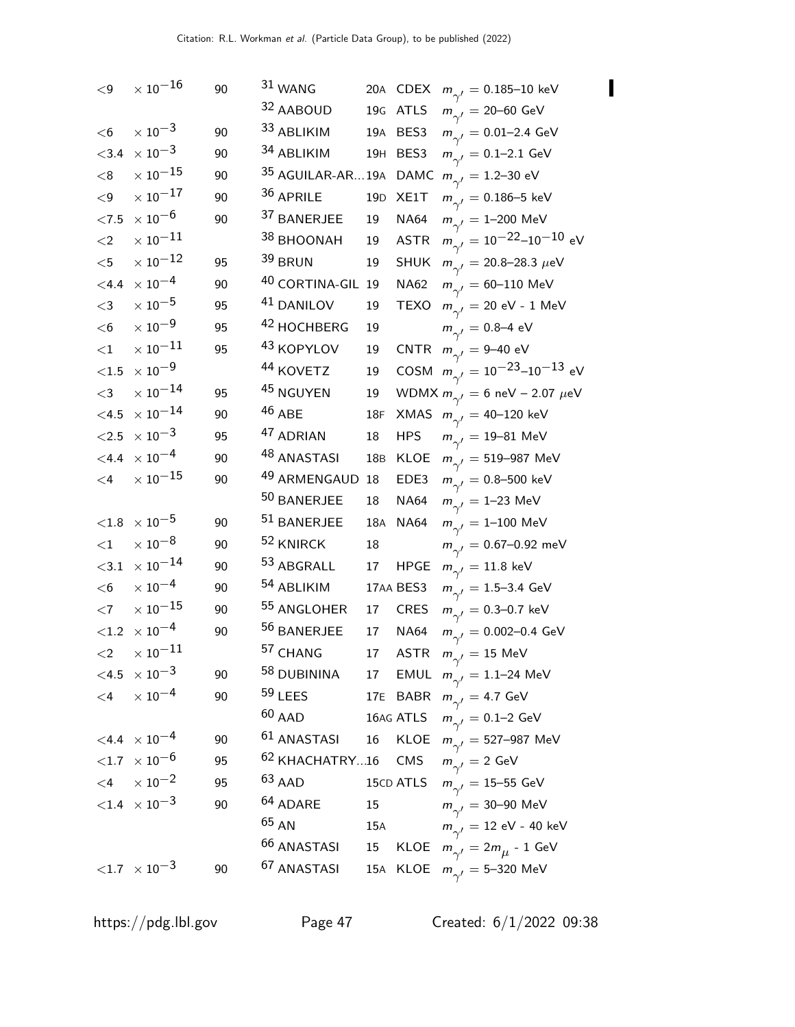| $\leq$ 9            | $\times$ $10^{-16}$             | 90 | 31 WANG                   |                 |             | 20A CDEX $m_{\gamma'} = 0.185 - 10 \text{ keV}$             |
|---------------------|---------------------------------|----|---------------------------|-----------------|-------------|-------------------------------------------------------------|
|                     |                                 |    | 32 AABOUD                 |                 | 19G ATLS    | $m_{\gamma'} = 20 - 60 \text{ GeV}$                         |
| $<$ 6               | $\times\,10^{-3}$               | 90 | 33 ABLIKIM                |                 | 19A BES3    | $m_{\gamma^\prime}=$ 0.01–2.4 GeV                           |
| ${<}3.4$            | $\times$ 10 <sup>-3</sup>       | 90 | 34 ABLIKIM                |                 | 19H BES3    | $m_{\gamma'} = 0.1 - 2.1 \text{ GeV}$                       |
| < 8                 | $\times$ $10^{-15}$             | 90 |                           |                 |             | <sup>35</sup> AGUILAR-AR19A DAMC $m_{\gamma'} = 1.2$ –30 eV |
| $<\!9$              | $\times$ $10^{-17}$             | 90 | 36 APRILE                 | 19 <sub>D</sub> | XE1T        | $m_{\gamma'} = 0.186 - 5 \text{ keV}$                       |
| $<7.5$              | $\times$ 10 $^{-6}$             | 90 | 37 BANERJEE               | 19              | <b>NA64</b> | $m_{\gamma'} = 1 - 200 \text{ MeV}$                         |
| ${<}2$              | $\times$ 10 $^{-11}$            |    | 38 BHOONAH                | 19              | <b>ASTR</b> | $m_{\gamma'} = 10^{-22} - 10^{-10}$ eV                      |
| $<$ 5               | $\times$ $10^{-12}$             | 95 | 39 BRUN                   | 19              | <b>SHUK</b> | $m_{\gamma'}^{} = 20.8 - 28.3~\mu\text{eV}$                 |
| $<$ 4.4             | $\times$ 10 $^{-4}$             | 90 | 40 CORTINA-GIL 19         |                 | <b>NA62</b> | $m_{\gamma'} = 60 - 110 \text{ MeV}$                        |
| $<$ 3               | $\times$ 10 $^{-5}$             | 95 | 41 DANILOV                | 19              | <b>TEXO</b> | $m_{\gamma'}^{}=20$ eV - 1 MeV                              |
| $<$ 6               | $\times$ 10 <sup>-9</sup>       | 95 | 42 HOCHBERG               | 19              |             | $m_{\gamma'} = 0.8 - 4$ eV                                  |
| $<$ 1               | $\times$ 10 $^{-11}$            | 95 | <sup>43</sup> KOPYLOV     | 19              |             | CNTR $m_{\gamma'} = 9-40$ eV                                |
| ${<}1.5\,$          | $\times$ 10 $^{-9}$             |    | <sup>44</sup> KOVETZ      | 19              |             | COSM $m_{\gamma'} = 10^{-23} - 10^{-13}$ eV                 |
| $<$ 3               | $\times$ 10 $^{-14}$            | 95 | <sup>45</sup> NGUYEN      | 19              |             | WDMX $m_{\gamma'} = 6$ neV - 2.07 $\mu$ eV                  |
| $<$ 4.5             | $\times$ $10^{-14}$             | 90 | $46$ ABE                  | 18F             |             | XMAS $m_{\gamma'} = 40-120$ keV                             |
| $<2.5\,$            | $\times$ 10 $^{-3}$             | 95 | 47 ADRIAN                 | 18              | <b>HPS</b>  | $m_{\gamma'} = 19 - 81 \text{ MeV}$                         |
| $<$ 4.4             | $\times$ 10 <sup>-4</sup>       | 90 | <sup>48</sup> ANASTASI    | 18 <sub>B</sub> | KLOE        | $m_{\gamma'}^{}=519\text{--}987~\text{MeV}$                 |
| $\leq$ 4            | $\times$ 10 $^{-15}$            | 90 | 49 ARMENGAUD              | 18              | EDE3        | $m_{\gamma^\prime}=$ 0.8–500 keV                            |
|                     |                                 |    | 50 BANERJEE               | 18              | <b>NA64</b> | $m_{\gamma'} = 1-23$ MeV                                    |
| ${<}1.8$            | $\times$ $10^{-5}$              | 90 | 51 BANERJEE               | 18A             | NA64        | $m_{\gamma'} = 1 - 100 \text{ MeV}$                         |
| $<$ 1               | $\times$ $10^{-8}$              | 90 | 52 KNIRCK                 | 18              |             | $m_{\gamma'} = 0.67 - 0.92$ meV                             |
| $<$ 3.1             | $\times$ $10^{-14}$             | 90 | $53$ ABGRALL              | 17              | <b>HPGE</b> | $m_{\gamma'} = 11.8 \text{ keV}$                            |
| $<$ 6               | $\times$ 10 $^{-4}$             | 90 | <sup>54</sup> ABLIKIM     |                 | 17AA BES3   | $m_{\gamma'} = 1.5 - 3.4 \text{ GeV}$                       |
| $<$ 7               | $\times$ $10^{-15}$             | 90 | 55 ANGLOHER               | 17              | <b>CRES</b> | $m_{\gamma'} = 0.3\text{--}0.7 \text{ keV}$                 |
| ${<}1.2$            | $\times$ 10 <sup>-4</sup>       | 90 | 56 BANERJEE               | 17              | <b>NA64</b> | $m_{\gamma'} = 0.002{\rm -}0.4$ GeV                         |
| $\langle 2 \rangle$ | $\times$ 10 $^{-11}$            |    | 57 CHANG                  |                 |             | 17 ASTR $m_{\gamma'} = 15 \text{ MeV}$                      |
|                     | $< 4.5 \times 10^{-3}$          | 90 | <sup>58</sup> DUBININA    |                 |             | 17 EMUL $m_{\gamma'} = 1.1 - 24 \text{ MeV}$                |
|                     | $<$ 4 $\times$ 10 <sup>-4</sup> | 90 | $59$ LEES                 |                 |             | 17E BABR $m_{\gamma'} = 4.7$ GeV                            |
|                     |                                 |    | $60$ AAD                  |                 |             | 16AG ATLS $m_{\gamma'} = 0.1-2$ GeV                         |
|                     | $< 4.4 \times 10^{-4}$          | 90 | $61$ ANASTASI             |                 |             | 16 KLOE $m_{\gamma'} = 527 - 987 \text{ MeV}$               |
|                     | $<$ 1.7 $\,\times$ 10 $^{-6}$   | 95 | <sup>62</sup> KHACHATRY16 |                 | CMS         | $m_{\gamma'}^2 = 2$ GeV                                     |
|                     | $< 4$ $\times 10^{-2}$          | 95 | $63$ AAD                  |                 |             | 15cD ATLS $m_{\gamma'} = 15-55$ GeV                         |
|                     | ${<}1.4 \times 10^{-3}$         | 90 | <sup>64</sup> ADARE       | 15              |             | $m_{\gamma'}^{}=30\text{--}90~\text{MeV}$                   |
|                     |                                 |    | $65$ AN                   | 15A             |             | $m_{\gamma'}^{}=12$ eV - 40 keV                             |
|                     |                                 |    | <sup>66</sup> ANASTASI    | 15              |             | KLOE $m_{\gamma'} = 2m_{\mu} - 1$ GeV                       |
|                     | ${<}1.7 \times 10^{-3}$         | 90 | <sup>67</sup> ANASTASI    |                 |             | 15A KLOE $m_{\gamma'} = 5 - 320 \text{ MeV}$                |

 $\blacksquare$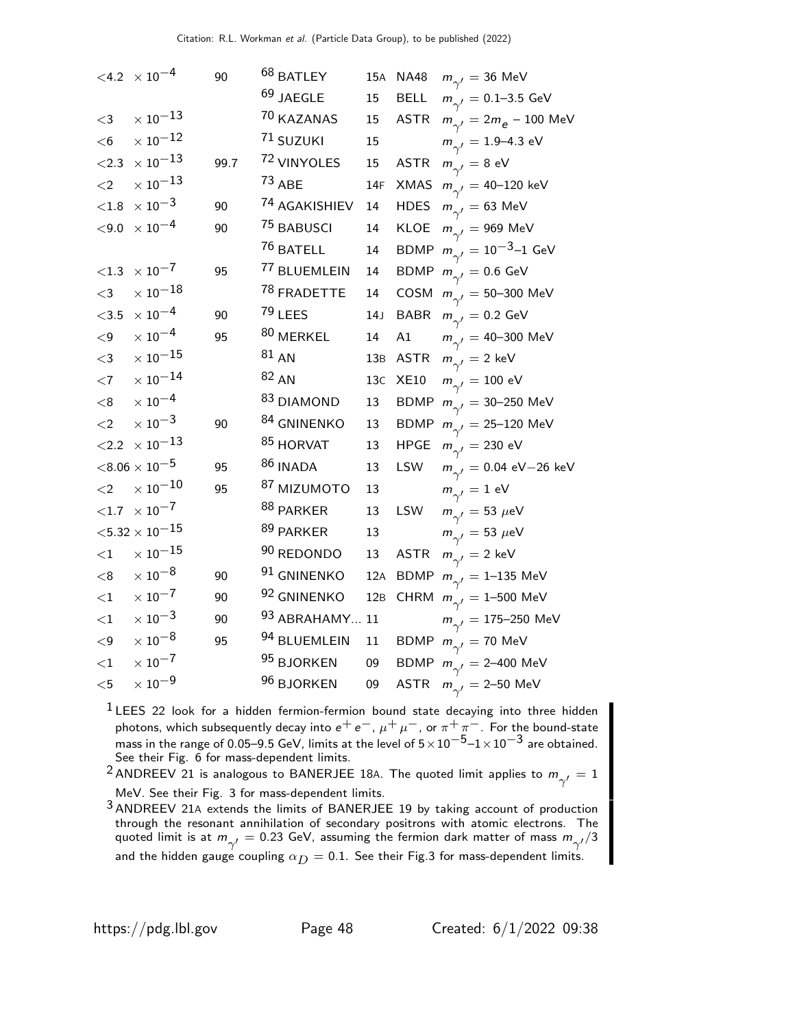|           | $< 4.2 \times 10^{-4}$    | 90   | <sup>68</sup> BATLEY   | 15A | <b>NA48</b> | $m_{\gamma'} = 36$ MeV                           |
|-----------|---------------------------|------|------------------------|-----|-------------|--------------------------------------------------|
|           |                           |      | $69$ JAEGLE            | 15  | <b>BELL</b> | $m_{\gamma'} = 0.1 - 3.5 \text{ GeV}$            |
| $<$ 3     | $\times$ $10^{-13}$       |      | 70 KAZANAS             | 15  |             | ASTR $m_{\gamma'} = 2m_e - 100 \text{ MeV}$      |
| $<$ 6     | $\times$ $10^{-12}$       |      | 71 SUZUKI              | 15  |             | $m_{\gamma'} = 1.9 - 4.3$ eV                     |
| < 2.3     | $\times$ $10^{-13}$       | 99.7 | 72 VINYOLES            | 15  | <b>ASTR</b> | $m_{\gamma'}^{}=8$ eV                            |
| $<$ 2     | $\times$ $10^{-13}$       |      | $73$ ABE               | 14F |             | XMAS $m_{\gamma'} = 40 - 120$ keV                |
| ${<}1.8$  | $\times$ $10^{-3}$        | 90   | 74 AGAKISHIEV          | 14  | <b>HDES</b> | $m_{\gamma'} = 63$ MeV                           |
| $<$ 9.0   | $\times$ $10^{-4}$        | 90   | 75 BABUSCI             | 14  | KLOE        | $m_{\gamma'}^{}=969~{\rm MeV}$                   |
|           |                           |      | <sup>76</sup> BATELL   | 14  |             | BDMP $m_{\gamma'} = 10^{-3} - 1$ GeV             |
| $<$ 1.3   | $\times$ $10^{-7}$        | 95   | 77 BLUEMLEIN           | 14  |             | BDMP $m_{\gamma'} = 0.6$ GeV                     |
| $<$ 3     | $\times$ $10^{-18}$       |      | <sup>78</sup> FRADETTE | 14  |             | COSM $m_{\gamma'} = 50 - 300 \text{ MeV}$        |
| $<$ 3.5   | $\times$ $10^{-4}$        | 90   | $79$ LEES              | 14J | <b>BABR</b> | $m_{\gamma'}^{}=0.2$ GeV                         |
| $\leq$ 9  | $\times$ $10^{-4}$        | 95   | 80 MERKEL              | 14  | A1          | $m_{\gamma'} = 40 - 300 \text{ MeV}$             |
| $<$ 3     | $\times$ $10^{-15}$       |      | 81 A N                 | 13B | ASTR        | $m_{\gamma'}^{}=2~{\rm keV}$                     |
| $<$ 7     | $\times$ $10^{-14}$       |      | $82 A$ N               | 13C | <b>XE10</b> | $m_{\gamma'}^{}=100\,\,{\rm eV}$                 |
| < 8       | $\times$ 10 <sup>-4</sup> |      | 83 DIAMOND             | 13  |             | BDMP $m_{\gamma'} = 30-250$ MeV                  |
| $<$ 2     | $\times$ 10 <sup>-3</sup> | 90   | 84 GNINENKO            | 13  |             | BDMP $m_{\gamma'} = 25 - 120$ MeV                |
|           | $<$ 2.2 $\times 10^{-13}$ |      | 85 HORVAT              | 13  | <b>HPGE</b> | $m_{\gamma'}^{}=230$ eV                          |
|           | $<\!8.06\times10^{-5}$    | 95   | $^{86}$ INADA          | 13  | LSW         | $m_{\gamma'} = 0.04 \text{ eV} - 26 \text{ keV}$ |
| $\leq$ 2  | $\times$ $10^{-10}$       | 95   | 87 MIZUMOTO            | 13  |             | $m_{\gamma'}^{}=1~\text{eV}$                     |
|           | $<\!\!1.7\;\times10^{-7}$ |      | $^{88}$ PARKER         | 13  | LSW         | $m_{\gamma'} = 53 \ \mu\text{eV}$                |
|           | ${<}5.32\times10^{-15}$   |      | $89$ PARKER            | 13  |             | $m_{\gamma\gamma} = 53 \ \mu\text{eV}$           |
| ${<}1$    | $\times$ $10^{-15}$       |      | 90 REDONDO             | 13  | <b>ASTR</b> | $m_{\gamma'}^{}=2~{\rm keV}$                     |
| < 8       | $\times$ $10^{-8}$        | 90   | 91 GNINENKO            | 12A |             | BDMP $m_{\gamma'} = 1 - 135$ MeV                 |
| ${<}1$    | $\times$ $10^{-7}$        | 90   | 92 GNINENKO            | 12B |             | CHRM $m_{\gamma'} = 1 - 500$ MeV                 |
| $<$ 1     | $\times$ $10^{-3}$        | 90   | 93 ABRAHAMY 11         |     |             | $m_{\gamma'}^{} = 175 - 250~{\rm MeV}$           |
| $<$ $\!9$ | $\times$ $10^{-8}$        | 95   | 94 BLUEMLEIN           | 11  |             | BDMP $m_{\gamma'} = 70$ MeV                      |
| $<\!\!1$  | $\times$ $10^{-7}$        |      | 95 BJORKEN             | 09  |             | BDMP $m_{\gamma'} = 2-400$ MeV                   |
| $<$ 5     | $\times$ $10^{-9}$        |      | 96 BJORKEN             | 09  | <b>ASTR</b> | $m_{\gamma'}^{}=2$ –50 MeV                       |

 $1$  LEES 22 look for a hidden fermion-fermion bound state decaying into three hidden photons, which subsequently decay into  $e^+e^-, \mu^+\mu^-,$  or  $\pi^+\pi^-$ . For the bound-state mass in the range of 0.05–9.5 GeV, limits at the level of  $5\times10^{-5}$ – $1\times10^{-3}$  are obtained. See their Fig. 6 for mass-dependent limits.

 $^2$ ANDREEV 21 is analogous to BANERJEE 18A. The quoted limit applies to  $m_{\gamma'}^{}=1$ MeV. See their Fig. 3 for mass-dependent limits.

3 ANDREEV 21<sup>A</sup> extends the limits of BANERJEE 19 by taking account of production through the resonant annihilation of secondary positrons with atomic electrons. The quoted limit is at  $m_{\gamma'}^{}=0.23$  GeV, assuming the fermion dark matter of mass  $m_{\gamma'}^{}/3$ and the hidden gauge coupling  $\alpha_D = 0.1$ . See their Fig.3 for mass-dependent limits.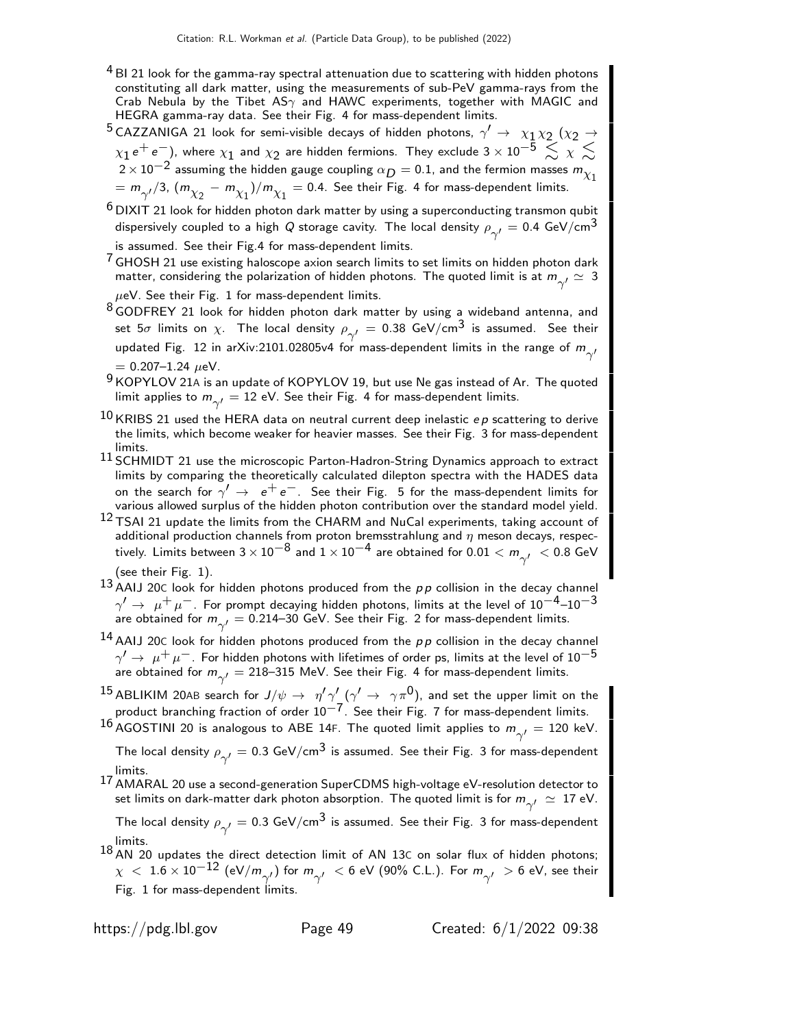- $4$  BI 21 look for the gamma-ray spectral attenuation due to scattering with hidden photons constituting all dark matter, using the measurements of sub-PeV gamma-rays from the Crab Nebula by the Tibet AS $\gamma$  and HAWC experiments, together with MAGIC and HEGRA gamma-ray data. See their Fig. 4 for mass-dependent limits.
- $^5$ CAZZANIGA 21 look for semi-visible decays of hidden photons,  $\gamma' \rightarrow \chi_1 \chi_2$  ( $\chi_2 \rightarrow$  $\chi_1\,$ e $^+$  e $^-$ ), where  $\chi_1$  and  $\chi_2$  are hidden fermions. They exclude 3  $\times$  10 $^{-5}$   $\lesssim$   $\chi$   $\lesssim$  $2 \times 10^{-2}$  assuming the hidden gauge coupling  $\alpha_D = 0.1$ , and the fermion masses  $m_{\chi_1}$  $= m_{\gamma'}/3$ ,  $(m_{\chi_2} - m_{\chi_1})/m_{\chi_1} =$  0.4. See their Fig. 4 for mass-dependent limits.
- $6$  DIXIT 21 look for hidden photon dark matter by using a superconducting transmon qubit dispersively coupled to a high  $Q$  storage cavity. The local density  $\rho_{\gamma'}^{}=0.4$  GeV/cm $^3$ is assumed. See their Fig.4 for mass-dependent limits.
- $7$  GHOSH 21 use existing haloscope axion search limits to set limits on hidden photon dark matter, considering the polarization of hidden photons. The quoted limit is at  $m_{\gamma'}^{} \simeq \; 3$  $\mu$ eV. See their Fig. 1 for mass-dependent limits.
- 8 GODFREY 21 look for hidden photon dark matter by using a wideband antenna, and set  $5\sigma$  limits on  $\chi$ . The local density  $\rho_{\gamma'}^{}=0.38$  GeV/cm $^3$  is assumed. See their updated Fig.  $\:$ 12 in arXiv:2101.02805v4 for mass-dependent limits in the range of  $m_{\gamma'}^{}$

- $9$  KOPYLOV 21A is an update of KOPYLOV 19, but use Ne gas instead of Ar. The quoted limit applies to  $m_{\gamma'}^{}=12$  eV. See their Fig. 4 for mass-dependent limits.
- $10$  KRIBS 21 used the HERA data on neutral current deep inelastic *ep* scattering to derive the limits, which become weaker for heavier masses. See their Fig. 3 for mass-dependent limits.
- $^{11}$  SCHMIDT 21 use the microscopic Parton-Hadron-String Dynamics approach to extract limits by comparing the theoretically calculated dilepton spectra with the HADES data on the search for  $\gamma' \rightarrow e^+e^-$ . See their Fig. 5 for the mass-dependent limits for various allowed surplus of the hidden photon contribution over the standard model yield.
- 12 TSAI 21 update the limits from the CHARM and NuCal experiments, taking account of additional production channels from proton bremsstrahlung and  $\eta$  meson decays, respectively. Limits between  $3\times10^{-8}$  and  $1\times10^{-4}$  are obtained for  $0.01< m_{\gamma'}^- < 0.8$  GeV
- (see their Fig. 1).
- 13 AAIJ 20C look for hidden photons produced from the pp collision in the decay channel  $\gamma'\rightarrow \ \mu^+\ \mu^-$ . For prompt decaying hidden photons, limits at the level of  $10^{-4}$ – $10^{-3}$ are obtained for  $m_{\gamma'}^{}=0.214$ –30 GeV. See their Fig. 2 for mass-dependent limits.
- <sup>14</sup> AAIJ 20C look for hidden photons produced from the  $p p$  collision in the decay channel  $\gamma' \to \mu^+ \mu^-$ . For hidden photons with lifetimes of order ps, limits at the level of  $10^{-5}$ are obtained for  $m_{\gamma'}^{}=218$ –315 MeV. See their Fig. 4 for mass-dependent limits.
- $^{15}$  ABLIKIM 20AB search for  $J/\psi\to~\eta'\gamma_-'(\gamma'\to~\gamma\pi^0)$ , and set the upper limit on the product branching fraction of order  $10^{-7}$ . See their Fig. 7 for mass-dependent limits.
- $^{16}$ AGOSTINI 20 is analogous to ABE 14F. The quoted limit applies to  $m_{\gamma'}^{}=120$  keV.
	- The local density  $\rho_{\gamma'}^{}=0.3$  GeV/cm $^3$  is assumed. See their Fig. 3 for mass-dependent limits.
- 17 AMARAL 20 use a second-generation SuperCDMS high-voltage eV-resolution detector to set limits on dark-matter dark photon absorption. The quoted limit is for  $m_{\gamma'}^{\phantom{\gamma'}}\simeq\,17$  eV.

The local density  $\rho_{\gamma'}^{}=0.3$  GeV/cm $^3$  is assumed. See their Fig. 3 for mass-dependent limits.

18 AN 20 updates the direct detection limit of AN 13C on solar flux of hidden photons;  $\chi~<~1.6\times 10^{-12}$  (eV/m $_{\gamma'}$ ) for  $m_{\gamma'}~<$  6 eV (90% C.L.). For  $m_{\gamma'}~>$  6 eV, see their Fig. 1 for mass-dependent limits.

 $= 0.207 - 1.24 \mu eV$ .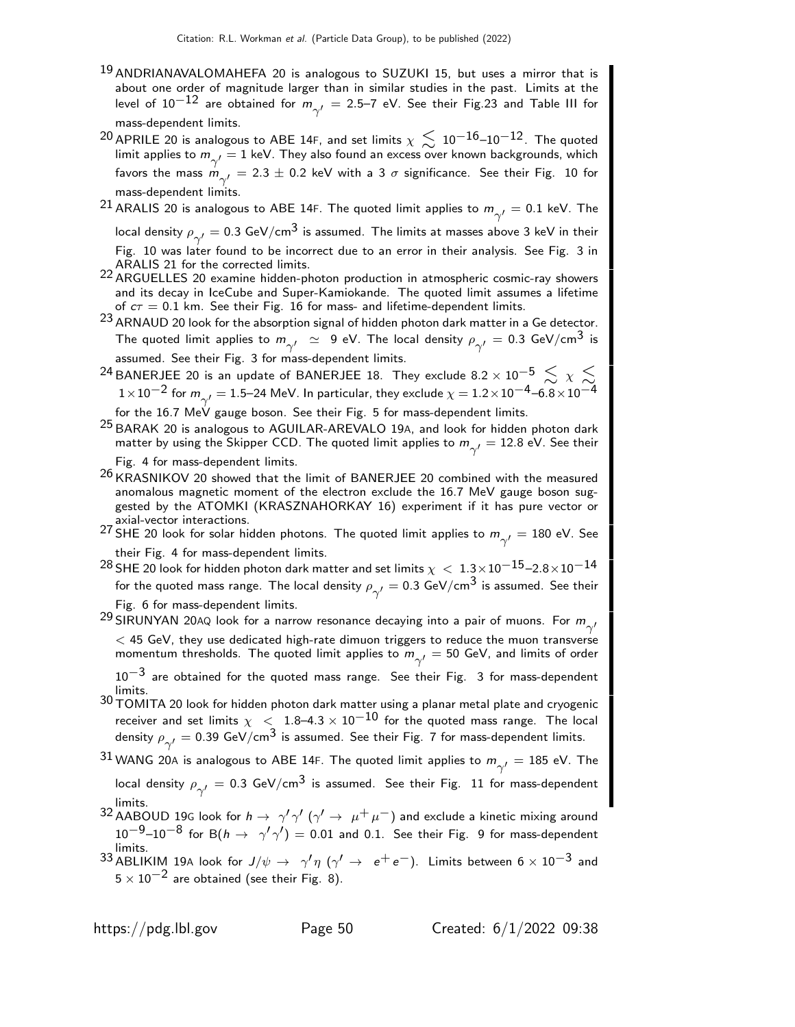- <sup>19</sup> ANDRIANAVALOMAHEFA 20 is analogous to SUZUKI 15, but uses a mirror that is about one order of magnitude larger than in similar studies in the past. Limits at the level of  $10^{-12}$  are obtained for  $m_{\gamma'}^{}=$  2.5–7 eV. See their Fig.23 and Table III for mass-dependent limits.
- <sup>20</sup> APRILE 20 is analogous to ABE 14F, and set limits  $\chi \lesssim 10^{-16}$ –10<sup>–12</sup>. The quoted limit applies to  $m_{\gamma'}^{}=1$  keV. They also found an excess over known backgrounds, which favors the mass  $m_{\gamma'}^{}=2.3\pm0.2$  keV with a 3  $\sigma$  significance. See their Fig. 10 for mass-dependent limits.

 $^{21}$  ARALIS 20 is analogous to ABE 14F. The quoted limit applies to  $m_{\gamma'}^{}=0.1$  keV. The

local density  $\rho_{\gamma'}^{}=0.3$  GeV/cm $^3$  is assumed. The limits at masses above 3 keV in their Fig. 10 was later found to be incorrect due to an error in their analysis. See Fig. 3 in ARALIS 21 for the corrected limits.

- 22 ARGUELLES 20 examine hidden-photon production in atmospheric cosmic-ray showers and its decay in IceCube and Super-Kamiokande. The quoted limit assumes a lifetime of  $c\tau = 0.1$  km. See their Fig. 16 for mass- and lifetime-dependent limits.
- $^{23}$  ARNAUD 20 look for the absorption signal of hidden photon dark matter in a Ge detector. The quoted limit applies to  $m_{\gamma'}^-\simeq~$  9 eV. The local density  $\rho_{\gamma'}^-=$  0.3 GeV/cm $^3$  is assumed. See their Fig. 3 for mass-dependent limits.
- $^{24}$ BANERJEE 20 is an update of BANERJEE 18. They exclude 8.2  $\times$  10 $^{-5}$   $\lesssim$   $\chi$   $\lesssim$  $1\!\times\!10^{-2}$  for  $m_{\gamma'}^{}=1.5$ —24 MeV. In particular, they exclude  $\chi=1.2\!\times\!10^{-4}$ —6. $8\!\times\!10^{-4}$

for the  $16.7\,$  MeV gauge boson. See their Fig. 5 for mass-dependent limits.

- 25 BARAK 20 is analogous to AGUILAR-AREVALO 19A, and look for hidden photon dark matter by using the Skipper CCD. The quoted limit applies to  $m_{\gamma'}^{}=12.8$  eV. See their Fig. 4 for mass-dependent limits.
- $26$  KRASNIKOV 20 showed that the limit of BANERJEE 20 combined with the measured anomalous magnetic moment of the electron exclude the 16.7 MeV gauge boson suggested by the ATOMKI (KRASZNAHORKAY 16) experiment if it has pure vector or axial-vector interactions.

 $^{27}$  SHE 20 look for solar hidden photons. The quoted limit applies to  $m_{\gamma'}^{}=180$  eV. See their Fig. 4 for mass-dependent limits.

- $^{28}$  SHE 20 look for hidden photon dark matter and set limits  $\chi \, < \, 1.3 \times 10^{-15}$ –2.8 $\times$ 10 $^{-14}$ for the quoted mass range. The local density  $\rho_{\gamma'}^{}=0.3$  GeV/cm $^3$  is assumed. See their Fig. 6 for mass-dependent limits.
- $^{29}$ SIRUNYAN 20AQ look for a narrow resonance decaying into a pair of muons. For  $m_{\gamma'}^{}$  $<$  45 GeV, they use dedicated high-rate dimuon triggers to reduce the muon transverse momentum thresholds. The quoted limit applies to  $m_{\gamma'}^{}=50$  GeV, and limits of order  $10^{-3}$  are obtained for the quoted mass range. See their Fig. 3 for mass-dependent limits.
- 30 TOMITA 20 look for hidden photon dark matter using a planar metal plate and cryogenic receiver and set limits  $\chi~<~1.8$ –4.3  $\times~10^{-10}$  for the quoted mass range. The local density  $\rho_{\gamma'}^{}=0.39$  GeV/cm $^3$  is assumed. See their Fig. 7 for mass-dependent limits.

 $^{31}$ WANG 20A is analogous to ABE 14F. The quoted limit applies to  $m_{\gamma'}^{}=185$  eV. The local density  $\rho_{\gamma'}^{}=0.3\,$  GeV/cm $^3$  is assumed.  $\,$  See their Fig.  $\,$  11 for mass-dependent

- limits.<br><sup>32</sup> AABOUD 19G look for  $h \to \gamma' \gamma'$  ( $\gamma' \to \mu^+ \mu^-$ ) and exclude a kinetic mixing around  $10^{-9}$ – $10^{-8}$  for B $(h \to \gamma' \gamma') = 0.01$  and 0.1. See their Fig. 9 for mass-dependent limits.
- $^{33}$  ABLIKIM 19A look for  $J/\psi\,\rightarrow\,\,\gamma'\eta$   $(\gamma'\,\rightarrow\,\,e^+ \,e^-)$ . Limits between  $6\times 10^{-3}$  and  $5 \times 10^{-2}$  are obtained (see their Fig. 8).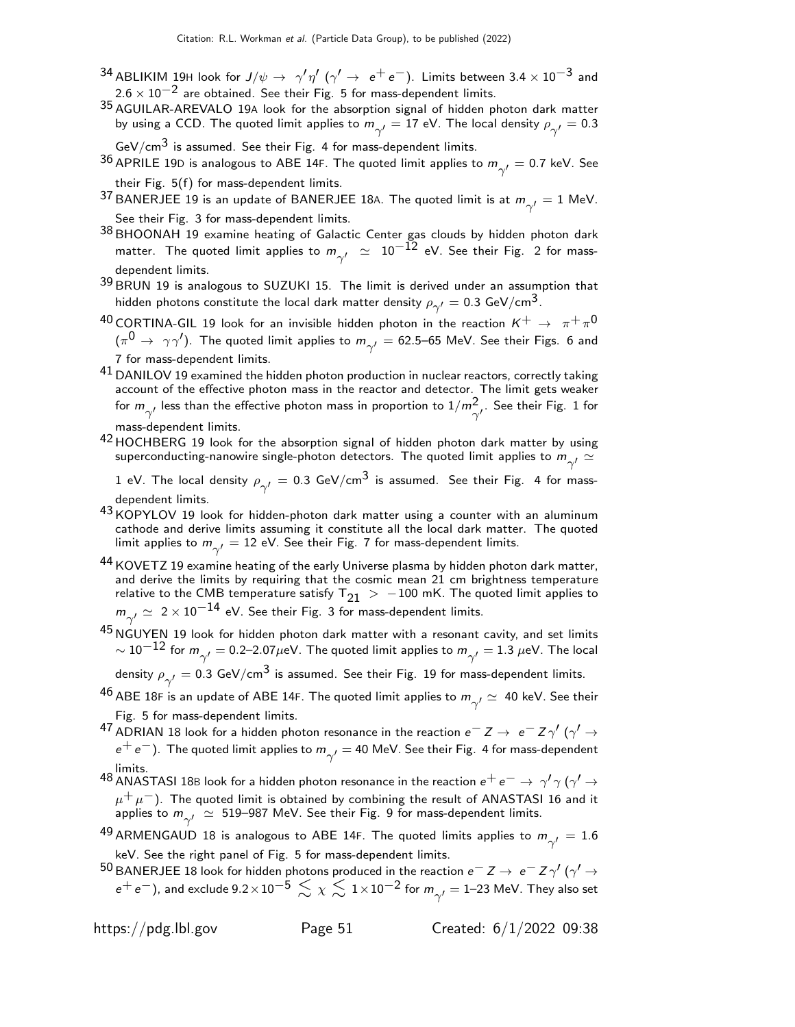- $^{34}$ ABLIKIM 19H look for  $J/\psi\rightarrow~\gamma^\prime\eta^\prime$  ( $\gamma^\prime\rightarrow~e^+e^-$ ). Limits between 3.4  $\times$  10 $^{-3}$  and  $2.6 \times 10^{-2}$  are obtained. See their Fig. 5 for mass-dependent limits.
- 35 AGUILAR-AREVALO 19A look for the absorption signal of hidden photon dark matter by using a CCD. The quoted limit applies to  $m_{\gamma'}^{}=17$  eV. The local density  $\rho_{\gamma'}^{}=0.3$

 $GeV/cm<sup>3</sup>$  is assumed. See their Fig. 4 for mass-dependent limits.

- $^{36}$  APRILE 19D is analogous to ABE 14F. The quoted limit applies to  $m_{\gamma'}^{}=$  0.7 keV. See their Fig. 5(f) for mass-dependent limits.
- $^{37}$ BANERJEE 19 is an update of BANERJEE 18A. The quoted limit is at  $m_{\gamma'}^{}=1$  MeV. See their Fig. 3 for mass-dependent limits.
- 38 BHOONAH 19 examine heating of Galactic Center gas clouds by hidden photon dark matter. The quoted limit applies to  $m_{\gamma'}^{}~\simeq~10^{-12}$  eV. See their Fig. 2 for massdependent limits.
- 39 BRUN 19 is analogous to SUZUKI 15. The limit is derived under an assumption that hidden photons constitute the local dark matter density  $\rho_{\gamma^\prime} =$  0.3 GeV/cm $^3$ .
- $^{40}$  CORTINA-GIL 19 look for an invisible hidden photon in the reaction  $K^+ \rightarrow \pi^+ \pi^0$  $(\pi^{\mathsf{0}}\to~\gamma\gamma')$ . The quoted limit applies to  $m_{\gamma'}^{}=62.5\hbox{--}65$  MeV. See their Figs. 6 and 7 for mass-dependent limits.
- $^{41}$  DANILOV 19 examined the hidden photon production in nuclear reactors, correctly taking account of the effective photon mass in the reactor and detector. The limit gets weaker for  $m_{\gamma'}^{}$  less than the effective photon mass in proportion to  $1/m_{\gamma'}^2$ . See their Fig. 1 for mass-dependent limits.
- 42 HOCHBERG 19 look for the absorption signal of hidden photon dark matter by using superconducting-nanowire single-photon detectors. The quoted limit applies to  $m_{\gamma'}^{} \simeq$

 $1$  eV. The local density  $\rho_{\gamma'}^{}=0.3$  GeV/cm $^3$  is assumed. See their Fig. 4 for massdependent limits.

- 43 KOPYLOV 19 look for hidden-photon dark matter using a counter with an aluminum cathode and derive limits assuming it constitute all the local dark matter. The quoted limit applies to  $m_{\gamma'}^{}=12$  eV. See their Fig. 7 for mass-dependent limits.
- 44 KOVETZ 19 examine heating of the early Universe plasma by hidden photon dark matter, and derive the limits by requiring that the cosmic mean 21 cm brightness temperature relative to the CMB temperature satisfy  $T_{21}$  > -100 mK. The quoted limit applies to  $m_{\gamma'}^2 \simeq 2 \times 10^{-14}$  eV. See their Fig. 3 for mass-dependent limits.
- $45$  NGUYEN 19 look for hidden photon dark matter with a resonant cavity, and set limits  $\sim 10^{-12}$  for  $m_{\gamma'}^{}=0.2$ –2.07 $\mu$ eV. The quoted limit applies to  $m_{\gamma'}^{}=1.3$   $\mu$ eV. The local density  $\rho_{\gamma'}^{}=0.3$  GeV/cm $^3$  is assumed. See their Fig. 19 for mass-dependent limits.
- $^{46}$  ABE 18F is an update of ABE 14F. The quoted limit applies to  $m_{\gamma'}^{} \simeq \;$  40 keV. See their Fig. 5 for mass-dependent limits.

 $^{47}$  ADRIAN 18 look for a hidden photon resonance in the reaction  $e^-$  Z  $\rightarrow$   $\;e^-$  Z  $\gamma'$  ( $\gamma'$   $\rightarrow$  $\mathrm{e^+e^-}$ ). The quoted limit applies to  $m_{\gamma'}^{}=$  40 MeV. See their Fig. 4 for mass-dependent limits.

 $^{48}$  ANASTASI 18B look for a hidden photon resonance in the reaction  $e^+ \, e^- \to \, \gamma' \gamma$  ( $\gamma' \to$  $\mu^+ \mu^-$ ). The quoted limit is obtained by combining the result of ANASTASI 16 and it applies to  $m_{\gamma'}^{\phantom{\gamma}}\simeq\,$  519–987 MeV. See their Fig. 9 for mass-dependent limits.

- $^{49}$ ARMENGAUD 18 is analogous to ABE 14F. The quoted limits applies to  $m_{\gamma'}^{} = 1.6$ keV. See the right panel of Fig. 5 for mass-dependent limits.
- $^{50}$  BANERJEE 18 look for hidden photons produced in the reaction  $e^-$  Z  $\rightarrow$   $\,e^-$  Z  $\gamma'$  ( $\gamma'$   $\rightarrow$  $e^+ \, e^-$ ), and exclude 9.2 $\times10^{-5} \lesssim \chi \lesssim 1\times10^{-2}$  for  $m_{\gamma'}^{}=$  1–23 MeV. They also set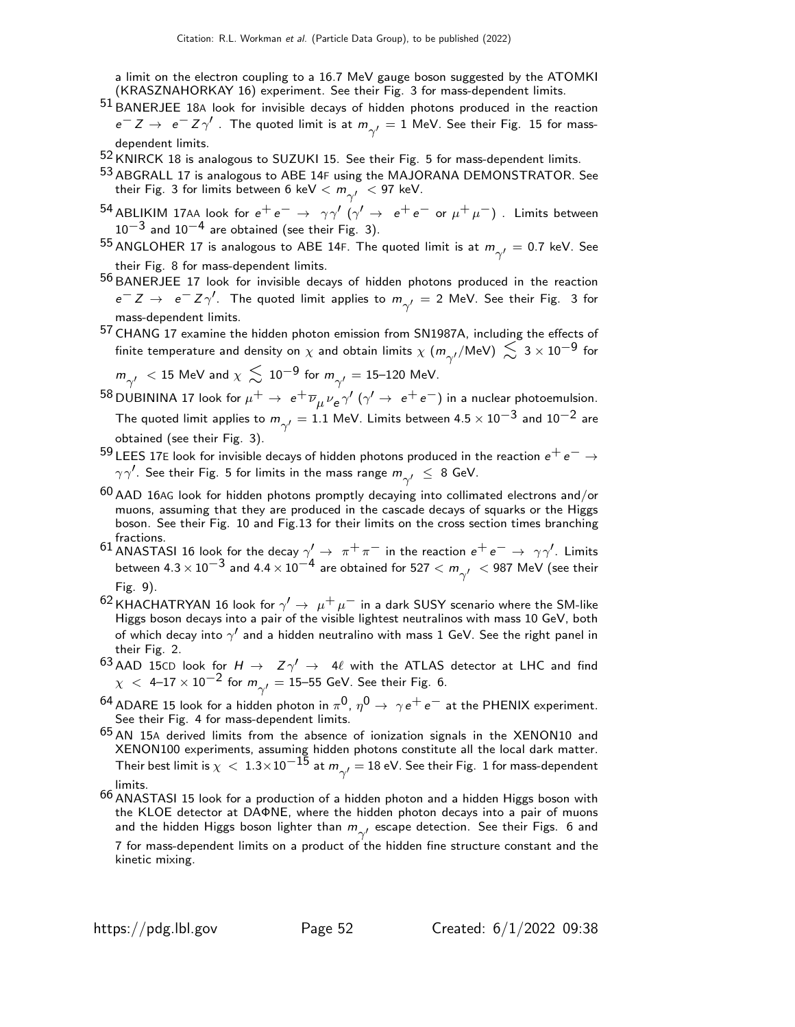a limit on the electron coupling to a 16.7 MeV gauge boson suggested by the ATOMKI (KRASZNAHORKAY 16) experiment. See their Fig. 3 for mass-dependent limits.

- $51$  BANERJEE 18A look for invisible decays of hidden photons produced in the reaction  $e^-$  Z →  $e^-$  Z  $\gamma'$  . The quoted limit is at  $m_{\gamma'}^{}=1$  MeV. See their Fig. 15 for massdependent limits.
- 52 KNIRCK 18 is analogous to SUZUKI 15. See their Fig. 5 for mass-dependent limits.
- 53 ABGRALL 17 is analogous to ABE 14F using the MAJORANA DEMONSTRATOR. See their Fig. 3 for limits between 6 keV  $< m_{\gamma^\prime}^{} <$  97 keV.
- $^{54}$  ABLIKIM 17AA look for  $e^+e^- \rightarrow \gamma\gamma'$  ( $\gamma' \rightarrow e^+e^-$  or  $\mu^+\mu^-)$  . Limits between  $10^{-3}$  and  $10^{-4}$  are obtained (see their Fig. 3).
- $^{55}$  ANGLOHER 17 is analogous to ABE 14F. The quoted limit is at  $m_{\gamma'}^{}=0.7$  keV. See their Fig. 8 for mass-dependent limits.
- 56 BANERJEE 17 look for invisible decays of hidden photons produced in the reaction  $e^{−}$  Z  $\rightarrow$   $\;$   $e^{−}$  Z  $\gamma^{\prime}$ . The quoted limit applies to  $m_{\gamma^{\prime}}$   $=$  2 MeV. See their Fig. 3 for mass-dependent limits.
- 57 CHANG 17 examine the hidden photon emission from SN1987A, including the effects of finite temperature and density on  $\chi$  and obtain limits  $\chi$   $(m_{\gamma'}/\text{\rm MeV})\,\lesssim\,3\times 10^{-9}$  for

$$
m_{\gamma'}^{\phantom{\gamma'}} < 15 \text{ MeV and } \chi \lesssim 10^{-9} \text{ for } m_{\gamma'}^{\phantom{\gamma'}} = 15\text{--}120 \text{ MeV}.
$$

- $^{58}$ DUBININA 17 look for  $\mu^+ \to\ e^+ \overline{\nu}_\mu \nu_e \gamma'$   $(\gamma' \to\ e^+ \,e^-)$  in a nuclear photoemulsion. The quoted limit applies to  $m_{\gamma'}^{}=1.1$  MeV. Limits between 4.5  $\times\,10^{-3}$  and  $10^{-2}$  are obtained (see their Fig. 3).
- $^{59}$  LEES 17E look for invisible decays of hidden photons produced in the reaction  $e^+e^-\rightarrow$  $\gamma\gamma'$ . See their Fig. 5 for limits in the mass range  $m_{\gamma'}\ \leq\ 8$  GeV.
- $60$  AAD 16AG look for hidden photons promptly decaying into collimated electrons and/or muons, assuming that they are produced in the cascade decays of squarks or the Higgs boson. See their Fig. 10 and Fig.13 for their limits on the cross section times branching fractions.
- $^{61}$  ANASTASI 16 look for the decay  $\gamma'\to~\pi^+\pi^-$  in the reaction  $e^+e^-\to~\gamma\gamma'$ . Limits between 4.3  $\times$   $10^{-3}$  and 4.4  $\times$   $10^{-4}$  are obtained for 527  $<$   $m_{\gamma'}$   $\ <$  987 MeV (see their Fig. 9).
- <sup>62</sup> KHACHATRYAN 16 look for  $\gamma' \to \mu^+ \mu^-$  in a dark SUSY scenario where the SM-like Higgs boson decays into a pair of the visible lightest neutralinos with mass 10 GeV, both of which decay into  $\gamma'$  and a hidden neutralino with mass 1 GeV. See the right panel in their Fig. 2.
- $^{63}$  AAD 15CD look for  $H \rightarrow Z \gamma' \rightarrow 4\ell$  with the ATLAS detector at LHC and find  $\chi~<~$  4–17  $\times$  10 $^{-2}$  for  $m_{\gamma'}^{}=$  15–55 GeV. See their Fig. 6.
- <sup>64</sup> ADARE 15 look for a hidden photon in  $\pi^0$ ,  $\eta^0 \to \gamma e^+e^-$  at the PHENIX experiment. See their Fig. 4 for mass-dependent limits.
- 65 AN 15<sup>A</sup> derived limits from the absence of ionization signals in the XENON10 and XENON100 experiments, assuming hidden photons constitute all the local dark matter. Their best limit is  $\chi~<~1.3{\times}10^{-15}$  at  $m_{\gamma'}^{}=18$  eV. See their Fig.  $~1$  for mass-dependent limits.
- 66 ANASTASI 15 look for a production of a hidden photon and a hidden Higgs boson with the KLOE detector at DAΦNE, where the hidden photon decays into a pair of muons and the hidden Higgs boson lighter than  $m_{\gamma'}^{}$  escape detection. See their Figs. 6 and

7 for mass-dependent limits on a product of the hidden fine structure constant and the kinetic mixing.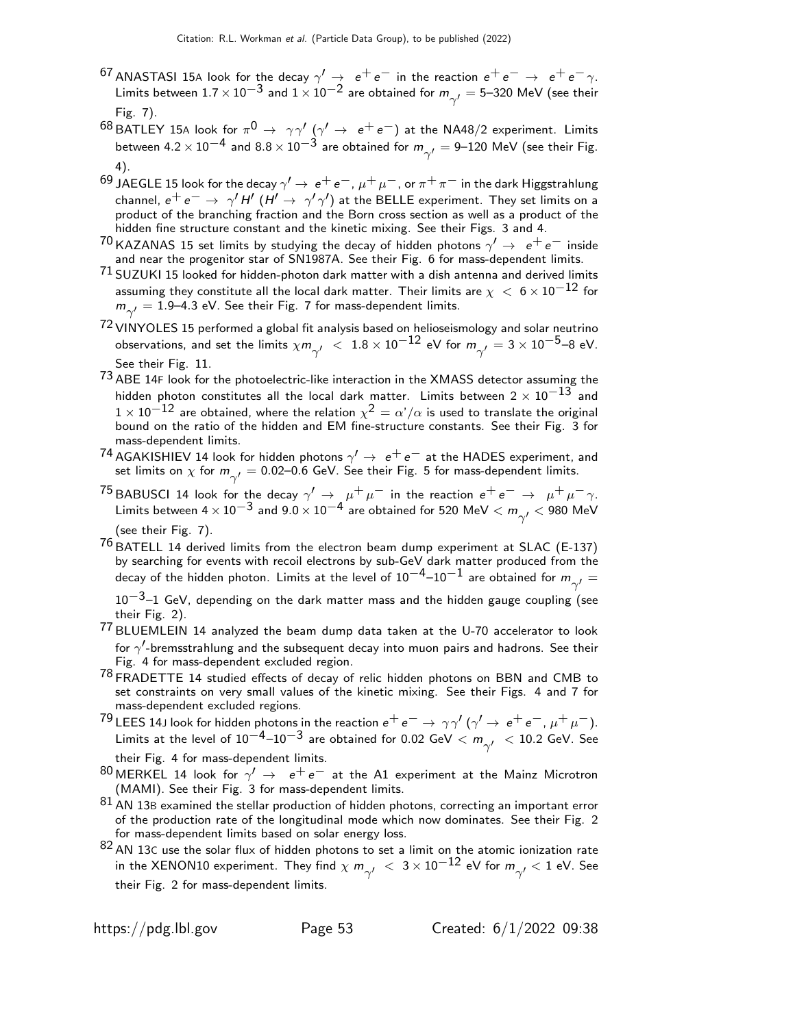- $^{67}$  ANASTASI 15A look for the decay  $\gamma' \rightarrow e^+e^-$  in the reaction  $e^+e^- \rightarrow e^+e^-\gamma$ . Limits between  $1.7 \times 10^{-3}$  and  $1 \times 10^{-2}$  are obtained for  $m_{\gamma'}^{} = 5$ —320 MeV (see their Fig. 7).
- $^{68}$ BATLEY 15A look for  $\pi^{0} \rightarrow \gamma\gamma'$   $(\gamma' \rightarrow \text{ }e^{+}\text{ }e^{-})$  at the NA48/2 experiment. Limits between 4.2  $\times\,10^{-4}$  and  $8.8\times10^{-3}$  are obtained for  $m_{\gamma'}^{}=9\text{--}120$  MeV (see their Fig. 4).
- $^{69}$  JAEGLE 15 look for the decay  $\gamma'\to\,e^+\,e^-$  ,  $\mu^+\,\mu^-$  , or  $\pi^+\,\pi^-$  in the dark Higgstrahlung channel,  $e^+e^-\to \gamma' H'\,(H'\to \gamma'\gamma')$  at the BELLE experiment. They set limits on a product of the branching fraction and the Born cross section as well as a product of the hidden fine structure constant and the kinetic mixing. See their Figs. 3 and 4.
- <sup>70</sup> KAZANAS 15 set limits by studying the decay of hidden photons  $\gamma' \rightarrow e^+e^-$  inside and near the progenitor star of SN1987A. See their Fig. 6 for mass-dependent limits.
- $71$  SUZUKI 15 looked for hidden-photon dark matter with a dish antenna and derived limits assuming they constitute all the local dark matter. Their limits are  $\chi~<~6\times 10^{-12}$  for  $m_{\gamma'}^{}=1.9$ –4.3 eV. See their Fig. 7 for mass-dependent limits.
- $72$  VINYOLES 15 performed a global fit analysis based on helioseismology and solar neutrino observations, and set the limits  $\chi m_{\gamma'}^{} \ < \ 1.8 \times 10^{-12}$  eV for  $m_{\gamma'}^{} = 3 \times 10^{-5}$ –8 eV. See their Fig. 11.
- $73$  ABE 14F look for the photoelectric-like interaction in the XMASS detector assuming the hidden photon constitutes all the local dark matter. Limits between  $2 \times 10^{-13}$  and  $1 \times 10^{-12}$  are obtained, where the relation  $\chi^2 = \alpha'/\alpha$  is used to translate the original bound on the ratio of the hidden and EM fine-structure constants. See their Fig. 3 for mass-dependent limits.
- <sup>74</sup> AGAKISHIEV 14 look for hidden photons  $\gamma' \rightarrow e^+e^-$  at the HADES experiment, and set limits on  $\chi$  for  $m_{\gamma'}^{}=$  0.02–0.6 GeV. See their Fig. 5 for mass-dependent limits.
- <sup>75</sup> BABUSCI 14 look for the decay  $\gamma' \to \mu^+ \mu^-$  in the reaction  $e^+e^- \to \mu^+ \mu^- \gamma$ . Limits between 4  $\times$   $10^{-3}$  and  $9.0$   $\times$   $10^{-4}$  are obtained for 520 MeV  $<$   $m_{\gamma^{\prime}}$   $<$  980 MeV (see their Fig. 7).
- $^{76}$  BATELL 14 derived limits from the electron beam dump experiment at SLAC (E-137) by searching for events with recoil electrons by sub-GeV dark matter produced from the decay of the hidden photon. Limits at the level of  $10^{-4}$ – $10^{-1}$  are obtained for  $m_{\gamma'}^{}=$

 $10^{-3}$ –1 GeV, depending on the dark matter mass and the hidden gauge coupling (see their Fig. 2).

- $77$  BLUEMLEIN 14 analyzed the beam dump data taken at the U-70 accelerator to look for  $\gamma'$ -bremsstrahlung and the subsequent decay into muon pairs and hadrons. See their Fig. 4 for mass-dependent excluded region.
- 78 FRADETTE 14 studied effects of decay of relic hidden photons on BBN and CMB to set constraints on very small values of the kinetic mixing. See their Figs. 4 and 7 for mass-dependent excluded regions.
- <sup>79</sup> LEES 14J look for hidden photons in the reaction  $e^+e^- \to \gamma \gamma'$  ( $\gamma' \to e^+e^-, \mu^+\mu^-$ ). Limits at the level of  $10^{-4}$ – $10^{-3}$  are obtained for 0.02 GeV  $< m_{\gamma'}^+ <$  10.2 GeV. See their Fig. 4 for mass-dependent limits.
- $^{80}$  MERKEL 14 look for  $\gamma' \rightarrow e^+e^-$  at the A1 experiment at the Mainz Microtron (MAMI). See their Fig. 3 for mass-dependent limits.
- 81 AN 13B examined the stellar production of hidden photons, correcting an important error of the production rate of the longitudinal mode which now dominates. See their Fig. 2 for mass-dependent limits based on solar energy loss.
- $82$  AN 13C use the solar flux of hidden photons to set a limit on the atomic ionization rate in the XENON10 experiment. They find  $\chi$   $m_{\gamma'}^{}~<~3\times 10^{-12}$  eV for  $m_{\gamma'}^{}< 1$  eV. See their Fig. 2 for mass-dependent limits.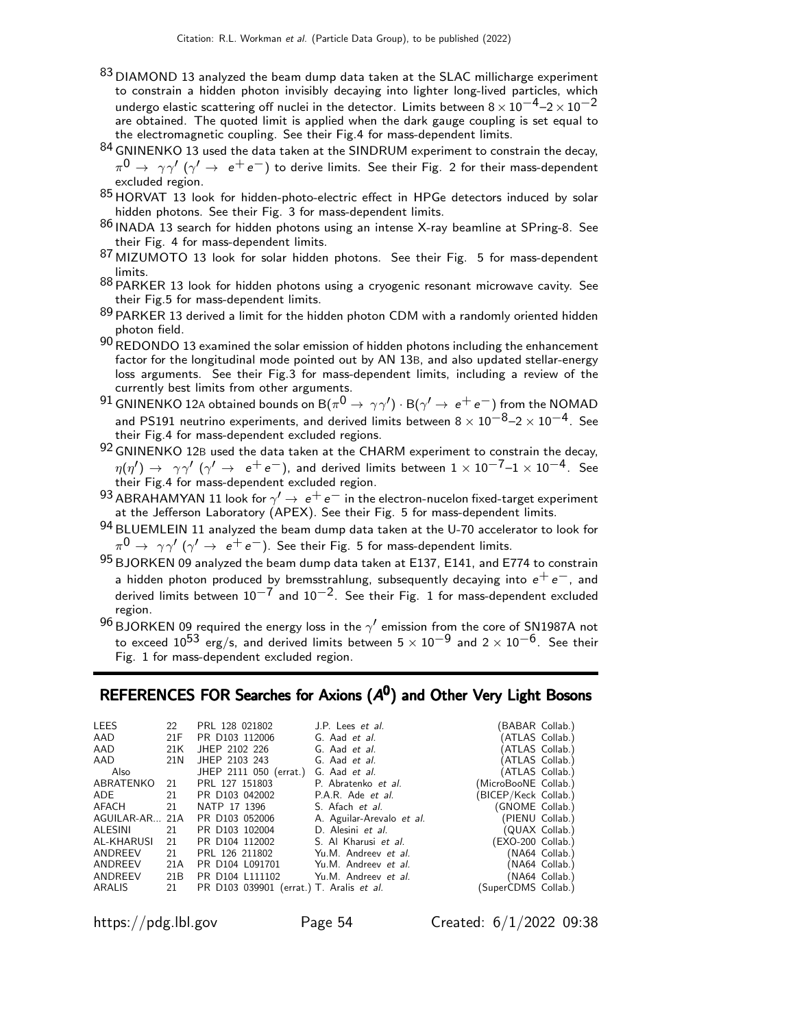- 83 DIAMOND 13 analyzed the beam dump data taken at the SLAC millicharge experiment to constrain a hidden photon invisibly decaying into lighter long-lived particles, which undergo elastic scattering off nuclei in the detector. Limits between  $8 \times 10^{-4}$ – $2 \times 10^{-2}$ are obtained. The quoted limit is applied when the dark gauge coupling is set equal to the electromagnetic coupling. See their Fig.4 for mass-dependent limits.
- 84 GNINENKO 13 used the data taken at the SINDRUM experiment to constrain the decay,  $\pi^{\mathsf{0}} \rightarrow \gamma \gamma' \ (\gamma' \rightarrow \,\, \mathrm{e^+ e^-})$  to derive limits. See their Fig. 2 for their mass-dependent excluded region.
- 85 HORVAT 13 look for hidden-photo-electric effect in HPGe detectors induced by solar hidden photons. See their Fig. 3 for mass-dependent limits.
- <sup>86</sup> INADA 13 search for hidden photons using an intense X-ray beamline at SPring-8. See their Fig. 4 for mass-dependent limits.
- 87 MIZUMOTO 13 look for solar hidden photons. See their Fig. 5 for mass-dependent limits.
- 88 PARKER 13 look for hidden photons using a cryogenic resonant microwave cavity. See their Fig.5 for mass-dependent limits.
- 89 PARKER 13 derived a limit for the hidden photon CDM with a randomly oriented hidden photon field.
- $90$  REDONDO 13 examined the solar emission of hidden photons including the enhancement factor for the longitudinal mode pointed out by AN 13B, and also updated stellar-energy loss arguments. See their Fig.3 for mass-dependent limits, including a review of the currently best limits from other arguments.
- $^{91}$  GNINENKO 12A obtained bounds on B $(\pi^0\to\gamma\gamma')\cdot$  B $(\gamma'\to\,$   $e^+\,e^-)$  from the NOMAD and PS191 neutrino experiments, and derived limits between  $8 \times 10^{-8}$ – $2 \times 10^{-4}$ . See their Fig.4 for mass-dependent excluded regions.
- 92 GNINENKO 12B used the data taken at the CHARM experiment to constrain the decay,  $\eta(\eta')\to\ \gamma\gamma'$   $(\gamma'\to\ e^+e^-)$ , and derived limits between  $1\times10^{-7}$ – $1\times10^{-4}$ . See<br>their Fig.4 for mass-dependent excluded region.
- 93 ABRAHAMYAN 11 look for  $\gamma' \rightarrow e^+e^-$  in the electron-nucelon fixed-target experiment at the Jefferson Laboratory (APEX). See their Fig. 5 for mass-dependent limits.
- 94 BLUEMLEIN 11 analyzed the beam dump data taken at the U-70 accelerator to look for  $\pi^{\mathbf{0}} \rightarrow \gamma \gamma^{\prime}$   $(\gamma^{\prime} \rightarrow\ e^+ \,e^-)$ . See their Fig. 5 for mass-dependent limits.
- $95$  BJORKEN 09 analyzed the beam dump data taken at E137, E141, and E774 to constrain a hidden photon produced by bremsstrahlung, subsequently decaying into  $e^+e^-,$  and derived limits between  $10^{-7}$  and  $10^{-2}$ . See their Fig. 1 for mass-dependent excluded region.
- $^{96}$ BJORKEN 09 required the energy loss in the  $\gamma'$  emission from the core of SN1987A not to exceed  $10^{53}$  erg/s, and derived limits between 5  $\times$   $10^{-9}$  and 2  $\times$   $10^{-6}$ . See their Fig. 1 for mass-dependent excluded region.

# REFERENCES FOR Searches for Axions  $(A<sup>0</sup>)$  and Other Very Light Bosons

| <b>LEES</b>    | 22  | PRL 128 021802                           | J.P. Lees et al.          | BABAR Collab.)       |                 |
|----------------|-----|------------------------------------------|---------------------------|----------------------|-----------------|
| AAD            | 21F | PR D103 112006                           | G. Aad et al.             | (ATLAS Collab.)      |                 |
| AAD            | 21K | JHEP 2102 226                            | G. Aad et al.             |                      | (ATLAS Collab.) |
| AAD            | 21N | JHEP 2103 243                            | G. Aad et al.             |                      | (ATLAS Collab.) |
| Also           |     | JHEP 2111 050 (errat.)                   | G. Aad et al.             | (ATLAS Collab.)      |                 |
| ABRATENKO      | -21 | PRL 127 151803                           | P. Abratenko et al.       | (MicroBooNE Collab.) |                 |
| ADE            | 21  | PR D103 042002                           | P.A.R. Ade <i>et al.</i>  | (BICEP/Keck Collab.) |                 |
| AFACH          | 21  | NATP 17 1396                             | S. Afach et al.           | (GNOME Collab.)      |                 |
| AGUILAR-AR 21A |     | PR D103 052006                           | A. Aguilar-Arevalo et al. |                      | (PIENU Collab.) |
| ALESINI        | 21  | PR D103 102004                           | D. Alesini et al.         |                      | (QUAX Collab.)  |
| AL-KHARUSI     | 21  | PR D104 112002                           | S. Al Kharusi et al.      | (EXO-200 Collab.)    |                 |
| ANDREEV        | 21  | PRL 126 211802                           | Yu.M. Andreev et al.      |                      | (NA64 Collab.)  |
| ANDREEV        | 21A | PR D104 L091701                          | Yu.M. Andreev et al.      |                      | (NA64 Collab.)  |
| ANDREEV        | 21B | PR D104 L111102                          | Yu.M. Andreev et al.      |                      | (NA64 Collab.)  |
| ARALIS         | 21  | PR D103 039901 (errat.) T. Aralis et al. |                           | (SuperCDMS Collab.)  |                 |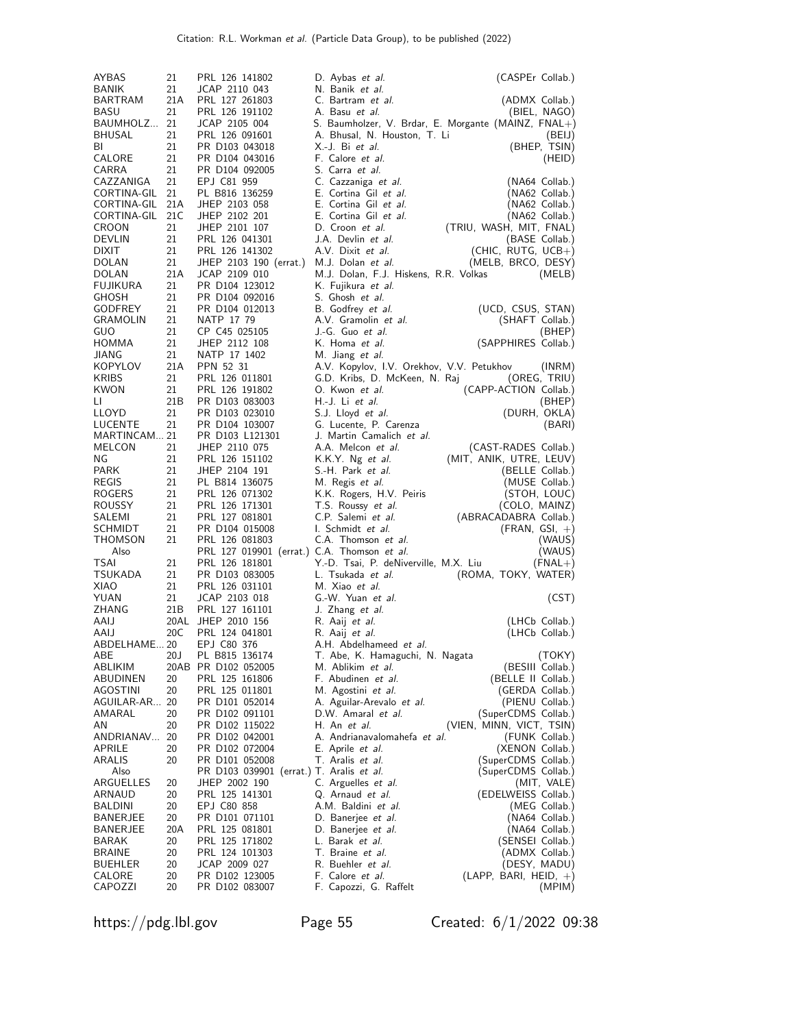| AYBAS                       | 21        | PRL 126 141802                              | D. Aybas et al.                                    | (CASPEr Collab.)                                              |
|-----------------------------|-----------|---------------------------------------------|----------------------------------------------------|---------------------------------------------------------------|
| BANIK                       | 21        | JCAP 2110 043                               | N. Banik et al.                                    |                                                               |
| BARTRAM                     | 21A       | PRL 127 261803                              | C. Bartram et al.                                  | (ADMX Collab.)                                                |
| BASU                        | 21<br>21  | PRL 126 191102                              | A. Basu et al.                                     | (BIEL, NAGO)                                                  |
| BAUMHOLZ<br>BHUSAL          | 21        | JCAP 2105 004<br>PRL 126 091601             | A. Bhusal, N. Houston, T. Li                       | S. Baumholzer, V. Brdar, E. Morgante (MAINZ, FNAL+)<br>(BEIJ) |
| BL                          | 21        | PR D103 043018                              | X.-J. Bi et al.                                    | (BHEP, TSIN)                                                  |
| CALORE                      | 21        | PR D104 043016                              | F. Calore et al.                                   | (HEID)                                                        |
| CARRA                       | 21        | PR D104 092005                              | S. Carra <i>et al.</i>                             |                                                               |
| CAZZANIGA                   | 21        | EPJ C81 959                                 | C. Cazzaniga et al.                                | (NA64 Collab.)                                                |
| CORTINA-GIL                 | 21        | PL B816 136259                              | E. Cortina Gil et al.                              | (NA62 Collab.)                                                |
| CORTINA-GIL 21A             |           | JHEP 2103 058                               | E. Cortina Gil et al.                              | (NA62 Collab.)                                                |
| CORTINA-GIL<br><b>CROON</b> | 21C<br>21 | JHEP 2102 201<br>JHEP 2101 107              | E. Cortina Gil et al.                              | (NA62 Collab.)                                                |
| DEVLIN                      | 21        | PRL 126 041301                              | D. Croon et al.<br>J.A. Devlin <i>et al.</i>       | (TRIU, WASH, MIT, FNAL)<br>(BASE Collab.)                     |
| DIXIT                       | 21        | PRL 126 141302                              | A.V. Dixit et al.                                  | $(CHIC, RUTG, UCB+)$                                          |
| DOLAN                       | 21        | JHEP 2103 190 (errat.)                      | M.J. Dolan et al.                                  | (MELB, BRCO, DESY)                                            |
| DOLAN                       | 21A       | JCAP 2109 010                               | M.J. Dolan, F.J. Hiskens, R.R. Volkas              | (MELB)                                                        |
| FUJIKURA                    | 21        | PR D104 123012                              | K. Fujikura <i>et al.</i>                          |                                                               |
| GHOSH                       | 21        | PR D104 092016                              | S. Ghosh et al.                                    |                                                               |
| GODFREY<br><b>GRAMOLIN</b>  | 21<br>21  | PR D104 012013                              | B. Godfrey et al.                                  | (UCD, CSUS, STAN)                                             |
| <b>GUO</b>                  | 21        | NATP 17 79<br>CP C45 025105                 | A.V. Gramolin et al.<br>J.-G. Guo et al.           | (SHAFT Collab.)<br>(BHEP)                                     |
| HOMMA                       | 21        | JHEP 2112 108                               | K. Homa et al.                                     | (SAPPHIRES Collab.)                                           |
| JIANG                       | 21        | NATP 17 1402                                | M. Jiang et al.                                    |                                                               |
| KOPYLOV                     | 21A       | PPN 52 31                                   | A.V. Kopylov, I.V. Orekhov, V.V. Petukhov          | (INRM)                                                        |
| <b>KRIBS</b>                | 21        | PRL 126 011801                              | G.D. Kribs, D. McKeen, N. Raj                      | (OREG, TRIU)                                                  |
| KWON                        | 21        | PRL 126 191802                              | O. Kwon et al.                                     | (CAPP-ACTION Collab.)                                         |
| LI.                         | 21B       | PR D103 083003                              | H.-J. Li <i>et al.</i>                             | (BHEP)                                                        |
| LLOYD<br>LUCENTE            | 21<br>21  | PR D103 023010<br>PR D104 103007            | S.J. Lloyd <i>et al.</i><br>G. Lucente, P. Carenza | (DURH, OKLA)                                                  |
| MARTINCAM 21                |           | PR D103 L121301                             | J. Martin Camalich <i>et al.</i>                   | (BARI)                                                        |
| MELCON                      | 21        | JHEP 2110 075                               | A.A. Melcon et al.                                 | (CAST-RADES Collab.)                                          |
| ΝG                          | 21        | PRL 126 151102                              | K.K.Y. Ng et al.                                   | (MIT, ANIK, UTRE, LEUV)                                       |
| PARK                        | 21        | JHEP 2104 191                               | S.-H. Park <i>et al.</i>                           | (BELLE Collab.)                                               |
| <b>REGIS</b>                | 21        | PL B814 136075                              | M. Regis <i>et al.</i>                             | (MUSE Collab.)                                                |
| <b>ROGERS</b>               | 21        | PRL 126 071302                              | K.K. Rogers, H.V. Peiris                           | (STOH, LOUC)                                                  |
| <b>ROUSSY</b><br>SALEMI     | 21<br>21  | PRL 126 171301                              | T.S. Roussy et al.                                 | (COLO, MAINZ)                                                 |
| SCHMIDT                     | 21        | PRL 127 081801<br>PR D104 015008            | C.P. Salemi et al.<br>I. Schmidt et al.            | (ABRACADABRA Collab.)<br>$(FRAN, GSI, +)$                     |
| THOMSON                     | 21        | PRL 126 081803                              | C.A. Thomson et al.                                | (WAUS)                                                        |
| Also                        |           | PRL 127 019901 (errat.) C.A. Thomson et al. |                                                    | (WAUS)                                                        |
| TSAI                        | 21        | PRL 126 181801                              | Y.-D. Tsai, P. deNiverville, M.X. Liu              | $(FNAL+)$                                                     |
| <b>TSUKADA</b>              | 21        | PR D103 083005                              | L. Tsukada et al.                                  | (ROMA, TOKY, WATER)                                           |
| XIAO                        | 21        | PRL 126 031101                              | M. Xiao et al.                                     |                                                               |
| YUAN                        | 21<br>21B | JCAP 2103 018<br>PRL 127 161101             | G.-W. Yuan et al.                                  | (CST)                                                         |
| ZHANG<br>AAIJ               |           | 20AL JHEP 2010 156                          | J. Zhang et al.<br>R. Aaij <i>et al.</i>           | (LHCb Collab.)                                                |
| AAIJ                        | 20C       | PRL 124 041801                              | R. Aaij <i>et al.</i>                              | (LHCb Collab.)                                                |
| ABDELHAME20                 |           | EPJ C80 376                                 | A.H. Abdelhameed <i>et al.</i>                     |                                                               |
| ABE                         | 20J       | PL B815 136174                              | T. Abe, K. Hamaguchi, N. Nagata                    | (TOKY)                                                        |
| ABLIKIM                     |           | 20AB PR D102 052005                         | M. Ablikim <i>et al.</i>                           | (BESIII Collab.)                                              |
| ABUDINEN                    | 20        | PRL 125 161806                              | F. Abudinen et al.                                 | (BELLE II Collab.)                                            |
| AGOSTINI                    | 20        | PRL 125 011801                              | M. Agostini et al.                                 | (GERDA Collab.)                                               |
| AGUILAR-AR<br>AMARAL        | 20<br>20  | PR D101 052014<br>PR D102 091101            | A. Aguilar-Arevalo et al.<br>D.W. Amaral et al.    | (PIENU Collab.)<br>(SuperCDMS Collab.)                        |
| ΑN                          | 20        | PR D102 115022                              | H. An et al.                                       | (VIEN, MINN, VICT, TSIN)                                      |
| ANDRIANAV                   | 20        | PR D102 042001                              | A. Andrianavalomahefa <i>et al.</i>                | (FUNK Collab.)                                                |
| APRILE                      | 20        | PR D102 072004                              | E. Aprile <i>et al.</i>                            | (XENON Collab.)                                               |
| ARALIS                      | 20        | PR D101 052008                              | T. Aralis et al.                                   | (SuperCDMS Collab.)                                           |
| Also                        |           | PR D103 039901 (errat.) T. Aralis et al.    |                                                    | (SuperCDMS Collab.)                                           |
| ARGUELLES                   | 20        | JHEP 2002 190                               | C. Arguelles <i>et al.</i>                         | (MIT, VALE)                                                   |
| ARNAUD<br>BALDINI           | 20<br>20  | PRL 125 141301<br>EPJ C80 858               | Q. Arnaud <i>et al.</i><br>A.M. Baldini et al.     | (EDELWEISS Collab.)<br>(MEG Collab.)                          |
| BANERJEE                    | 20        | PR D101 071101                              | D. Banerjee et al.                                 | (NA64 Collab.)                                                |
| <b>BANERJEE</b>             | 20A       | PRL 125 081801                              | D. Banerjee et al.                                 | (NA64 Collab.)                                                |
| BARAK                       | 20        | PRL 125 171802                              | L. Barak et al.                                    | (SENSEI Collab.)                                              |
| BRAINE                      | 20        | PRL 124 101303                              | T. Braine et al.                                   | (ADMX Collab.)                                                |
| <b>BUEHLER</b>              | 20        | JCAP 2009 027                               | R. Buehler <i>et al.</i>                           | (DESY, MADU)                                                  |
| CALORE                      | 20        | PR D102 123005                              | F. Calore et al.                                   | $(LAPP, BARI, HEID, +)$                                       |
| CAPOZZI                     | 20        | PR D102 083007                              | F. Capozzi, G. Raffelt                             | (MPIM)                                                        |

https://pdg.lbl.gov Page 55 Created: 6/1/2022 09:38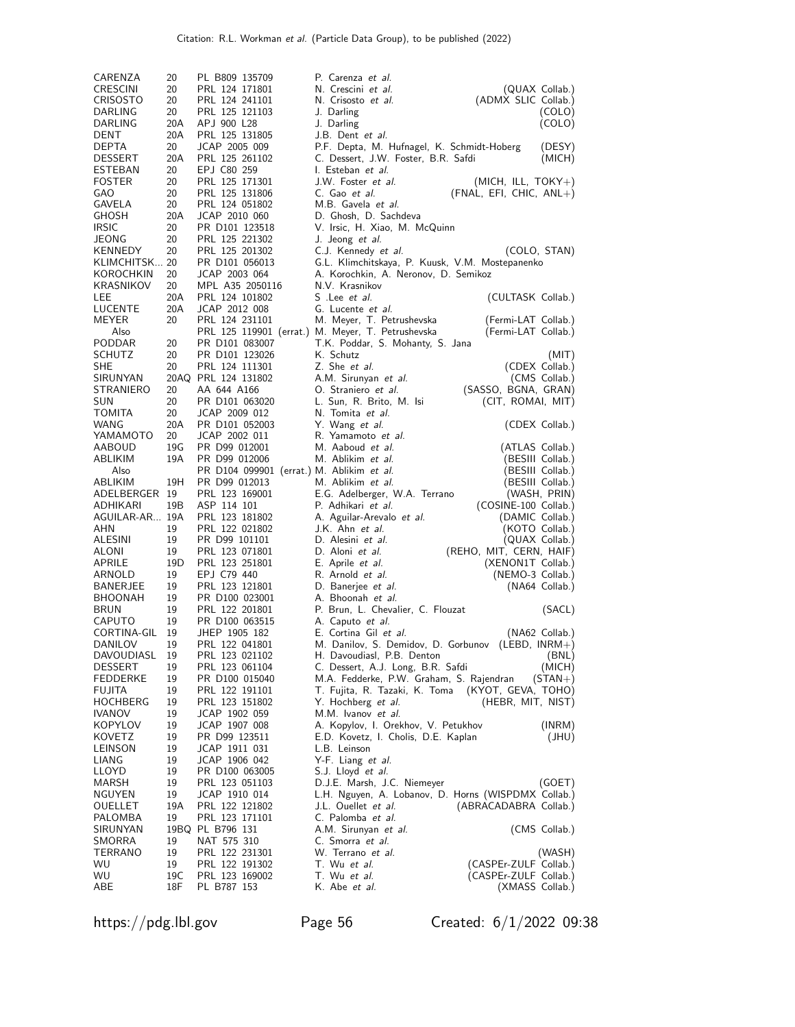| CARENZA                        | 20        | PL B809 135709                            | P. Carenza et al.                                                                 |                |
|--------------------------------|-----------|-------------------------------------------|-----------------------------------------------------------------------------------|----------------|
| CRESCINI                       | 20        | PRL 124 171801                            | N. Crescini et al.<br>(QUAX Collab.)                                              |                |
| CRISOSTO                       | 20        | PRL 124 241101                            | N. Crisosto et al.<br>(ADMX SLIC Collab.)                                         |                |
| DARLING                        | 20        | PRL 125 121103                            | J. Darling                                                                        | (COLO)         |
| DARLING                        | 20A       | APJ 900 L28                               | J. Darling                                                                        | (COLO)         |
| DENT                           | 20A       | PRL 125 131805                            | J.B. Dent et al.                                                                  |                |
| <b>DEPTA</b><br><b>DESSERT</b> | 20<br>20A | JCAP 2005 009<br>PRL 125 261102           | P.F. Depta, M. Hufnagel, K. Schmidt-Hoberg                                        | (DESY)         |
| ESTEBAN                        | 20        | EPJ C80 259                               | C. Dessert, J.W. Foster, B.R. Safdi<br>I. Esteban <i>et al.</i>                   | (MICH)         |
| <b>FOSTER</b>                  | 20        | PRL 125 171301                            | J.W. Foster <i>et al.</i><br>$(MICH, ILL, TOKY+)$                                 |                |
| GAO                            | 20        | PRL 125 131806                            | C. Gao et al.<br>$(FNAL, EFI, CHIC, ANL+)$                                        |                |
| GAVELA                         | 20        | PRL 124 051802                            | M.B. Gavela et al.                                                                |                |
| <b>GHOSH</b>                   | 20A       | JCAP 2010 060                             | D. Ghosh, D. Sachdeva                                                             |                |
| <b>IRSIC</b>                   | 20        | PR D101 123518                            | V. Irsic, H. Xiao, M. McQuinn                                                     |                |
| JEONG                          | 20        | PRL 125 221302                            | J. Jeong <i>et al.</i>                                                            |                |
| KENNEDY                        | 20        | PRL 125 201302                            | C.J. Kennedy et al.<br>(COLO, STAN)                                               |                |
| KLIMCHITSK 20                  |           | PR D101 056013                            | G.L. Klimchitskaya, P. Kuusk, V.M. Mostepanenko                                   |                |
| KOROCHKIN<br>KRASNIKOV         | 20<br>20  | JCAP 2003 064<br>MPL A35 2050116          | A. Korochkin, A. Neronov, D. Semikoz<br>N.V. Krasnikov                            |                |
| LEE                            | 20A       | PRL 124 101802                            | S .Lee <i>et al.</i><br>(CULTASK Collab.)                                         |                |
| LUCENTE                        | 20A       | JCAP 2012 008                             | G. Lucente et al.                                                                 |                |
| MEYER                          | 20        | PRL 124 231101                            | M. Meyer, T. Petrushevska<br>(Fermi-LAT Collab.)                                  |                |
| Also                           |           |                                           | PRL 125 119901 (errat.) M. Meyer, T. Petrushevska<br>(Fermi-LAT Collab.)          |                |
| <b>PODDAR</b>                  | 20        | PR D101 083007                            | T.K. Poddar, S. Mohanty, S. Jana                                                  |                |
| SCHUTZ                         | 20        | PR D101 123026                            | K. Schutz                                                                         | (MIT)          |
| SHE                            | 20        | PRL 124 111301                            | Z. She et al.<br>(CDEX Collab.)                                                   |                |
| SIRUNYAN                       |           | 20AQ PRL 124 131802                       | A.M. Sirunyan et al.                                                              | (CMS Collab.)  |
| STRANIERO                      | 20        | AA 644 A166                               | O. Straniero et al.<br>(SASSO, BGNA, GRAN)                                        |                |
| SUN<br>TOMITA                  | 20<br>20  | PR D101 063020<br>JCAP 2009 012           | L. Sun, R. Brito, M. Isi<br>(CIT, ROMAI, MIT)<br>N. Tomita et al.                 |                |
| WANG                           | 20A       | PR D101 052003                            | Y. Wang et al.<br>(CDEX Collab.)                                                  |                |
| YAMAMOTO                       | 20        | JCAP 2002 011                             | R. Yamamoto et al.                                                                |                |
| AABOUD                         | 19G       | PR D99 012001                             | M. Aaboud et al.<br>(ATLAS Collab.)                                               |                |
| ABLIKIM                        | 19A       | PR D99 012006                             | M. Ablikim et al.<br>(BESIII Collab.)                                             |                |
| Also                           |           | PR D104 099901 (errat.) M. Ablikim et al. | (BESIII Collab.)                                                                  |                |
| ABLIKIM                        | 19H       | PR D99 012013                             | M. Ablikim et al.<br>(BESIII Collab.)                                             |                |
| ADELBERGER 19                  |           | PRL 123 169001                            | E.G. Adelberger, W.A. Terrano<br>(WASH, PRIN)                                     |                |
| ADHIKARI                       | 19B       | ASP 114 101                               | P. Adhikari et al.<br>(COSINE-100 Collab.)                                        |                |
| AGUILAR-AR 19A<br>AHN          | 19        | PRL 123 181802<br>PRL 122 021802          | A. Aguilar-Arevalo et al.<br>(DAMIC Collab.)<br>J.K. Ahn et al.<br>(KOTO Collab.) |                |
| ALESINI                        | 19        | PR D99 101101                             | D. Alesini et al.<br>(QUAX Collab.)                                               |                |
| ALONI                          | 19        | PRL 123 071801                            | (REHO, MIT, CERN, HAIF)<br>D. Aloni et al.                                        |                |
| APRILE                         | 19D       | PRL 123 251801                            | (XENON1T Collab.)<br>E. Aprile <i>et al.</i>                                      |                |
| ARNOLD                         | 19        | EPJ C79 440                               | R. Arnold et al.<br>(NEMO-3 Collab.)                                              |                |
| BANERJEE                       | 19        | PRL 123 121801                            | D. Banerjee et al.<br>(NA64 Collab.)                                              |                |
| <b>BHOONAH</b>                 | 19        | PR D100 023001                            | A. Bhoonah <i>et al.</i>                                                          |                |
| <b>BRUN</b>                    | 19<br>19  | PRL 122 201801                            | P. Brun, L. Chevalier, C. Flouzat                                                 | (SACL)         |
| CAPUTO<br>CORTINA-GIL          | 19        | PR D100 063515<br>JHEP 1905 182           | A. Caputo et al.<br>E. Cortina Gil et al.                                         | (NA62 Collab.) |
| DANILOV                        | 19        | PRL 122 041801                            | $(LEBD, INRM+)$<br>M. Danilov, S. Demidov, D. Gorbunov                            |                |
| DAVOUDIASL                     | 19        | PRL 123 021102                            | H. Davoudiasl, P.B. Denton                                                        | (BNL)          |
| DESSERT                        | 19        | PRL 123 061104                            | C. Dessert, A.J. Long, B.R. Safdi                                                 | (MICH)         |
| FEDDERKE                       | 19        | PR D100 015040                            | M.A. Fedderke, P.W. Graham, S. Rajendran                                          | $(STAN+)$      |
| FUJITA                         | 19        | PRL 122 191101                            | (KYOT, GEVA, TOHO)<br>T. Fujita, R. Tazaki, K. Toma                               |                |
| HOCHBERG                       | 19        | PRL 123 151802                            | Y. Hochberg <i>et al.</i><br>(HEBR, MIT, NIST)                                    |                |
| IVANOV                         | 19        | JCAP 1902 059                             | M.M. Ivanov et al.                                                                |                |
| KOPYLOV                        | 19        | JCAP 1907 008                             | A. Kopylov, I. Orekhov, V. Petukhov                                               | (INRM)         |
| KOVETZ<br>LEINSON              | 19<br>19  | PR D99 123511<br>JCAP 1911 031            | E.D. Kovetz, I. Cholis, D.E. Kaplan<br>L.B. Leinson                               | (JHU)          |
| LIANG                          | 19        | JCAP 1906 042                             | Y-F. Liang et al.                                                                 |                |
| LLOYD                          | 19        | PR D100 063005                            | S.J. Lloyd et al.                                                                 |                |
| MARSH                          | 19        | PRL 123 051103                            | D.J.E. Marsh, J.C. Niemeyer                                                       | (GOET)         |
| NGUYEN                         |           | JCAP 1910 014                             | L.H. Nguyen, A. Lobanov, D. Horns (WISPDMX Collab.)                               |                |
|                                | 19        |                                           |                                                                                   |                |
| OUELLET                        | 19A       | PRL 122 121802                            | J.L. Ouellet et al.<br>(ABRACADABRA Collab.)                                      |                |
| PALOMBA                        | 19        | PRL 123 171101                            | C. Palomba et al.                                                                 |                |
| SIRUNYAN                       |           | 19BQ PL B796 131                          | A.M. Sirunyan et al.                                                              | (CMS Collab.)  |
| SMORRA                         | 19        | NAT 575 310                               | C. Smorra et al.                                                                  |                |
| TERRANO                        | 19        | PRL 122 231301                            | W. Terrano <i>et al.</i>                                                          | (WASH)         |
| WU.<br>WU                      | 19<br>19C | PRL 122 191302<br>PRL 123 169002          | (CASPEr-ZULF Collab.)<br>T. Wu et al.<br>T. Wu et al.<br>(CASPEr-ZULF Collab.)    |                |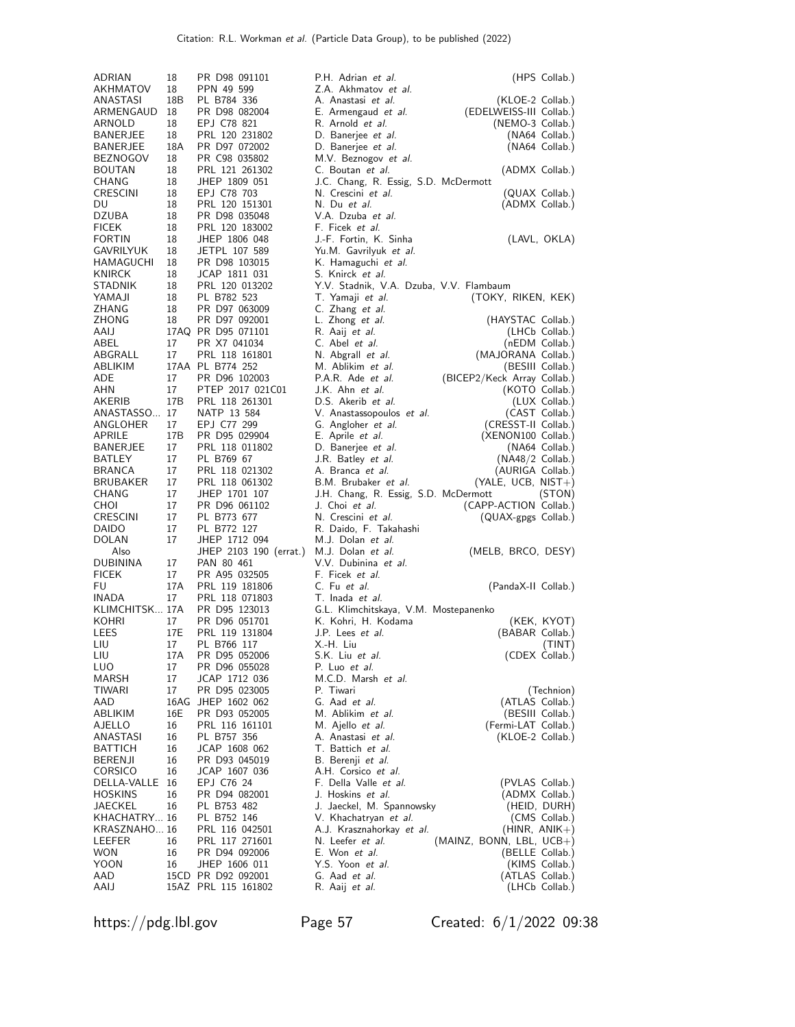| ADRIAN                        | 18        | PR D98 091101                             | P.H. Adrian et al.                                           | (HPS Collab.)                                   |
|-------------------------------|-----------|-------------------------------------------|--------------------------------------------------------------|-------------------------------------------------|
| AKHMATOV                      | 18        | PPN 49 599                                | Z.A. Akhmatov et al.                                         |                                                 |
| ANASTASI                      | 18B       | PL B784 336                               | A. Anastasi et al.                                           | (KLOE-2 Collab.)                                |
| ARMENGAUD                     | 18        | PR D98 082004                             | E. Armengaud <i>et al.</i>                                   | (EDELWEISS-III Collab.)                         |
| ARNOLD                        | 18        | EPJ C78 821                               | R. Arnold et al.                                             | (NEMO-3 Collab.)                                |
| BANERJEE                      | 18        | PRL 120 231802                            | D. Banerjee et al.                                           | (NA64 Collab.)                                  |
| BANERJEE                      | 18A<br>18 | PR D97 072002<br>PR C98 035802            | D. Banerjee et al.                                           | (NA64 Collab.)                                  |
| BEZNOGOV<br><b>BOUTAN</b>     | 18        | PRL 121 261302                            | M.V. Beznogov et al.<br>C. Boutan et al.                     | (ADMX Collab.)                                  |
| CHANG                         | 18        | JHEP 1809 051                             | J.C. Chang, R. Essig, S.D. McDermott                         |                                                 |
| CRESCINI                      | 18        | EPJ C78 703                               | N. Crescini et al.                                           | (QUAX Collab.)                                  |
| DU                            | 18        | PRL 120 151301                            | N. Du et al.                                                 | (ADMX Collab.)                                  |
| <b>DZUBA</b>                  | 18        | PR D98 035048                             | V.A. Dzuba et al.                                            |                                                 |
| <b>FICEK</b>                  | 18        | PRL 120 183002                            | F. Ficek <i>et al.</i>                                       |                                                 |
| FORTIN                        | 18        | JHEP 1806 048                             | J.-F. Fortin, K. Sinha                                       | (LAVL, OKLA)                                    |
| GAVRILYUK<br>HAMAGUCHI        | 18        | JETPL 107 589                             | Yu.M. Gavrilyuk et al.                                       |                                                 |
| KNIRCK                        | 18<br>18  | PR D98 103015<br>JCAP 1811 031            | K. Hamaguchi et al.<br>S. Knirck et al.                      |                                                 |
| STADNIK                       | 18        | PRL 120 013202                            | Y.V. Stadnik, V.A. Dzuba, V.V. Flambaum                      |                                                 |
| YAMAJI                        | 18        | PL B782 523                               | T. Yamaji et al.                                             | (TOKY, RIKEN, KEK)                              |
| ZHANG                         | 18        | PR D97 063009                             | C. Zhang et al.                                              |                                                 |
| ZHONG                         | 18        | PR D97 092001                             | L. Zhong et al.                                              | (HAYSTAC Collab.)                               |
| AAIJ                          |           | 17AQ PR D95 071101                        | R. Aaij et al.                                               | (LHCb Collab.)                                  |
| ABEL                          | 17        | PR X7 041034                              | C. Abel et al.                                               | (nEDM Collab.)                                  |
| ABGRALL                       | 17        | PRL 118 161801                            | N. Abgrall et al.                                            | (MAJORANA Collab.)                              |
| ABLIKIM<br>ADE                | 17        | 17AA PL B774 252<br>PR D96 102003         | M. Ablikim et al.<br>P.A.R. Ade et al.                       | (BESIII Collab.)<br>(BICEP2/Keck Array Collab.) |
| AHN                           | 17        | PTEP 2017 021C01                          | J.K. Ahn et al.                                              | (KOTO Collab.)                                  |
| AKERIB                        | 17B       | PRL 118 261301                            | D.S. Akerib et al.                                           | (LUX Collab.)                                   |
| ANASTASSO 17                  |           | NATP 13 584                               | V. Anastassopoulos et al.                                    | (CAST Collab.)                                  |
| ANGLOHER                      | 17        | EPJ C77 299                               | G. Angloher et al.                                           | (CRESST-II Collab.)                             |
| APRILE                        | 17B       | PR D95 029904                             | E. Aprile et al.                                             | (XENON100 Collab.)                              |
| BANERJEE                      | 17        | PRL 118 011802                            | D. Banerjee et al.                                           | (NA64 Collab.)                                  |
| BATLEY                        | 17        | PL B769 67                                | J.R. Batley <i>et al.</i>                                    | $(NA48/2$ Collab.)                              |
| BRANCA                        | 17        | PRL 118 021302                            | A. Branca et al.                                             | (AURIGA Collab.)                                |
| BRUBAKER<br>CHANG             | 17<br>17  | PRL 118 061302<br>JHEP 1701 107           | B.M. Brubaker et al.<br>J.H. Chang, R. Essig, S.D. McDermott | (YALE, UCB, NIST+)<br>(STON)                    |
| CHOI                          | 17        | PR D96 061102                             | J. Choi et al.                                               | (CAPP-ACTION Collab.)                           |
| CRESCINI                      | 17        | PL B773 677                               | N. Crescini et al.                                           | (QUAX-gpgs Collab.)                             |
| DAIDO                         | 17        | PL B772 127                               | R. Daido, F. Takahashi                                       |                                                 |
| DOLAN                         | 17        | JHEP 1712 094                             | M.J. Dolan et al.                                            |                                                 |
| Also                          |           | JHEP 2103 190 (errat.)                    | M.J. Dolan et al.                                            | (MELB, BRCO, DESY)                              |
| DUBININA<br>FICEK             | 17<br>17  | PAN 80 461                                | V.V. Dubinina et al.<br>F. Ficek <i>et al.</i>               |                                                 |
| FU                            | 17A       | PR A95 032505<br>PRL 119 181806           | C. Fu et al.                                                 | (PandaX-II Collab.)                             |
| INADA                         | 17        | PRL 118 071803                            | T. Inada et al.                                              |                                                 |
| KLIMCHITSK 17A                |           | PR D95 123013                             | G.L. Klimchitskaya, V.M. Mostepanenko                        |                                                 |
| KOHRI                         | 17        | PR D96 051701                             | K. Kohri, H. Kodama                                          | (KEK, KYOT)                                     |
| LEES                          | 17E       | PRL 119 131804                            | J.P. Lees <i>et al.</i>                                      | (BABAR Collab.)                                 |
| LIU                           | 17        | PL B766 117                               | X.-H. Liu                                                    | (TINT)                                          |
| LIU                           | 17A       | PR D95 052006                             | S.K. Liu et al.                                              | (CDEX Collab.)                                  |
| LUO<br>MARSH                  | 17<br>17  | PR D96 055028<br>JCAP 1712 036            | P. Luo et al.<br>M.C.D. Marsh et al.                         |                                                 |
| TIWARI                        | 17        | PR D95 023005                             | P. Tiwari                                                    | (Technion)                                      |
| AAD                           |           | 16AG JHEP 1602 062                        | G. Aad et al.                                                | (ATLAS Collab.)                                 |
| ABLIKIM                       | 16E       | PR D93 052005                             | M. Ablikim et al.                                            | (BESIII Collab.)                                |
| AJELLO                        | 16        | PRL 116 161101                            | M. Ajello et al.                                             | (Fermi-LAT Collab.)                             |
| ANASTASI                      | 16        | PL B757 356                               | A. Anastasi <i>et al.</i>                                    | (KLOE-2 Collab.)                                |
| BATTICH                       | 16        | JCAP 1608 062                             | T. Battich et al.                                            |                                                 |
| BERENJI                       | 16        | PR D93 045019                             | B. Berenji et al.                                            |                                                 |
| <b>CORSICO</b>                | 16<br>16  | JCAP 1607 036<br>EPJ C76 24               | A.H. Corsico et al.<br>F. Della Valle et al.                 | (PVLAS Collab.)                                 |
| DELLA-VALLE<br><b>HOSKINS</b> | 16        | PR D94 082001                             | J. Hoskins et al.                                            | (ADMX Collab.)                                  |
| JAECKEL                       | 16        | PL B753 482                               | J. Jaeckel, M. Spannowsky                                    | (HEID, DURH)                                    |
| KHACHATRY 16                  |           | PL B752 146                               | V. Khachatryan et al.                                        | (CMS Collab.)                                   |
| KRASZNAHO 16                  |           | PRL 116 042501                            | A.J. Krasznahorkay et al.                                    | $(HINR, ANIK+)$                                 |
| LEEFER                        | 16        | PRL 117 271601                            | N. Leefer et al.                                             | $(MAINZ, BONN, LBL, UCB+)$                      |
| WON                           | 16        | PR D94 092006                             | E. Won et al.                                                | (BELLE Collab.)                                 |
| YOON                          | 16        | JHEP 1606 011                             | Y.S. Yoon et al.                                             | (KIMS Collab.)                                  |
| AAD<br>AAIJ                   |           | 15CD PR D92 092001<br>15AZ PRL 115 161802 | G. Aad et al.<br>R. Aaij <i>et al.</i>                       | (ATLAS Collab.)<br>(LHCb Collab.)               |
|                               |           |                                           |                                                              |                                                 |

https://pdg.lbl.gov Page 57 Created: 6/1/2022 09:38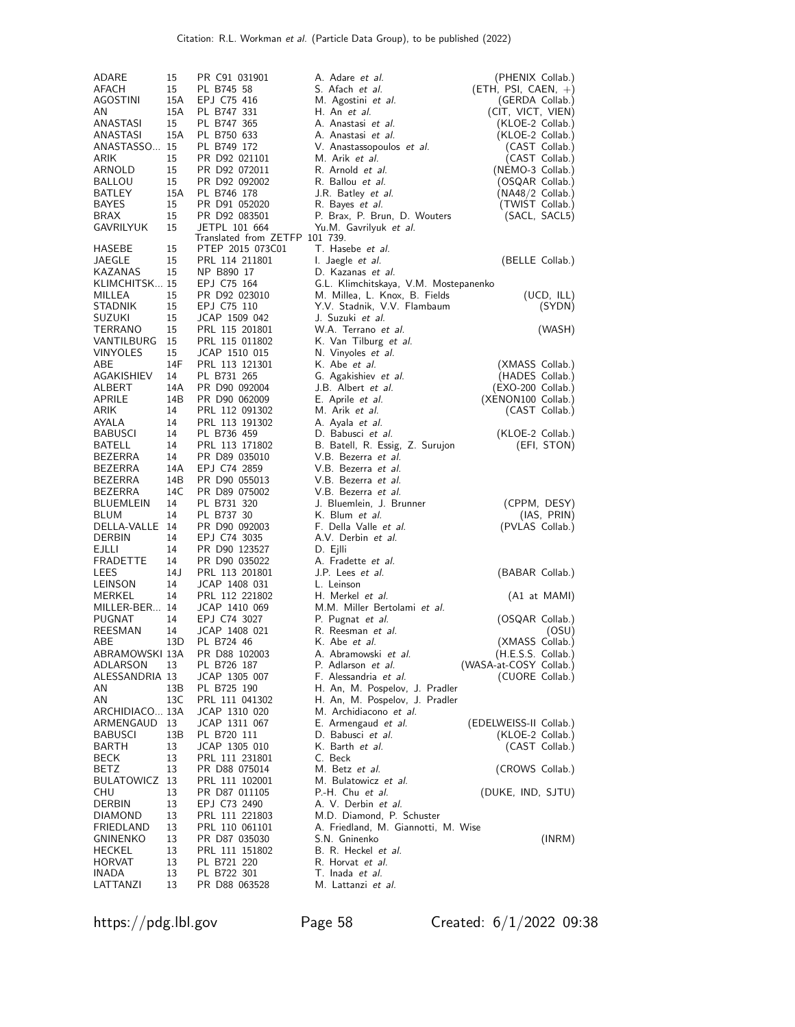| ADARE                            | 15         | PR C91 031901                                      |          | A. Adare et al.                                          | (PHENIX Collab.)                 |
|----------------------------------|------------|----------------------------------------------------|----------|----------------------------------------------------------|----------------------------------|
| AFACH                            | 15         | PL B745 58                                         |          | S. Afach et al.                                          | (ETH, PSI, CAEN, +)              |
| AGOSTINI                         | 15A        | EPJ C75 416                                        |          | M. Agostini et al.                                       | (GERDA Collab.)                  |
| AN                               | 15A        | PL B747 331                                        |          | H. An et al.                                             | (CIT, VICT, VIEN)                |
| ANASTASI                         | 15         | PL B747 365                                        |          | A. Anastasi et al.                                       | (KLOE-2 Collab.)                 |
| ANASTASI                         | 15A        | PL B750 633                                        |          | A. Anastasi et al.                                       | (KLOE-2 Collab.)                 |
| ANASTASSO 15<br>ARIK             | 15         | PL B749 172<br>PR D92 021101                       |          | V. Anastassopoulos et al.<br>M. Arik et al.              | (CAST Collab.)<br>(CAST Collab.) |
| ARNOLD                           | 15         | PR D92 072011                                      |          | R. Arnold et al.                                         | (NEMO-3 Collab.)                 |
| <b>BALLOU</b>                    | 15         | PR D92 092002                                      |          | R. Ballou et al.                                         | (OSQAR Collab.)                  |
| BATLEY                           | 15A        | PL B746 178                                        |          | J.R. Batley <i>et al.</i>                                | (NA48/2 Collab.)                 |
| BAYES                            | 15         | PR D91 052020                                      |          | R. Bayes et al.                                          | (TWIST Collab.)                  |
| BRAX                             | 15         | PR D92 083501                                      |          | P. Brax, P. Brun, D. Wouters                             | (SACL, SACL5)                    |
| GAVRILYUK                        | 15         | JETPL 101 664                                      |          | Yu.M. Gavrilyuk et al.                                   |                                  |
| HASEBE                           | 15         | Translated from ZETFP 101 739.<br>PTEP 2015 073C01 |          | T. Hasebe <i>et al.</i>                                  |                                  |
| JAEGLE                           | 15         | PRL 114 211801                                     |          | I. Jaegle <i>et al.</i>                                  | (BELLE Collab.)                  |
| KAZANAS                          | 15         | NP B890 17                                         |          | D. Kazanas et al.                                        |                                  |
| KLIMCHITSK 15                    |            | EPJ C75 164                                        |          | G.L. Klimchitskaya, V.M. Mostepanenko                    |                                  |
| MILLEA                           | 15         | PR D92 023010                                      |          | M. Millea, L. Knox, B. Fields                            | (UCD, ILL)                       |
| STADNIK                          | 15         | EPJ C75 110                                        |          | Y.V. Stadnik, V.V. Flambaum                              | (SYDN)                           |
| <b>SUZUKI</b>                    | 15         | JCAP 1509 042                                      |          | J. Suzuki <i>et al.</i>                                  |                                  |
| TERRANO                          | 15         | PRL 115 201801                                     |          | W.A. Terrano et al.                                      | (WASH)                           |
| VANTILBURG<br><b>VINYOLES</b>    | 15         | PRL 115 011802<br>JCAP 1510 015                    |          | K. Van Tilburg et al.                                    |                                  |
| ABE                              | 15<br>14F  | PRL 113 121301                                     |          | N. Vinyoles et al.<br>K. Abe et al.                      | (XMASS Collab.)                  |
| AGAKISHIEV                       | 14         | PL B731 265                                        |          | G. Agakishiev et al.                                     | (HADES Collab.)                  |
| ALBERT                           | 14A        | PR D90 092004                                      |          | J.B. Albert <i>et al.</i>                                | (EXO-200 Collab.)                |
| APRILE                           | 14B        | PR D90 062009                                      |          | E. Aprile et al.                                         | (XENON100 Collab.)               |
| ARIK                             | 14         | PRL 112 091302                                     |          | M. Arik <i>et al.</i>                                    | (CAST Collab.)                   |
| AYALA                            | 14         | PRL 113 191302                                     |          | A. Ayala et al.                                          |                                  |
| BABUSCI                          | 14         | PL B736 459                                        |          | D. Babusci et al.                                        | (KLOE-2 Collab.)                 |
| BATELL                           | 14         | PRL 113 171802                                     |          | B. Batell, R. Essig, Z. Surujon                          | (EFI, STON)                      |
| BEZERRA                          | 14         | PR D89 035010                                      |          | V.B. Bezerra et al.                                      |                                  |
| <b>BEZERRA</b><br><b>BEZERRA</b> | 14A<br>14B | EPJ C74 2859<br>PR D90 055013                      |          | V.B. Bezerra <i>et al.</i><br>V.B. Bezerra <i>et al.</i> |                                  |
| <b>BEZERRA</b>                   | 14C        | PR D89 075002                                      |          | V.B. Bezerra <i>et al.</i>                               |                                  |
| BLUEMLEIN                        | 14         | PL B731 320                                        |          | J. Bluemlein, J. Brunner                                 | (CPPM, DESY)                     |
| BLUM                             | 14         | PL B737 30                                         |          | K. Blum et al.                                           | (IAS, PRIN)                      |
| DELLA-VALLE 14                   |            | PR D90 092003                                      |          | F. Della Valle et al.                                    | (PVLAS Collab.)                  |
| <b>DERBIN</b>                    | 14         | EPJ C74 3035                                       |          | A.V. Derbin et al.                                       |                                  |
| EJLLI                            | 14         | PR D90 123527                                      | D. Ejlli |                                                          |                                  |
| FRADETTE                         | 14         | PR D90 035022                                      |          | A. Fradette et al.                                       |                                  |
| LEES                             | 14 J       | PRL 113 201801                                     |          | J.P. Lees <i>et al.</i>                                  | (BABAR Collab.)                  |
| LEINSON<br>MERKEL                | 14<br>14   | JCAP 1408 031<br>PRL 112 221802                    |          | L. Leinson<br>H. Merkel <i>et al.</i>                    |                                  |
| MILLER-BER 14                    |            | JCAP 1410 069                                      |          | M.M. Miller Bertolami et al.                             | (A1 at MAMI)                     |
| PUGNAT                           | 14         | EPJ C74 3027                                       |          | P. Pugnat et al.                                         | (OSQAR Collab.)                  |
| REESMAN                          | 14         | JCAP 1408 021                                      |          | R. Reesman et al.                                        | (OSU)                            |
| ABE                              | 13D        | PL B724 46                                         |          | K. Abe et al.                                            | (XMASS Collab.)                  |
| ABRAMOWSKI 13A                   |            | PR D88 102003                                      |          | A. Abramowski et al.                                     | $(H.E.S.S.$ Collab.)             |
| ADLARSON                         | 13         | PL B726 187                                        |          | P. Adlarson et al.                                       | (WASA-at-COSY Collab.)           |
| ALESSANDRIA 13                   |            | JCAP 1305 007                                      |          | F. Alessandria et al.                                    | (CUORE Collab.)                  |
| AN                               | 13B<br>13C | PL B725 190                                        |          | H. An, M. Pospelov, J. Pradler                           |                                  |
| AN<br>ARCHIDIACO 13A             |            | PRL 111 041302<br>JCAP 1310 020                    |          | H. An, M. Pospelov, J. Pradler<br>M. Archidiacono et al. |                                  |
| ARMENGAUD                        | 13         | JCAP 1311 067                                      |          | E. Armengaud et al.                                      | (EDELWEISS-II Collab.)           |
| <b>BABUSCI</b>                   | 13B        | PL B720 111                                        |          | D. Babusci et al.                                        | (KLOE-2 Collab.)                 |
| BARTH                            | 13         | JCAP 1305 010                                      |          | K. Barth et al.                                          | (CAST Collab.)                   |
| BECK                             | 13         | PRL 111 231801                                     | C. Beck  |                                                          |                                  |
| BETZ                             | 13         | PR D88 075014                                      |          | M. Betz et al.                                           | (CROWS Collab.)                  |
| BULATOWICZ 13                    |            | PRL 111 102001                                     |          | M. Bulatowicz et al.                                     |                                  |
| CHU<br><b>DERBIN</b>             | 13         | PR D87 011105                                      |          | P.-H. Chu et al.                                         | (DUKE, IND, SJTU)                |
| DIAMOND                          | 13<br>13   | EPJ C73 2490<br>PRL 111 221803                     |          | A. V. Derbin et al.<br>M.D. Diamond, P. Schuster         |                                  |
| FRIEDLAND                        | 13         | PRL 110 061101                                     |          | A. Friedland, M. Giannotti, M. Wise                      |                                  |
| GNINENKO                         | 13         | PR D87 035030                                      |          | S.N. Gninenko                                            | (INRM)                           |
| HECKEL                           | 13         | PRL 111 151802                                     |          | B. R. Heckel et al.                                      |                                  |
| HORVAT                           | 13         | PL B721 220                                        |          | R. Horvat et al.                                         |                                  |
| INADA                            | 13         | PL B722 301                                        |          | T. Inada et al.                                          |                                  |
| LATTANZI                         | 13         | PR D88 063528                                      |          | M. Lattanzi et al.                                       |                                  |

https://pdg.lbl.gov Page 58 Created: 6/1/2022 09:38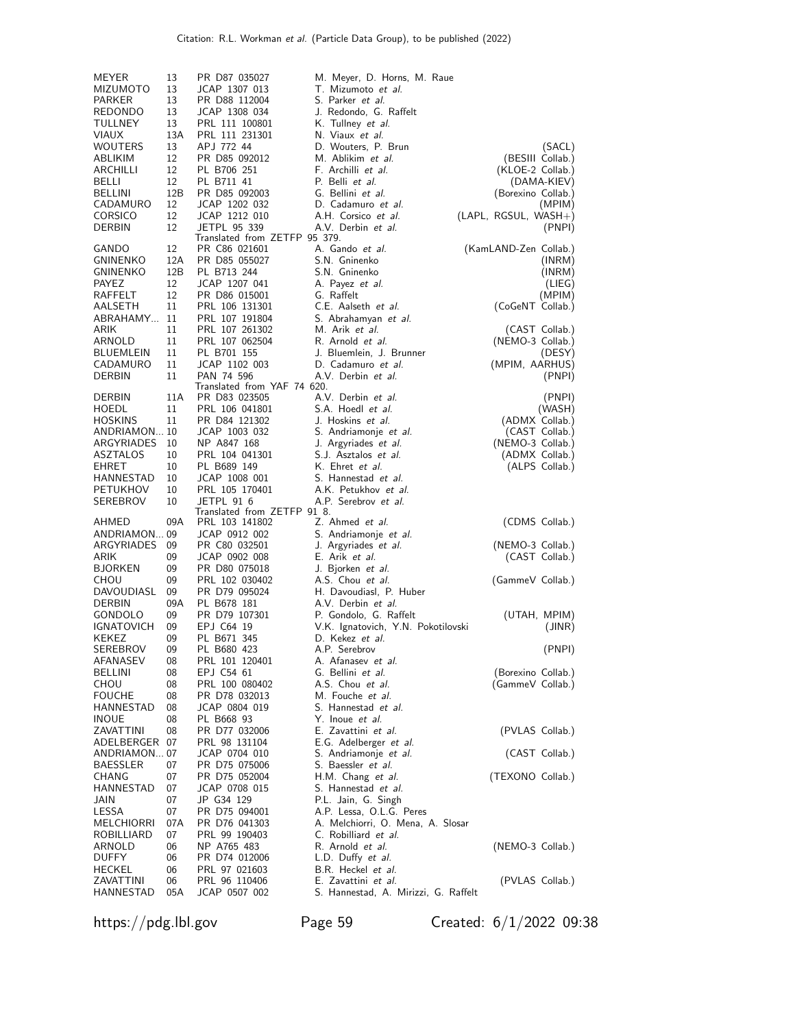| MEYER                         | 13        | PR D87 035027                                | M. Meyer, D. Horns, M. Raue                        |                                  |
|-------------------------------|-----------|----------------------------------------------|----------------------------------------------------|----------------------------------|
| <b>MIZUMOTO</b>               | 13        | JCAP 1307 013                                | T. Mizumoto et al.                                 |                                  |
| PARKER                        | 13        | PR D88 112004                                | S. Parker <i>et al.</i>                            |                                  |
| REDONDO                       | 13        | JCAP 1308 034                                | J. Redondo, G. Raffelt                             |                                  |
| TULLNEY<br><b>VIAUX</b>       | 13<br>13A | PRL 111 100801<br>PRL 111 231301             | K. Tullney <i>et al.</i><br>N. Viaux et al.        |                                  |
| WOUTERS                       | 13        | APJ 772 44                                   | D. Wouters, P. Brun                                | (SACL)                           |
| ABLIKIM                       | 12        | PR D85 092012                                | M. Ablikim et al.                                  | (BESIII Collab.)                 |
| ARCHILLI                      | 12        | PL B706 251                                  | F. Archilli et al.                                 | (KLOE-2 Collab.)                 |
| BELLI                         | 12        | PL B711 41                                   | P. Belli et al.                                    | (DAMA-KIEV)                      |
| BELLINI                       | 12B       | PR D85 092003                                | G. Bellini et al.                                  | (Borexino Collab.)               |
| CADAMURO                      | 12        | JCAP 1202 032                                | D. Cadamuro et al.                                 | (MPIM)                           |
| <b>CORSICO</b><br>DERBIN      | 12<br>12  | JCAP 1212 010<br>JETPL 95 339                | A.H. Corsico et al.<br>A.V. Derbin et al.          | $(LAPL, RGSUL, WASH+)$<br>(PNPI) |
|                               |           | Translated from ZETFP 95 379.                |                                                    |                                  |
| GANDO                         | 12        | PR C86 021601                                | A. Gando et al.                                    | (KamLAND-Zen Collab.)            |
| <b>GNINENKO</b>               | 12A       | PR D85 055027                                | S.N. Gninenko                                      | (INRM)                           |
| <b>GNINENKO</b>               | 12B       | PL B713 244                                  | S.N. Gninenko                                      | (INRM)                           |
| PAYEZ                         | 12        | JCAP 1207 041                                | A. Payez et al.                                    | (LIEG)                           |
| RAFFELT<br>AALSETH            | 12<br>11  | PR D86 015001<br>PRL 106 131301              | G. Raffelt<br>C.E. Aalseth et al.                  | (MPIM)<br>(CoGeNT Collab.)       |
| ABRAHAMY                      | 11        | PRL 107 191804                               | S. Abrahamyan et al.                               |                                  |
| ARIK                          | 11        | PRL 107 261302                               | M. Arik et al.                                     | (CAST Collab.)                   |
| ARNOLD                        | 11        | PRL 107 062504                               | R. Arnold et al.                                   | (NEMO-3 Collab.)                 |
| BLUEMLEIN                     | 11        | PL B701 155                                  | J. Bluemlein, J. Brunner                           | (DESY)                           |
| CADAMURO                      | 11        | JCAP 1102 003                                | D. Cadamuro et al.                                 | (MPIM, AARHUS)                   |
| DERBIN                        | 11        | PAN 74 596                                   | A.V. Derbin et al.                                 | (PNPI)                           |
| DERBIN                        | 11A       | Translated from YAF 74 620.<br>PR D83 023505 | A.V. Derbin et al.                                 | (PNPI)                           |
| HOEDL                         | 11        | PRL 106 041801                               | S.A. Hoedl et al.                                  | (WASH)                           |
| <b>HOSKINS</b>                | 11        | PR D84 121302                                | J. Hoskins et al.                                  | (ADMX Collab.)                   |
| ANDRIAMON 10                  |           | JCAP 1003 032                                | S. Andriamonje <i>et al.</i>                       | (CAST Collab.)                   |
| ARGYRIADES                    | 10        | NP A847 168                                  | J. Argyriades et al.                               | (NEMO-3 Collab.)                 |
| <b>ASZTALOS</b>               | 10        | PRL 104 041301                               | S.J. Asztalos et al.                               | (ADMX Collab.)                   |
| EHRET                         | 10        | PL B689 149                                  | K. Ehret <i>et al.</i>                             | (ALPS Collab.)                   |
| HANNESTAD<br>PETUKHOV         | 10<br>10  | JCAP 1008 001<br>PRL 105 170401              | S. Hannestad et al.<br>A.K. Petukhov et al.        |                                  |
| SEREBROV                      | 10        | JETPL 91 6                                   | A.P. Serebrov et al.                               |                                  |
|                               |           | Translated from ZETFP 91 8.                  |                                                    |                                  |
| AHMED                         | 09A       | PRL 103 141802                               | Z. Ahmed et al.                                    | (CDMS Collab.)                   |
| ANDRIAMON 09                  |           | JCAP 0912 002                                | S. Andriamonje et al.                              |                                  |
| ARGYRIADES                    | 09        | PR C80 032501                                | J. Argyriades et al.                               | (NEMO-3 Collab.)                 |
| ARIK<br><b>BJORKEN</b>        | 09<br>09  | JCAP 0902 008<br>PR D80 075018               | E. Arik <i>et al.</i><br>J. Bjorken et al.         | (CAST Collab.)                   |
| CHOU                          | 09        | PRL 102 030402                               | A.S. Chou et al.                                   | (GammeV Collab.)                 |
| DAVOUDIASL                    | 09        | PR D79 095024                                | H. Davoudiasl, P. Huber                            |                                  |
| DERBIN                        | 09A       | PL B678 181                                  | A.V. Derbin et al.                                 |                                  |
| GONDOLO                       | 09        | PR D79 107301                                | P. Gondolo, G. Raffelt                             | (UTAH, MPIM)                     |
| <b>IGNATOVICH</b>             | 09        | EPJ C64 19                                   | V.K. Ignatovich, Y.N. Pokotilovski                 | (JINR)                           |
| KEKEZ                         | 09        | PL B671 345                                  | D. Kekez <i>et al.</i>                             |                                  |
| SEREBROV<br>AFANASEV          | 09<br>08  | PL B680 423<br>PRL 101 120401                | A.P. Serebrov<br>A. Afanasev et al.                | (PNPI)                           |
| <b>BELLINI</b>                | 08        | EPJ C54 61                                   | G. Bellini et al.                                  | (Borexino Collab.)               |
| CHOU                          | 08        | PRL 100 080402                               | A.S. Chou et al.                                   | (GammeV Collab.)                 |
| <b>FOUCHE</b>                 | 08        | PR D78 032013                                | M. Fouche et al.                                   |                                  |
| HANNESTAD                     | 08        | JCAP 0804 019                                | S. Hannestad et al.                                |                                  |
| INOUE                         | 08        | PL B668 93                                   | Y. Inoue <i>et al.</i>                             |                                  |
| ZAVATTINI                     | 08        | PR D77 032006                                | E. Zavattini et al.                                | (PVLAS Collab.)                  |
| ADELBERGER 07<br>ANDRIAMON 07 |           | PRL 98 131104                                | E.G. Adelberger et al.                             |                                  |
| <b>BAESSLER</b>               | 07        | JCAP 0704 010<br>PR D75 075006               | S. Andriamonje <i>et al.</i><br>S. Baessler et al. | (CAST Collab.)                   |
| CHANG                         | 07        | PR D75 052004                                | H.M. Chang et al.                                  | (TEXONO Collab.)                 |
| HANNESTAD                     | 07        | JCAP 0708 015                                | S. Hannestad et al.                                |                                  |
| JAIN                          | 07        | JP G34 129                                   | P.L. Jain, G. Singh                                |                                  |
| LESSA                         | 07        | PR D75 094001                                | A.P. Lessa, O.L.G. Peres                           |                                  |
| MELCHIORRI                    | 07A       | PR D76 041303                                | A. Melchiorri, O. Mena, A. Slosar                  |                                  |
| ROBILLIARD                    | 07        | PRL 99 190403                                | C. Robilliard et al.                               |                                  |
| ARNOLD<br><b>DUFFY</b>        | 06<br>06  | NP A765 483<br>PR D74 012006                 | R. Arnold et al.<br>L.D. Duffy et al.              | (NEMO-3 Collab.)                 |
| HECKEL                        | 06        | PRL 97 021603                                | B.R. Heckel et al.                                 |                                  |
| ZAVATTINI                     | 06        | PRL 96 110406                                | E. Zavattini et al.                                | (PVLAS Collab.)                  |
| HANNESTAD                     | 05A       | JCAP 0507 002                                | S. Hannestad, A. Mirizzi, G. Raffelt               |                                  |

https://pdg.lbl.gov Page 59 Created: 6/1/2022 09:38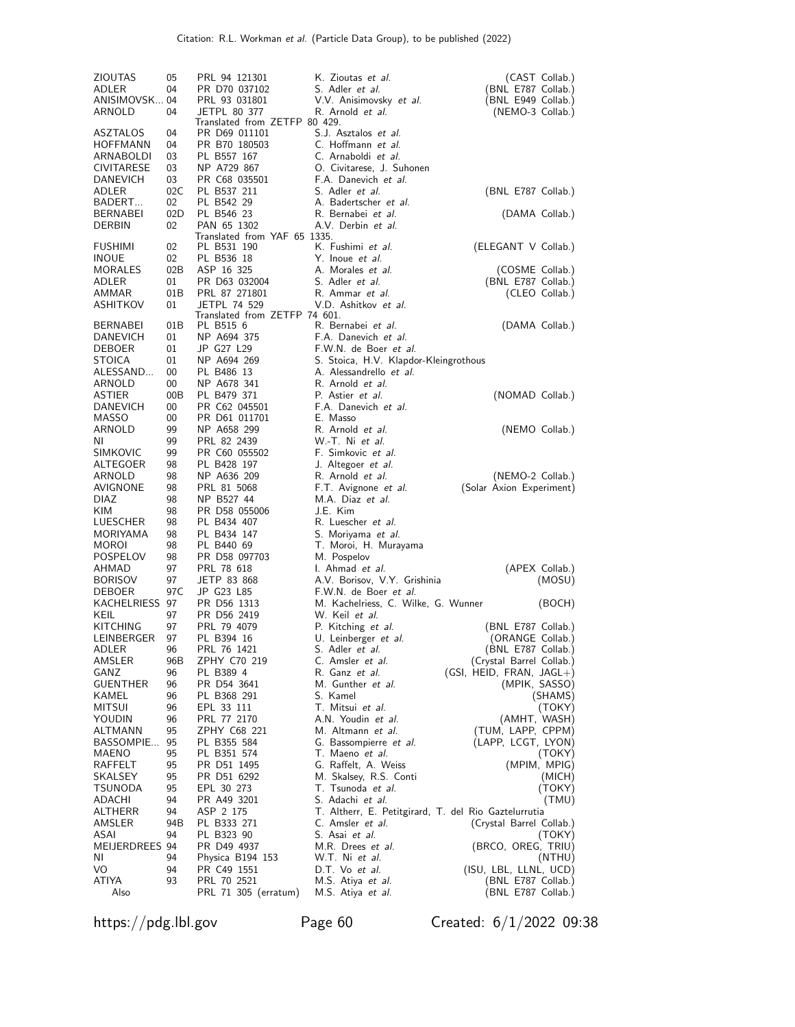| ZIOUTAS                  | 05        | PRL 94 121301                                 | K. Zioutas et al.                                     | (CAST Collab.)                          |
|--------------------------|-----------|-----------------------------------------------|-------------------------------------------------------|-----------------------------------------|
| ADLER                    | 04        | PR D70 037102                                 | S. Adler et al.                                       | (BNL E787 Collab.)                      |
| ANISIMOVSK 04            |           | PRL 93 031801                                 | V.V. Anisimovsky et al.                               | (BNL E949 Collab.)                      |
| ARNOLD                   | 04        | JETPL 80 377<br>Translated from ZETFP 80 429. | R. Arnold et al.                                      | (NEMO-3 Collab.)                        |
| ASZTALOS                 | 04        | PR D69 011101                                 | S.J. Asztalos et al.                                  |                                         |
| HOFFMANN                 | 04        | PR B70 180503                                 | C. Hoffmann et al.                                    |                                         |
| ARNABOLDI                | 03        | PL B557 167                                   | C. Arnaboldi et al.                                   |                                         |
| <b>CIVITARESE</b>        | 03        | NP A729 867                                   | O. Civitarese, J. Suhonen                             |                                         |
| DANEVICH                 | 03        | PR C68 035501                                 | F.A. Danevich et al.                                  |                                         |
| ADLER                    | 02C       | PL B537 211                                   | S. Adler et al.                                       | (BNL E787 Collab.)                      |
| BADERT                   | 02        | PL B542 29                                    | A. Badertscher et al.                                 |                                         |
| <b>BERNABEI</b>          | 02D       | PL B546 23                                    | R. Bernabei et al.                                    | (DAMA Collab.)                          |
| DERBIN                   | 02        | PAN 65 1302<br>Translated from YAF 65 1335.   | A.V. Derbin et al.                                    |                                         |
| <b>FUSHIMI</b>           | 02        | PL B531 190                                   | K. Fushimi et al.                                     | (ELEGANT V Collab.)                     |
| <b>INOUE</b>             | 02        | PL B536 18                                    | Y. Inoue <i>et al.</i>                                |                                         |
| <b>MORALES</b>           | 02B       | ASP 16 325                                    | A. Morales et al.                                     | (COSME Collab.)                         |
| ADLER                    | 01        | PR D63 032004                                 | S. Adler et al.                                       | (BNL E787 Collab.)                      |
| AMMAR                    | 01B       | PRL 87 271801                                 | R. Ammar et al.                                       | (CLEO Collab.)                          |
| ASHITKOV                 | 01        | JETPL 74 529                                  | V.D. Ashitkov et al.                                  |                                         |
| <b>BERNABEI</b>          |           | Translated from ZETFP 74 601.<br>PL B515 6    | R. Bernabei et al.                                    |                                         |
| DANEVICH                 | 01B<br>01 | NP A694 375                                   | F.A. Danevich et al.                                  | (DAMA Collab.)                          |
| <b>DEBOER</b>            | 01        | JP G27 L29                                    | F.W.N. de Boer <i>et al.</i>                          |                                         |
| STOICA                   | 01        | NP A694 269                                   | S. Stoica, H.V. Klapdor-Kleingrothous                 |                                         |
| ALESSAND                 | 00        | PL B486 13                                    | A. Alessandrello et al.                               |                                         |
| ARNOLD                   | 00        | NP A678 341                                   | R. Arnold <i>et al.</i>                               |                                         |
| <b>ASTIER</b>            | 00B       | PL B479 371                                   | P. Astier et al.                                      | (NOMAD Collab.)                         |
| DANEVICH                 | 00        | PR C62 045501                                 | F.A. Danevich et al.                                  |                                         |
| MASSO                    | 00        | PR D61 011701                                 | E. Masso                                              |                                         |
| ARNOLD                   | 99        | NP A658 299                                   | R. Arnold et al.                                      | (NEMO Collab.)                          |
| ΝI                       | 99        | PRL 82 2439                                   | W.-T. Ni et al.                                       |                                         |
| <b>SIMKOVIC</b>          | 99        | PR C60 055502                                 | F. Simkovic et al.                                    |                                         |
| ALTEGOER<br>ARNOLD       | 98<br>98  | PL B428 197<br>NP A636 209                    | J. Altegoer et al.<br>R. Arnold <i>et al.</i>         | (NEMO-2 Collab.)                        |
| AVIGNONE                 | 98        | PRL 81 5068                                   | F.T. Avignone et al.                                  | (Solar Axion Experiment)                |
| DIAZ                     | 98        | NP B527 44                                    | M.A. Diaz et al.                                      |                                         |
| KIM                      | 98        | PR D58 055006                                 | J.E. Kim                                              |                                         |
| LUESCHER                 | 98        | PL B434 407                                   | R. Luescher et al.                                    |                                         |
| MORIYAMA                 | 98        | PL B434 147                                   | S. Moriyama et al.                                    |                                         |
| MOROI                    | 98        | PL B440 69                                    | T. Moroi, H. Murayama                                 |                                         |
| POSPELOV                 | 98        | PR D58 097703                                 | M. Pospelov                                           |                                         |
| AHMAD                    | 97        | PRL 78 618                                    | I. Ahmad et al.                                       | (APEX Collab.)                          |
| <b>BORISOV</b>           | 97        | JETP 83 868                                   | A.V. Borisov, V.Y. Grishinia                          | (MOSU)                                  |
| DEBOER<br>KACHELRIESS 97 | 97 C      | JP G23 L85<br>PR D56 1313                     | F.W.N. de Boer et al.                                 |                                         |
| KEIL                     | 97        | PR D56 2419                                   | M. Kachelriess, C. Wilke, G. Wunner<br>W. Keil et al. | (BOCH)                                  |
| <b>KITCHING</b>          | 97        | PRL 79 4079                                   | P. Kitching et al.                                    | (BNL E787 Collab.)                      |
| LEINBERGER               | 97        | PL B394 16                                    | U. Leinberger et al.                                  | (ORANGE Collab.)                        |
| ADLER                    | 96        | PRL 76 1421                                   | S. Adler <i>et al.</i>                                | (BNL E787 Collab.)                      |
| AMSLER                   | 96B       | ZPHY C70 219                                  | C. Amsler <i>et al.</i>                               | (Crystal Barrel Collab.)                |
| GANZ                     | 96        | PL B389 4                                     | R. Ganz et al.                                        | $(GSI, HEID, FRAN, JAGL+)$              |
| <b>GUENTHER</b>          | 96        | PR D54 3641                                   | M. Gunther et al.                                     | (MPIK, SASSO)                           |
| KAMEL                    | 96        | PL B368 291                                   | S. Kamel                                              | (SHAMS)                                 |
| <b>MITSUI</b>            | 96        | EPL 33 111                                    | T. Mitsui et al.                                      | (TOKY)                                  |
| YOUDIN                   | 96        | PRL 77 2170                                   | A.N. Youdin et al.                                    | (AMHT, WASH)                            |
| ALTMANN<br>BASSOMPIE     | 95<br>95  | ZPHY C68 221<br>PL B355 584                   | M. Altmann et al.<br>G. Bassompierre <i>et al.</i>    | (TUM, LAPP, CPPM)<br>(LAPP, LCGT, LYON) |
| MAENO                    | 95        | PL B351 574                                   | T. Maeno et al.                                       | (TOKY)                                  |
| RAFFELT                  | 95        | PR D51 1495                                   | G. Raffelt, A. Weiss                                  | (MPIM, MPIG)                            |
| SKALSEY                  | 95        | PR D51 6292                                   | M. Skalsey, R.S. Conti                                | (MICH)                                  |
| TSUNODA                  | 95        | EPL 30 273                                    | T. Tsunoda <i>et al.</i>                              | (TOKY)                                  |
| ADACHI                   | 94        | PR A49 3201                                   | S. Adachi <i>et al.</i>                               | (TMU)                                   |
| ALTHERR                  | 94        | ASP 2 175                                     | T. Altherr, E. Petitgirard, T. del Rio Gaztelurrutia  |                                         |
| AMSLER                   | 94B       | PL B333 271                                   | C. Amsler <i>et al.</i>                               | (Crystal Barrel Collab.)                |
| ASAI                     | 94        | PL B323 90                                    | S. Asai <i>et al.</i>                                 | (TOKY)                                  |
| MEIJERDREES 94           |           | PR D49 4937                                   | M.R. Drees et al.                                     | (BRCO, OREG, TRIU)                      |
| ΝI<br>VO                 | 94<br>94  | Physica B194 153<br>PR C49 1551               | W.T. Ni <i>et al.</i><br>D.T. Vo et al.               | (NTHU)<br>(ISU, LBL, LLNL, UCD)         |
| ATIYA                    | 93        | PRL 70 2521                                   | M.S. Atiya <i>et al.</i>                              | (BNL E787 Collab.)                      |
| Also                     |           | PRL 71 305 (erratum)                          | M.S. Atiya et al.                                     | (BNL E787 Collab.)                      |
|                          |           |                                               |                                                       |                                         |

https://pdg.lbl.gov Page 60 Created: 6/1/2022 09:38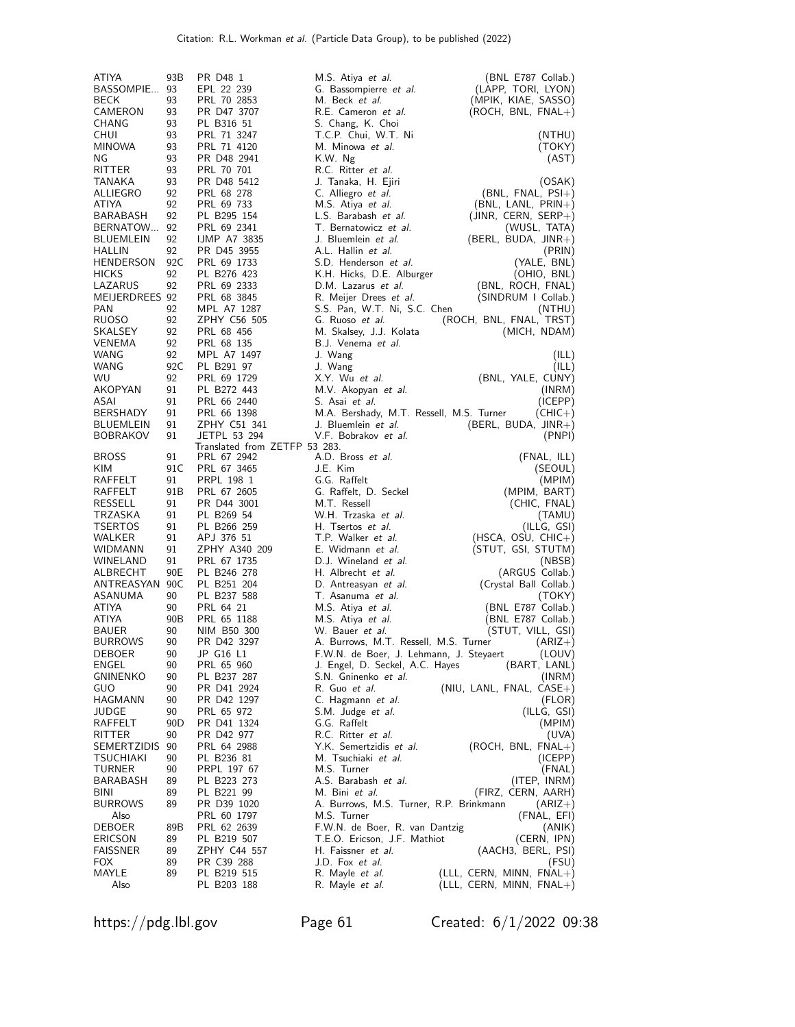| ATIYA                               | 93B       | PR D48 1                      | M.S. Atiya <i>et al.</i>                               | (BNL E787 Collab.)                      |
|-------------------------------------|-----------|-------------------------------|--------------------------------------------------------|-----------------------------------------|
| BASSOMPIE 93                        |           | EPL 22 239                    | G. Bassompierre et al.                                 | (LAPP, TORI, LYON)                      |
| <b>BECK</b>                         | 93        | PRL 70 2853                   | M. Beck <i>et al.</i>                                  | (MPIK, KIAE, SASSO)                     |
| CAMERON                             | 93        | PR D47 3707                   | R.E. Cameron et al.                                    | $(ROCH, BNL, FNAL+)$                    |
| CHANG<br><b>CHUI</b>                | 93<br>93  | PL B316 51<br>PRL 71 3247     | S. Chang, K. Choi<br>T.C.P. Chui, W.T. Ni              | (NTHU)                                  |
| <b>MINOWA</b>                       | 93        | PRL 71 4120                   | M. Minowa et al.                                       | (TOKY)                                  |
| ΝG                                  | 93        | PR D48 2941                   | K.W. Ng                                                | (AST)                                   |
| RITTER                              | 93        | PRL 70 701                    | R.C. Ritter <i>et al.</i>                              |                                         |
| TANAKA                              | 93        | PR D48 5412                   | J. Tanaka, H. Ejiri                                    | (OSAK)                                  |
| ALLIEGRO                            | 92        | PRL 68 278                    | C. Alliegro et al.                                     | $(BNL, FNAL, PSI+)$                     |
| ATIYA                               | 92        | PRL 69 733                    | M.S. Atiya et al.                                      | $(BNL, LANL, PRIN+)$                    |
| BARABASH<br>BERNATOW                | 92<br>92  | PL B295 154<br>PRL 69 2341    | L.S. Barabash et al.<br>T. Bernatowicz et al.          | $(JINR, CERN, SERP+)$                   |
| <b>BLUEMLEIN</b>                    | 92        | <b>IJMP A7 3835</b>           | J. Bluemlein et al.                                    | (WUSL, TATA)<br>$(BERL, BUDA, JINR+)$   |
| <b>HALLIN</b>                       | 92        | PR D45 3955                   | A.L. Hallin et al.                                     | (PRIN)                                  |
| <b>HENDERSON</b>                    | 92C       | PRL 69 1733                   | S.D. Henderson et al.                                  | (YALE, BNL)                             |
| <b>HICKS</b>                        | 92        | PL B276 423                   | K.H. Hicks, D.E. Alburger                              | (OHIO, BNL)                             |
| LAZARUS                             | 92        | PRL 69 2333                   | D.M. Lazarus et al.                                    | (BNL, ROCH, FNAL)                       |
| MEIJERDREES 92                      |           | PRL 68 3845                   | R. Meijer Drees <i>et al.</i>                          | (SINDRUM I Collab.)                     |
| <b>PAN</b>                          | 92        | MPL A7 1287                   | S.S. Pan, W.T. Ni, S.C. Chen                           | (NTHU)                                  |
| RUOSO<br>SKALSEY                    | 92<br>92  | ZPHY C56 505<br>PRL 68 456    | G. Ruoso et al.<br>M. Skalsey, J.J. Kolata             | (ROCH, BNL, FNAL, TRST)<br>(MICH, NDAM) |
| VENEMA                              | 92        | PRL 68 135                    | B.J. Venema et al.                                     |                                         |
| WANG                                | 92        | MPL A7 1497                   | J. Wang                                                | (ILL)                                   |
| WANG                                | 92C       | PL B291 97                    | J. Wang                                                | (ILL)                                   |
| WU                                  | 92        | PRL 69 1729                   | X.Y. Wu et al.                                         | (BNL, YALE, CUNY)                       |
| AKOPYAN                             | 91        | PL B272 443                   | M.V. Akopyan et al.                                    | (INRM)                                  |
| ASAI                                | 91        | PRL 66 2440                   | S. Asai et al.                                         | (ICEPP)                                 |
| BERSHADY                            | 91        | PRL 66 1398                   | M.A. Bershady, M.T. Ressell, M.S. Turner               | $(CHIC+)$                               |
| <b>BLUEMLEIN</b><br><b>BOBRAKOV</b> | 91<br>91  | ZPHY C51 341<br>JETPL 53 294  | J. Bluemlein et al.<br>V.F. Bobrakov et al.            | $(BERL, BUDA, JINR+)$<br>(PNPI)         |
|                                     |           | Translated from ZETFP 53 283. |                                                        |                                         |
| <b>BROSS</b>                        | 91        | PRL 67 2942                   | A.D. Bross et al.                                      | (FNAL, ILL)                             |
| KIM                                 | 91 C      | PRL 67 3465                   | J.E. Kim                                               | (SEOUL)                                 |
| RAFFELT                             | 91        | PRPL 198 1                    | G.G. Raffelt                                           | (MPIM)                                  |
| RAFFELT<br>RESSELL                  | 91B<br>91 | PRL 67 2605                   | G. Raffelt, D. Seckel<br>M.T. Ressell                  | (MPIM, BART)                            |
| TRZASKA                             | 91        | PR D44 3001<br>PL B269 54     | W.H. Trzaska et al.                                    | (CHIC, FNAL)<br>(TAMU)                  |
| <b>TSERTOS</b>                      | 91        | PL B266 259                   | H. Tsertos et al.                                      | (ILLG, GSI)                             |
| WALKER                              | 91        | APJ 376 51                    | T.P. Walker et al.                                     | $(HSCA, OSU, CHIC+)$                    |
| WIDMANN                             | 91        | ZPHY A340 209                 | E. Widmann et al.                                      | (STUT, GSI, STUTM)                      |
| WINELAND                            | 91        | PRL 67 1735                   | D.J. Wineland et al.                                   | (NBSB)                                  |
| ALBRECHT                            | 90E       | PL B246 278                   | H. Albrecht et al.                                     | (ARGUS Collab.)                         |
| ANTREASYAN 90C                      |           | PL B251 204                   | D. Antreasyan et al.                                   | (Crystal Ball Collab.)                  |
| ASANUMA<br>ATIYA                    | 90<br>90  | PL B237 588<br>PRL 64 21      | T. Asanuma et al.                                      | (TOKY)<br>(BNL E787 Collab.)            |
| <b>ATIYA</b>                        | 90B       | PRL 65 1188                   | M.S. Atiya <i>et al.</i><br>M.S. Atiya <i>et al.</i>   | (BNL E787 Collab.)                      |
| <b>BAUER</b>                        | 90        | NIM B50 300                   | W. Bauer <i>et al.</i>                                 | (STUT, VILL, GSI)                       |
| <b>BURROWS</b>                      | 90        | PR D42 3297                   | A. Burrows, M.T. Ressell, M.S. Turner                  | $(ARIZ+)$                               |
| DEBOER                              | 90        | JP G16 L1                     | F.W.N. de Boer, J. Lehmann, J. Steyaert                | (LOUV)                                  |
| ENGEL                               | 90        | PRL 65 960                    | J. Engel, D. Seckel, A.C. Hayes                        | (BART, LANL)                            |
| <b>GNINENKO</b>                     | 90        | PL B237 287                   | S.N. Gninenko et al.                                   | (INRM)                                  |
| GUO                                 | 90        | PR D41 2924                   | R. Guo et al.                                          | $(NIU, LANL, FNAL, CASE+)$              |
| HAGMANN<br>JUDGE                    | 90<br>90  | PR D42 1297<br>PRL 65 972     | C. Hagmann et al.<br>S.M. Judge et al.                 | (FLOR)<br>(ILLG, GSI)                   |
| RAFFELT                             | 90D       | PR D41 1324                   | G.G. Raffelt                                           | (MPIM)                                  |
| RITTER                              | 90        | PR D42 977                    | R.C. Ritter et al.                                     | (UVA)                                   |
| SEMERTZIDIS                         | 90        | PRL 64 2988                   | Y.K. Semertzidis et al.                                | (ROCH, BNL, FNAL+)                      |
| TSUCHIAKI                           | 90        | PL B236 81                    | M. Tsuchiaki et al.                                    | (ICEPP)                                 |
| TURNER                              | 90        | PRPL 197 67                   | M.S. Turner                                            | (FNAL)                                  |
| BARABASH                            | 89        | PL B223 273                   | A.S. Barabash et al.                                   | (ITEP, INRM)                            |
| BINI                                | 89        | PL B221 99                    | M. Bini et al.                                         | (FIRZ, CERN, AARH)                      |
| <b>BURROWS</b><br>Also              | 89        | PR D39 1020<br>PRL 60 1797    | A. Burrows, M.S. Turner, R.P. Brinkmann<br>M.S. Turner | $(ARIZ+)$                               |
| DEBOER                              | 89B       | PRL 62 2639                   | F.W.N. de Boer, R. van Dantzig                         | (FNAL, EFI)<br>(ANIK)                   |
| <b>ERICSON</b>                      | 89        | PL B219 507                   | T.E.O. Ericson, J.F. Mathiot                           | (CERN, IPN)                             |
| <b>FAISSNER</b>                     | 89        | ZPHY C44 557                  | H. Faissner et al.                                     | (AACH3, BERL, PSI)                      |
| <b>FOX</b>                          | 89        | PR C39 288                    | J.D. Fox et al.                                        | (FSU)                                   |
| MAYLE                               | 89        | PL B219 515                   | R. Mayle <i>et al.</i>                                 | (LLL, CERN, MINN, FNAL+)                |
| Also                                |           | PL B203 188                   | R. Mayle <i>et al.</i>                                 | (LLL, CERN, MINN, FNAL+)                |

https://pdg.lbl.gov Page 61 Created: 6/1/2022 09:38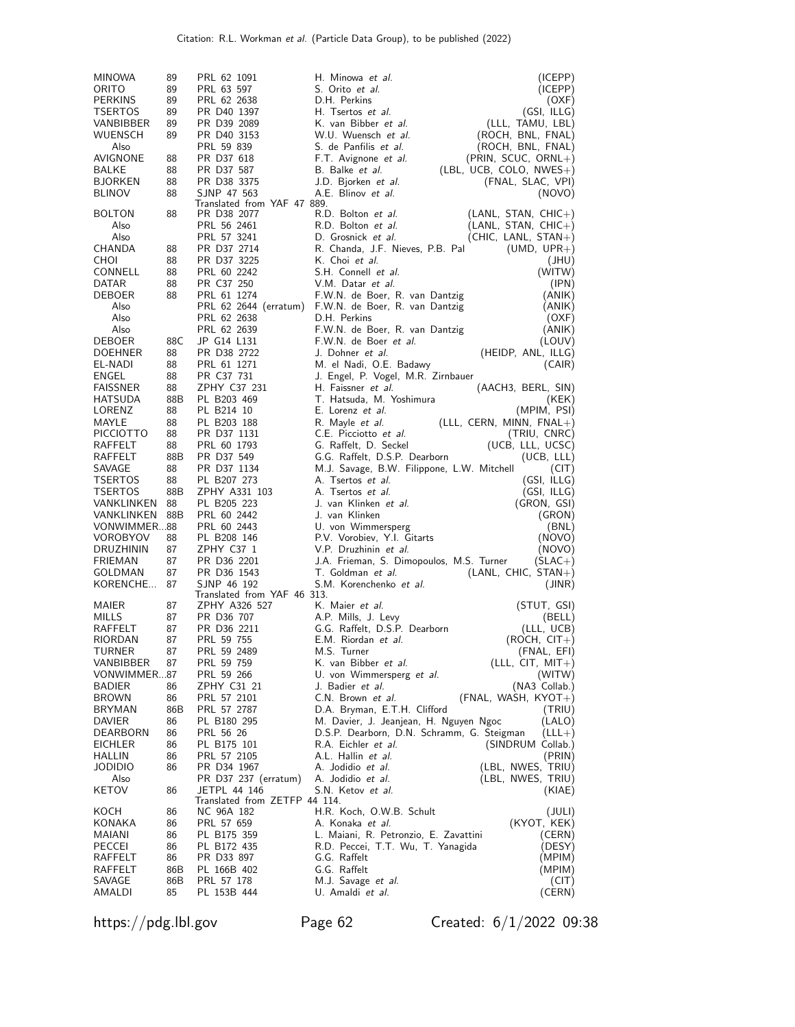| <b>MINOWA</b>              | 89        | PRL 62 1091                                | H. Minowa et al.<br>(ICEPP)                                                               |
|----------------------------|-----------|--------------------------------------------|-------------------------------------------------------------------------------------------|
| ORITO                      | 89        | PRL 63 597                                 | S. Orito <i>et al.</i><br>(ICEPP)                                                         |
| <b>PERKINS</b>             | 89        | PRL 62 2638                                | D.H. Perkins<br>(OXF)                                                                     |
| TSERTOS                    | 89        | PR D40 1397                                | H. Tsertos et al.<br>(GSI, ILLG)                                                          |
| VANBIBBER<br>WUENSCH       | 89<br>89  | PR D39 2089<br>PR D40 3153                 | K. van Bibber et al.<br>(LLL, TAMU, LBL)<br>W.U. Wuensch et al.<br>(ROCH, BNL, FNAL)      |
| Also                       |           | PRL 59 839                                 | S. de Panfilis <i>et al.</i><br>(ROCH, BNL, FNAL)                                         |
| AVIGNONE                   | 88        | PR D37 618                                 | F.T. Avignone et al.<br>(PRIN, SCUC, ORNL+)                                               |
| BALKE                      | 88        | PR D37 587                                 | B. Balke <i>et al.</i><br>$(EBL, UCB, COLO, NWES+)$                                       |
| BJORKEN                    | 88        | PR D38 3375                                | J.D. Bjorken et al.<br>(FNAL, SLAC, VPI)                                                  |
| <b>BLINOV</b>              | 88        | SJNP 47 563<br>Translated from YAF 47 889. | A.E. Blinov et al.<br>(NOVO)                                                              |
| <b>BOLTON</b>              | 88        | PR D38 2077                                | R.D. Bolton et al.<br>$(LANL, STAN, CHIC+)$                                               |
| Also                       |           | PRL 56 2461                                | R.D. Bolton et al.<br>$(LANL, STAN, CHIC+)$                                               |
| Also                       |           | PRL 57 3241                                | D. Grosnick et al.<br>$(CHIC, LANL, STAN+)$                                               |
| CHANDA                     | 88        | PR D37 2714                                | R. Chanda, J.F. Nieves, P.B. Pal<br>$(UMD, UPR+)$                                         |
| CHOI                       | 88        | PR D37 3225                                | K. Choi et al.<br>(JHU)                                                                   |
| CONNELL                    | 88        | PRL 60 2242                                | S.H. Connell et al.<br>(WITW)                                                             |
| DATAR<br>DEBOER            | 88<br>88  | PR C37 250<br>PRL 61 1274                  | V.M. Datar et al.<br>(IPN)<br>F.W.N. de Boer, R. van Dantzig<br>(ANIK)                    |
| Also                       |           | PRL 62 2644 (erratum)                      | F.W.N. de Boer, R. van Dantzig<br>(ANIK)                                                  |
| Also                       |           | PRL 62 2638                                | D.H. Perkins<br>(OXF)                                                                     |
| Also                       |           | PRL 62 2639                                | F.W.N. de Boer, R. van Dantzig<br>(ANIK)                                                  |
| DEBOER                     | 88C       | JP G14 L131                                | F.W.N. de Boer et al.<br>(LOUV)                                                           |
| <b>DOEHNER</b>             | 88        | PR D38 2722                                | J. Dohner et al.<br>(HEIDP, ANL, ILLG)                                                    |
| EL-NADI                    | 88        | PRL 61 1271                                | M. el Nadi, O.E. Badawy<br>(CAIR)                                                         |
| ENGEL                      | 88        | PR C37 731                                 | J. Engel, P. Vogel, M.R. Zirnbauer                                                        |
| <b>FAISSNER</b><br>HATSUDA | 88<br>88B | ZPHY C37 231<br>PL B203 469                | H. Faissner et al.<br>(AACH3, BERL, SIN)<br>T. Hatsuda, M. Yoshimura                      |
| LORENZ                     | 88        | PL B214 10                                 | (KEK)<br>E. Lorenz et al.<br>(MPIM, PSI)                                                  |
| MAYLE                      | 88        | PL B203 188                                | R. Mayle et al.<br>$LLL, CERN, MINN, FNAL+)$                                              |
| <b>PICCIOTTO</b>           | 88        | PR D37 1131                                | C.E. Picciotto et al.<br>(TRIU, CNRC)                                                     |
| RAFFELT                    | 88        | PRL 60 1793                                | G. Raffelt, D. Seckel<br>(UCB, LLL, UCSC)                                                 |
| RAFFELT                    | 88B       | PR D37 549                                 | G.G. Raffelt, D.S.P. Dearborn<br>(UCB, LLL)                                               |
| SAVAGE                     | 88        | PR D37 1134                                | M.J. Savage, B.W. Filippone, L.W. Mitchell<br>(CIT)                                       |
| <b>TSERTOS</b>             | 88        | PL B207 273                                | A. Tsertos et al.<br>(GSI, ILLG)                                                          |
| TSERTOS<br>VANKLINKEN      | 88B<br>88 | ZPHY A331 103<br>PL B205 223               | A. Tsertos et al.<br>(GSI, ILLG)<br>J. van Klinken <i>et al.</i>                          |
| VANKLINKEN                 | 88B       | PRL 60 2442                                | (GRON, GSI)<br>J. van Klinken<br>(GRON)                                                   |
| VONWIMMER88                |           | PRL 60 2443                                | U. von Wimmersperg<br>(BNL)                                                               |
| VOROBYOV                   | 88        | PL B208 146                                | P.V. Vorobiev, Y.I. Gitarts<br>(NOVO)                                                     |
| DRUZHININ                  | 87        | ZPHY C37 1                                 | V.P. Druzhinin et al.<br>(NOVO)                                                           |
| FRIEMAN                    | 87        | PR D36 2201                                | J.A. Frieman, S. Dimopoulos, M.S. Turner<br>(SLAC+)                                       |
| GOLDMAN                    | 87        | PR D36 1543                                | T. Goldman et al.<br>$(LANL, CHIC, STAN+)$                                                |
| KORENCHE                   | 87        | SJNP 46 192<br>Translated from YAF 46 313. | S.M. Korenchenko et al.<br>(JINR)                                                         |
| MAIER                      | 87        | ZPHY A326 527                              | (STUT, GSI)<br>K. Maier et al.                                                            |
| MILLS                      | 87        | PR D36 707                                 | (BELL)<br>A.P. Mills, J. Levy                                                             |
| RAFFELT                    | 87        | PR D36 2211                                | G.G. Raffelt, D.S.P. Dearborn<br>(LLL, UCB)                                               |
| RIORDAN                    | 87        | PRL 59 755                                 | E.M. Riordan et al.<br>(ROCH, CIT+)                                                       |
| TURNER                     | 87        | PRL 59 2489                                | M.S. Turner<br>(FNAL, EFI)                                                                |
| VANBIBBER                  | 87        | PRL 59 759<br>PRL 59 266                   | $(LLL, CIT, MIT+)$<br>K. van Bibber <i>et al.</i><br>U. von Wimmersperg et al.            |
| VONWIMMER87<br>BADIER      | 86        | ZPHY C31 21                                | (WITW)<br>(NA3 Collab.)<br>J. Badier <i>et al.</i>                                        |
| <b>BROWN</b>               | 86        | PRL 57 2101                                | (FNAL, WASH, KYOT+)<br>C.N. Brown et al.                                                  |
| BRYMAN                     | 86B       | PRL 57 2787                                | D.A. Bryman, E.T.H. Clifford<br>(TRIU)                                                    |
| DAVIER                     | 86        | PL B180 295                                | M. Davier, J. Jeanjean, H. Nguyen Ngoc<br>(LALO)                                          |
| DEARBORN                   | 86        | PRL 56 26                                  | D.S.P. Dearborn, D.N. Schramm, G. Steigman<br>$(LLL+)$                                    |
| EICHLER                    | 86        | PL B175 101                                | R.A. Eichler et al.<br>(SINDRUM Collab.)                                                  |
| HALLIN                     | 86        | PRL 57 2105                                | A.L. Hallin et al.<br>(PRIN)<br>(LBL, NWES, TRIU)<br>A. Jodidio et al.                    |
| JODIDIO<br>Also            | 86        | PR D34 1967<br>PR D37 237 (erratum)        | (LBL, NWES, TRIU)<br>A. Jodidio et al.                                                    |
| KETOV                      | 86        | JETPL 44 146                               | S.N. Ketov <i>et al.</i><br>(KIAE)                                                        |
|                            |           | Translated from ZETFP 44 114.              |                                                                                           |
| KOCH                       | 86        | NC 96A 182                                 | H.R. Koch, O.W.B. Schult<br>(JULI)                                                        |
| KONAKA<br>MAIANI           | 86<br>86  | PRL 57 659<br>PL B175 359                  | (KYOT, KEK)<br>A. Konaka <i>et al.</i><br>L. Maiani, R. Petronzio, E. Zavattini<br>(CERN) |
| PECCEI                     | 86        | PL B172 435                                | R.D. Peccei, T.T. Wu, T. Yanagida<br>(DESY)                                               |
| RAFFELT                    | 86        | PR D33 897                                 | G.G. Raffelt<br>(MPIM)                                                                    |
| RAFFELT                    | 86B       | PL 166B 402                                | G.G. Raffelt<br>(MPIM)                                                                    |
| SAVAGE                     | 86B       | PRL 57 178                                 | M.J. Savage <i>et al</i> .<br>(CIT)                                                       |
| AMALDI                     | 85        | PL 153B 444                                | U. Amaldi et al.<br>(CERN)                                                                |

https://pdg.lbl.gov Page 62 Created: 6/1/2022 09:38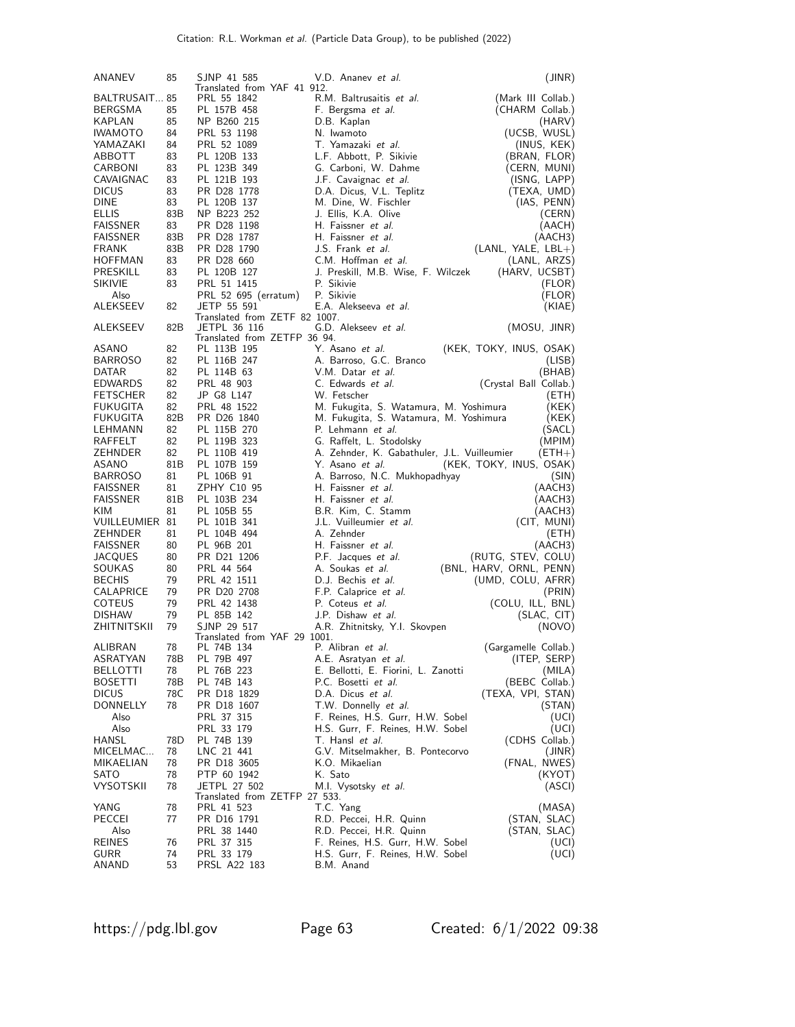| ANANEV             | 85  | SJNP 41 585                                   | V.D. Ananev et al.                          | (JINR)                  |
|--------------------|-----|-----------------------------------------------|---------------------------------------------|-------------------------|
| BALTRUSAIT 85      |     | Translated from YAF 41 912.<br>PRL 55 1842    | R.M. Baltrusaitis et al.                    | (Mark III Collab.)      |
| BERGSMA            | 85  | PL 157B 458                                   | F. Bergsma <i>et al.</i>                    | (CHARM Collab.)         |
| KAPLAN             | 85  | NP B260 215                                   | D.B. Kaplan                                 | (HARV)                  |
| <b>IWAMOTO</b>     | 84  | PRL 53 1198                                   | N. Iwamoto                                  | (UCSB, WUSL)            |
| YAMAZAKI           | 84  | PRL 52 1089                                   | T. Yamazaki <i>et al</i> .                  | (INUS, KEK)             |
| ABBOTT             | 83  | PL 120B 133                                   | L.F. Abbott, P. Sikivie                     | (BRAN, FLOR)            |
| CARBONI            | 83  | PL 123B 349                                   | G. Carboni, W. Dahme                        | (CERN, MUNI)            |
| CAVAIGNAC          | 83  | PL 121B 193                                   | J.F. Cavaignac et al.                       | (ISNG, LAPP)            |
| <b>DICUS</b>       | 83  | PR D28 1778                                   | D.A. Dicus, V.L. Teplitz                    | (TEXA, UMD)             |
| DINE               | 83  | PL 120B 137                                   | M. Dine, W. Fischler                        | (IAS, PENN)             |
| <b>ELLIS</b>       | 83B | NP B223 252                                   | J. Ellis, K.A. Olive                        | (CERN)                  |
| <b>FAISSNER</b>    | 83  | PR D28 1198                                   | H. Faissner et al.                          | (AACH)                  |
| FAISSNER           | 83B | PR D28 1787                                   | H. Faissner et al.                          | (AACH3)                 |
| <b>FRANK</b>       | 83B | PR D28 1790                                   | J.S. Frank et al.                           | $(LANL, YALE, LBL+)$    |
| HOFFMAN            | 83  | PR D28 660                                    | C.M. Hoffman et al.                         | (LANL, ARZS)            |
| PRESKILL           | 83  | PL 120B 127                                   | J. Preskill, M.B. Wise, F. Wilczek          | (HARV, UCSBT)           |
| SIKIVIE            | 83  | PRL 51 1415                                   | P. Sikivie                                  | (FLOR)                  |
| Also               |     | PRL 52 695 (erratum)                          | P. Sikivie                                  | (FLOR)                  |
| ALEKSEEV           | 82  | JETP 55 591                                   | E.A. Alekseeva et al.                       | (KIAE)                  |
|                    |     | Translated from ZETF 82 1007.                 |                                             |                         |
| ALEKSEEV           | 82B | JETPL 36 116                                  | G.D. Alekseev et al.                        | (MOSU, JINR)            |
|                    |     | Translated from ZETFP 36 94.                  |                                             |                         |
| ASANO              | 82  | PL 113B 195                                   | Y. Asano et al.                             | (KEK, TOKY, INUS, OSAK) |
| <b>BARROSO</b>     | 82  | PL 116B 247                                   | A. Barroso, G.C. Branco                     | (LISB)                  |
| DATAR              | 82  | PL 114B 63                                    | V.M. Datar et al.                           | (BHAB)                  |
| EDWARDS            | 82  | PRL 48 903                                    | C. Edwards et al.                           | (Crystal Ball Collab.)  |
| <b>FETSCHER</b>    | 82  | JP G8 L147                                    | W. Fetscher                                 | (ETH)                   |
| <b>FUKUGITA</b>    | 82  | PRL 48 1522                                   | M. Fukugita, S. Watamura, M. Yoshimura      | (KEK)                   |
| <b>FUKUGITA</b>    | 82B | PR D26 1840                                   | M. Fukugita, S. Watamura, M. Yoshimura      | (KEK)                   |
| LEHMANN            | 82  | PL 115B 270                                   | P. Lehmann et al.                           | (SACL)                  |
| RAFFELT            | 82  | PL 119B 323                                   | G. Raffelt, L. Stodolsky                    | (MPIM)                  |
| ZEHNDER            | 82  | PL 110B 419                                   | A. Zehnder, K. Gabathuler, J.L. Vuilleumier | $(ETH+)$                |
| ASANO              | 81B | PL 107B 159                                   | Y. Asano et al.                             | (KEK, TOKY, INUS, OSAK) |
| <b>BARROSO</b>     | 81  | PL 106B 91                                    | A. Barroso, N.C. Mukhopadhyay               | (SIN)                   |
| FAISSNER           | 81  | ZPHY C10 95                                   | H. Faissner et al.                          | (AACH3)                 |
| FAISSNER           | 81B | PL 103B 234                                   | H. Faissner et al.                          | (AACH3)                 |
| KIM                | 81  | PL 105B 55                                    | B.R. Kim, C. Stamm                          | (AACH3)                 |
| VUILLEUMIER 81     |     | PL 101B 341                                   | J.L. Vuilleumier et al.                     | (CIT, MUNI)             |
| ZEHNDER            | 81  | PL 104B 494                                   | A. Zehnder                                  | (ETH)                   |
| FAISSNER           | 80  | PL 96B 201                                    | H. Faissner et al.                          | (AACH3)                 |
| JACQUES            | 80  | PR D21 1206                                   | P.F. Jacques et al.                         | (RUTG, STEV, COLU)      |
| SOUKAS             | 80  | PRL 44 564                                    | A. Soukas et al.                            | (BNL, HARV, ORNL, PENN) |
| <b>BECHIS</b>      | 79  | PRL 42 1511                                   | D.J. Bechis et al.                          | (UMD, COLU, AFRR)       |
| CALAPRICE          | 79  | PR D20 2708                                   | F.P. Calaprice et al.                       | (PRIN)                  |
| COTEUS             | 79  | PRL 42 1438                                   | P. Coteus et al.                            | (COLU, ILL, BNL)        |
| <b>DISHAW</b>      | 79  | PL 85B 142                                    | J.P. Dishaw et al.                          | (SLAC, CIT)             |
| <b>ZHITNITSKII</b> | 79  | SJNP 29 517                                   | A.R. Zhitnitsky, Y.I. Skovpen               | (NOVO)                  |
|                    |     | Translated from YAF 29 1001.                  |                                             |                         |
| ALIBRAN            | 78  | PL 74B 134                                    | P. Alibran et al.                           | (Gargamelle Collab.)    |
| ASRATYAN           | 78B | PL 79B 497                                    | A.E. Asratyan et al.                        | (ITEP, SERP)            |
| BELLOTTI           | 78  | PL 76B 223                                    | E. Bellotti, E. Fiorini, L. Zanotti         | (MILA)                  |
| <b>BOSETTI</b>     | 78B | PL 74B 143                                    | P.C. Bosetti et al.                         | (BEBC Collab.)          |
| <b>DICUS</b>       | 78C | PR D18 1829                                   | D.A. Dicus et al.                           | (TEXA, VPI, STAN)       |
| DONNELLY           | 78  | PR D18 1607                                   | T.W. Donnelly et al.                        | (SIAN)                  |
| Also               |     | PRL 37 315                                    | F. Reines, H.S. Gurr, H.W. Sobel            | (UCI)                   |
| Also               |     | PRL 33 179                                    | H.S. Gurr, F. Reines, H.W. Sobel            | (UCI)                   |
| HANSL              | 78D | PL 74B 139                                    | T. Hansl et al.                             | (CDHS Collab.)          |
| MICELMAC           | 78  | LNC 21 441                                    | G.V. Mitselmakher, B. Pontecorvo            | (JINR)                  |
| MIKAELIAN          | 78  | PR D18 3605                                   | K.O. Mikaelian                              | (FNAL, NWES)            |
| SATO               | 78  | PTP 60 1942                                   | K. Sato                                     | (KYOT)                  |
| <b>VYSOTSKII</b>   | 78  | JETPL 27 502<br>Translated from ZETFP 27 533. | M.I. Vysotsky et al.                        | (ASCI)                  |
| YANG               | 78  | PRL 41 523                                    | T.C. Yang                                   | (MASA)                  |
| PECCEI             | 77  | PR D16 1791                                   | R.D. Peccei, H.R. Quinn                     | (STAN, SLAC)            |
| Also               |     | PRL 38 1440                                   | R.D. Peccei, H.R. Quinn                     | (STAN, SLAC)            |
| <b>REINES</b>      | 76  | PRL 37 315                                    | F. Reines, H.S. Gurr, H.W. Sobel            | (UCI)                   |
| GURR               | 74  | PRL 33 179                                    | H.S. Gurr, F. Reines, H.W. Sobel            | (UCI)                   |
| ANAND              | 53  | PRSL A22 183                                  | B.M. Anand                                  |                         |
|                    |     |                                               |                                             |                         |